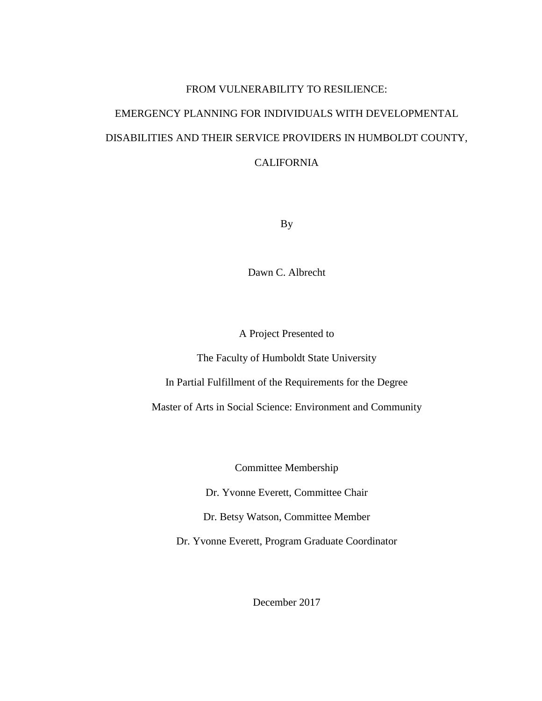### FROM VULNERABILITY TO RESILIENCE:

# EMERGENCY PLANNING FOR INDIVIDUALS WITH DEVELOPMENTAL DISABILITIES AND THEIR SERVICE PROVIDERS IN HUMBOLDT COUNTY, CALIFORNIA

By

Dawn C. Albrecht

A Project Presented to

The Faculty of Humboldt State University

In Partial Fulfillment of the Requirements for the Degree

Master of Arts in Social Science: Environment and Community

Committee Membership

Dr. Yvonne Everett, Committee Chair

Dr. Betsy Watson, Committee Member

Dr. Yvonne Everett, Program Graduate Coordinator

December 2017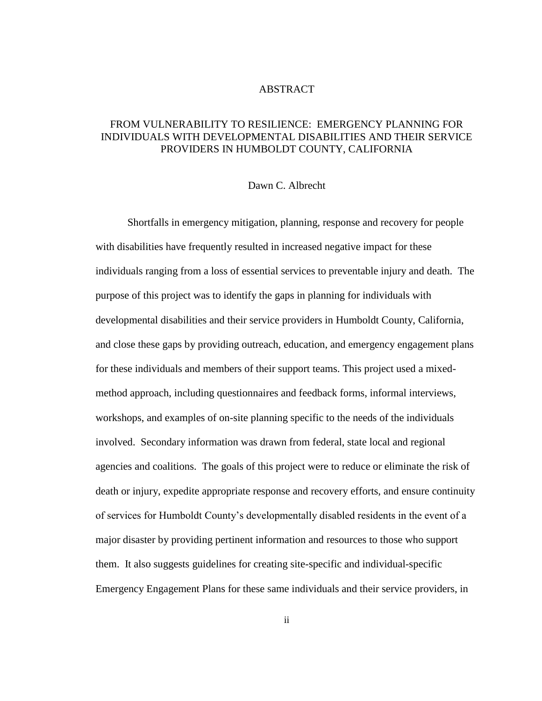### ABSTRACT

### <span id="page-1-0"></span>FROM VULNERABILITY TO RESILIENCE: EMERGENCY PLANNING FOR INDIVIDUALS WITH DEVELOPMENTAL DISABILITIES AND THEIR SERVICE PROVIDERS IN HUMBOLDT COUNTY, CALIFORNIA

### Dawn C. Albrecht

Shortfalls in emergency mitigation, planning, response and recovery for people with disabilities have frequently resulted in increased negative impact for these individuals ranging from a loss of essential services to preventable injury and death. The purpose of this project was to identify the gaps in planning for individuals with developmental disabilities and their service providers in Humboldt County, California, and close these gaps by providing outreach, education, and emergency engagement plans for these individuals and members of their support teams. This project used a mixedmethod approach, including questionnaires and feedback forms, informal interviews, workshops, and examples of on-site planning specific to the needs of the individuals involved. Secondary information was drawn from federal, state local and regional agencies and coalitions. The goals of this project were to reduce or eliminate the risk of death or injury, expedite appropriate response and recovery efforts, and ensure continuity of services for Humboldt County's developmentally disabled residents in the event of a major disaster by providing pertinent information and resources to those who support them. It also suggests guidelines for creating site-specific and individual-specific Emergency Engagement Plans for these same individuals and their service providers, in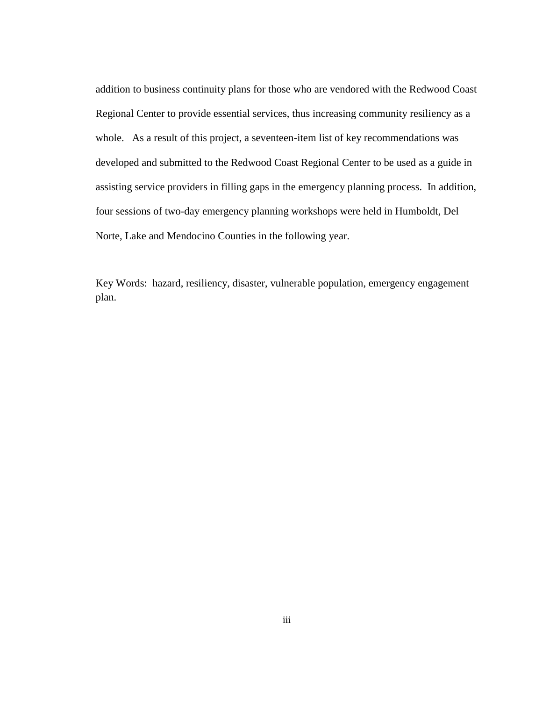addition to business continuity plans for those who are vendored with the Redwood Coast Regional Center to provide essential services, thus increasing community resiliency as a whole. As a result of this project, a seventeen-item list of key recommendations was developed and submitted to the Redwood Coast Regional Center to be used as a guide in assisting service providers in filling gaps in the emergency planning process. In addition, four sessions of two-day emergency planning workshops were held in Humboldt, Del Norte, Lake and Mendocino Counties in the following year.

Key Words: hazard, resiliency, disaster, vulnerable population, emergency engagement plan.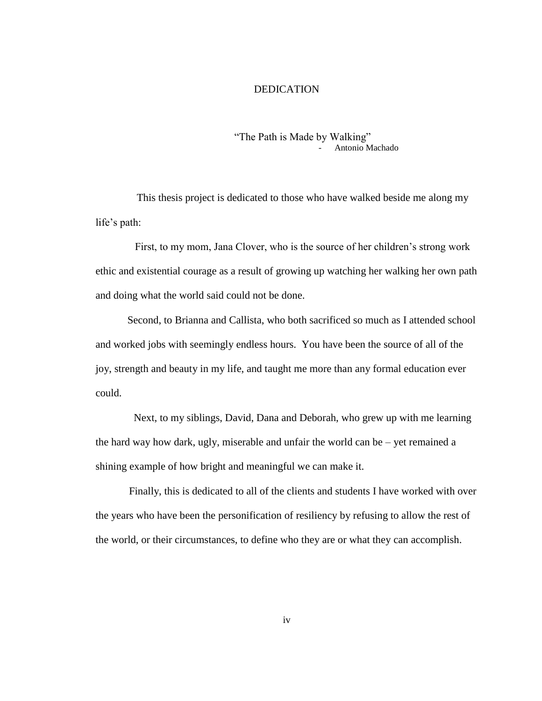### DEDICATION

### "The Path is Made by Walking" Antonio Machado

<span id="page-3-0"></span>This thesis project is dedicated to those who have walked beside me along my life's path:

First, to my mom, Jana Clover, who is the source of her children's strong work ethic and existential courage as a result of growing up watching her walking her own path and doing what the world said could not be done.

Second, to Brianna and Callista, who both sacrificed so much as I attended school and worked jobs with seemingly endless hours. You have been the source of all of the joy, strength and beauty in my life, and taught me more than any formal education ever could.

Next, to my siblings, David, Dana and Deborah, who grew up with me learning the hard way how dark, ugly, miserable and unfair the world can be – yet remained a shining example of how bright and meaningful we can make it.

Finally, this is dedicated to all of the clients and students I have worked with over the years who have been the personification of resiliency by refusing to allow the rest of the world, or their circumstances, to define who they are or what they can accomplish.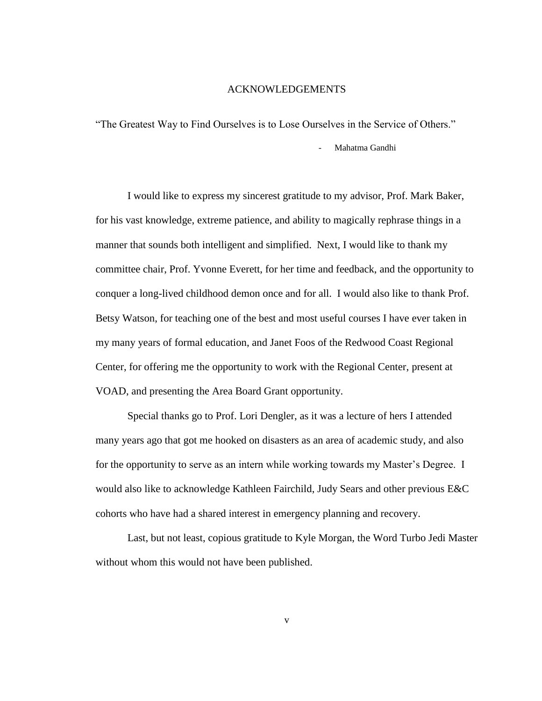### ACKNOWLEDGEMENTS

<span id="page-4-0"></span>"The Greatest Way to Find Ourselves is to Lose Ourselves in the Service of Others."

Mahatma Gandhi

I would like to express my sincerest gratitude to my advisor, Prof. Mark Baker, for his vast knowledge, extreme patience, and ability to magically rephrase things in a manner that sounds both intelligent and simplified. Next, I would like to thank my committee chair, Prof. Yvonne Everett, for her time and feedback, and the opportunity to conquer a long-lived childhood demon once and for all. I would also like to thank Prof. Betsy Watson, for teaching one of the best and most useful courses I have ever taken in my many years of formal education, and Janet Foos of the Redwood Coast Regional Center, for offering me the opportunity to work with the Regional Center, present at VOAD, and presenting the Area Board Grant opportunity.

Special thanks go to Prof. Lori Dengler, as it was a lecture of hers I attended many years ago that got me hooked on disasters as an area of academic study, and also for the opportunity to serve as an intern while working towards my Master's Degree. I would also like to acknowledge Kathleen Fairchild, Judy Sears and other previous E&C cohorts who have had a shared interest in emergency planning and recovery.

Last, but not least, copious gratitude to Kyle Morgan, the Word Turbo Jedi Master without whom this would not have been published.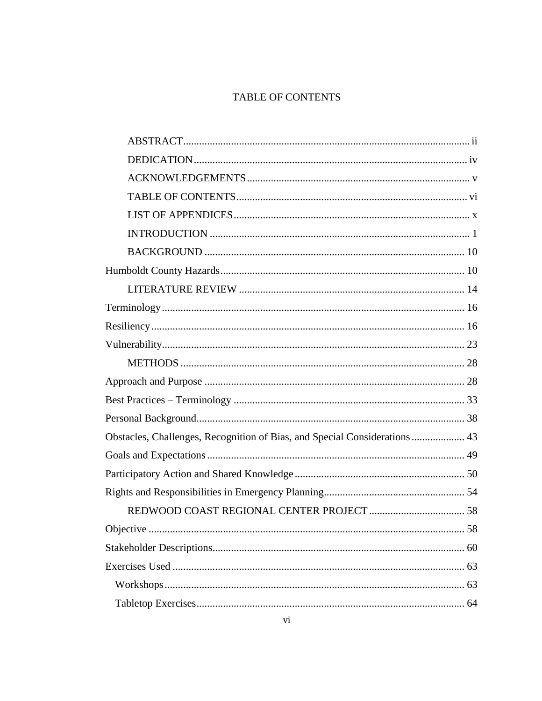## TABLE OF CONTENTS

<span id="page-5-0"></span>

| Obstacles, Challenges, Recognition of Bias, and Special Considerations  43 |    |
|----------------------------------------------------------------------------|----|
|                                                                            |    |
|                                                                            |    |
|                                                                            |    |
|                                                                            |    |
| Objective                                                                  | 58 |
|                                                                            |    |
|                                                                            |    |
|                                                                            |    |
|                                                                            |    |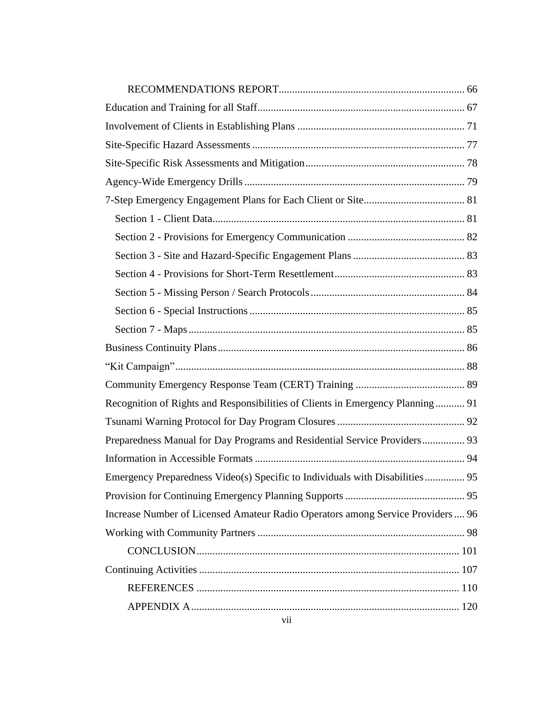| Recognition of Rights and Responsibilities of Clients in Emergency Planning 91 |  |
|--------------------------------------------------------------------------------|--|
|                                                                                |  |
| Preparedness Manual for Day Programs and Residential Service Providers 93      |  |
|                                                                                |  |
|                                                                                |  |
|                                                                                |  |
| Increase Number of Licensed Amateur Radio Operators among Service Providers 96 |  |
|                                                                                |  |
|                                                                                |  |
|                                                                                |  |
|                                                                                |  |
|                                                                                |  |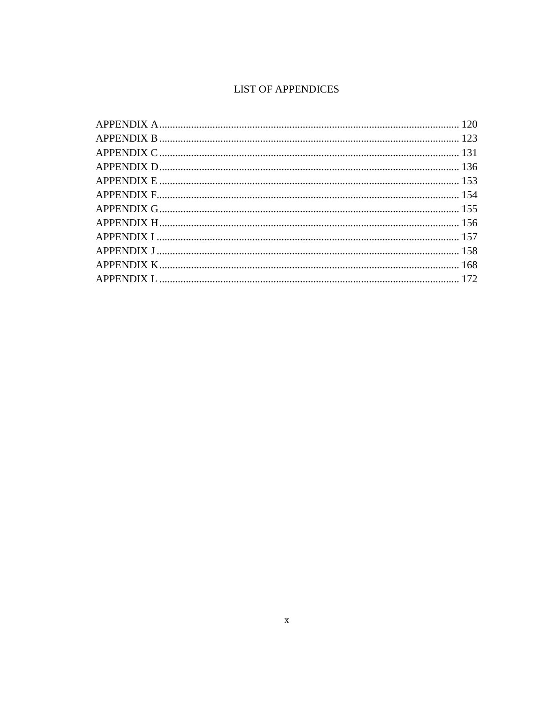# **LIST OF APPENDICES**

<span id="page-9-0"></span>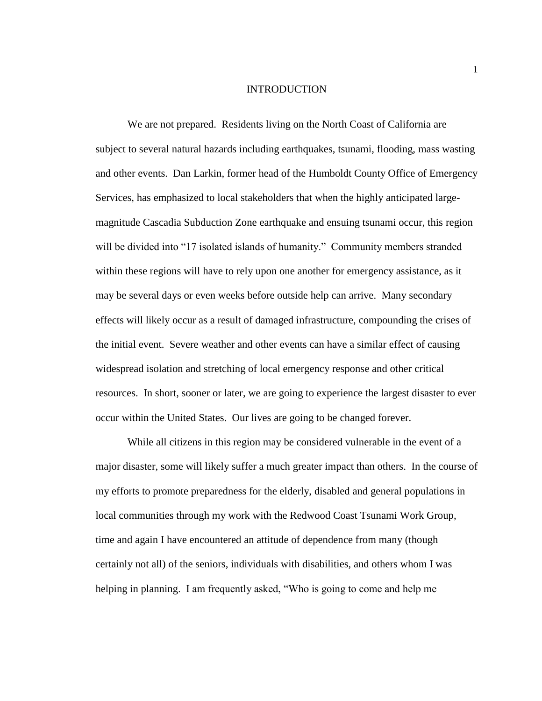### INTRODUCTION

<span id="page-10-0"></span>We are not prepared. Residents living on the North Coast of California are subject to several natural hazards including earthquakes, tsunami, flooding, mass wasting and other events. Dan Larkin, former head of the Humboldt County Office of Emergency Services, has emphasized to local stakeholders that when the highly anticipated largemagnitude Cascadia Subduction Zone earthquake and ensuing tsunami occur, this region will be divided into "17 isolated islands of humanity." Community members stranded within these regions will have to rely upon one another for emergency assistance, as it may be several days or even weeks before outside help can arrive. Many secondary effects will likely occur as a result of damaged infrastructure, compounding the crises of the initial event. Severe weather and other events can have a similar effect of causing widespread isolation and stretching of local emergency response and other critical resources. In short, sooner or later, we are going to experience the largest disaster to ever occur within the United States. Our lives are going to be changed forever.

While all citizens in this region may be considered vulnerable in the event of a major disaster, some will likely suffer a much greater impact than others. In the course of my efforts to promote preparedness for the elderly, disabled and general populations in local communities through my work with the Redwood Coast Tsunami Work Group, time and again I have encountered an attitude of dependence from many (though certainly not all) of the seniors, individuals with disabilities, and others whom I was helping in planning. I am frequently asked, "Who is going to come and help me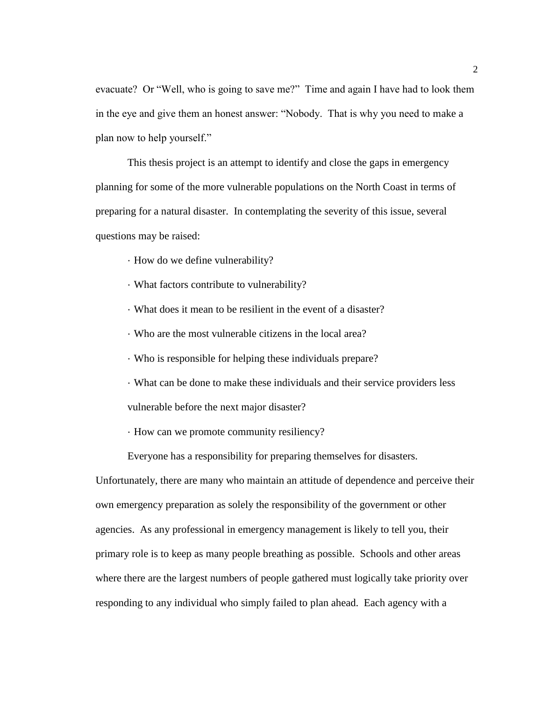evacuate? Or "Well, who is going to save me?" Time and again I have had to look them in the eye and give them an honest answer: "Nobody. That is why you need to make a plan now to help yourself."

This thesis project is an attempt to identify and close the gaps in emergency planning for some of the more vulnerable populations on the North Coast in terms of preparing for a natural disaster. In contemplating the severity of this issue, several questions may be raised:

· How do we define vulnerability?

· What factors contribute to vulnerability?

· What does it mean to be resilient in the event of a disaster?

· Who are the most vulnerable citizens in the local area?

· Who is responsible for helping these individuals prepare?

· What can be done to make these individuals and their service providers less vulnerable before the next major disaster?

· How can we promote community resiliency?

Everyone has a responsibility for preparing themselves for disasters.

Unfortunately, there are many who maintain an attitude of dependence and perceive their own emergency preparation as solely the responsibility of the government or other agencies. As any professional in emergency management is likely to tell you, their primary role is to keep as many people breathing as possible. Schools and other areas where there are the largest numbers of people gathered must logically take priority over responding to any individual who simply failed to plan ahead.Each agency with a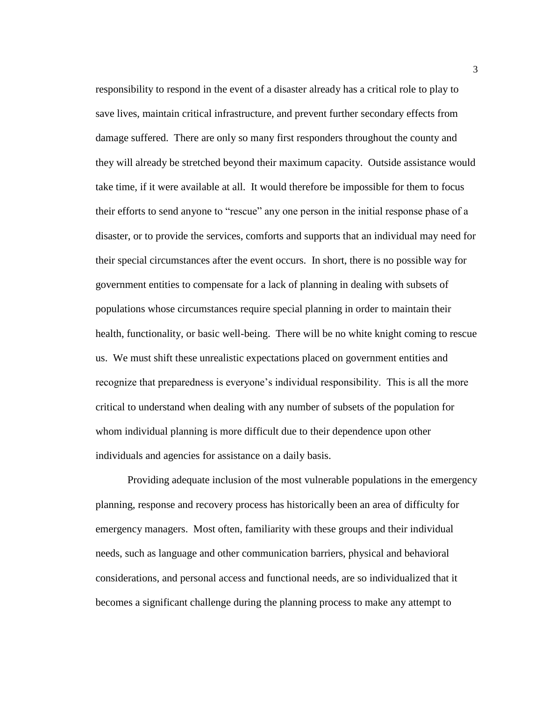responsibility to respond in the event of a disaster already has a critical role to play to save lives, maintain critical infrastructure, and prevent further secondary effects from damage suffered. There are only so many first responders throughout the county and they will already be stretched beyond their maximum capacity. Outside assistance would take time, if it were available at all. It would therefore be impossible for them to focus their efforts to send anyone to "rescue" any one person in the initial response phase of a disaster, or to provide the services, comforts and supports that an individual may need for their special circumstances after the event occurs. In short, there is no possible way for government entities to compensate for a lack of planning in dealing with subsets of populations whose circumstances require special planning in order to maintain their health, functionality, or basic well-being. There will be no white knight coming to rescue us. We must shift these unrealistic expectations placed on government entities and recognize that preparedness is everyone's individual responsibility. This is all the more critical to understand when dealing with any number of subsets of the population for whom individual planning is more difficult due to their dependence upon other individuals and agencies for assistance on a daily basis.

Providing adequate inclusion of the most vulnerable populations in the emergency planning, response and recovery process has historically been an area of difficulty for emergency managers. Most often, familiarity with these groups and their individual needs, such as language and other communication barriers, physical and behavioral considerations, and personal access and functional needs, are so individualized that it becomes a significant challenge during the planning process to make any attempt to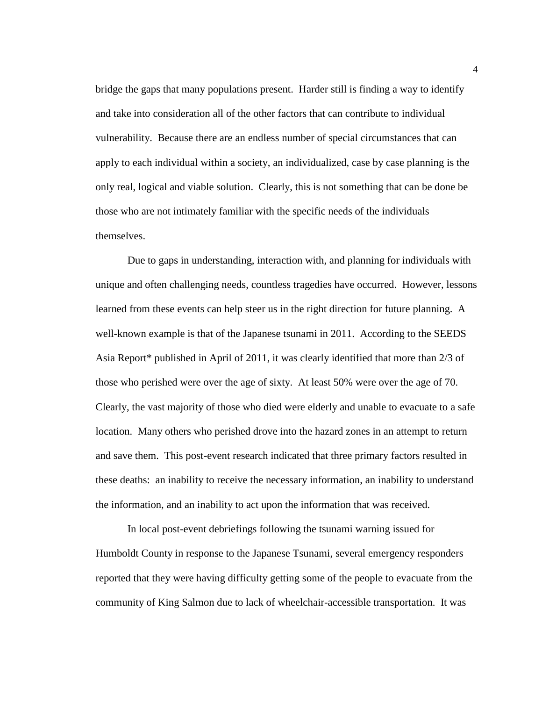bridge the gaps that many populations present. Harder still is finding a way to identify and take into consideration all of the other factors that can contribute to individual vulnerability. Because there are an endless number of special circumstances that can apply to each individual within a society, an individualized, case by case planning is the only real, logical and viable solution. Clearly, this is not something that can be done be those who are not intimately familiar with the specific needs of the individuals themselves.

Due to gaps in understanding, interaction with, and planning for individuals with unique and often challenging needs, countless tragedies have occurred. However, lessons learned from these events can help steer us in the right direction for future planning. A well-known example is that of the Japanese tsunami in 2011. According to the SEEDS Asia Report\* published in April of 2011, it was clearly identified that more than 2/3 of those who perished were over the age of sixty. At least 50% were over the age of 70. Clearly, the vast majority of those who died were elderly and unable to evacuate to a safe location. Many others who perished drove into the hazard zones in an attempt to return and save them. This post-event research indicated that three primary factors resulted in these deaths: an inability to receive the necessary information, an inability to understand the information, and an inability to act upon the information that was received.

In local post-event debriefings following the tsunami warning issued for Humboldt County in response to the Japanese Tsunami, several emergency responders reported that they were having difficulty getting some of the people to evacuate from the community of King Salmon due to lack of wheelchair-accessible transportation. It was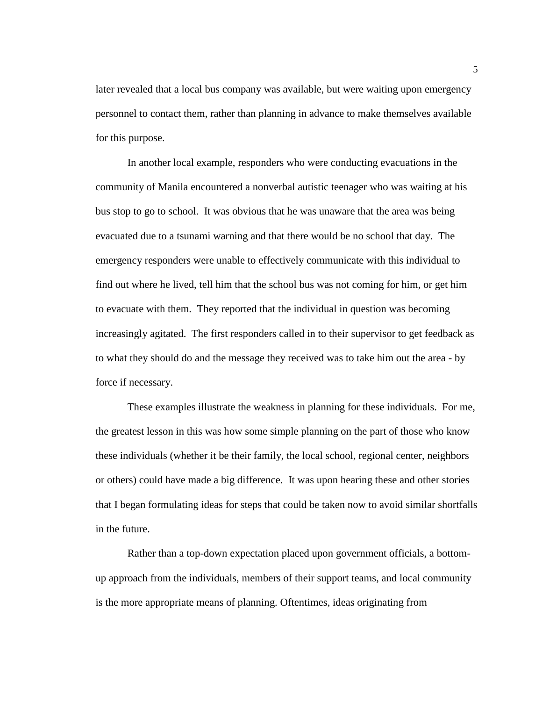later revealed that a local bus company was available, but were waiting upon emergency personnel to contact them, rather than planning in advance to make themselves available for this purpose.

In another local example, responders who were conducting evacuations in the community of Manila encountered a nonverbal autistic teenager who was waiting at his bus stop to go to school. It was obvious that he was unaware that the area was being evacuated due to a tsunami warning and that there would be no school that day. The emergency responders were unable to effectively communicate with this individual to find out where he lived, tell him that the school bus was not coming for him, or get him to evacuate with them. They reported that the individual in question was becoming increasingly agitated. The first responders called in to their supervisor to get feedback as to what they should do and the message they received was to take him out the area - by force if necessary.

These examples illustrate the weakness in planning for these individuals. For me, the greatest lesson in this was how some simple planning on the part of those who know these individuals (whether it be their family, the local school, regional center, neighbors or others) could have made a big difference. It was upon hearing these and other stories that I began formulating ideas for steps that could be taken now to avoid similar shortfalls in the future.

Rather than a top-down expectation placed upon government officials, a bottomup approach from the individuals, members of their support teams, and local community is the more appropriate means of planning. Oftentimes, ideas originating from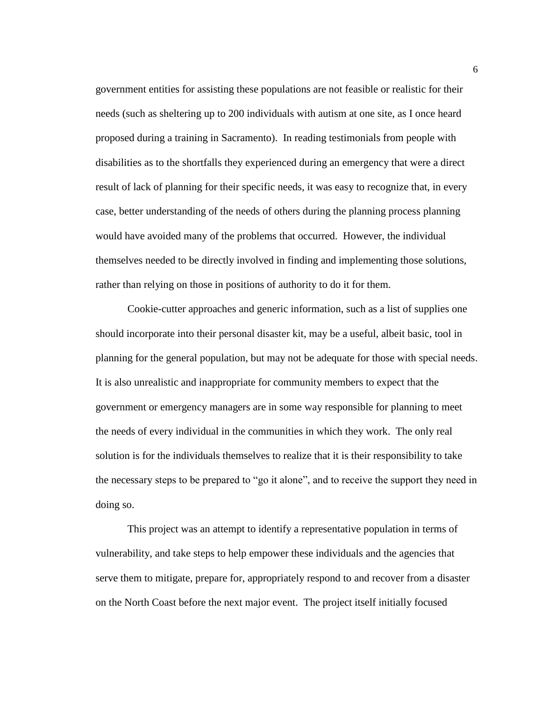government entities for assisting these populations are not feasible or realistic for their needs (such as sheltering up to 200 individuals with autism at one site, as I once heard proposed during a training in Sacramento). In reading testimonials from people with disabilities as to the shortfalls they experienced during an emergency that were a direct result of lack of planning for their specific needs, it was easy to recognize that, in every case, better understanding of the needs of others during the planning process planning would have avoided many of the problems that occurred. However, the individual themselves needed to be directly involved in finding and implementing those solutions, rather than relying on those in positions of authority to do it for them.

Cookie-cutter approaches and generic information, such as a list of supplies one should incorporate into their personal disaster kit, may be a useful, albeit basic, tool in planning for the general population, but may not be adequate for those with special needs. It is also unrealistic and inappropriate for community members to expect that the government or emergency managers are in some way responsible for planning to meet the needs of every individual in the communities in which they work. The only real solution is for the individuals themselves to realize that it is their responsibility to take the necessary steps to be prepared to "go it alone", and to receive the support they need in doing so.

This project was an attempt to identify a representative population in terms of vulnerability, and take steps to help empower these individuals and the agencies that serve them to mitigate, prepare for, appropriately respond to and recover from a disaster on the North Coast before the next major event. The project itself initially focused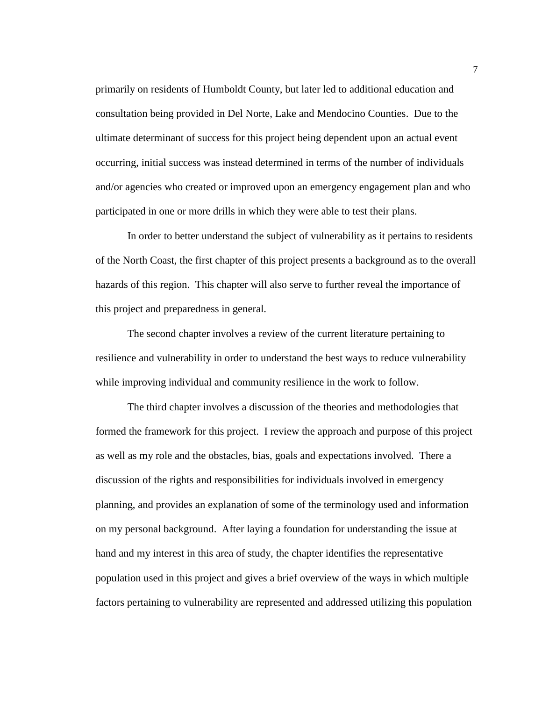primarily on residents of Humboldt County, but later led to additional education and consultation being provided in Del Norte, Lake and Mendocino Counties. Due to the ultimate determinant of success for this project being dependent upon an actual event occurring, initial success was instead determined in terms of the number of individuals and/or agencies who created or improved upon an emergency engagement plan and who participated in one or more drills in which they were able to test their plans.

In order to better understand the subject of vulnerability as it pertains to residents of the North Coast, the first chapter of this project presents a background as to the overall hazards of this region. This chapter will also serve to further reveal the importance of this project and preparedness in general.

The second chapter involves a review of the current literature pertaining to resilience and vulnerability in order to understand the best ways to reduce vulnerability while improving individual and community resilience in the work to follow.

The third chapter involves a discussion of the theories and methodologies that formed the framework for this project. I review the approach and purpose of this project as well as my role and the obstacles, bias, goals and expectations involved. There a discussion of the rights and responsibilities for individuals involved in emergency planning, and provides an explanation of some of the terminology used and information on my personal background. After laying a foundation for understanding the issue at hand and my interest in this area of study, the chapter identifies the representative population used in this project and gives a brief overview of the ways in which multiple factors pertaining to vulnerability are represented and addressed utilizing this population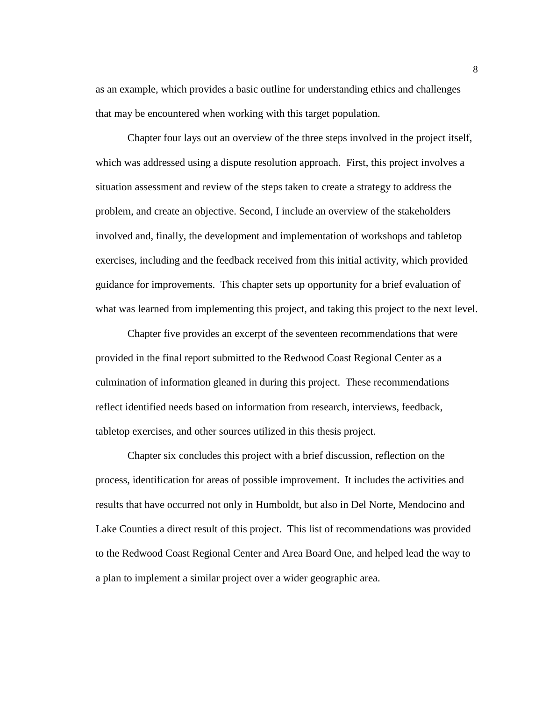as an example, which provides a basic outline for understanding ethics and challenges that may be encountered when working with this target population.

Chapter four lays out an overview of the three steps involved in the project itself, which was addressed using a dispute resolution approach. First, this project involves a situation assessment and review of the steps taken to create a strategy to address the problem, and create an objective. Second, I include an overview of the stakeholders involved and, finally, the development and implementation of workshops and tabletop exercises, including and the feedback received from this initial activity, which provided guidance for improvements. This chapter sets up opportunity for a brief evaluation of what was learned from implementing this project, and taking this project to the next level.

Chapter five provides an excerpt of the seventeen recommendations that were provided in the final report submitted to the Redwood Coast Regional Center as a culmination of information gleaned in during this project. These recommendations reflect identified needs based on information from research, interviews, feedback, tabletop exercises, and other sources utilized in this thesis project.

Chapter six concludes this project with a brief discussion, reflection on the process, identification for areas of possible improvement. It includes the activities and results that have occurred not only in Humboldt, but also in Del Norte, Mendocino and Lake Counties a direct result of this project. This list of recommendations was provided to the Redwood Coast Regional Center and Area Board One, and helped lead the way to a plan to implement a similar project over a wider geographic area.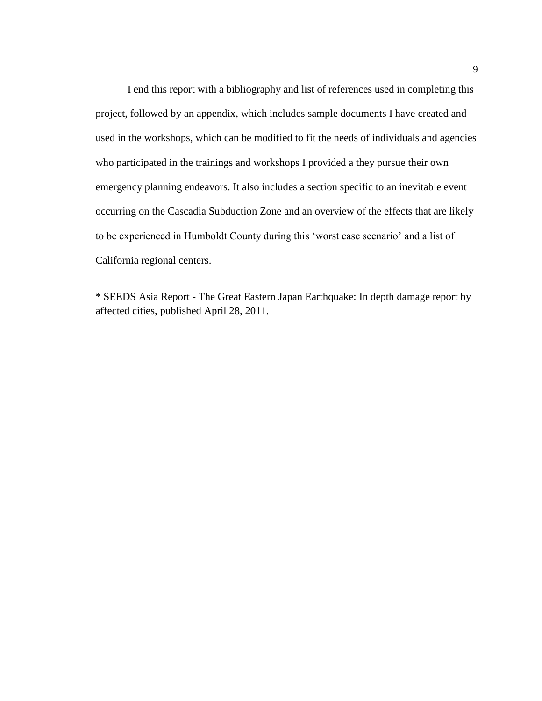I end this report with a bibliography and list of references used in completing this project, followed by an appendix, which includes sample documents I have created and used in the workshops, which can be modified to fit the needs of individuals and agencies who participated in the trainings and workshops I provided a they pursue their own emergency planning endeavors. It also includes a section specific to an inevitable event occurring on the Cascadia Subduction Zone and an overview of the effects that are likely to be experienced in Humboldt County during this 'worst case scenario' and a list of California regional centers.

\* SEEDS Asia Report - The Great Eastern Japan Earthquake: In depth damage report by affected cities, published April 28, 2011.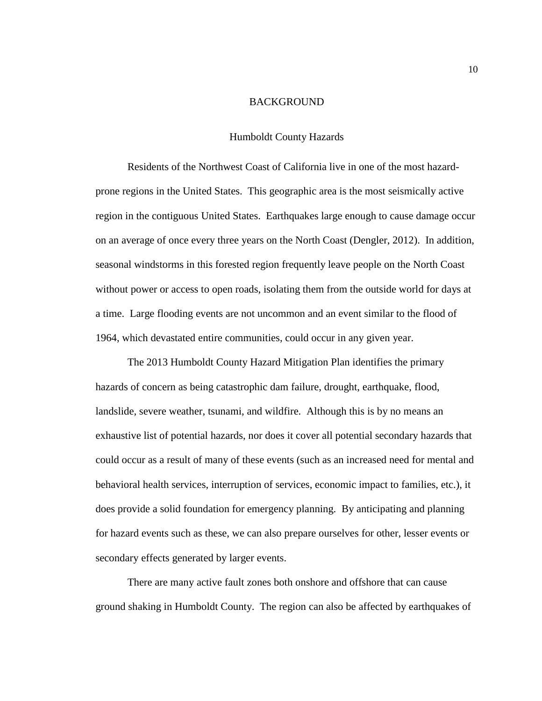### BACKGROUND

#### Humboldt County Hazards

<span id="page-19-1"></span><span id="page-19-0"></span>Residents of the Northwest Coast of California live in one of the most hazardprone regions in the United States. This geographic area is the most seismically active region in the contiguous United States. Earthquakes large enough to cause damage occur on an average of once every three years on the North Coast (Dengler, 2012). In addition, seasonal windstorms in this forested region frequently leave people on the North Coast without power or access to open roads, isolating them from the outside world for days at a time. Large flooding events are not uncommon and an event similar to the flood of 1964, which devastated entire communities, could occur in any given year.

The 2013 Humboldt County Hazard Mitigation Plan identifies the primary hazards of concern as being catastrophic dam failure, drought, earthquake, flood, landslide, severe weather, tsunami, and wildfire. Although this is by no means an exhaustive list of potential hazards, nor does it cover all potential secondary hazards that could occur as a result of many of these events (such as an increased need for mental and behavioral health services, interruption of services, economic impact to families, etc.), it does provide a solid foundation for emergency planning. By anticipating and planning for hazard events such as these, we can also prepare ourselves for other, lesser events or secondary effects generated by larger events.

There are many active fault zones both onshore and offshore that can cause ground shaking in Humboldt County. The region can also be affected by earthquakes of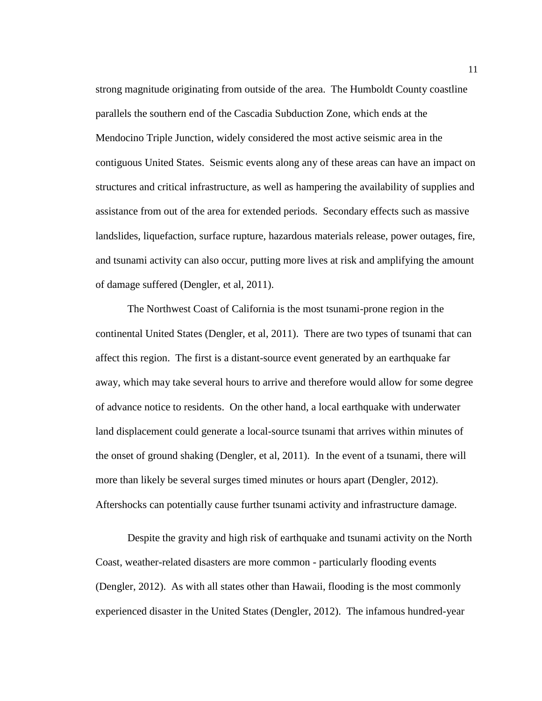strong magnitude originating from outside of the area. The Humboldt County coastline parallels the southern end of the Cascadia Subduction Zone, which ends at the Mendocino Triple Junction, widely considered the most active seismic area in the contiguous United States. Seismic events along any of these areas can have an impact on structures and critical infrastructure, as well as hampering the availability of supplies and assistance from out of the area for extended periods. Secondary effects such as massive landslides, liquefaction, surface rupture, hazardous materials release, power outages, fire, and tsunami activity can also occur, putting more lives at risk and amplifying the amount of damage suffered (Dengler, et al, 2011).

The Northwest Coast of California is the most tsunami-prone region in the continental United States (Dengler, et al, 2011).There are two types of tsunami that can affect this region. The first is a distant-source event generated by an earthquake far away, which may take several hours to arrive and therefore would allow for some degree of advance notice to residents. On the other hand, a local earthquake with underwater land displacement could generate a local-source tsunami that arrives within minutes of the onset of ground shaking (Dengler, et al, 2011). In the event of a tsunami, there will more than likely be several surges timed minutes or hours apart (Dengler, 2012). Aftershocks can potentially cause further tsunami activity and infrastructure damage.

Despite the gravity and high risk of earthquake and tsunami activity on the North Coast, weather-related disasters are more common - particularly flooding events (Dengler, 2012). As with all states other than Hawaii, flooding is the most commonly experienced disaster in the United States (Dengler, 2012). The infamous hundred-year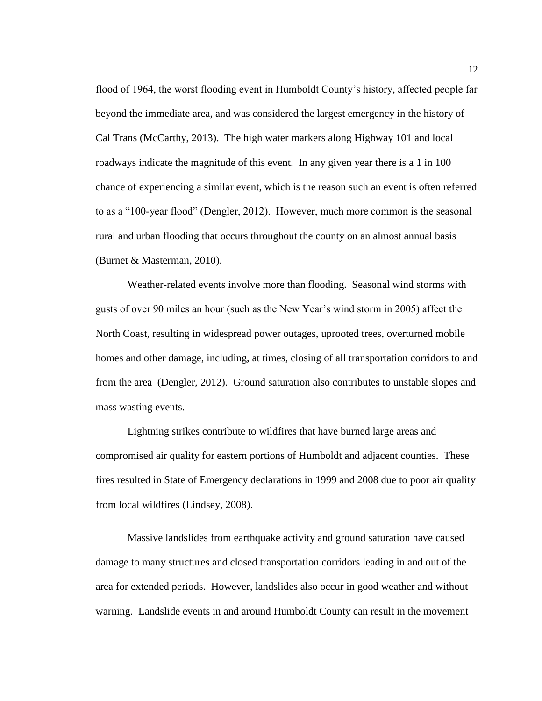flood of 1964, the worst flooding event in Humboldt County's history, affected people far beyond the immediate area, and was considered the largest emergency in the history of Cal Trans (McCarthy, 2013). The high water markers along Highway 101 and local roadways indicate the magnitude of this event. In any given year there is a 1 in 100 chance of experiencing a similar event, which is the reason such an event is often referred to as a "100-year flood" (Dengler, 2012). However, much more common is the seasonal rural and urban flooding that occurs throughout the county on an almost annual basis (Burnet & Masterman, 2010).

Weather-related events involve more than flooding. Seasonal wind storms with gusts of over 90 miles an hour (such as the New Year's wind storm in 2005) affect the North Coast, resulting in widespread power outages, uprooted trees, overturned mobile homes and other damage, including, at times, closing of all transportation corridors to and from the area (Dengler, 2012). Ground saturation also contributes to unstable slopes and mass wasting events.

Lightning strikes contribute to wildfires that have burned large areas and compromised air quality for eastern portions of Humboldt and adjacent counties. These fires resulted in State of Emergency declarations in 1999 and 2008 due to poor air quality from local wildfires (Lindsey, 2008).

Massive landslides from earthquake activity and ground saturation have caused damage to many structures and closed transportation corridors leading in and out of the area for extended periods. However, landslides also occur in good weather and without warning. Landslide events in and around Humboldt County can result in the movement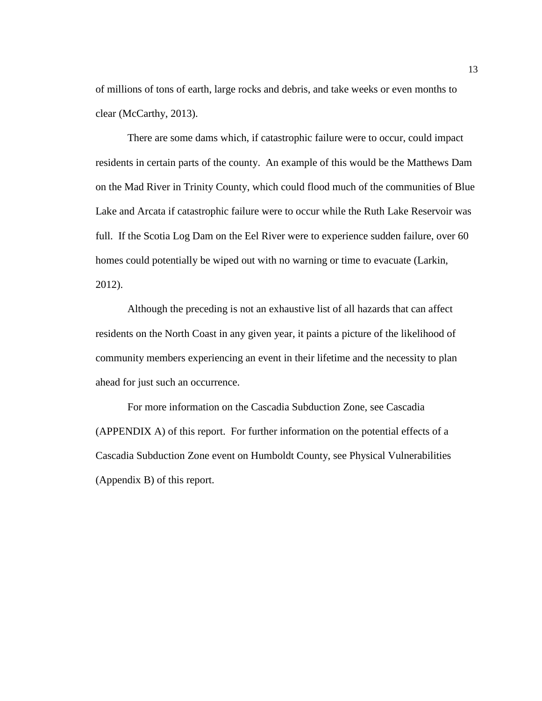of millions of tons of earth, large rocks and debris, and take weeks or even months to clear (McCarthy, 2013).

There are some dams which, if catastrophic failure were to occur, could impact residents in certain parts of the county. An example of this would be the Matthews Dam on the Mad River in Trinity County, which could flood much of the communities of Blue Lake and Arcata if catastrophic failure were to occur while the Ruth Lake Reservoir was full. If the Scotia Log Dam on the Eel River were to experience sudden failure, over 60 homes could potentially be wiped out with no warning or time to evacuate (Larkin, 2012).

Although the preceding is not an exhaustive list of all hazards that can affect residents on the North Coast in any given year, it paints a picture of the likelihood of community members experiencing an event in their lifetime and the necessity to plan ahead for just such an occurrence.

For more information on the Cascadia Subduction Zone, see Cascadia (APPENDIX A) of this report. For further information on the potential effects of a Cascadia Subduction Zone event on Humboldt County, see Physical Vulnerabilities (Appendix B) of this report.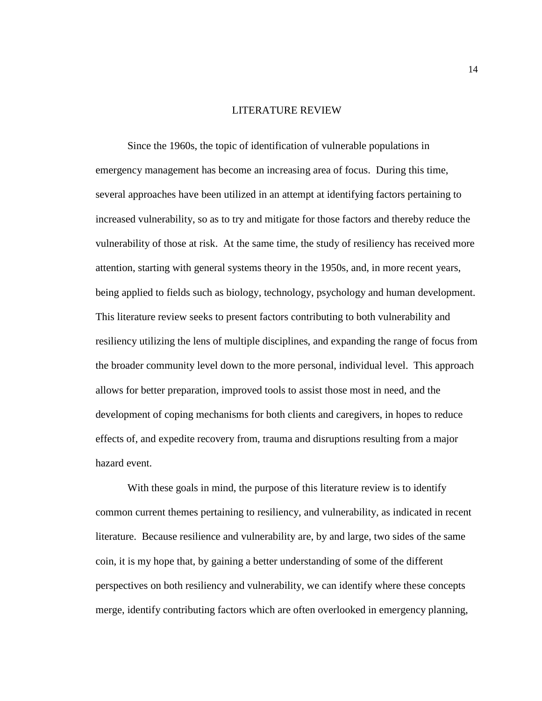#### LITERATURE REVIEW

<span id="page-23-0"></span>Since the 1960s, the topic of identification of vulnerable populations in emergency management has become an increasing area of focus. During this time, several approaches have been utilized in an attempt at identifying factors pertaining to increased vulnerability, so as to try and mitigate for those factors and thereby reduce the vulnerability of those at risk. At the same time, the study of resiliency has received more attention, starting with general systems theory in the 1950s, and, in more recent years, being applied to fields such as biology, technology, psychology and human development. This literature review seeks to present factors contributing to both vulnerability and resiliency utilizing the lens of multiple disciplines, and expanding the range of focus from the broader community level down to the more personal, individual level. This approach allows for better preparation, improved tools to assist those most in need, and the development of coping mechanisms for both clients and caregivers, in hopes to reduce effects of, and expedite recovery from, trauma and disruptions resulting from a major hazard event.

With these goals in mind, the purpose of this literature review is to identify common current themes pertaining to resiliency, and vulnerability, as indicated in recent literature. Because resilience and vulnerability are, by and large, two sides of the same coin, it is my hope that, by gaining a better understanding of some of the different perspectives on both resiliency and vulnerability, we can identify where these concepts merge, identify contributing factors which are often overlooked in emergency planning,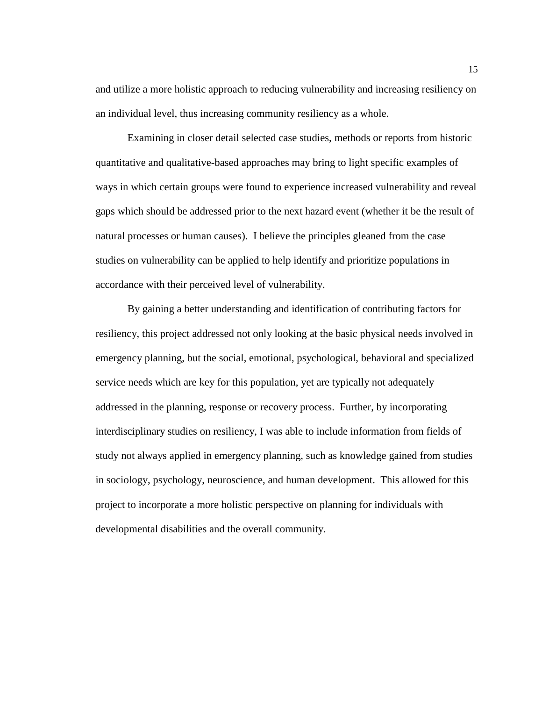and utilize a more holistic approach to reducing vulnerability and increasing resiliency on an individual level, thus increasing community resiliency as a whole.

Examining in closer detail selected case studies, methods or reports from historic quantitative and qualitative-based approaches may bring to light specific examples of ways in which certain groups were found to experience increased vulnerability and reveal gaps which should be addressed prior to the next hazard event (whether it be the result of natural processes or human causes). I believe the principles gleaned from the case studies on vulnerability can be applied to help identify and prioritize populations in accordance with their perceived level of vulnerability.

By gaining a better understanding and identification of contributing factors for resiliency, this project addressed not only looking at the basic physical needs involved in emergency planning, but the social, emotional, psychological, behavioral and specialized service needs which are key for this population, yet are typically not adequately addressed in the planning, response or recovery process. Further, by incorporating interdisciplinary studies on resiliency, I was able to include information from fields of study not always applied in emergency planning, such as knowledge gained from studies in sociology, psychology, neuroscience, and human development. This allowed for this project to incorporate a more holistic perspective on planning for individuals with developmental disabilities and the overall community.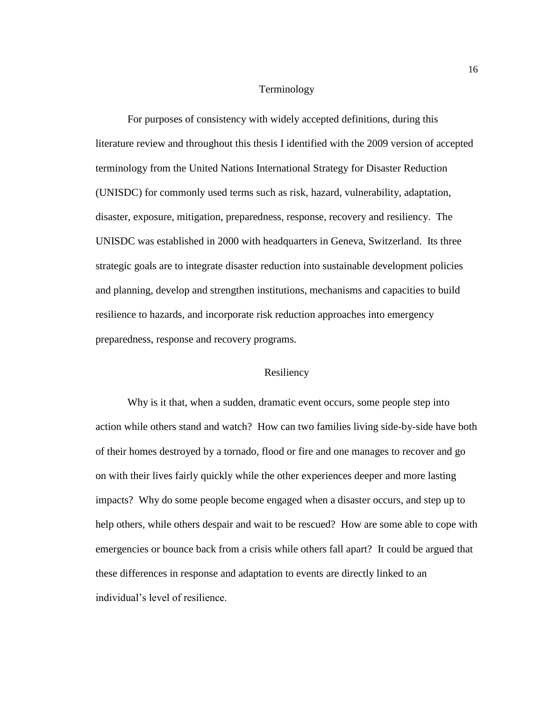### Terminology

<span id="page-25-0"></span>For purposes of consistency with widely accepted definitions, during this literature review and throughout this thesis I identified with the 2009 version of accepted terminology from the United Nations International Strategy for Disaster Reduction (UNISDC) for commonly used terms such as risk, hazard, vulnerability, adaptation, disaster, exposure, mitigation, preparedness, response, recovery and resiliency. The UNISDC was established in 2000 with headquarters in Geneva, Switzerland. Its three strategic goals are to integrate disaster reduction into sustainable development policies and planning, develop and strengthen institutions, mechanisms and capacities to build resilience to hazards, and incorporate risk reduction approaches into emergency preparedness, response and recovery programs.

### Resiliency

<span id="page-25-1"></span>Why is it that, when a sudden, dramatic event occurs, some people step into action while others stand and watch? How can two families living side-by-side have both of their homes destroyed by a tornado, flood or fire and one manages to recover and go on with their lives fairly quickly while the other experiences deeper and more lasting impacts? Why do some people become engaged when a disaster occurs, and step up to help others, while others despair and wait to be rescued? How are some able to cope with emergencies or bounce back from a crisis while others fall apart? It could be argued that these differences in response and adaptation to events are directly linked to an individual's level of resilience.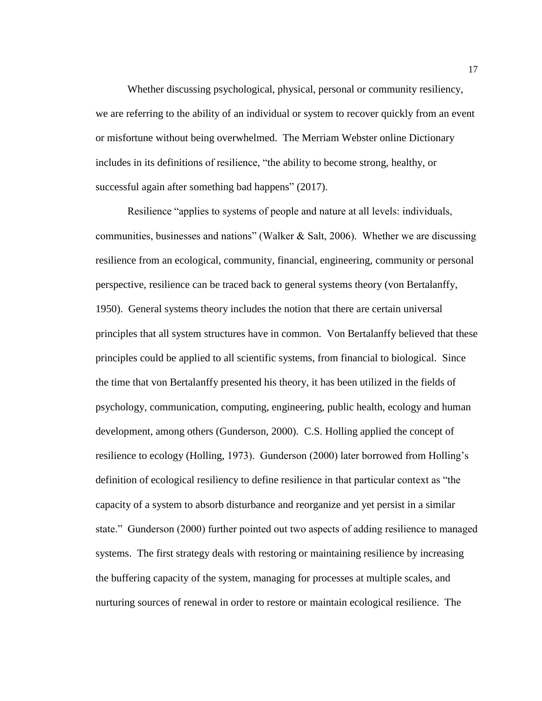Whether discussing psychological, physical, personal or community resiliency, we are referring to the ability of an individual or system to recover quickly from an event or misfortune without being overwhelmed. The Merriam Webster online Dictionary includes in its definitions of resilience, "the ability to become strong, healthy, or successful again after something bad happens" (2017).

Resilience "applies to systems of people and nature at all levels: individuals, communities, businesses and nations" (Walker & Salt, 2006). Whether we are discussing resilience from an ecological, community, financial, engineering, community or personal perspective, resilience can be traced back to general systems theory (von Bertalanffy, 1950). General systems theory includes the notion that there are certain universal principles that all system structures have in common. Von Bertalanffy believed that these principles could be applied to all scientific systems, from financial to biological. Since the time that von Bertalanffy presented his theory, it has been utilized in the fields of psychology, communication, computing, engineering, public health, ecology and human development, among others (Gunderson, 2000). C.S. Holling applied the concept of resilience to ecology (Holling, 1973). Gunderson (2000) later borrowed from Holling's definition of ecological resiliency to define resilience in that particular context as "the capacity of a system to absorb disturbance and reorganize and yet persist in a similar state." Gunderson (2000) further pointed out two aspects of adding resilience to managed systems. The first strategy deals with restoring or maintaining resilience by increasing the buffering capacity of the system, managing for processes at multiple scales, and nurturing sources of renewal in order to restore or maintain ecological resilience. The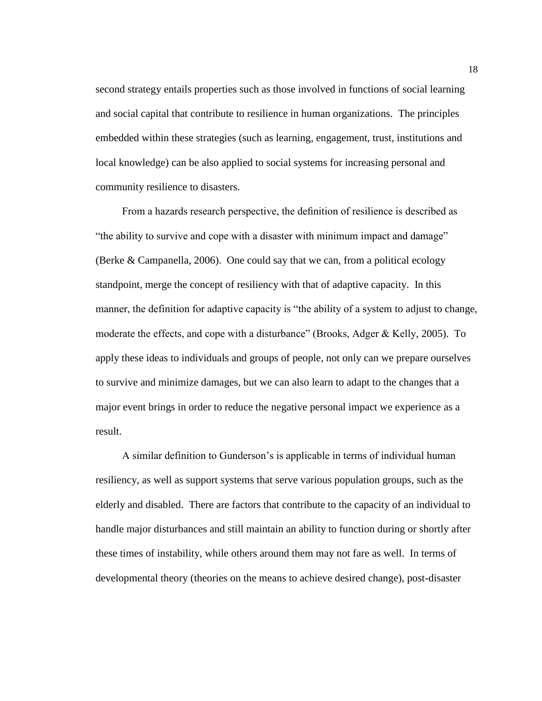second strategy entails properties such as those involved in functions of social learning and social capital that contribute to resilience in human organizations. The principles embedded within these strategies (such as learning, engagement, trust, institutions and local knowledge) can be also applied to social systems for increasing personal and community resilience to disasters.

 From a hazards research perspective, the definition of resilience is described as "the ability to survive and cope with a disaster with minimum impact and damage" (Berke & Campanella, 2006). One could say that we can, from a political ecology standpoint, merge the concept of resiliency with that of adaptive capacity. In this manner, the definition for adaptive capacity is "the ability of a system to adjust to change, moderate the effects, and cope with a disturbance" (Brooks, Adger & Kelly, 2005). To apply these ideas to individuals and groups of people, not only can we prepare ourselves to survive and minimize damages, but we can also learn to adapt to the changes that a major event brings in order to reduce the negative personal impact we experience as a result.

 A similar definition to Gunderson's is applicable in terms of individual human resiliency, as well as support systems that serve various population groups, such as the elderly and disabled. There are factors that contribute to the capacity of an individual to handle major disturbances and still maintain an ability to function during or shortly after these times of instability, while others around them may not fare as well. In terms of developmental theory (theories on the means to achieve desired change), post-disaster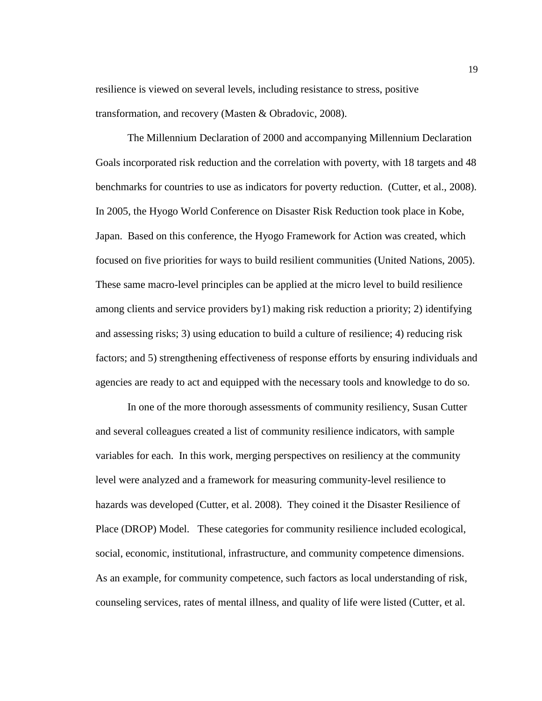resilience is viewed on several levels, including resistance to stress, positive transformation, and recovery (Masten & Obradovic, 2008).

The Millennium Declaration of 2000 and accompanying Millennium Declaration Goals incorporated risk reduction and the correlation with poverty, with 18 targets and 48 benchmarks for countries to use as indicators for poverty reduction. (Cutter, et al., 2008). In 2005, the Hyogo World Conference on Disaster Risk Reduction took place in Kobe, Japan. Based on this conference, the Hyogo Framework for Action was created, which focused on five priorities for ways to build resilient communities (United Nations, 2005). These same macro-level principles can be applied at the micro level to build resilience among clients and service providers by1) making risk reduction a priority; 2) identifying and assessing risks; 3) using education to build a culture of resilience; 4) reducing risk factors; and 5) strengthening effectiveness of response efforts by ensuring individuals and agencies are ready to act and equipped with the necessary tools and knowledge to do so.

In one of the more thorough assessments of community resiliency, Susan Cutter and several colleagues created a list of community resilience indicators, with sample variables for each. In this work, merging perspectives on resiliency at the community level were analyzed and a framework for measuring community-level resilience to hazards was developed (Cutter, et al. 2008). They coined it the Disaster Resilience of Place (DROP) Model. These categories for community resilience included ecological, social, economic, institutional, infrastructure, and community competence dimensions. As an example, for community competence, such factors as local understanding of risk, counseling services, rates of mental illness, and quality of life were listed (Cutter, et al.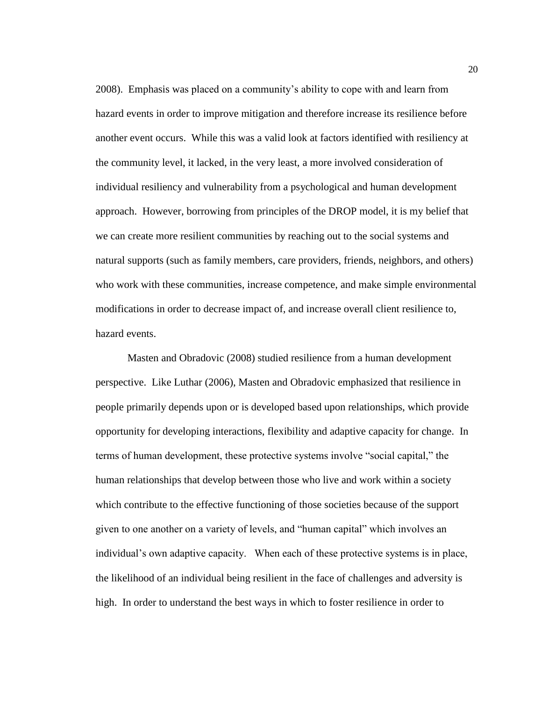2008). Emphasis was placed on a community's ability to cope with and learn from hazard events in order to improve mitigation and therefore increase its resilience before another event occurs. While this was a valid look at factors identified with resiliency at the community level, it lacked, in the very least, a more involved consideration of individual resiliency and vulnerability from a psychological and human development approach. However, borrowing from principles of the DROP model, it is my belief that we can create more resilient communities by reaching out to the social systems and natural supports (such as family members, care providers, friends, neighbors, and others) who work with these communities, increase competence, and make simple environmental modifications in order to decrease impact of, and increase overall client resilience to, hazard events.

Masten and Obradovic (2008) studied resilience from a human development perspective. Like Luthar (2006), Masten and Obradovic emphasized that resilience in people primarily depends upon or is developed based upon relationships, which provide opportunity for developing interactions, flexibility and adaptive capacity for change. In terms of human development, these protective systems involve "social capital," the human relationships that develop between those who live and work within a society which contribute to the effective functioning of those societies because of the support given to one another on a variety of levels, and "human capital" which involves an individual's own adaptive capacity. When each of these protective systems is in place, the likelihood of an individual being resilient in the face of challenges and adversity is high. In order to understand the best ways in which to foster resilience in order to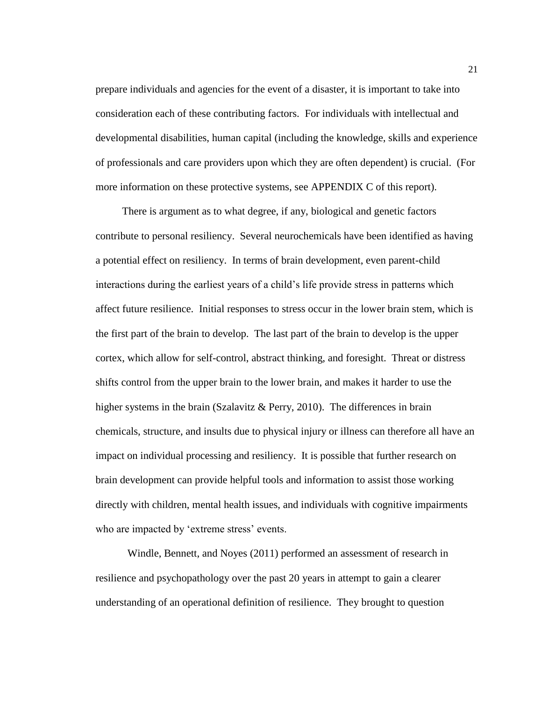prepare individuals and agencies for the event of a disaster, it is important to take into consideration each of these contributing factors. For individuals with intellectual and developmental disabilities, human capital (including the knowledge, skills and experience of professionals and care providers upon which they are often dependent) is crucial. (For more information on these protective systems, see APPENDIX C of this report).

 There is argument as to what degree, if any, biological and genetic factors contribute to personal resiliency. Several neurochemicals have been identified as having a potential effect on resiliency. In terms of brain development, even parent-child interactions during the earliest years of a child's life provide stress in patterns which affect future resilience. Initial responses to stress occur in the lower brain stem, which is the first part of the brain to develop. The last part of the brain to develop is the upper cortex, which allow for self-control, abstract thinking, and foresight. Threat or distress shifts control from the upper brain to the lower brain, and makes it harder to use the higher systems in the brain (Szalavitz & Perry, 2010). The differences in brain chemicals, structure, and insults due to physical injury or illness can therefore all have an impact on individual processing and resiliency. It is possible that further research on brain development can provide helpful tools and information to assist those working directly with children, mental health issues, and individuals with cognitive impairments who are impacted by 'extreme stress' events.

Windle, Bennett, and Noyes (2011) performed an assessment of research in resilience and psychopathology over the past 20 years in attempt to gain a clearer understanding of an operational definition of resilience. They brought to question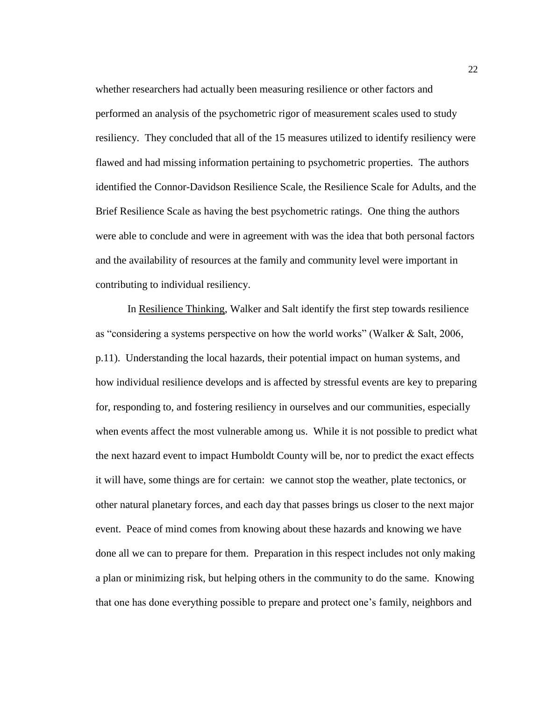whether researchers had actually been measuring resilience or other factors and performed an analysis of the psychometric rigor of measurement scales used to study resiliency. They concluded that all of the 15 measures utilized to identify resiliency were flawed and had missing information pertaining to psychometric properties. The authors identified the Connor-Davidson Resilience Scale, the Resilience Scale for Adults, and the Brief Resilience Scale as having the best psychometric ratings. One thing the authors were able to conclude and were in agreement with was the idea that both personal factors and the availability of resources at the family and community level were important in contributing to individual resiliency.

In Resilience Thinking, Walker and Salt identify the first step towards resilience as "considering a systems perspective on how the world works" (Walker & Salt, 2006, p.11). Understanding the local hazards, their potential impact on human systems, and how individual resilience develops and is affected by stressful events are key to preparing for, responding to, and fostering resiliency in ourselves and our communities, especially when events affect the most vulnerable among us. While it is not possible to predict what the next hazard event to impact Humboldt County will be, nor to predict the exact effects it will have, some things are for certain: we cannot stop the weather, plate tectonics, or other natural planetary forces, and each day that passes brings us closer to the next major event. Peace of mind comes from knowing about these hazards and knowing we have done all we can to prepare for them. Preparation in this respect includes not only making a plan or minimizing risk, but helping others in the community to do the same. Knowing that one has done everything possible to prepare and protect one's family, neighbors and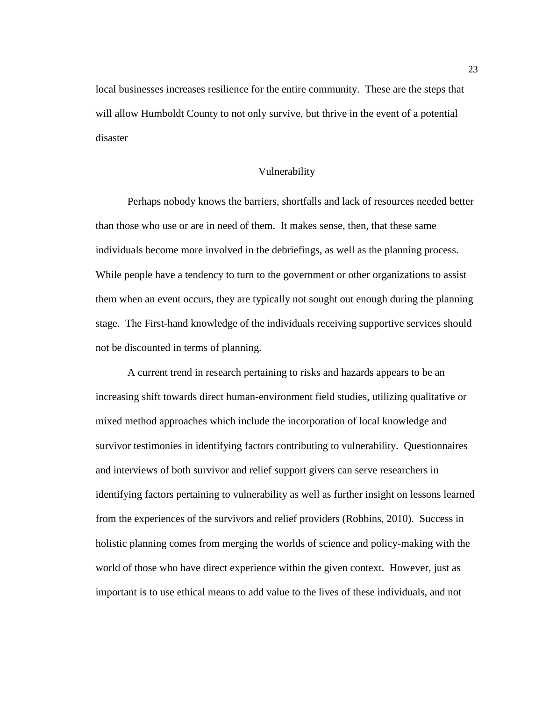local businesses increases resilience for the entire community. These are the steps that will allow Humboldt County to not only survive, but thrive in the event of a potential disaster

### Vulnerability

<span id="page-32-0"></span>Perhaps nobody knows the barriers, shortfalls and lack of resources needed better than those who use or are in need of them. It makes sense, then, that these same individuals become more involved in the debriefings, as well as the planning process. While people have a tendency to turn to the government or other organizations to assist them when an event occurs, they are typically not sought out enough during the planning stage. The First-hand knowledge of the individuals receiving supportive services should not be discounted in terms of planning.

A current trend in research pertaining to risks and hazards appears to be an increasing shift towards direct human-environment field studies, utilizing qualitative or mixed method approaches which include the incorporation of local knowledge and survivor testimonies in identifying factors contributing to vulnerability. Questionnaires and interviews of both survivor and relief support givers can serve researchers in identifying factors pertaining to vulnerability as well as further insight on lessons learned from the experiences of the survivors and relief providers (Robbins, 2010). Success in holistic planning comes from merging the worlds of science and policy-making with the world of those who have direct experience within the given context. However, just as important is to use ethical means to add value to the lives of these individuals, and not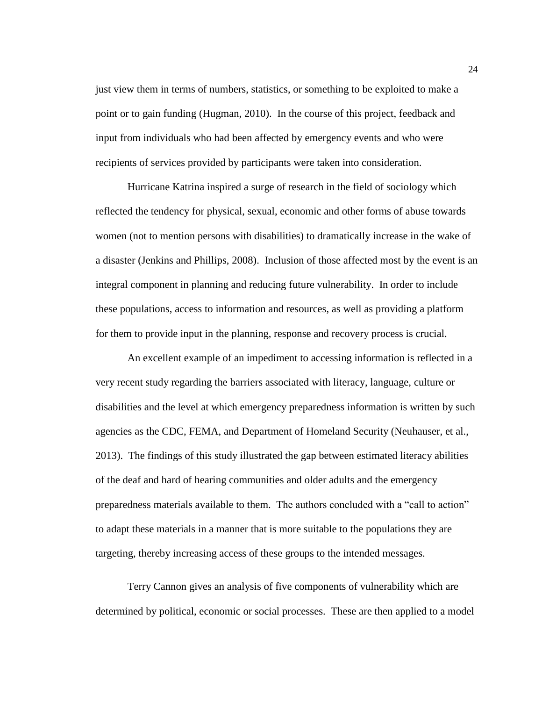just view them in terms of numbers, statistics, or something to be exploited to make a point or to gain funding (Hugman, [2010\)](http://jhrp.oxfordjournals.org/content/2/2/229.full#ref-22). In the course of this project, feedback and input from individuals who had been affected by emergency events and who were recipients of services provided by participants were taken into consideration.

Hurricane Katrina inspired a surge of research in the field of sociology which reflected the tendency for physical, sexual, economic and other forms of abuse towards women (not to mention persons with disabilities) to dramatically increase in the wake of a disaster (Jenkins and Phillips, 2008). Inclusion of those affected most by the event is an integral component in planning and reducing future vulnerability. In order to include these populations, access to information and resources, as well as providing a platform for them to provide input in the planning, response and recovery process is crucial.

An excellent example of an impediment to accessing information is reflected in a very recent study regarding the barriers associated with literacy, language, culture or disabilities and the level at which emergency preparedness information is written by such agencies as the CDC, FEMA, and Department of Homeland Security (Neuhauser, et al., 2013). The findings of this study illustrated the gap between estimated literacy abilities of the deaf and hard of hearing communities and older adults and the emergency preparedness materials available to them. The authors concluded with a "call to action" to adapt these materials in a manner that is more suitable to the populations they are targeting, thereby increasing access of these groups to the intended messages.

Terry Cannon gives an analysis of five components of vulnerability which are determined by political, economic or social processes. These are then applied to a model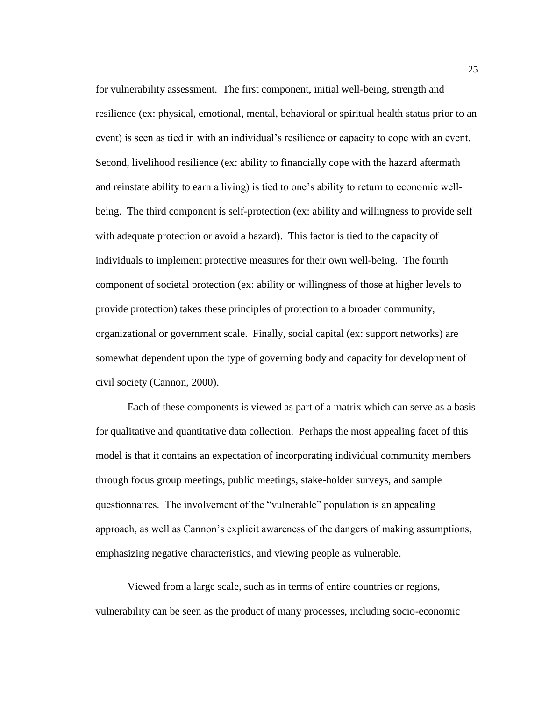for vulnerability assessment. The first component, initial well-being, strength and resilience (ex: physical, emotional, mental, behavioral or spiritual health status prior to an event) is seen as tied in with an individual's resilience or capacity to cope with an event. Second, livelihood resilience (ex: ability to financially cope with the hazard aftermath and reinstate ability to earn a living) is tied to one's ability to return to economic wellbeing. The third component is self-protection (ex: ability and willingness to provide self with adequate protection or avoid a hazard). This factor is tied to the capacity of individuals to implement protective measures for their own well-being. The fourth component of societal protection (ex: ability or willingness of those at higher levels to provide protection) takes these principles of protection to a broader community, organizational or government scale. Finally, social capital (ex: support networks) are somewhat dependent upon the type of governing body and capacity for development of civil society (Cannon, 2000).

Each of these components is viewed as part of a matrix which can serve as a basis for qualitative and quantitative data collection. Perhaps the most appealing facet of this model is that it contains an expectation of incorporating individual community members through focus group meetings, public meetings, stake-holder surveys, and sample questionnaires. The involvement of the "vulnerable" population is an appealing approach, as well as Cannon's explicit awareness of the dangers of making assumptions, emphasizing negative characteristics, and viewing people as vulnerable.

Viewed from a large scale, such as in terms of entire countries or regions, vulnerability can be seen as the product of many processes, including socio-economic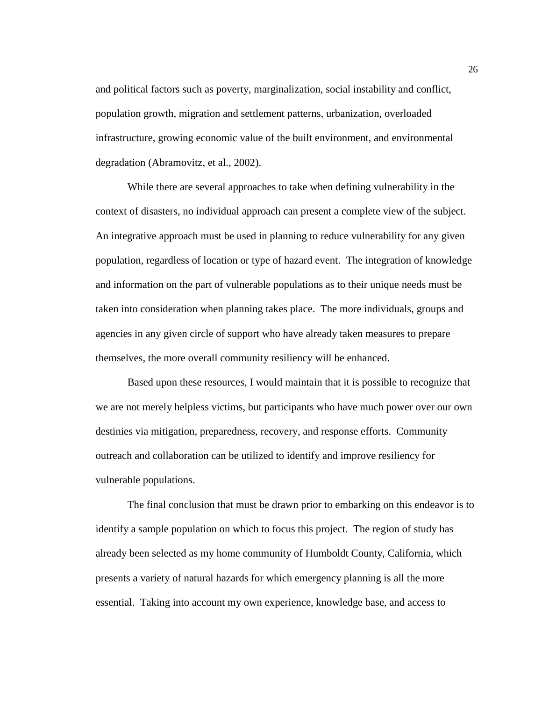and political factors such as poverty, marginalization, social instability and conflict, population growth, migration and settlement patterns, urbanization, overloaded infrastructure, growing economic value of the built environment, and environmental degradation (Abramovitz, et al., 2002).

While there are several approaches to take when defining vulnerability in the context of disasters, no individual approach can present a complete view of the subject. An integrative approach must be used in planning to reduce vulnerability for any given population, regardless of location or type of hazard event. The integration of knowledge and information on the part of vulnerable populations as to their unique needs must be taken into consideration when planning takes place. The more individuals, groups and agencies in any given circle of support who have already taken measures to prepare themselves, the more overall community resiliency will be enhanced.

Based upon these resources, I would maintain that it is possible to recognize that we are not merely helpless victims, but participants who have much power over our own destinies via mitigation, preparedness, recovery, and response efforts. Community outreach and collaboration can be utilized to identify and improve resiliency for vulnerable populations.

The final conclusion that must be drawn prior to embarking on this endeavor is to identify a sample population on which to focus this project. The region of study has already been selected as my home community of Humboldt County, California, which presents a variety of natural hazards for which emergency planning is all the more essential. Taking into account my own experience, knowledge base, and access to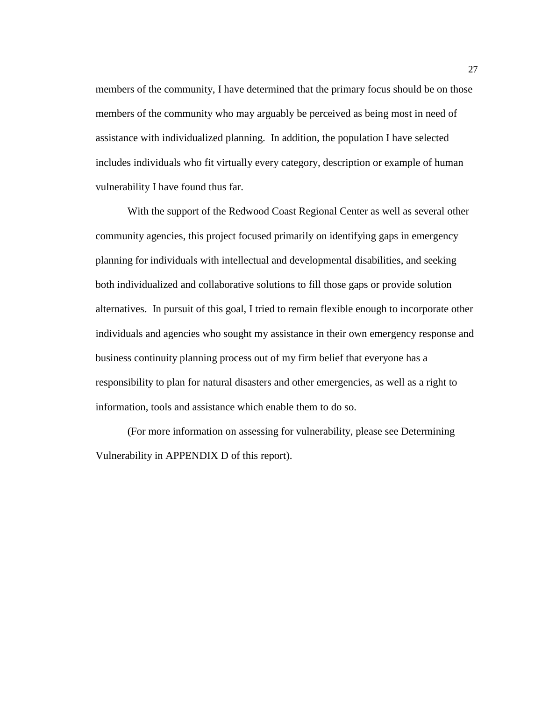members of the community, I have determined that the primary focus should be on those members of the community who may arguably be perceived as being most in need of assistance with individualized planning. In addition, the population I have selected includes individuals who fit virtually every category, description or example of human vulnerability I have found thus far.

With the support of the Redwood Coast Regional Center as well as several other community agencies, this project focused primarily on identifying gaps in emergency planning for individuals with intellectual and developmental disabilities, and seeking both individualized and collaborative solutions to fill those gaps or provide solution alternatives. In pursuit of this goal, I tried to remain flexible enough to incorporate other individuals and agencies who sought my assistance in their own emergency response and business continuity planning process out of my firm belief that everyone has a responsibility to plan for natural disasters and other emergencies, as well as a right to information, tools and assistance which enable them to do so.

(For more information on assessing for vulnerability, please see Determining Vulnerability in APPENDIX D of this report).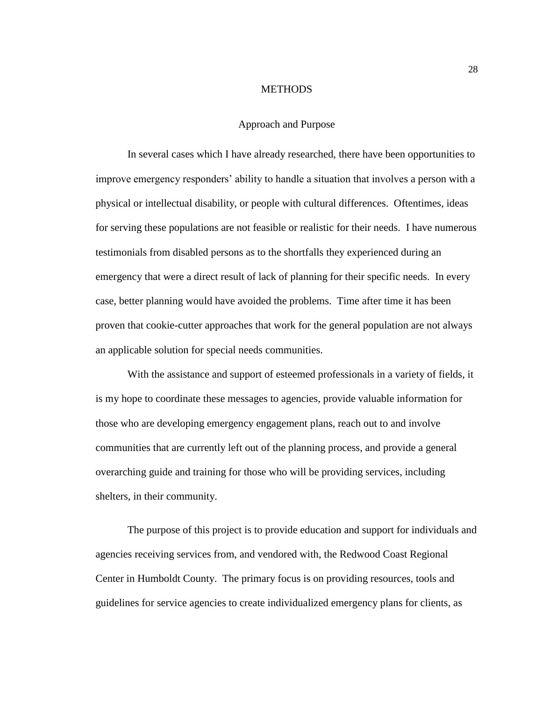## **METHODS**

#### Approach and Purpose

In several cases which I have already researched, there have been opportunities to improve emergency responders' ability to handle a situation that involves a person with a physical or intellectual disability, or people with cultural differences. Oftentimes, ideas for serving these populations are not feasible or realistic for their needs. I have numerous testimonials from disabled persons as to the shortfalls they experienced during an emergency that were a direct result of lack of planning for their specific needs. In every case, better planning would have avoided the problems. Time after time it has been proven that cookie-cutter approaches that work for the general population are not always an applicable solution for special needs communities.

With the assistance and support of esteemed professionals in a variety of fields, it is my hope to coordinate these messages to agencies, provide valuable information for those who are developing emergency engagement plans, reach out to and involve communities that are currently left out of the planning process, and provide a general overarching guide and training for those who will be providing services, including shelters, in their community.

The purpose of this project is to provide education and support for individuals and agencies receiving services from, and vendored with, the Redwood Coast Regional Center in Humboldt County. The primary focus is on providing resources, tools and guidelines for service agencies to create individualized emergency plans for clients, as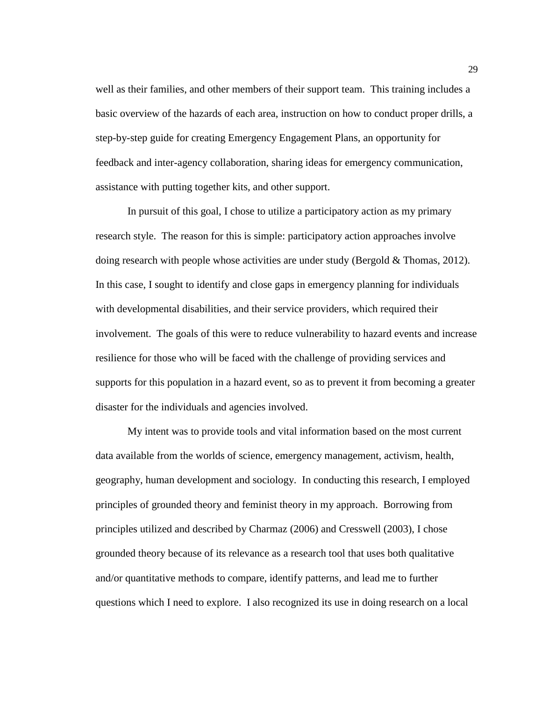well as their families, and other members of their support team. This training includes a basic overview of the hazards of each area, instruction on how to conduct proper drills, a step-by-step guide for creating Emergency Engagement Plans, an opportunity for feedback and inter-agency collaboration, sharing ideas for emergency communication, assistance with putting together kits, and other support.

In pursuit of this goal, I chose to utilize a participatory action as my primary research style. The reason for this is simple: participatory action approaches involve doing research with people whose activities are under study (Bergold  $&$  Thomas, 2012). In this case, I sought to identify and close gaps in emergency planning for individuals with developmental disabilities, and their service providers, which required their involvement. The goals of this were to reduce vulnerability to hazard events and increase resilience for those who will be faced with the challenge of providing services and supports for this population in a hazard event, so as to prevent it from becoming a greater disaster for the individuals and agencies involved.

My intent was to provide tools and vital information based on the most current data available from the worlds of science, emergency management, activism, health, geography, human development and sociology. In conducting this research, I employed principles of grounded theory and feminist theory in my approach. Borrowing from principles utilized and described by Charmaz (2006) and Cresswell (2003), I chose grounded theory because of its relevance as a research tool that uses both qualitative and/or quantitative methods to compare, identify patterns, and lead me to further questions which I need to explore. I also recognized its use in doing research on a local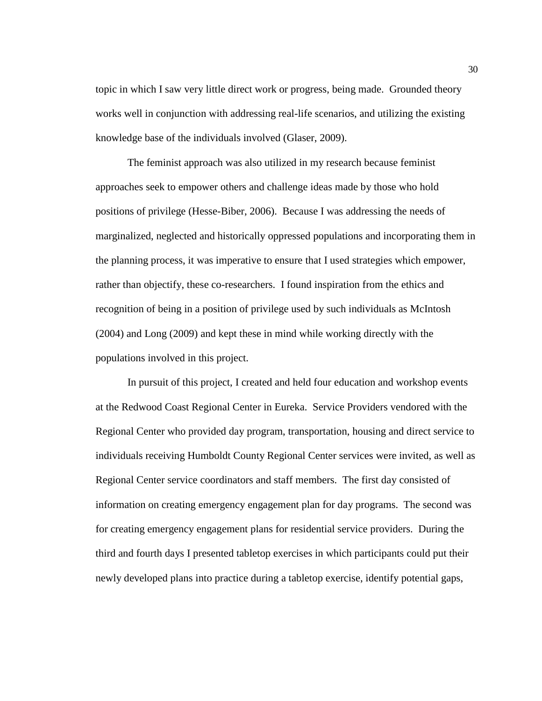topic in which I saw very little direct work or progress, being made. Grounded theory works well in conjunction with addressing real-life scenarios, and utilizing the existing knowledge base of the individuals involved (Glaser, 2009).

The feminist approach was also utilized in my research because feminist approaches seek to empower others and challenge ideas made by those who hold positions of privilege (Hesse-Biber, 2006). Because I was addressing the needs of marginalized, neglected and historically oppressed populations and incorporating them in the planning process, it was imperative to ensure that I used strategies which empower, rather than objectify, these co-researchers. I found inspiration from the ethics and recognition of being in a position of privilege used by such individuals as McIntosh (2004) and Long (2009) and kept these in mind while working directly with the populations involved in this project.

In pursuit of this project, I created and held four education and workshop events at the Redwood Coast Regional Center in Eureka. Service Providers vendored with the Regional Center who provided day program, transportation, housing and direct service to individuals receiving Humboldt County Regional Center services were invited, as well as Regional Center service coordinators and staff members. The first day consisted of information on creating emergency engagement plan for day programs. The second was for creating emergency engagement plans for residential service providers. During the third and fourth days I presented tabletop exercises in which participants could put their newly developed plans into practice during a tabletop exercise, identify potential gaps,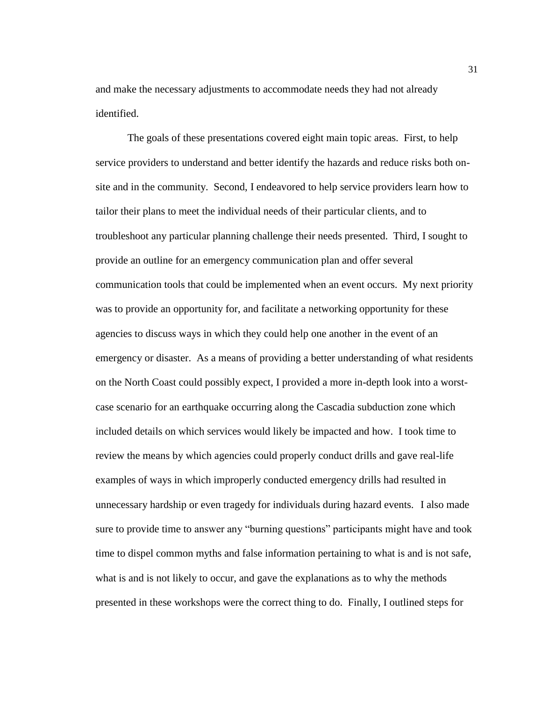and make the necessary adjustments to accommodate needs they had not already identified.

The goals of these presentations covered eight main topic areas. First, to help service providers to understand and better identify the hazards and reduce risks both onsite and in the community. Second, I endeavored to help service providers learn how to tailor their plans to meet the individual needs of their particular clients, and to troubleshoot any particular planning challenge their needs presented. Third, I sought to provide an outline for an emergency communication plan and offer several communication tools that could be implemented when an event occurs. My next priority was to provide an opportunity for, and facilitate a networking opportunity for these agencies to discuss ways in which they could help one another in the event of an emergency or disaster. As a means of providing a better understanding of what residents on the North Coast could possibly expect, I provided a more in-depth look into a worstcase scenario for an earthquake occurring along the Cascadia subduction zone which included details on which services would likely be impacted and how. I took time to review the means by which agencies could properly conduct drills and gave real-life examples of ways in which improperly conducted emergency drills had resulted in unnecessary hardship or even tragedy for individuals during hazard events.I also made sure to provide time to answer any "burning questions" participants might have and took time to dispel common myths and false information pertaining to what is and is not safe, what is and is not likely to occur, and gave the explanations as to why the methods presented in these workshops were the correct thing to do. Finally, I outlined steps for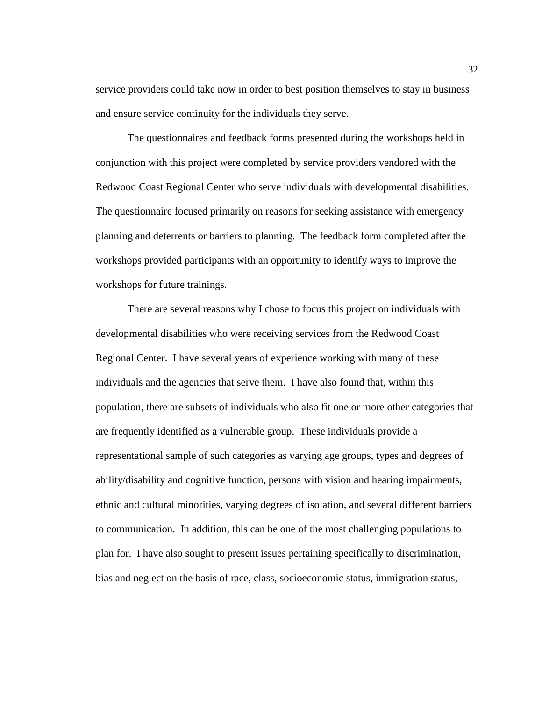service providers could take now in order to best position themselves to stay in business and ensure service continuity for the individuals they serve.

The questionnaires and feedback forms presented during the workshops held in conjunction with this project were completed by service providers vendored with the Redwood Coast Regional Center who serve individuals with developmental disabilities. The questionnaire focused primarily on reasons for seeking assistance with emergency planning and deterrents or barriers to planning. The feedback form completed after the workshops provided participants with an opportunity to identify ways to improve the workshops for future trainings.

There are several reasons why I chose to focus this project on individuals with developmental disabilities who were receiving services from the Redwood Coast Regional Center. I have several years of experience working with many of these individuals and the agencies that serve them. I have also found that, within this population, there are subsets of individuals who also fit one or more other categories that are frequently identified as a vulnerable group. These individuals provide a representational sample of such categories as varying age groups, types and degrees of ability/disability and cognitive function, persons with vision and hearing impairments, ethnic and cultural minorities, varying degrees of isolation, and several different barriers to communication. In addition, this can be one of the most challenging populations to plan for. I have also sought to present issues pertaining specifically to discrimination, bias and neglect on the basis of race, class, socioeconomic status, immigration status,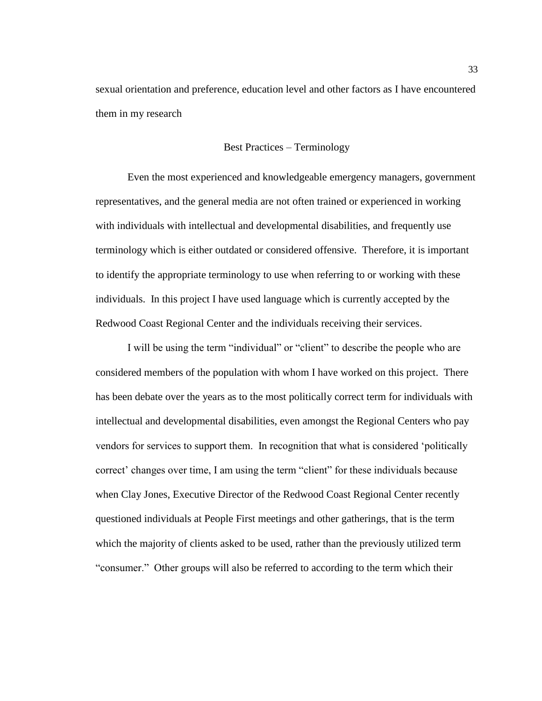sexual orientation and preference, education level and other factors as I have encountered them in my research

# Best Practices – Terminology

Even the most experienced and knowledgeable emergency managers, government representatives, and the general media are not often trained or experienced in working with individuals with intellectual and developmental disabilities, and frequently use terminology which is either outdated or considered offensive. Therefore, it is important to identify the appropriate terminology to use when referring to or working with these individuals. In this project I have used language which is currently accepted by the Redwood Coast Regional Center and the individuals receiving their services.

I will be using the term "individual" or "client" to describe the people who are considered members of the population with whom I have worked on this project. There has been debate over the years as to the most politically correct term for individuals with intellectual and developmental disabilities, even amongst the Regional Centers who pay vendors for services to support them. In recognition that what is considered 'politically correct' changes over time, I am using the term "client" for these individuals because when Clay Jones, Executive Director of the Redwood Coast Regional Center recently questioned individuals at People First meetings and other gatherings, that is the term which the majority of clients asked to be used, rather than the previously utilized term "consumer." Other groups will also be referred to according to the term which their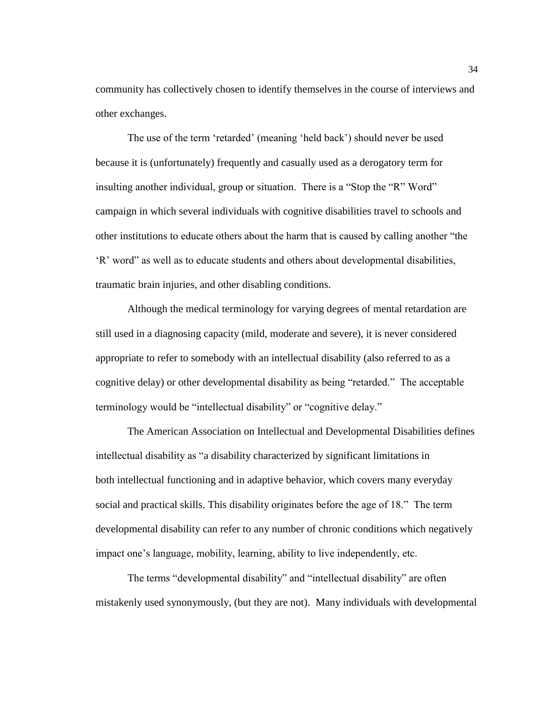community has collectively chosen to identify themselves in the course of interviews and other exchanges.

The use of the term 'retarded' (meaning 'held back') should never be used because it is (unfortunately) frequently and casually used as a derogatory term for insulting another individual, group or situation. There is a "Stop the "R" Word" campaign in which several individuals with cognitive disabilities travel to schools and other institutions to educate others about the harm that is caused by calling another "the 'R' word" as well as to educate students and others about developmental disabilities, traumatic brain injuries, and other disabling conditions.

Although the medical terminology for varying degrees of mental retardation are still used in a diagnosing capacity (mild, moderate and severe), it is never considered appropriate to refer to somebody with an intellectual disability (also referred to as a cognitive delay) or other developmental disability as being "retarded." The acceptable terminology would be "intellectual disability" or "cognitive delay."

The American Association on Intellectual and Developmental Disabilities defines intellectual disability as "a disability characterized by significant limitations in both intellectual functioning and in adaptive behavior, which covers many everyday social and practical skills. This disability originates before the age of 18." The term developmental disability can refer to any number of chronic conditions which negatively impact one's language, mobility, learning, ability to live independently, etc.

The terms "developmental disability" and "intellectual disability" are often mistakenly used synonymously, (but they are not). Many individuals with developmental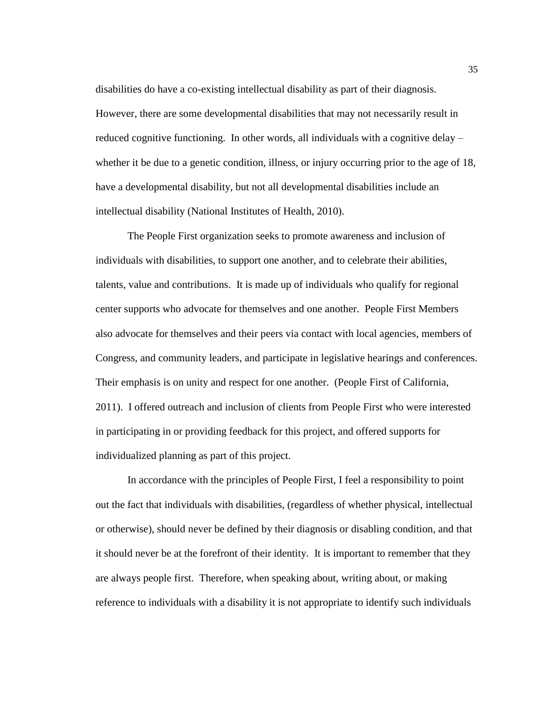disabilities do have a co-existing intellectual disability as part of their diagnosis. However, there are some developmental disabilities that may not necessarily result in reduced cognitive functioning. In other words, all individuals with a cognitive delay – whether it be due to a genetic condition, illness, or injury occurring prior to the age of 18, have a developmental disability, but not all developmental disabilities include an intellectual disability (National Institutes of Health, 2010).

The People First organization seeks to promote awareness and inclusion of individuals with disabilities, to support one another, and to celebrate their abilities, talents, value and contributions. It is made up of individuals who qualify for regional center supports who advocate for themselves and one another. People First Members also advocate for themselves and their peers via contact with local agencies, members of Congress, and community leaders, and participate in legislative hearings and conferences. Their emphasis is on unity and respect for one another. (People First of California, 2011). I offered outreach and inclusion of clients from People First who were interested in participating in or providing feedback for this project, and offered supports for individualized planning as part of this project.

In accordance with the principles of People First, I feel a responsibility to point out the fact that individuals with disabilities, (regardless of whether physical, intellectual or otherwise), should never be defined by their diagnosis or disabling condition, and that it should never be at the forefront of their identity. It is important to remember that they are always people first. Therefore, when speaking about, writing about, or making reference to individuals with a disability it is not appropriate to identify such individuals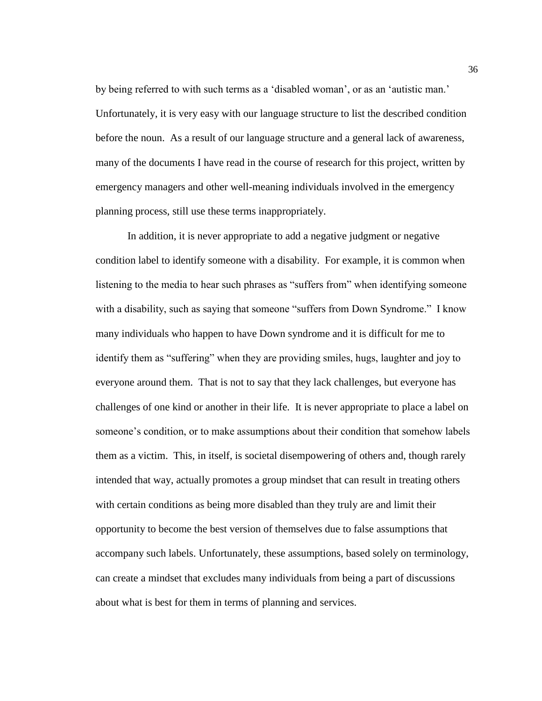by being referred to with such terms as a 'disabled woman', or as an 'autistic man.' Unfortunately, it is very easy with our language structure to list the described condition before the noun. As a result of our language structure and a general lack of awareness, many of the documents I have read in the course of research for this project, written by emergency managers and other well-meaning individuals involved in the emergency planning process, still use these terms inappropriately.

In addition, it is never appropriate to add a negative judgment or negative condition label to identify someone with a disability. For example, it is common when listening to the media to hear such phrases as "suffers from" when identifying someone with a disability, such as saying that someone "suffers from Down Syndrome." I know many individuals who happen to have Down syndrome and it is difficult for me to identify them as "suffering" when they are providing smiles, hugs, laughter and joy to everyone around them. That is not to say that they lack challenges, but everyone has challenges of one kind or another in their life. It is never appropriate to place a label on someone's condition, or to make assumptions about their condition that somehow labels them as a victim. This, in itself, is societal disempowering of others and, though rarely intended that way, actually promotes a group mindset that can result in treating others with certain conditions as being more disabled than they truly are and limit their opportunity to become the best version of themselves due to false assumptions that accompany such labels. Unfortunately, these assumptions, based solely on terminology, can create a mindset that excludes many individuals from being a part of discussions about what is best for them in terms of planning and services.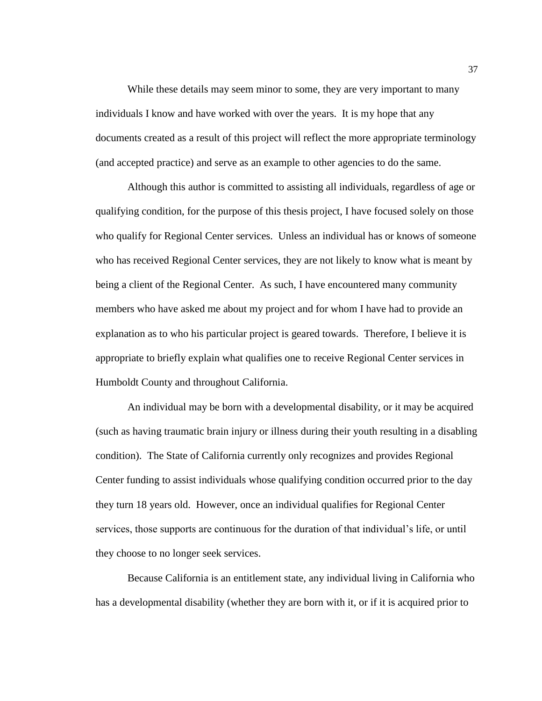While these details may seem minor to some, they are very important to many individuals I know and have worked with over the years. It is my hope that any documents created as a result of this project will reflect the more appropriate terminology (and accepted practice) and serve as an example to other agencies to do the same.

Although this author is committed to assisting all individuals, regardless of age or qualifying condition, for the purpose of this thesis project, I have focused solely on those who qualify for Regional Center services. Unless an individual has or knows of someone who has received Regional Center services, they are not likely to know what is meant by being a client of the Regional Center. As such, I have encountered many community members who have asked me about my project and for whom I have had to provide an explanation as to who his particular project is geared towards. Therefore, I believe it is appropriate to briefly explain what qualifies one to receive Regional Center services in Humboldt County and throughout California.

An individual may be born with a developmental disability, or it may be acquired (such as having traumatic brain injury or illness during their youth resulting in a disabling condition). The State of California currently only recognizes and provides Regional Center funding to assist individuals whose qualifying condition occurred prior to the day they turn 18 years old. However, once an individual qualifies for Regional Center services, those supports are continuous for the duration of that individual's life, or until they choose to no longer seek services.

Because California is an entitlement state, any individual living in California who has a developmental disability (whether they are born with it, or if it is acquired prior to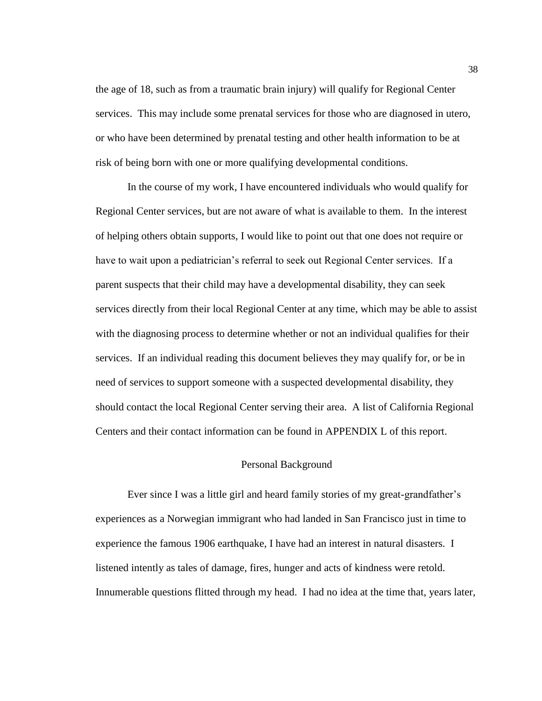the age of 18, such as from a traumatic brain injury) will qualify for Regional Center services. This may include some prenatal services for those who are diagnosed in utero, or who have been determined by prenatal testing and other health information to be at risk of being born with one or more qualifying developmental conditions.

In the course of my work, I have encountered individuals who would qualify for Regional Center services, but are not aware of what is available to them. In the interest of helping others obtain supports, I would like to point out that one does not require or have to wait upon a pediatrician's referral to seek out Regional Center services. If a parent suspects that their child may have a developmental disability, they can seek services directly from their local Regional Center at any time, which may be able to assist with the diagnosing process to determine whether or not an individual qualifies for their services. If an individual reading this document believes they may qualify for, or be in need of services to support someone with a suspected developmental disability, they should contact the local Regional Center serving their area. A list of California Regional Centers and their contact information can be found in APPENDIX L of this report.

## Personal Background

Ever since I was a little girl and heard family stories of my great-grandfather's experiences as a Norwegian immigrant who had landed in San Francisco just in time to experience the famous 1906 earthquake, I have had an interest in natural disasters. I listened intently as tales of damage, fires, hunger and acts of kindness were retold. Innumerable questions flitted through my head. I had no idea at the time that, years later,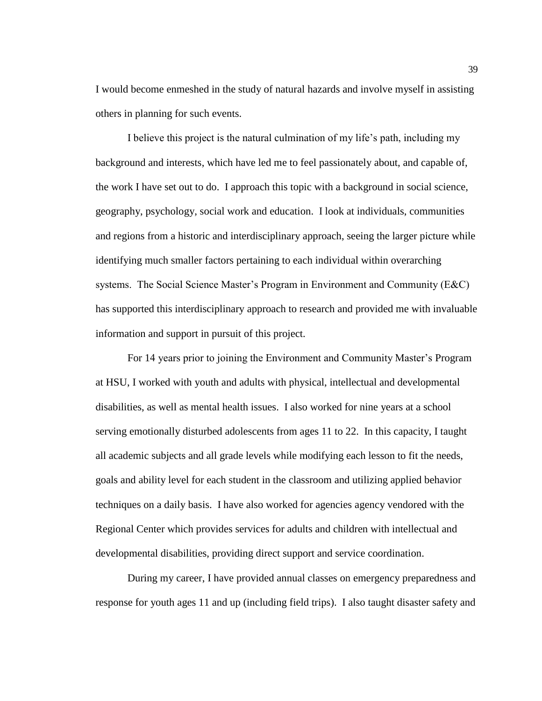I would become enmeshed in the study of natural hazards and involve myself in assisting others in planning for such events.

I believe this project is the natural culmination of my life's path, including my background and interests, which have led me to feel passionately about, and capable of, the work I have set out to do. I approach this topic with a background in social science, geography, psychology, social work and education. I look at individuals, communities and regions from a historic and interdisciplinary approach, seeing the larger picture while identifying much smaller factors pertaining to each individual within overarching systems. The Social Science Master's Program in Environment and Community (E&C) has supported this interdisciplinary approach to research and provided me with invaluable information and support in pursuit of this project.

For 14 years prior to joining the Environment and Community Master's Program at HSU, I worked with youth and adults with physical, intellectual and developmental disabilities, as well as mental health issues. I also worked for nine years at a school serving emotionally disturbed adolescents from ages 11 to 22. In this capacity, I taught all academic subjects and all grade levels while modifying each lesson to fit the needs, goals and ability level for each student in the classroom and utilizing applied behavior techniques on a daily basis. I have also worked for agencies agency vendored with the Regional Center which provides services for adults and children with intellectual and developmental disabilities, providing direct support and service coordination.

During my career, I have provided annual classes on emergency preparedness and response for youth ages 11 and up (including field trips). I also taught disaster safety and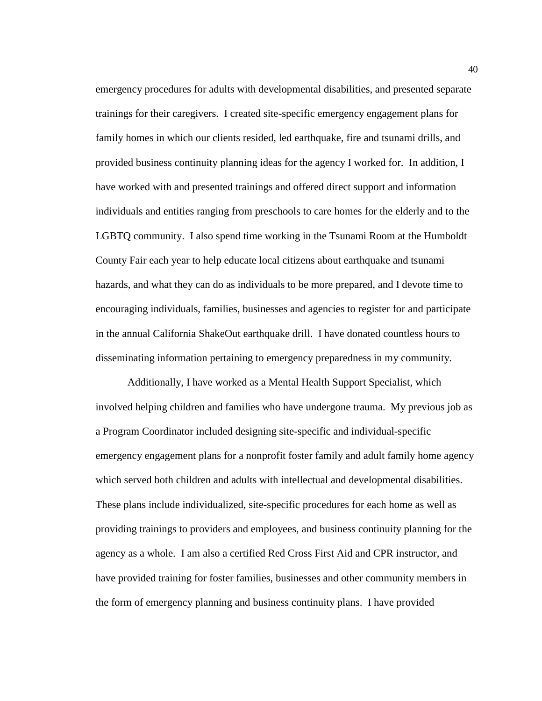emergency procedures for adults with developmental disabilities, and presented separate trainings for their caregivers. I created site-specific emergency engagement plans for family homes in which our clients resided, led earthquake, fire and tsunami drills, and provided business continuity planning ideas for the agency I worked for. In addition, I have worked with and presented trainings and offered direct support and information individuals and entities ranging from preschools to care homes for the elderly and to the LGBTQ community. I also spend time working in the Tsunami Room at the Humboldt County Fair each year to help educate local citizens about earthquake and tsunami hazards, and what they can do as individuals to be more prepared, and I devote time to encouraging individuals, families, businesses and agencies to register for and participate in the annual California ShakeOut earthquake drill. I have donated countless hours to disseminating information pertaining to emergency preparedness in my community.

Additionally, I have worked as a Mental Health Support Specialist, which involved helping children and families who have undergone trauma. My previous job as a Program Coordinator included designing site-specific and individual-specific emergency engagement plans for a nonprofit foster family and adult family home agency which served both children and adults with intellectual and developmental disabilities. These plans include individualized, site-specific procedures for each home as well as providing trainings to providers and employees, and business continuity planning for the agency as a whole. I am also a certified Red Cross First Aid and CPR instructor, and have provided training for foster families, businesses and other community members in the form of emergency planning and business continuity plans. I have provided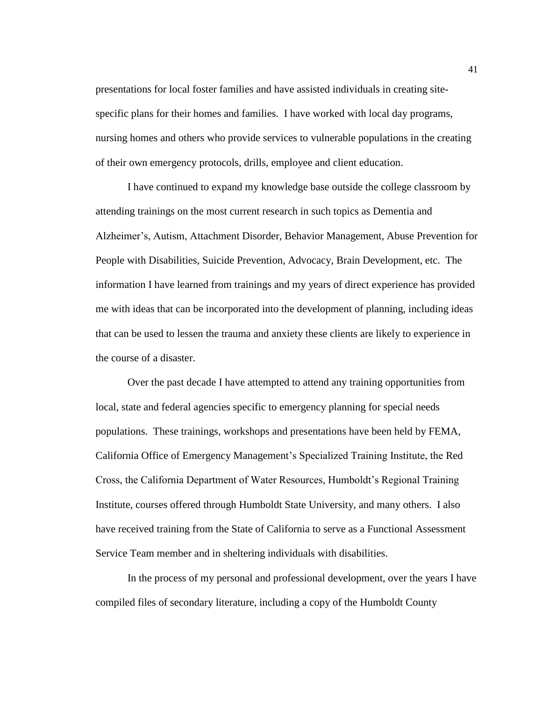presentations for local foster families and have assisted individuals in creating sitespecific plans for their homes and families. I have worked with local day programs, nursing homes and others who provide services to vulnerable populations in the creating of their own emergency protocols, drills, employee and client education.

I have continued to expand my knowledge base outside the college classroom by attending trainings on the most current research in such topics as Dementia and Alzheimer's, Autism, Attachment Disorder, Behavior Management, Abuse Prevention for People with Disabilities, Suicide Prevention, Advocacy, Brain Development, etc. The information I have learned from trainings and my years of direct experience has provided me with ideas that can be incorporated into the development of planning, including ideas that can be used to lessen the trauma and anxiety these clients are likely to experience in the course of a disaster.

Over the past decade I have attempted to attend any training opportunities from local, state and federal agencies specific to emergency planning for special needs populations. These trainings, workshops and presentations have been held by FEMA, California Office of Emergency Management's Specialized Training Institute, the Red Cross, the California Department of Water Resources, Humboldt's Regional Training Institute, courses offered through Humboldt State University, and many others. I also have received training from the State of California to serve as a Functional Assessment Service Team member and in sheltering individuals with disabilities.

In the process of my personal and professional development, over the years I have compiled files of secondary literature, including a copy of the Humboldt County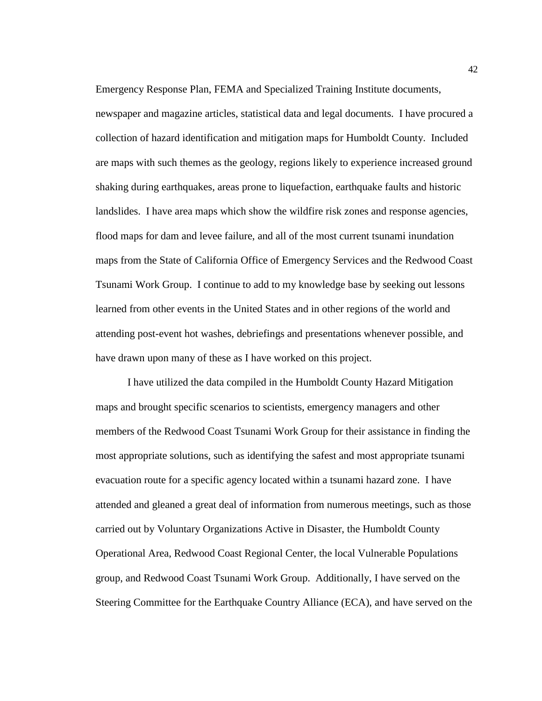newspaper and magazine articles, statistical data and legal documents. I have procured a collection of hazard identification and mitigation maps for Humboldt County. Included are maps with such themes as the geology, regions likely to experience increased ground shaking during earthquakes, areas prone to liquefaction, earthquake faults and historic landslides. I have area maps which show the wildfire risk zones and response agencies, flood maps for dam and levee failure, and all of the most current tsunami inundation maps from the State of California Office of Emergency Services and the Redwood Coast Tsunami Work Group. I continue to add to my knowledge base by seeking out lessons

Emergency Response Plan, FEMA and Specialized Training Institute documents,

learned from other events in the United States and in other regions of the world and attending post-event hot washes, debriefings and presentations whenever possible, and have drawn upon many of these as I have worked on this project.

I have utilized the data compiled in the Humboldt County Hazard Mitigation maps and brought specific scenarios to scientists, emergency managers and other members of the Redwood Coast Tsunami Work Group for their assistance in finding the most appropriate solutions, such as identifying the safest and most appropriate tsunami evacuation route for a specific agency located within a tsunami hazard zone. I have attended and gleaned a great deal of information from numerous meetings, such as those carried out by Voluntary Organizations Active in Disaster, the Humboldt County Operational Area, Redwood Coast Regional Center, the local Vulnerable Populations group, and Redwood Coast Tsunami Work Group. Additionally, I have served on the Steering Committee for the Earthquake Country Alliance (ECA), and have served on the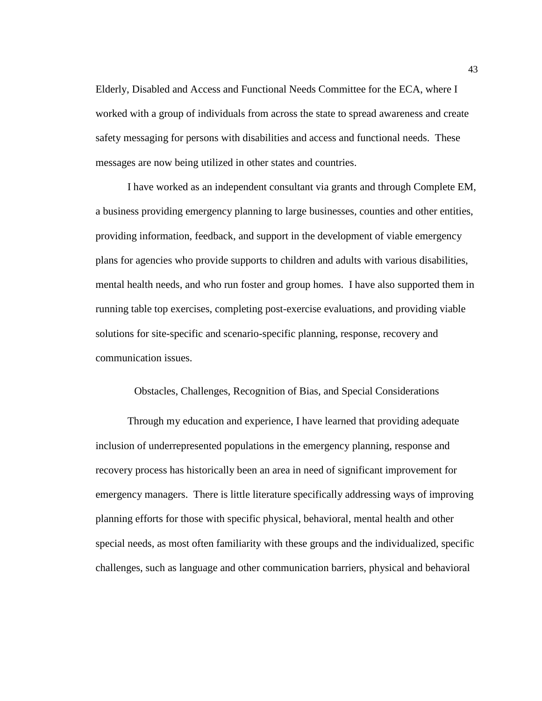Elderly, Disabled and Access and Functional Needs Committee for the ECA, where I worked with a group of individuals from across the state to spread awareness and create safety messaging for persons with disabilities and access and functional needs. These messages are now being utilized in other states and countries.

I have worked as an independent consultant via grants and through Complete EM, a business providing emergency planning to large businesses, counties and other entities, providing information, feedback, and support in the development of viable emergency plans for agencies who provide supports to children and adults with various disabilities, mental health needs, and who run foster and group homes. I have also supported them in running table top exercises, completing post-exercise evaluations, and providing viable solutions for site-specific and scenario-specific planning, response, recovery and communication issues.

# Obstacles, Challenges, Recognition of Bias, and Special Considerations

Through my education and experience, I have learned that providing adequate inclusion of underrepresented populations in the emergency planning, response and recovery process has historically been an area in need of significant improvement for emergency managers. There is little literature specifically addressing ways of improving planning efforts for those with specific physical, behavioral, mental health and other special needs, as most often familiarity with these groups and the individualized, specific challenges, such as language and other communication barriers, physical and behavioral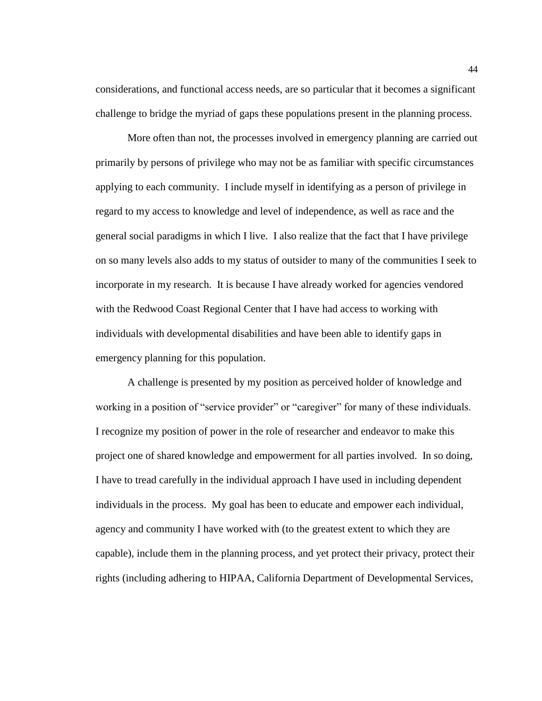considerations, and functional access needs, are so particular that it becomes a significant challenge to bridge the myriad of gaps these populations present in the planning process.

More often than not, the processes involved in emergency planning are carried out primarily by persons of privilege who may not be as familiar with specific circumstances applying to each community. I include myself in identifying as a person of privilege in regard to my access to knowledge and level of independence, as well as race and the general social paradigms in which I live. I also realize that the fact that I have privilege on so many levels also adds to my status of outsider to many of the communities I seek to incorporate in my research. It is because I have already worked for agencies vendored with the Redwood Coast Regional Center that I have had access to working with individuals with developmental disabilities and have been able to identify gaps in emergency planning for this population.

A challenge is presented by my position as perceived holder of knowledge and working in a position of "service provider" or "caregiver" for many of these individuals. I recognize my position of power in the role of researcher and endeavor to make this project one of shared knowledge and empowerment for all parties involved. In so doing, I have to tread carefully in the individual approach I have used in including dependent individuals in the process. My goal has been to educate and empower each individual, agency and community I have worked with (to the greatest extent to which they are capable), include them in the planning process, and yet protect their privacy, protect their rights (including adhering to HIPAA, California Department of Developmental Services,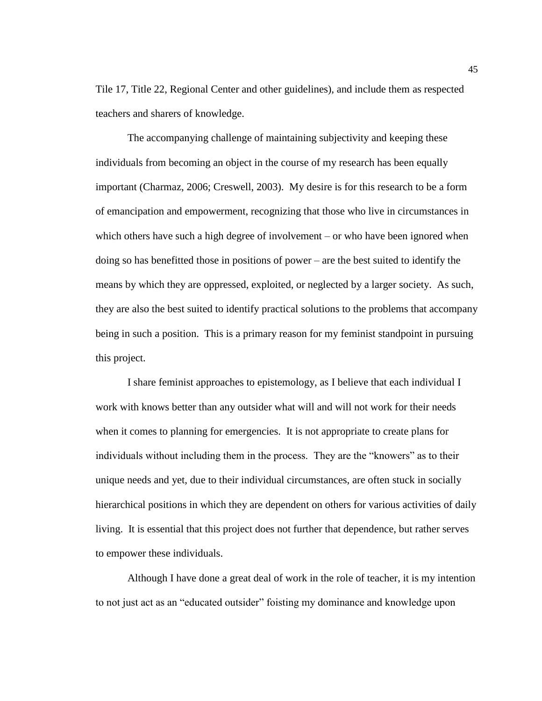Tile 17, Title 22, Regional Center and other guidelines), and include them as respected teachers and sharers of knowledge.

The accompanying challenge of maintaining subjectivity and keeping these individuals from becoming an object in the course of my research has been equally important (Charmaz, 2006; Creswell, 2003). My desire is for this research to be a form of emancipation and empowerment, recognizing that those who live in circumstances in which others have such a high degree of involvement – or who have been ignored when doing so has benefitted those in positions of power – are the best suited to identify the means by which they are oppressed, exploited, or neglected by a larger society. As such, they are also the best suited to identify practical solutions to the problems that accompany being in such a position. This is a primary reason for my feminist standpoint in pursuing this project.

I share feminist approaches to epistemology, as I believe that each individual I work with knows better than any outsider what will and will not work for their needs when it comes to planning for emergencies. It is not appropriate to create plans for individuals without including them in the process. They are the "knowers" as to their unique needs and yet, due to their individual circumstances, are often stuck in socially hierarchical positions in which they are dependent on others for various activities of daily living. It is essential that this project does not further that dependence, but rather serves to empower these individuals.

Although I have done a great deal of work in the role of teacher, it is my intention to not just act as an "educated outsider" foisting my dominance and knowledge upon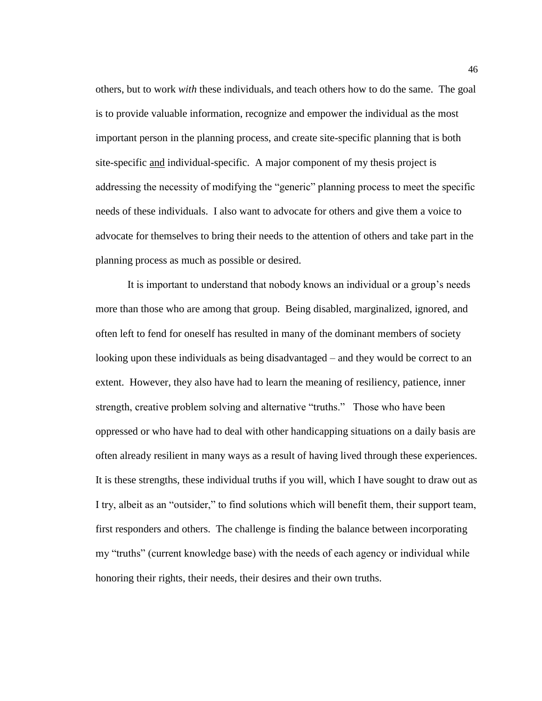others, but to work *with* these individuals, and teach others how to do the same. The goal is to provide valuable information, recognize and empower the individual as the most important person in the planning process, and create site-specific planning that is both site-specific and individual-specific. A major component of my thesis project is addressing the necessity of modifying the "generic" planning process to meet the specific needs of these individuals. I also want to advocate for others and give them a voice to advocate for themselves to bring their needs to the attention of others and take part in the planning process as much as possible or desired.

It is important to understand that nobody knows an individual or a group's needs more than those who are among that group. Being disabled, marginalized, ignored, and often left to fend for oneself has resulted in many of the dominant members of society looking upon these individuals as being disadvantaged – and they would be correct to an extent. However, they also have had to learn the meaning of resiliency, patience, inner strength, creative problem solving and alternative "truths." Those who have been oppressed or who have had to deal with other handicapping situations on a daily basis are often already resilient in many ways as a result of having lived through these experiences. It is these strengths, these individual truths if you will, which I have sought to draw out as I try, albeit as an "outsider," to find solutions which will benefit them, their support team, first responders and others. The challenge is finding the balance between incorporating my "truths" (current knowledge base) with the needs of each agency or individual while honoring their rights, their needs, their desires and their own truths.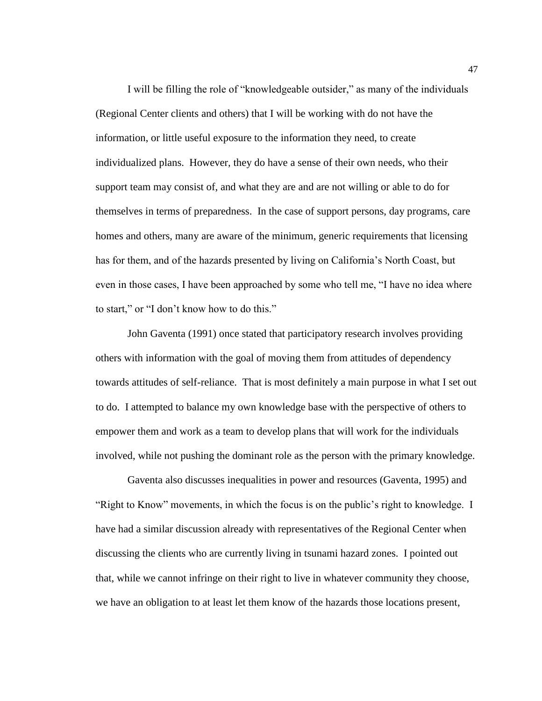I will be filling the role of "knowledgeable outsider," as many of the individuals (Regional Center clients and others) that I will be working with do not have the information, or little useful exposure to the information they need, to create individualized plans. However, they do have a sense of their own needs, who their support team may consist of, and what they are and are not willing or able to do for themselves in terms of preparedness. In the case of support persons, day programs, care homes and others, many are aware of the minimum, generic requirements that licensing has for them, and of the hazards presented by living on California's North Coast, but even in those cases, I have been approached by some who tell me, "I have no idea where to start," or "I don't know how to do this."

John Gaventa (1991) once stated that participatory research involves providing others with information with the goal of moving them from attitudes of dependency towards attitudes of self-reliance. That is most definitely a main purpose in what I set out to do. I attempted to balance my own knowledge base with the perspective of others to empower them and work as a team to develop plans that will work for the individuals involved, while not pushing the dominant role as the person with the primary knowledge.

Gaventa also discusses inequalities in power and resources (Gaventa, 1995) and "Right to Know" movements, in which the focus is on the public's right to knowledge. I have had a similar discussion already with representatives of the Regional Center when discussing the clients who are currently living in tsunami hazard zones. I pointed out that, while we cannot infringe on their right to live in whatever community they choose, we have an obligation to at least let them know of the hazards those locations present,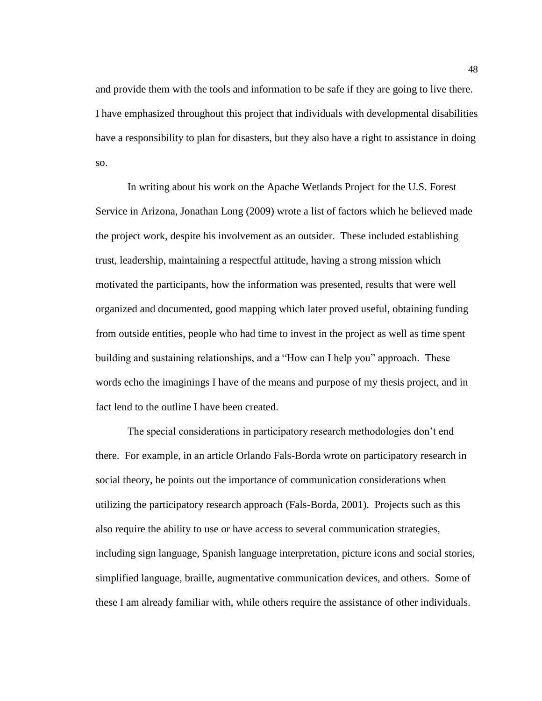and provide them with the tools and information to be safe if they are going to live there. I have emphasized throughout this project that individuals with developmental disabilities have a responsibility to plan for disasters, but they also have a right to assistance in doing so.

In writing about his work on the Apache Wetlands Project for the U.S. Forest Service in Arizona, Jonathan Long (2009) wrote a list of factors which he believed made the project work, despite his involvement as an outsider. These included establishing trust, leadership, maintaining a respectful attitude, having a strong mission which motivated the participants, how the information was presented, results that were well organized and documented, good mapping which later proved useful, obtaining funding from outside entities, people who had time to invest in the project as well as time spent building and sustaining relationships, and a "How can I help you" approach. These words echo the imaginings I have of the means and purpose of my thesis project, and in fact lend to the outline I have been created.

The special considerations in participatory research methodologies don't end there. For example, in an article Orlando Fals-Borda wrote on participatory research in social theory, he points out the importance of communication considerations when utilizing the participatory research approach (Fals-Borda, 2001). Projects such as this also require the ability to use or have access to several communication strategies, including sign language, Spanish language interpretation, picture icons and social stories, simplified language, braille, augmentative communication devices, and others. Some of these I am already familiar with, while others require the assistance of other individuals.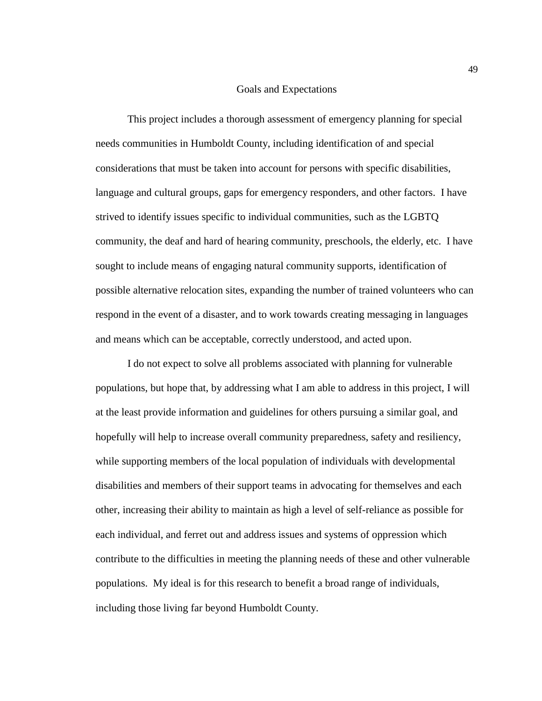#### Goals and Expectations

This project includes a thorough assessment of emergency planning for special needs communities in Humboldt County, including identification of and special considerations that must be taken into account for persons with specific disabilities, language and cultural groups, gaps for emergency responders, and other factors. I have strived to identify issues specific to individual communities, such as the LGBTQ community, the deaf and hard of hearing community, preschools, the elderly, etc. I have sought to include means of engaging natural community supports, identification of possible alternative relocation sites, expanding the number of trained volunteers who can respond in the event of a disaster, and to work towards creating messaging in languages and means which can be acceptable, correctly understood, and acted upon.

I do not expect to solve all problems associated with planning for vulnerable populations, but hope that, by addressing what I am able to address in this project, I will at the least provide information and guidelines for others pursuing a similar goal, and hopefully will help to increase overall community preparedness, safety and resiliency, while supporting members of the local population of individuals with developmental disabilities and members of their support teams in advocating for themselves and each other, increasing their ability to maintain as high a level of self-reliance as possible for each individual, and ferret out and address issues and systems of oppression which contribute to the difficulties in meeting the planning needs of these and other vulnerable populations. My ideal is for this research to benefit a broad range of individuals, including those living far beyond Humboldt County.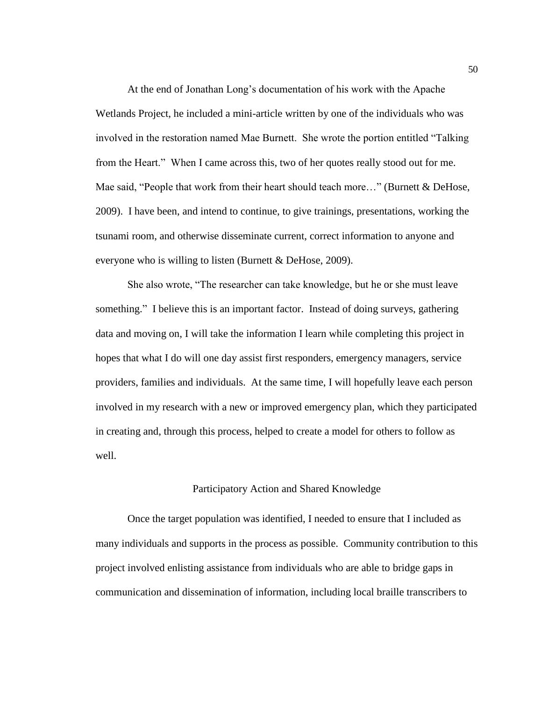At the end of Jonathan Long's documentation of his work with the Apache Wetlands Project, he included a mini-article written by one of the individuals who was involved in the restoration named Mae Burnett. She wrote the portion entitled "Talking from the Heart." When I came across this, two of her quotes really stood out for me. Mae said, "People that work from their heart should teach more…" (Burnett & DeHose, 2009). I have been, and intend to continue, to give trainings, presentations, working the tsunami room, and otherwise disseminate current, correct information to anyone and everyone who is willing to listen (Burnett & DeHose, 2009).

She also wrote, "The researcher can take knowledge, but he or she must leave something." I believe this is an important factor. Instead of doing surveys, gathering data and moving on, I will take the information I learn while completing this project in hopes that what I do will one day assist first responders, emergency managers, service providers, families and individuals. At the same time, I will hopefully leave each person involved in my research with a new or improved emergency plan, which they participated in creating and, through this process, helped to create a model for others to follow as well.

## Participatory Action and Shared Knowledge

Once the target population was identified, I needed to ensure that I included as many individuals and supports in the process as possible. Community contribution to this project involved enlisting assistance from individuals who are able to bridge gaps in communication and dissemination of information, including local braille transcribers to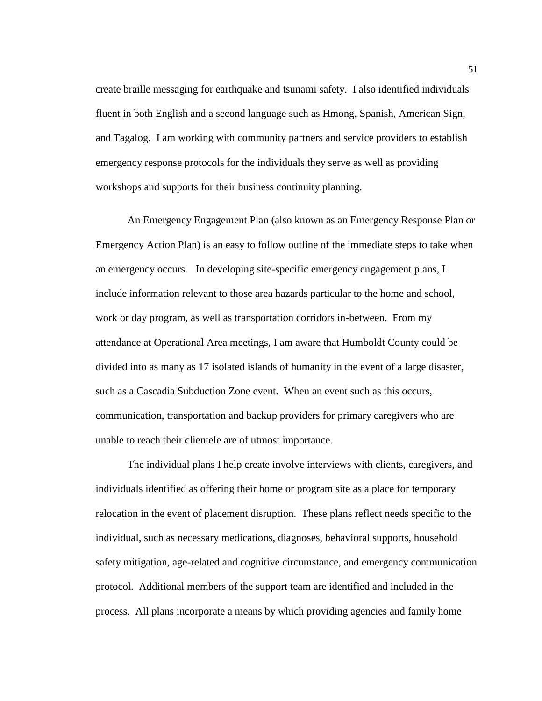create braille messaging for earthquake and tsunami safety. I also identified individuals fluent in both English and a second language such as Hmong, Spanish, American Sign, and Tagalog. I am working with community partners and service providers to establish emergency response protocols for the individuals they serve as well as providing workshops and supports for their business continuity planning.

An Emergency Engagement Plan (also known as an Emergency Response Plan or Emergency Action Plan) is an easy to follow outline of the immediate steps to take when an emergency occurs. In developing site-specific emergency engagement plans, I include information relevant to those area hazards particular to the home and school, work or day program, as well as transportation corridors in-between. From my attendance at Operational Area meetings, I am aware that Humboldt County could be divided into as many as 17 isolated islands of humanity in the event of a large disaster, such as a Cascadia Subduction Zone event. When an event such as this occurs, communication, transportation and backup providers for primary caregivers who are unable to reach their clientele are of utmost importance.

The individual plans I help create involve interviews with clients, caregivers, and individuals identified as offering their home or program site as a place for temporary relocation in the event of placement disruption. These plans reflect needs specific to the individual, such as necessary medications, diagnoses, behavioral supports, household safety mitigation, age-related and cognitive circumstance, and emergency communication protocol. Additional members of the support team are identified and included in the process. All plans incorporate a means by which providing agencies and family home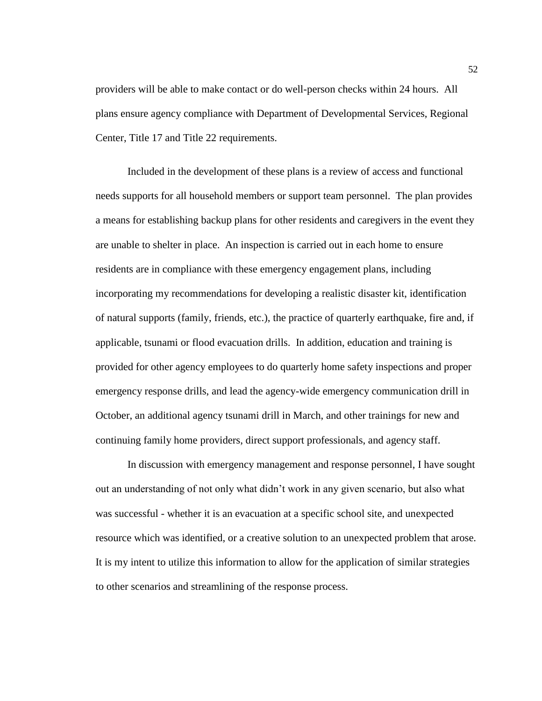providers will be able to make contact or do well-person checks within 24 hours. All plans ensure agency compliance with Department of Developmental Services, Regional Center, Title 17 and Title 22 requirements.

Included in the development of these plans is a review of access and functional needs supports for all household members or support team personnel. The plan provides a means for establishing backup plans for other residents and caregivers in the event they are unable to shelter in place. An inspection is carried out in each home to ensure residents are in compliance with these emergency engagement plans, including incorporating my recommendations for developing a realistic disaster kit, identification of natural supports (family, friends, etc.), the practice of quarterly earthquake, fire and, if applicable, tsunami or flood evacuation drills. In addition, education and training is provided for other agency employees to do quarterly home safety inspections and proper emergency response drills, and lead the agency-wide emergency communication drill in October, an additional agency tsunami drill in March, and other trainings for new and continuing family home providers, direct support professionals, and agency staff.

In discussion with emergency management and response personnel, I have sought out an understanding of not only what didn't work in any given scenario, but also what was successful - whether it is an evacuation at a specific school site, and unexpected resource which was identified, or a creative solution to an unexpected problem that arose. It is my intent to utilize this information to allow for the application of similar strategies to other scenarios and streamlining of the response process.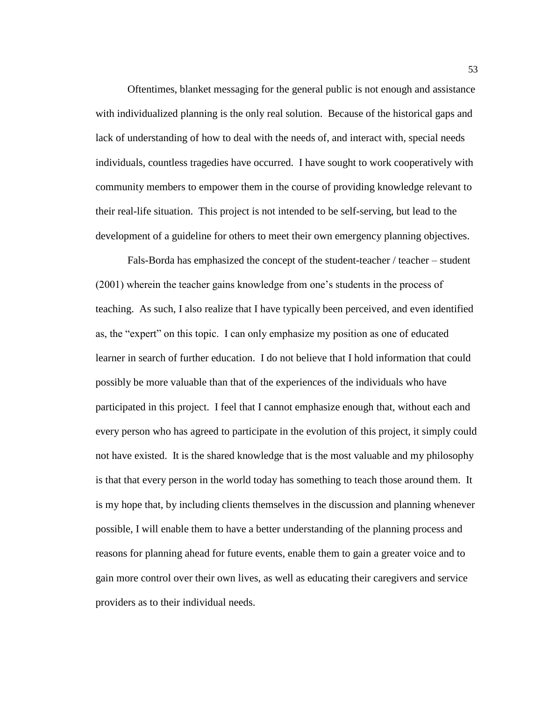Oftentimes, blanket messaging for the general public is not enough and assistance with individualized planning is the only real solution. Because of the historical gaps and lack of understanding of how to deal with the needs of, and interact with, special needs individuals, countless tragedies have occurred. I have sought to work cooperatively with community members to empower them in the course of providing knowledge relevant to their real-life situation. This project is not intended to be self-serving, but lead to the development of a guideline for others to meet their own emergency planning objectives.

Fals-Borda has emphasized the concept of the student-teacher / teacher – student (2001) wherein the teacher gains knowledge from one's students in the process of teaching. As such, I also realize that I have typically been perceived, and even identified as, the "expert" on this topic. I can only emphasize my position as one of educated learner in search of further education. I do not believe that I hold information that could possibly be more valuable than that of the experiences of the individuals who have participated in this project. I feel that I cannot emphasize enough that, without each and every person who has agreed to participate in the evolution of this project, it simply could not have existed. It is the shared knowledge that is the most valuable and my philosophy is that that every person in the world today has something to teach those around them. It is my hope that, by including clients themselves in the discussion and planning whenever possible, I will enable them to have a better understanding of the planning process and reasons for planning ahead for future events, enable them to gain a greater voice and to gain more control over their own lives, as well as educating their caregivers and service providers as to their individual needs.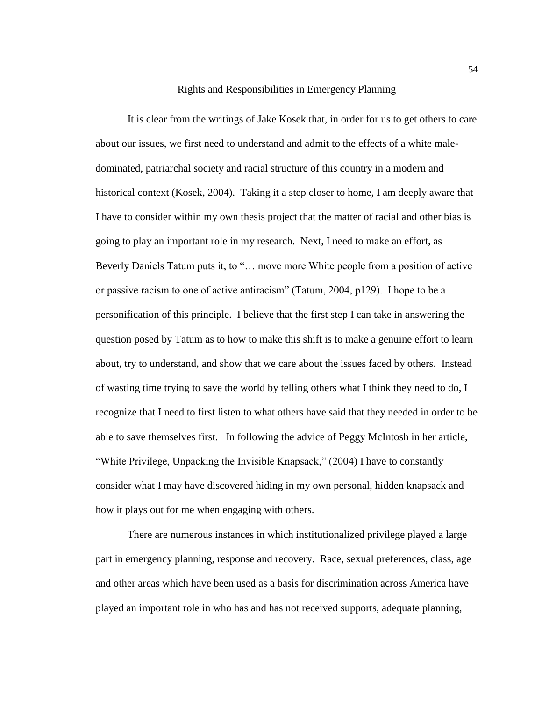# Rights and Responsibilities in Emergency Planning

It is clear from the writings of Jake Kosek that, in order for us to get others to care about our issues, we first need to understand and admit to the effects of a white maledominated, patriarchal society and racial structure of this country in a modern and historical context (Kosek, 2004). Taking it a step closer to home, I am deeply aware that I have to consider within my own thesis project that the matter of racial and other bias is going to play an important role in my research. Next, I need to make an effort, as Beverly Daniels Tatum puts it, to "… move more White people from a position of active or passive racism to one of active antiracism" (Tatum, 2004, p129). I hope to be a personification of this principle. I believe that the first step I can take in answering the question posed by Tatum as to how to make this shift is to make a genuine effort to learn about, try to understand, and show that we care about the issues faced by others. Instead of wasting time trying to save the world by telling others what I think they need to do, I recognize that I need to first listen to what others have said that they needed in order to be able to save themselves first. In following the advice of Peggy McIntosh in her article, "White Privilege, Unpacking the Invisible Knapsack," (2004) I have to constantly consider what I may have discovered hiding in my own personal, hidden knapsack and how it plays out for me when engaging with others.

There are numerous instances in which institutionalized privilege played a large part in emergency planning, response and recovery. Race, sexual preferences, class, age and other areas which have been used as a basis for discrimination across America have played an important role in who has and has not received supports, adequate planning,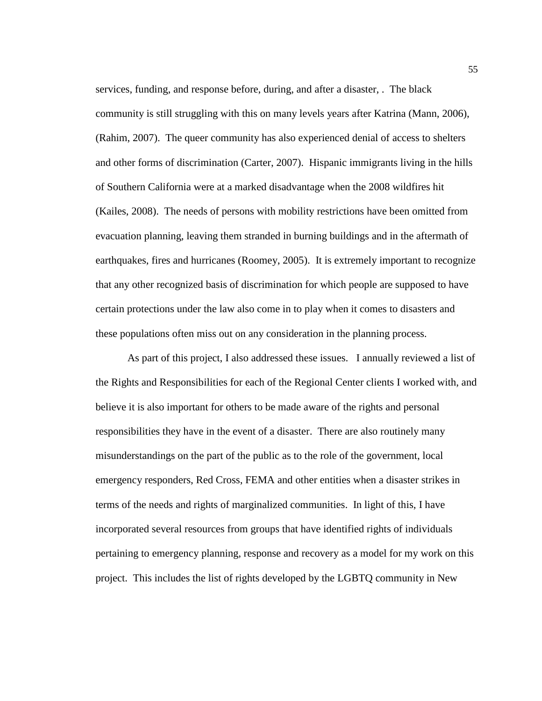services, funding, and response before, during, and after a disaster, . The black community is still struggling with this on many levels years after Katrina (Mann, 2006), (Rahim, 2007). The queer community has also experienced denial of access to shelters and other forms of discrimination (Carter, 2007). Hispanic immigrants living in the hills of Southern California were at a marked disadvantage when the 2008 wildfires hit (Kailes, 2008). The needs of persons with mobility restrictions have been omitted from evacuation planning, leaving them stranded in burning buildings and in the aftermath of earthquakes, fires and hurricanes (Roomey, 2005). It is extremely important to recognize that any other recognized basis of discrimination for which people are supposed to have certain protections under the law also come in to play when it comes to disasters and these populations often miss out on any consideration in the planning process.

As part of this project, I also addressed these issues. I annually reviewed a list of the Rights and Responsibilities for each of the Regional Center clients I worked with, and believe it is also important for others to be made aware of the rights and personal responsibilities they have in the event of a disaster. There are also routinely many misunderstandings on the part of the public as to the role of the government, local emergency responders, Red Cross, FEMA and other entities when a disaster strikes in terms of the needs and rights of marginalized communities. In light of this, I have incorporated several resources from groups that have identified rights of individuals pertaining to emergency planning, response and recovery as a model for my work on this project. This includes the list of rights developed by the LGBTQ community in New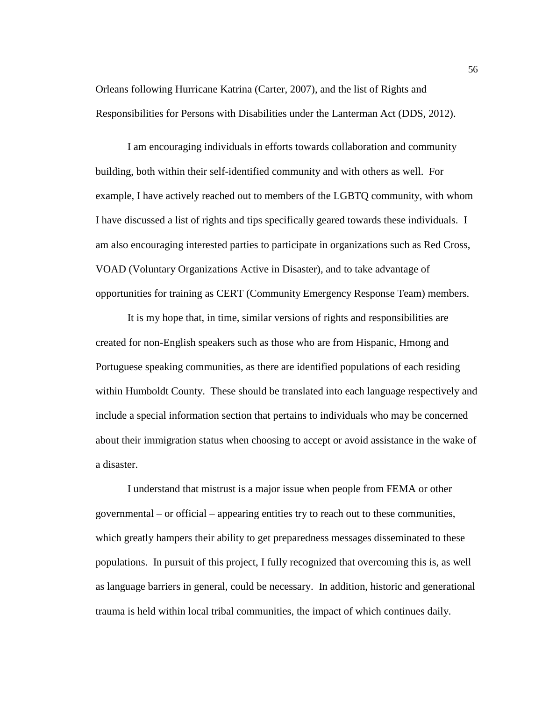Orleans following Hurricane Katrina (Carter, 2007), and the list of Rights and Responsibilities for Persons with Disabilities under the Lanterman Act (DDS, 2012).

I am encouraging individuals in efforts towards collaboration and community building, both within their self-identified community and with others as well. For example, I have actively reached out to members of the LGBTQ community, with whom I have discussed a list of rights and tips specifically geared towards these individuals. I am also encouraging interested parties to participate in organizations such as Red Cross, VOAD (Voluntary Organizations Active in Disaster), and to take advantage of opportunities for training as CERT (Community Emergency Response Team) members.

It is my hope that, in time, similar versions of rights and responsibilities are created for non-English speakers such as those who are from Hispanic, Hmong and Portuguese speaking communities, as there are identified populations of each residing within Humboldt County. These should be translated into each language respectively and include a special information section that pertains to individuals who may be concerned about their immigration status when choosing to accept or avoid assistance in the wake of a disaster.

I understand that mistrust is a major issue when people from FEMA or other governmental – or official – appearing entities try to reach out to these communities, which greatly hampers their ability to get preparedness messages disseminated to these populations. In pursuit of this project, I fully recognized that overcoming this is, as well as language barriers in general, could be necessary. In addition, historic and generational trauma is held within local tribal communities, the impact of which continues daily.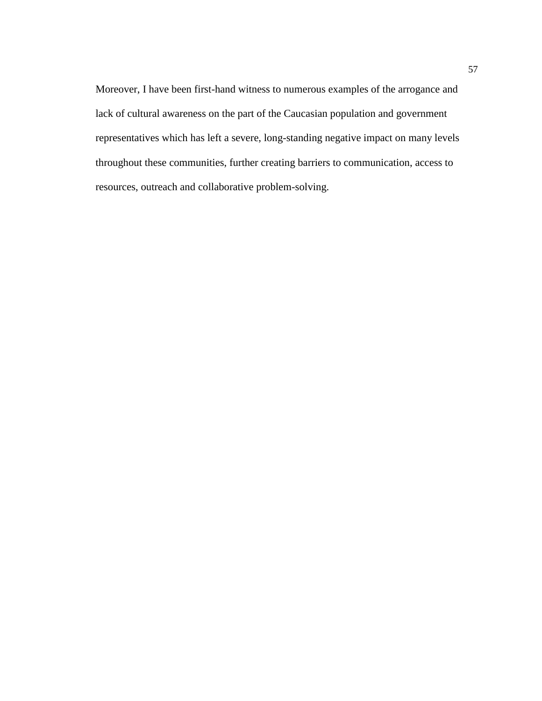Moreover, I have been first-hand witness to numerous examples of the arrogance and lack of cultural awareness on the part of the Caucasian population and government representatives which has left a severe, long-standing negative impact on many levels throughout these communities, further creating barriers to communication, access to resources, outreach and collaborative problem-solving.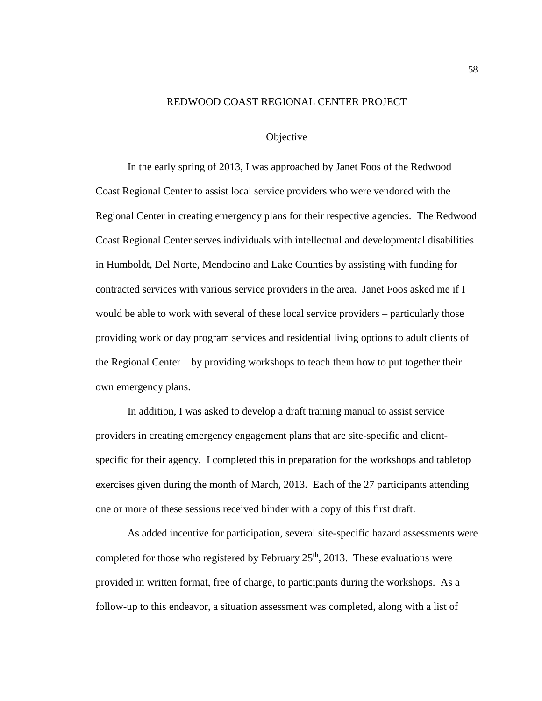# REDWOOD COAST REGIONAL CENTER PROJECT

# **Objective**

In the early spring of 2013, I was approached by Janet Foos of the Redwood Coast Regional Center to assist local service providers who were vendored with the Regional Center in creating emergency plans for their respective agencies. The Redwood Coast Regional Center serves individuals with intellectual and developmental disabilities in Humboldt, Del Norte, Mendocino and Lake Counties by assisting with funding for contracted services with various service providers in the area. Janet Foos asked me if I would be able to work with several of these local service providers – particularly those providing work or day program services and residential living options to adult clients of the Regional Center – by providing workshops to teach them how to put together their own emergency plans.

In addition, I was asked to develop a draft training manual to assist service providers in creating emergency engagement plans that are site-specific and clientspecific for their agency. I completed this in preparation for the workshops and tabletop exercises given during the month of March, 2013. Each of the 27 participants attending one or more of these sessions received binder with a copy of this first draft.

As added incentive for participation, several site-specific hazard assessments were completed for those who registered by February  $25<sup>th</sup>$ , 2013. These evaluations were provided in written format, free of charge, to participants during the workshops. As a follow-up to this endeavor, a situation assessment was completed, along with a list of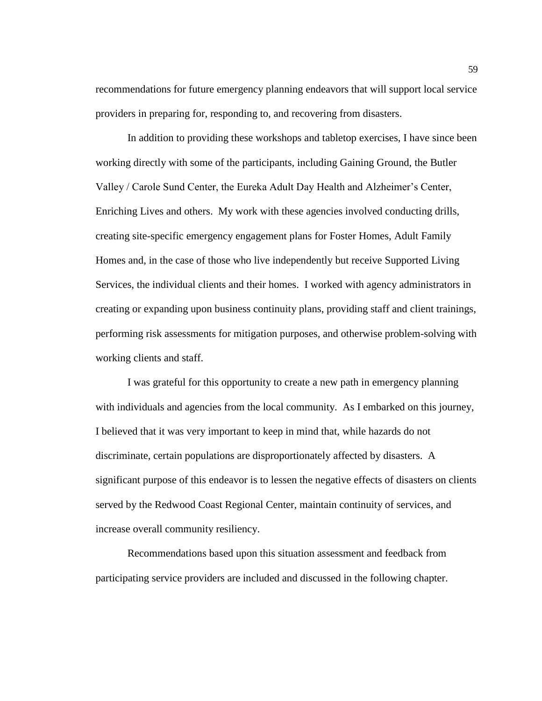recommendations for future emergency planning endeavors that will support local service providers in preparing for, responding to, and recovering from disasters.

In addition to providing these workshops and tabletop exercises, I have since been working directly with some of the participants, including Gaining Ground, the Butler Valley / Carole Sund Center, the Eureka Adult Day Health and Alzheimer's Center, Enriching Lives and others. My work with these agencies involved conducting drills, creating site-specific emergency engagement plans for Foster Homes, Adult Family Homes and, in the case of those who live independently but receive Supported Living Services, the individual clients and their homes. I worked with agency administrators in creating or expanding upon business continuity plans, providing staff and client trainings, performing risk assessments for mitigation purposes, and otherwise problem-solving with working clients and staff.

I was grateful for this opportunity to create a new path in emergency planning with individuals and agencies from the local community. As I embarked on this journey, I believed that it was very important to keep in mind that, while hazards do not discriminate, certain populations are disproportionately affected by disasters. A significant purpose of this endeavor is to lessen the negative effects of disasters on clients served by the Redwood Coast Regional Center, maintain continuity of services, and increase overall community resiliency.

Recommendations based upon this situation assessment and feedback from participating service providers are included and discussed in the following chapter.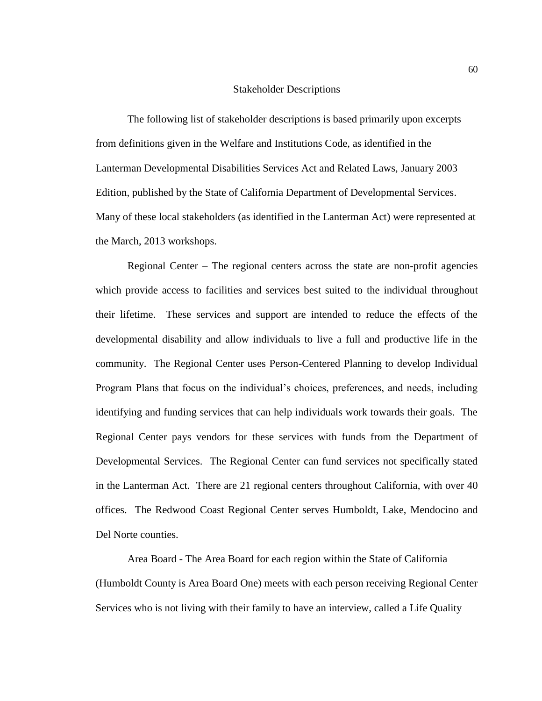#### Stakeholder Descriptions

The following list of stakeholder descriptions is based primarily upon excerpts from definitions given in the Welfare and Institutions Code, as identified in the Lanterman Developmental Disabilities Services Act and Related Laws, January 2003 Edition, published by the State of California Department of Developmental Services. Many of these local stakeholders (as identified in the Lanterman Act) were represented at the March, 2013 workshops.

Regional Center – The regional centers across the state are non-profit agencies which provide access to facilities and services best suited to the individual throughout their lifetime. These services and support are intended to reduce the effects of the developmental disability and allow individuals to live a full and productive life in the community. The Regional Center uses Person-Centered Planning to develop Individual Program Plans that focus on the individual's choices, preferences, and needs, including identifying and funding services that can help individuals work towards their goals. The Regional Center pays vendors for these services with funds from the Department of Developmental Services. The Regional Center can fund services not specifically stated in the Lanterman Act. There are 21 regional centers throughout California, with over 40 offices. The Redwood Coast Regional Center serves Humboldt, Lake, Mendocino and Del Norte counties.

Area Board - The Area Board for each region within the State of California (Humboldt County is Area Board One) meets with each person receiving Regional Center Services who is not living with their family to have an interview, called a Life Quality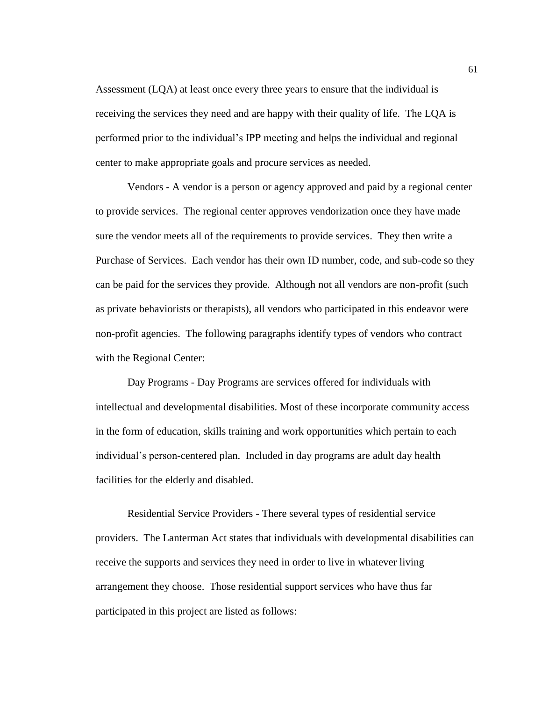Assessment (LQA) at least once every three years to ensure that the individual is receiving the services they need and are happy with their quality of life. The LQA is performed prior to the individual's IPP meeting and helps the individual and regional center to make appropriate goals and procure services as needed.

Vendors - A vendor is a person or agency approved and paid by a regional center to provide services. The regional center approves vendorization once they have made sure the vendor meets all of the requirements to provide services. They then write a Purchase of Services. Each vendor has their own ID number, code, and sub-code so they can be paid for the services they provide. Although not all vendors are non-profit (such as private behaviorists or therapists), all vendors who participated in this endeavor were non-profit agencies. The following paragraphs identify types of vendors who contract with the Regional Center:

Day Programs - Day Programs are services offered for individuals with intellectual and developmental disabilities. Most of these incorporate community access in the form of education, skills training and work opportunities which pertain to each individual's person-centered plan. Included in day programs are adult day health facilities for the elderly and disabled.

Residential Service Providers - There several types of residential service providers. The Lanterman Act states that individuals with developmental disabilities can receive the supports and services they need in order to live in whatever living arrangement they choose. Those residential support services who have thus far participated in this project are listed as follows: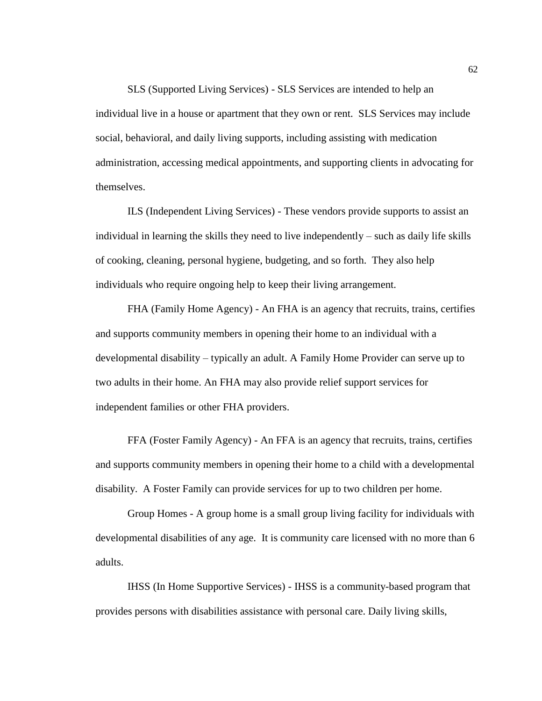SLS (Supported Living Services) - SLS Services are intended to help an individual live in a house or apartment that they own or rent. SLS Services may include social, behavioral, and daily living supports, including assisting with medication administration, accessing medical appointments, and supporting clients in advocating for themselves.

ILS (Independent Living Services) - These vendors provide supports to assist an individual in learning the skills they need to live independently – such as daily life skills of cooking, cleaning, personal hygiene, budgeting, and so forth. They also help individuals who require ongoing help to keep their living arrangement.

FHA (Family Home Agency) - An FHA is an agency that recruits, trains, certifies and supports community members in opening their home to an individual with a developmental disability – typically an adult. A Family Home Provider can serve up to two adults in their home. An FHA may also provide relief support services for independent families or other FHA providers.

FFA (Foster Family Agency) - An FFA is an agency that recruits, trains, certifies and supports community members in opening their home to a child with a developmental disability. A Foster Family can provide services for up to two children per home.

Group Homes - A group home is a small group living facility for individuals with developmental disabilities of any age. It is community care licensed with no more than 6 adults.

IHSS (In Home Supportive Services) - IHSS is a community-based program that provides persons with disabilities assistance with personal care. Daily living skills,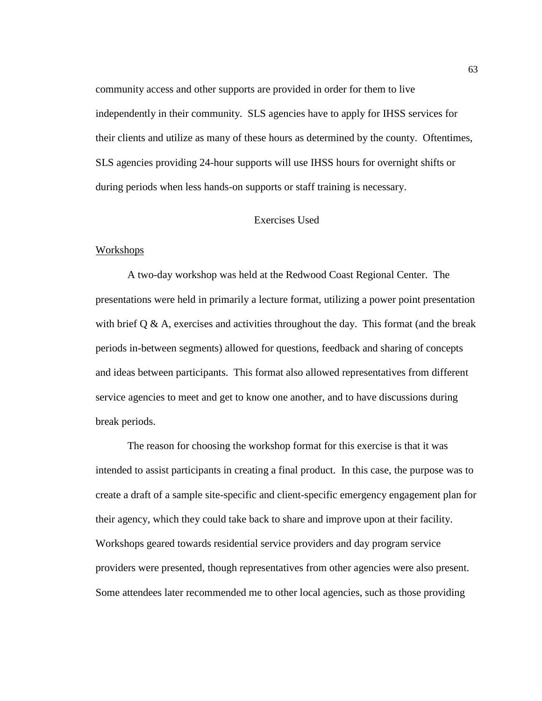community access and other supports are provided in order for them to live independently in their community. SLS agencies have to apply for IHSS services for their clients and utilize as many of these hours as determined by the county. Oftentimes, SLS agencies providing 24-hour supports will use IHSS hours for overnight shifts or during periods when less hands-on supports or staff training is necessary.

#### Exercises Used

#### Workshops

A two-day workshop was held at the Redwood Coast Regional Center. The presentations were held in primarily a lecture format, utilizing a power point presentation with brief  $Q \& A$ , exercises and activities throughout the day. This format (and the break periods in-between segments) allowed for questions, feedback and sharing of concepts and ideas between participants. This format also allowed representatives from different service agencies to meet and get to know one another, and to have discussions during break periods.

The reason for choosing the workshop format for this exercise is that it was intended to assist participants in creating a final product. In this case, the purpose was to create a draft of a sample site-specific and client-specific emergency engagement plan for their agency, which they could take back to share and improve upon at their facility. Workshops geared towards residential service providers and day program service providers were presented, though representatives from other agencies were also present. Some attendees later recommended me to other local agencies, such as those providing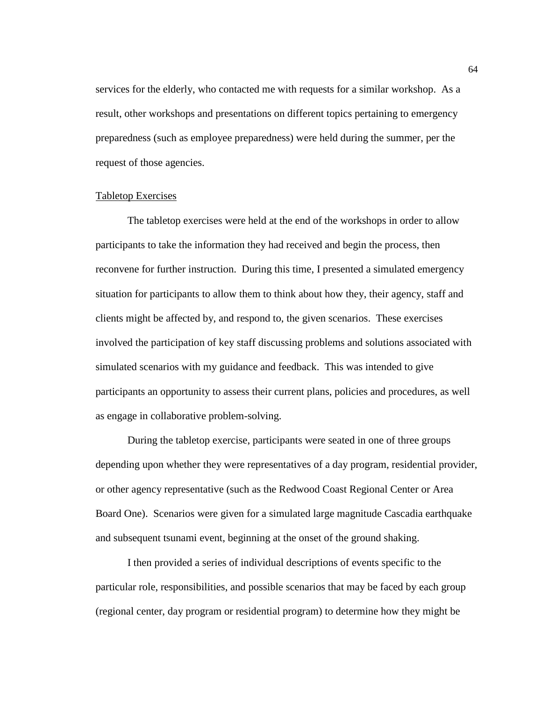services for the elderly, who contacted me with requests for a similar workshop. As a result, other workshops and presentations on different topics pertaining to emergency preparedness (such as employee preparedness) were held during the summer, per the request of those agencies.

### Tabletop Exercises

The tabletop exercises were held at the end of the workshops in order to allow participants to take the information they had received and begin the process, then reconvene for further instruction. During this time, I presented a simulated emergency situation for participants to allow them to think about how they, their agency, staff and clients might be affected by, and respond to, the given scenarios. These exercises involved the participation of key staff discussing problems and solutions associated with simulated scenarios with my guidance and feedback. This was intended to give participants an opportunity to assess their current plans, policies and procedures, as well as engage in collaborative problem-solving.

During the tabletop exercise, participants were seated in one of three groups depending upon whether they were representatives of a day program, residential provider, or other agency representative (such as the Redwood Coast Regional Center or Area Board One). Scenarios were given for a simulated large magnitude Cascadia earthquake and subsequent tsunami event, beginning at the onset of the ground shaking.

I then provided a series of individual descriptions of events specific to the particular role, responsibilities, and possible scenarios that may be faced by each group (regional center, day program or residential program) to determine how they might be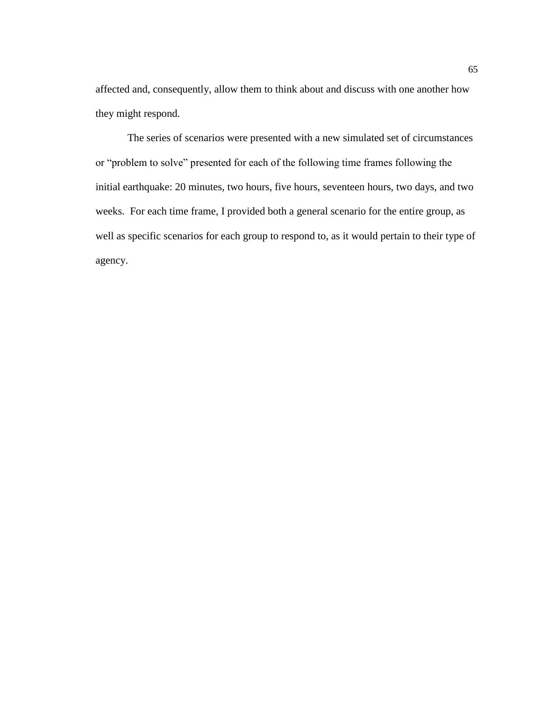affected and, consequently, allow them to think about and discuss with one another how they might respond.

The series of scenarios were presented with a new simulated set of circumstances or "problem to solve" presented for each of the following time frames following the initial earthquake: 20 minutes, two hours, five hours, seventeen hours, two days, and two weeks. For each time frame, I provided both a general scenario for the entire group, as well as specific scenarios for each group to respond to, as it would pertain to their type of agency.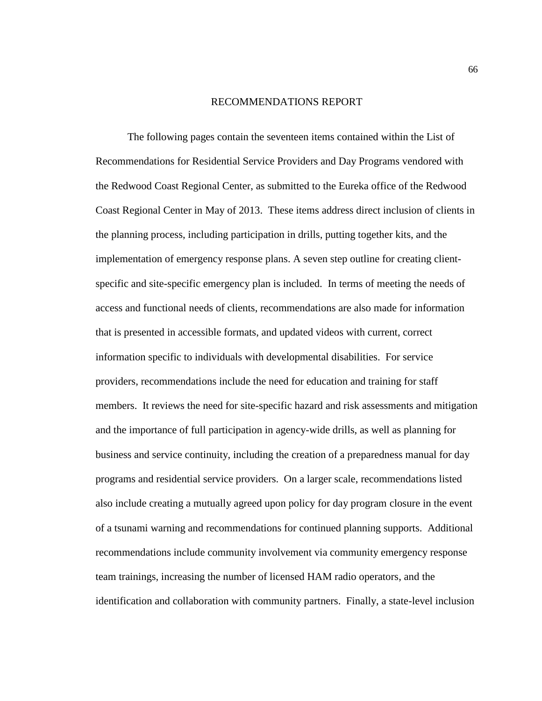#### RECOMMENDATIONS REPORT

The following pages contain the seventeen items contained within the List of Recommendations for Residential Service Providers and Day Programs vendored with the Redwood Coast Regional Center, as submitted to the Eureka office of the Redwood Coast Regional Center in May of 2013. These items address direct inclusion of clients in the planning process, including participation in drills, putting together kits, and the implementation of emergency response plans. A seven step outline for creating clientspecific and site-specific emergency plan is included. In terms of meeting the needs of access and functional needs of clients, recommendations are also made for information that is presented in accessible formats, and updated videos with current, correct information specific to individuals with developmental disabilities. For service providers, recommendations include the need for education and training for staff members. It reviews the need for site-specific hazard and risk assessments and mitigation and the importance of full participation in agency-wide drills, as well as planning for business and service continuity, including the creation of a preparedness manual for day programs and residential service providers. On a larger scale, recommendations listed also include creating a mutually agreed upon policy for day program closure in the event of a tsunami warning and recommendations for continued planning supports. Additional recommendations include community involvement via community emergency response team trainings, increasing the number of licensed HAM radio operators, and the identification and collaboration with community partners. Finally, a state-level inclusion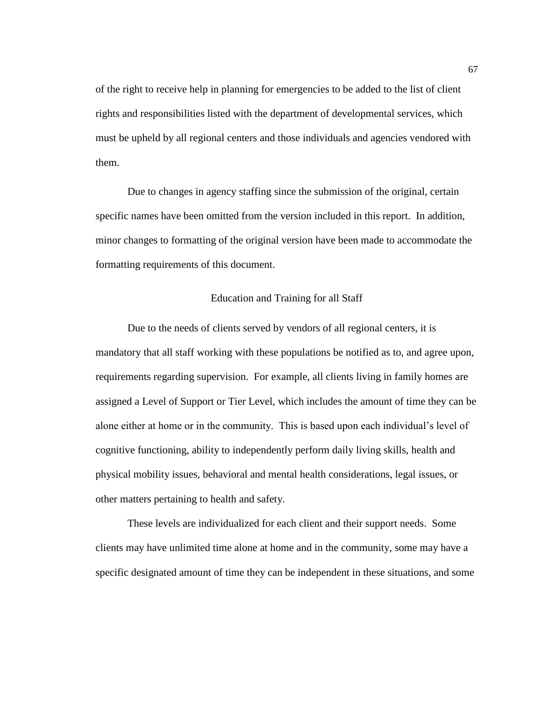of the right to receive help in planning for emergencies to be added to the list of client rights and responsibilities listed with the department of developmental services, which must be upheld by all regional centers and those individuals and agencies vendored with them.

Due to changes in agency staffing since the submission of the original, certain specific names have been omitted from the version included in this report. In addition, minor changes to formatting of the original version have been made to accommodate the formatting requirements of this document.

### Education and Training for all Staff

Due to the needs of clients served by vendors of all regional centers, it is mandatory that all staff working with these populations be notified as to, and agree upon, requirements regarding supervision. For example, all clients living in family homes are assigned a Level of Support or Tier Level, which includes the amount of time they can be alone either at home or in the community. This is based upon each individual's level of cognitive functioning, ability to independently perform daily living skills, health and physical mobility issues, behavioral and mental health considerations, legal issues, or other matters pertaining to health and safety.

These levels are individualized for each client and their support needs. Some clients may have unlimited time alone at home and in the community, some may have a specific designated amount of time they can be independent in these situations, and some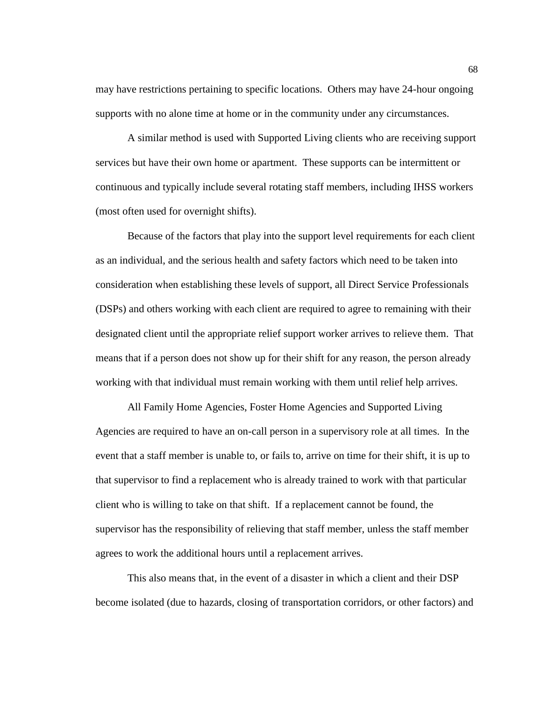may have restrictions pertaining to specific locations. Others may have 24-hour ongoing supports with no alone time at home or in the community under any circumstances.

A similar method is used with Supported Living clients who are receiving support services but have their own home or apartment. These supports can be intermittent or continuous and typically include several rotating staff members, including IHSS workers (most often used for overnight shifts).

Because of the factors that play into the support level requirements for each client as an individual, and the serious health and safety factors which need to be taken into consideration when establishing these levels of support, all Direct Service Professionals (DSPs) and others working with each client are required to agree to remaining with their designated client until the appropriate relief support worker arrives to relieve them. That means that if a person does not show up for their shift for any reason, the person already working with that individual must remain working with them until relief help arrives.

All Family Home Agencies, Foster Home Agencies and Supported Living Agencies are required to have an on-call person in a supervisory role at all times. In the event that a staff member is unable to, or fails to, arrive on time for their shift, it is up to that supervisor to find a replacement who is already trained to work with that particular client who is willing to take on that shift. If a replacement cannot be found, the supervisor has the responsibility of relieving that staff member, unless the staff member agrees to work the additional hours until a replacement arrives.

This also means that, in the event of a disaster in which a client and their DSP become isolated (due to hazards, closing of transportation corridors, or other factors) and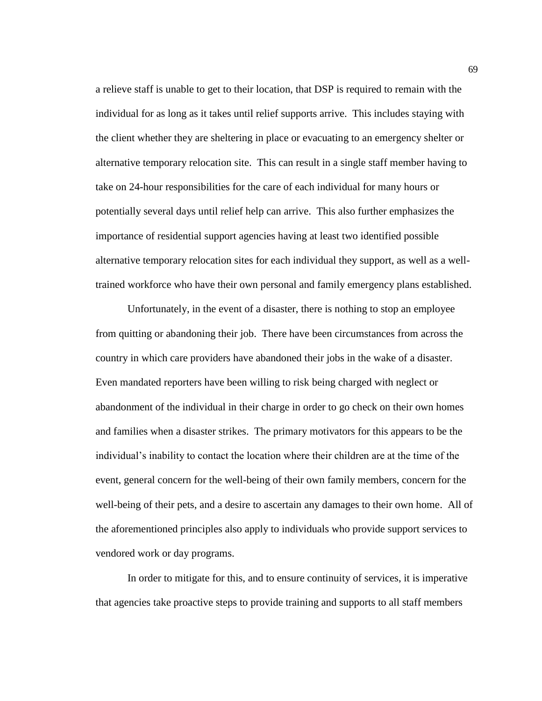a relieve staff is unable to get to their location, that DSP is required to remain with the individual for as long as it takes until relief supports arrive. This includes staying with the client whether they are sheltering in place or evacuating to an emergency shelter or alternative temporary relocation site. This can result in a single staff member having to take on 24-hour responsibilities for the care of each individual for many hours or potentially several days until relief help can arrive. This also further emphasizes the importance of residential support agencies having at least two identified possible alternative temporary relocation sites for each individual they support, as well as a welltrained workforce who have their own personal and family emergency plans established.

Unfortunately, in the event of a disaster, there is nothing to stop an employee from quitting or abandoning their job. There have been circumstances from across the country in which care providers have abandoned their jobs in the wake of a disaster. Even mandated reporters have been willing to risk being charged with neglect or abandonment of the individual in their charge in order to go check on their own homes and families when a disaster strikes. The primary motivators for this appears to be the individual's inability to contact the location where their children are at the time of the event, general concern for the well-being of their own family members, concern for the well-being of their pets, and a desire to ascertain any damages to their own home. All of the aforementioned principles also apply to individuals who provide support services to vendored work or day programs.

In order to mitigate for this, and to ensure continuity of services, it is imperative that agencies take proactive steps to provide training and supports to all staff members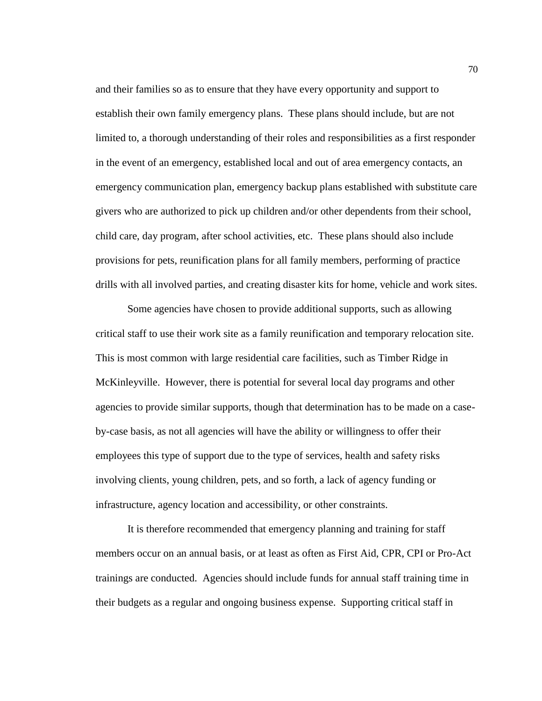and their families so as to ensure that they have every opportunity and support to establish their own family emergency plans. These plans should include, but are not limited to, a thorough understanding of their roles and responsibilities as a first responder in the event of an emergency, established local and out of area emergency contacts, an emergency communication plan, emergency backup plans established with substitute care givers who are authorized to pick up children and/or other dependents from their school, child care, day program, after school activities, etc. These plans should also include provisions for pets, reunification plans for all family members, performing of practice drills with all involved parties, and creating disaster kits for home, vehicle and work sites.

Some agencies have chosen to provide additional supports, such as allowing critical staff to use their work site as a family reunification and temporary relocation site. This is most common with large residential care facilities, such as Timber Ridge in McKinleyville. However, there is potential for several local day programs and other agencies to provide similar supports, though that determination has to be made on a caseby-case basis, as not all agencies will have the ability or willingness to offer their employees this type of support due to the type of services, health and safety risks involving clients, young children, pets, and so forth, a lack of agency funding or infrastructure, agency location and accessibility, or other constraints.

It is therefore recommended that emergency planning and training for staff members occur on an annual basis, or at least as often as First Aid, CPR, CPI or Pro-Act trainings are conducted. Agencies should include funds for annual staff training time in their budgets as a regular and ongoing business expense. Supporting critical staff in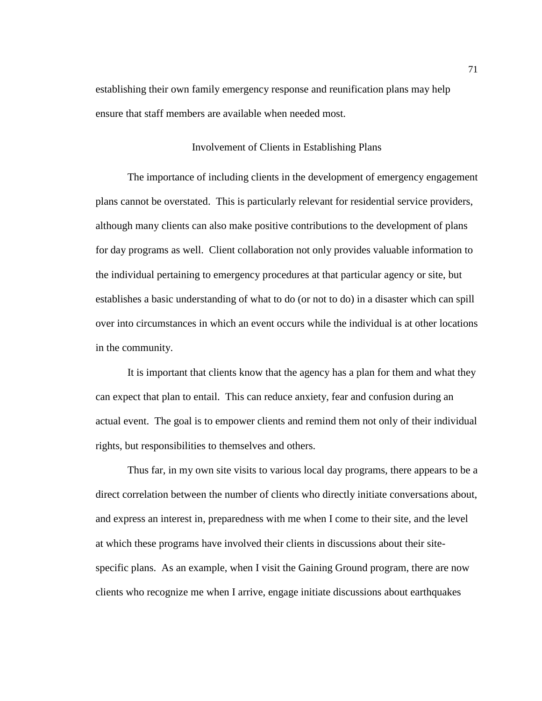establishing their own family emergency response and reunification plans may help ensure that staff members are available when needed most.

# Involvement of Clients in Establishing Plans

The importance of including clients in the development of emergency engagement plans cannot be overstated. This is particularly relevant for residential service providers, although many clients can also make positive contributions to the development of plans for day programs as well. Client collaboration not only provides valuable information to the individual pertaining to emergency procedures at that particular agency or site, but establishes a basic understanding of what to do (or not to do) in a disaster which can spill over into circumstances in which an event occurs while the individual is at other locations in the community.

It is important that clients know that the agency has a plan for them and what they can expect that plan to entail. This can reduce anxiety, fear and confusion during an actual event. The goal is to empower clients and remind them not only of their individual rights, but responsibilities to themselves and others.

Thus far, in my own site visits to various local day programs, there appears to be a direct correlation between the number of clients who directly initiate conversations about, and express an interest in, preparedness with me when I come to their site, and the level at which these programs have involved their clients in discussions about their sitespecific plans. As an example, when I visit the Gaining Ground program, there are now clients who recognize me when I arrive, engage initiate discussions about earthquakes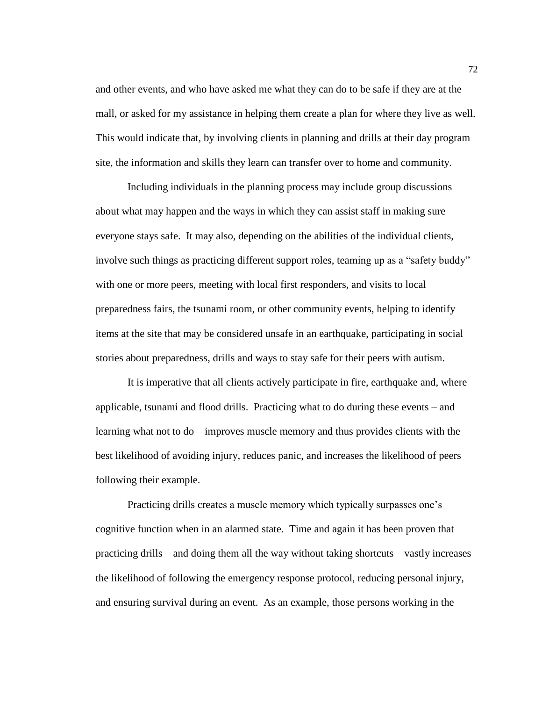and other events, and who have asked me what they can do to be safe if they are at the mall, or asked for my assistance in helping them create a plan for where they live as well. This would indicate that, by involving clients in planning and drills at their day program site, the information and skills they learn can transfer over to home and community.

Including individuals in the planning process may include group discussions about what may happen and the ways in which they can assist staff in making sure everyone stays safe. It may also, depending on the abilities of the individual clients, involve such things as practicing different support roles, teaming up as a "safety buddy" with one or more peers, meeting with local first responders, and visits to local preparedness fairs, the tsunami room, or other community events, helping to identify items at the site that may be considered unsafe in an earthquake, participating in social stories about preparedness, drills and ways to stay safe for their peers with autism.

It is imperative that all clients actively participate in fire, earthquake and, where applicable, tsunami and flood drills. Practicing what to do during these events – and learning what not to do – improves muscle memory and thus provides clients with the best likelihood of avoiding injury, reduces panic, and increases the likelihood of peers following their example.

Practicing drills creates a muscle memory which typically surpasses one's cognitive function when in an alarmed state. Time and again it has been proven that practicing drills – and doing them all the way without taking shortcuts – vastly increases the likelihood of following the emergency response protocol, reducing personal injury, and ensuring survival during an event. As an example, those persons working in the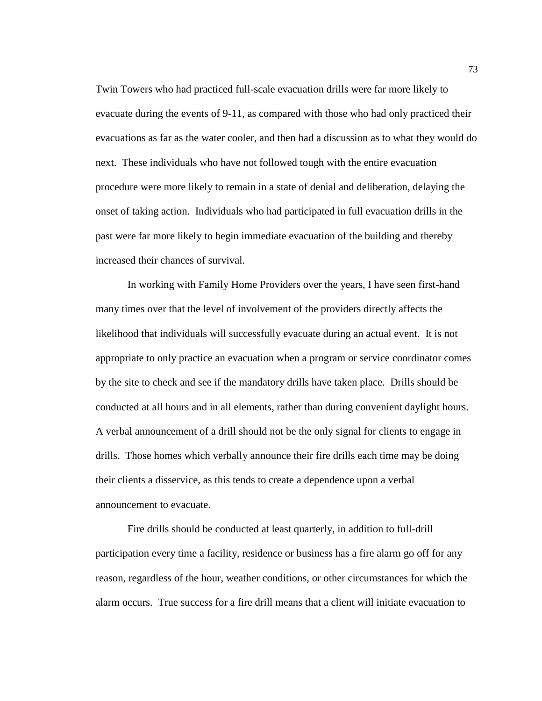Twin Towers who had practiced full-scale evacuation drills were far more likely to evacuate during the events of 9-11, as compared with those who had only practiced their evacuations as far as the water cooler, and then had a discussion as to what they would do next. These individuals who have not followed tough with the entire evacuation procedure were more likely to remain in a state of denial and deliberation, delaying the onset of taking action. Individuals who had participated in full evacuation drills in the past were far more likely to begin immediate evacuation of the building and thereby increased their chances of survival.

In working with Family Home Providers over the years, I have seen first-hand many times over that the level of involvement of the providers directly affects the likelihood that individuals will successfully evacuate during an actual event. It is not appropriate to only practice an evacuation when a program or service coordinator comes by the site to check and see if the mandatory drills have taken place. Drills should be conducted at all hours and in all elements, rather than during convenient daylight hours. A verbal announcement of a drill should not be the only signal for clients to engage in drills. Those homes which verbally announce their fire drills each time may be doing their clients a disservice, as this tends to create a dependence upon a verbal announcement to evacuate.

Fire drills should be conducted at least quarterly, in addition to full-drill participation every time a facility, residence or business has a fire alarm go off for any reason, regardless of the hour, weather conditions, or other circumstances for which the alarm occurs. True success for a fire drill means that a client will initiate evacuation to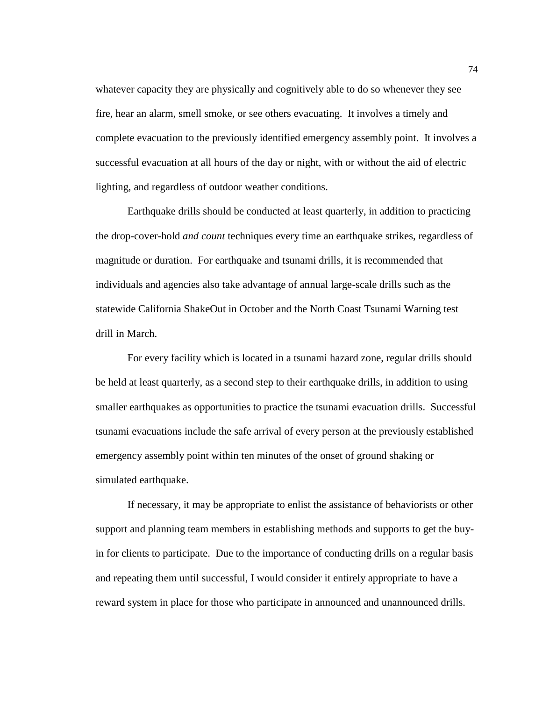whatever capacity they are physically and cognitively able to do so whenever they see fire, hear an alarm, smell smoke, or see others evacuating. It involves a timely and complete evacuation to the previously identified emergency assembly point. It involves a successful evacuation at all hours of the day or night, with or without the aid of electric lighting, and regardless of outdoor weather conditions.

Earthquake drills should be conducted at least quarterly, in addition to practicing the drop-cover-hold *and count* techniques every time an earthquake strikes, regardless of magnitude or duration. For earthquake and tsunami drills, it is recommended that individuals and agencies also take advantage of annual large-scale drills such as the statewide California ShakeOut in October and the North Coast Tsunami Warning test drill in March.

For every facility which is located in a tsunami hazard zone, regular drills should be held at least quarterly, as a second step to their earthquake drills, in addition to using smaller earthquakes as opportunities to practice the tsunami evacuation drills. Successful tsunami evacuations include the safe arrival of every person at the previously established emergency assembly point within ten minutes of the onset of ground shaking or simulated earthquake.

If necessary, it may be appropriate to enlist the assistance of behaviorists or other support and planning team members in establishing methods and supports to get the buyin for clients to participate. Due to the importance of conducting drills on a regular basis and repeating them until successful, I would consider it entirely appropriate to have a reward system in place for those who participate in announced and unannounced drills.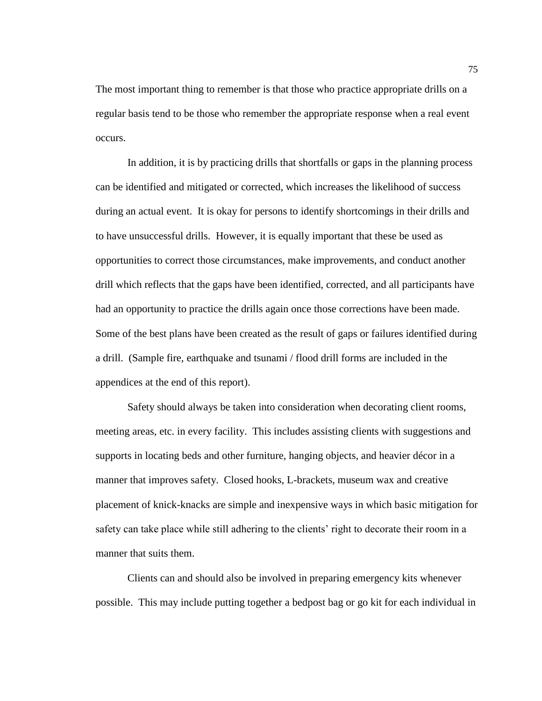The most important thing to remember is that those who practice appropriate drills on a regular basis tend to be those who remember the appropriate response when a real event occurs.

In addition, it is by practicing drills that shortfalls or gaps in the planning process can be identified and mitigated or corrected, which increases the likelihood of success during an actual event. It is okay for persons to identify shortcomings in their drills and to have unsuccessful drills. However, it is equally important that these be used as opportunities to correct those circumstances, make improvements, and conduct another drill which reflects that the gaps have been identified, corrected, and all participants have had an opportunity to practice the drills again once those corrections have been made. Some of the best plans have been created as the result of gaps or failures identified during a drill. (Sample fire, earthquake and tsunami / flood drill forms are included in the appendices at the end of this report).

Safety should always be taken into consideration when decorating client rooms, meeting areas, etc. in every facility. This includes assisting clients with suggestions and supports in locating beds and other furniture, hanging objects, and heavier décor in a manner that improves safety. Closed hooks, L-brackets, museum wax and creative placement of knick-knacks are simple and inexpensive ways in which basic mitigation for safety can take place while still adhering to the clients' right to decorate their room in a manner that suits them.

Clients can and should also be involved in preparing emergency kits whenever possible. This may include putting together a bedpost bag or go kit for each individual in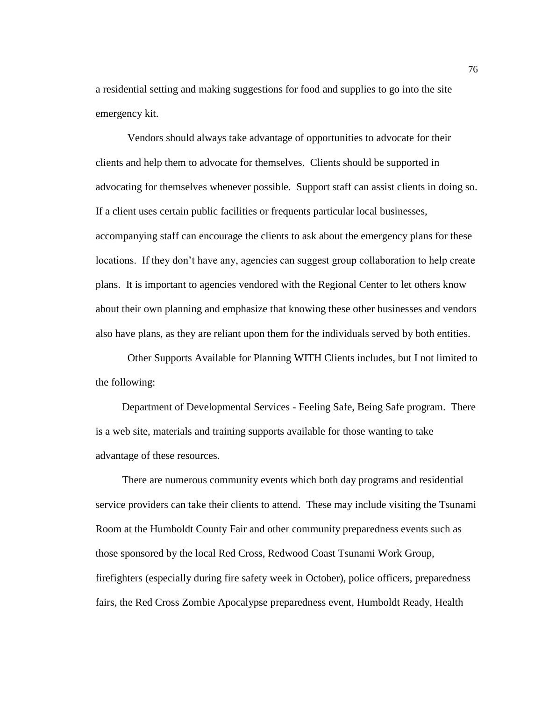a residential setting and making suggestions for food and supplies to go into the site emergency kit.

Vendors should always take advantage of opportunities to advocate for their clients and help them to advocate for themselves. Clients should be supported in advocating for themselves whenever possible. Support staff can assist clients in doing so. If a client uses certain public facilities or frequents particular local businesses, accompanying staff can encourage the clients to ask about the emergency plans for these locations. If they don't have any, agencies can suggest group collaboration to help create plans. It is important to agencies vendored with the Regional Center to let others know about their own planning and emphasize that knowing these other businesses and vendors also have plans, as they are reliant upon them for the individuals served by both entities.

Other Supports Available for Planning WITH Clients includes, but I not limited to the following:

 Department of Developmental Services - Feeling Safe, Being Safe program. There is a web site, materials and training supports available for those wanting to take advantage of these resources.

 There are numerous community events which both day programs and residential service providers can take their clients to attend. These may include visiting the Tsunami Room at the Humboldt County Fair and other community preparedness events such as those sponsored by the local Red Cross, Redwood Coast Tsunami Work Group, firefighters (especially during fire safety week in October), police officers, preparedness fairs, the Red Cross Zombie Apocalypse preparedness event, Humboldt Ready, Health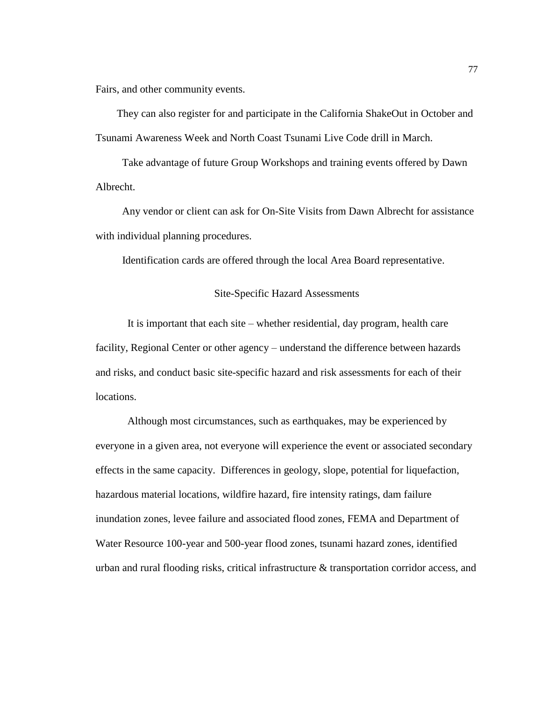Fairs, and other community events.

 They can also register for and participate in the California ShakeOut in October and Tsunami Awareness Week and North Coast Tsunami Live Code drill in March.

 Take advantage of future Group Workshops and training events offered by Dawn Albrecht.

 Any vendor or client can ask for On-Site Visits from Dawn Albrecht for assistance with individual planning procedures.

Identification cards are offered through the local Area Board representative.

# Site-Specific Hazard Assessments

It is important that each site – whether residential, day program, health care facility, Regional Center or other agency – understand the difference between hazards and risks, and conduct basic site-specific hazard and risk assessments for each of their locations.

Although most circumstances, such as earthquakes, may be experienced by everyone in a given area, not everyone will experience the event or associated secondary effects in the same capacity. Differences in geology, slope, potential for liquefaction, hazardous material locations, wildfire hazard, fire intensity ratings, dam failure inundation zones, levee failure and associated flood zones, FEMA and Department of Water Resource 100-year and 500-year flood zones, tsunami hazard zones, identified urban and rural flooding risks, critical infrastructure & transportation corridor access, and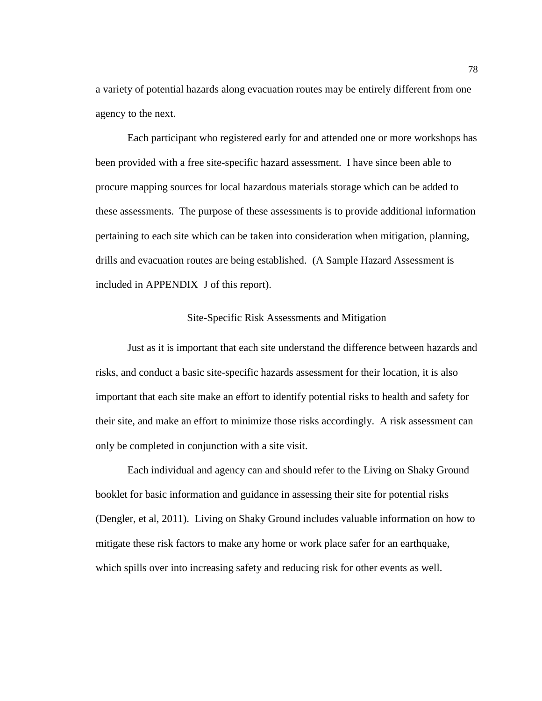a variety of potential hazards along evacuation routes may be entirely different from one agency to the next.

Each participant who registered early for and attended one or more workshops has been provided with a free site-specific hazard assessment. I have since been able to procure mapping sources for local hazardous materials storage which can be added to these assessments. The purpose of these assessments is to provide additional information pertaining to each site which can be taken into consideration when mitigation, planning, drills and evacuation routes are being established. (A Sample Hazard Assessment is included in APPENDIX J of this report).

### Site-Specific Risk Assessments and Mitigation

Just as it is important that each site understand the difference between hazards and risks, and conduct a basic site-specific hazards assessment for their location, it is also important that each site make an effort to identify potential risks to health and safety for their site, and make an effort to minimize those risks accordingly. A risk assessment can only be completed in conjunction with a site visit.

Each individual and agency can and should refer to the Living on Shaky Ground booklet for basic information and guidance in assessing their site for potential risks (Dengler, et al, 2011). Living on Shaky Ground includes valuable information on how to mitigate these risk factors to make any home or work place safer for an earthquake, which spills over into increasing safety and reducing risk for other events as well.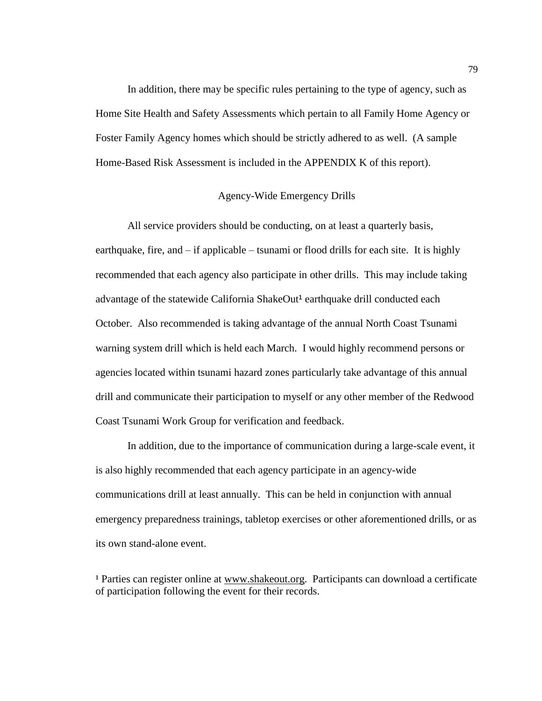In addition, there may be specific rules pertaining to the type of agency, such as Home Site Health and Safety Assessments which pertain to all Family Home Agency or Foster Family Agency homes which should be strictly adhered to as well. (A sample Home-Based Risk Assessment is included in the APPENDIX K of this report).

## Agency-Wide Emergency Drills

All service providers should be conducting, on at least a quarterly basis, earthquake, fire, and – if applicable – tsunami or flood drills for each site. It is highly recommended that each agency also participate in other drills. This may include taking advantage of the statewide California ShakeOut<sup>1</sup> earthquake drill conducted each October. Also recommended is taking advantage of the annual North Coast Tsunami warning system drill which is held each March. I would highly recommend persons or agencies located within tsunami hazard zones particularly take advantage of this annual drill and communicate their participation to myself or any other member of the Redwood Coast Tsunami Work Group for verification and feedback.

In addition, due to the importance of communication during a large-scale event, it is also highly recommended that each agency participate in an agency-wide communications drill at least annually. This can be held in conjunction with annual emergency preparedness trainings, tabletop exercises or other aforementioned drills, or as its own stand-alone event.

<sup>1</sup> Parties can register online at [www.shakeout.org.](http://www.shakeout.org/) Participants can download a certificate of participation following the event for their records.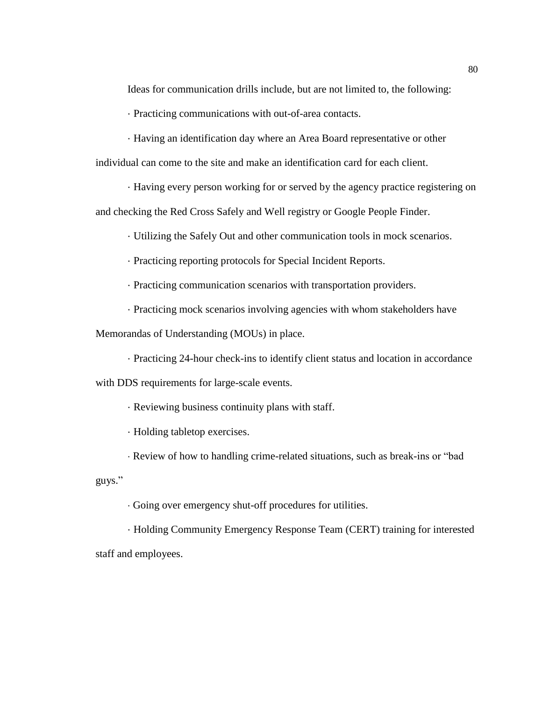Ideas for communication drills include, but are not limited to, the following:

· Practicing communications with out-of-area contacts.

· Having an identification day where an Area Board representative or other

individual can come to the site and make an identification card for each client.

· Having every person working for or served by the agency practice registering on

and checking the Red Cross Safely and Well registry or Google People Finder.

· Utilizing the Safely Out and other communication tools in mock scenarios.

· Practicing reporting protocols for Special Incident Reports.

· Practicing communication scenarios with transportation providers.

· Practicing mock scenarios involving agencies with whom stakeholders have

Memorandas of Understanding (MOUs) in place.

· Practicing 24-hour check-ins to identify client status and location in accordance

with DDS requirements for large-scale events.

· Reviewing business continuity plans with staff.

· Holding tabletop exercises.

· Review of how to handling crime-related situations, such as break-ins or "bad

guys."

· Going over emergency shut-off procedures for utilities.

· Holding Community Emergency Response Team (CERT) training for interested staff and employees.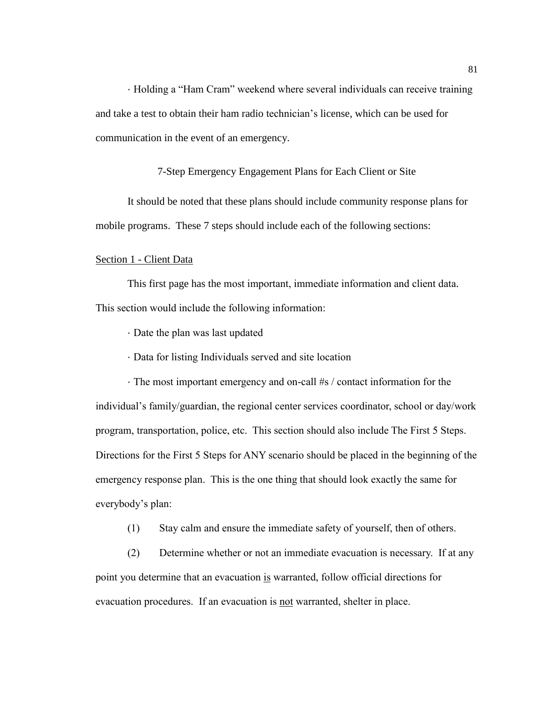· Holding a "Ham Cram" weekend where several individuals can receive training and take a test to obtain their ham radio technician's license, which can be used for communication in the event of an emergency.

7-Step Emergency Engagement Plans for Each Client or Site

It should be noted that these plans should include community response plans for mobile programs. These 7 steps should include each of the following sections:

#### Section 1 - Client Data

This first page has the most important, immediate information and client data. This section would include the following information:

- · Date the plan was last updated
- · Data for listing Individuals served and site location

 · The most important emergency and on-call #s / contact information for the individual's family/guardian, the regional center services coordinator, school or day/work program, transportation, police, etc. This section should also include The First 5 Steps. Directions for the First 5 Steps for ANY scenario should be placed in the beginning of the emergency response plan. This is the one thing that should look exactly the same for everybody's plan:

(1) Stay calm and ensure the immediate safety of yourself, then of others.

(2) Determine whether or not an immediate evacuation is necessary. If at any point you determine that an evacuation is warranted, follow official directions for evacuation procedures. If an evacuation is not warranted, shelter in place.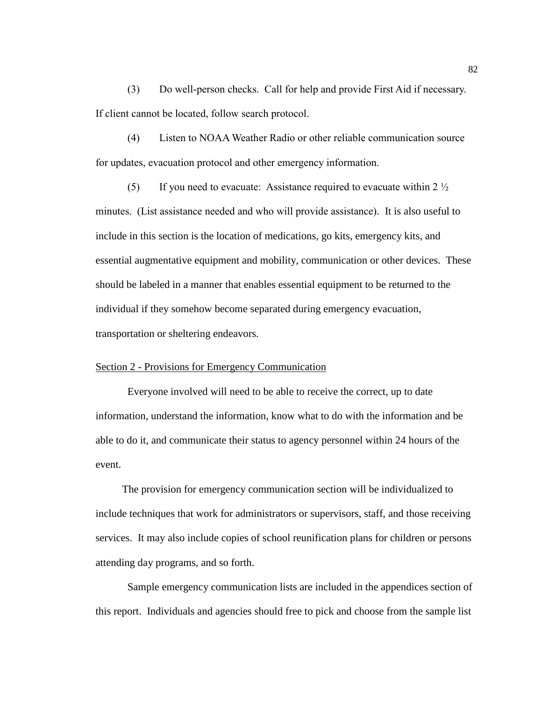(3) Do well-person checks. Call for help and provide First Aid if necessary. If client cannot be located, follow search protocol.

(4) Listen to NOAA Weather Radio or other reliable communication source for updates, evacuation protocol and other emergency information.

(5) If you need to evacuate: Assistance required to evacuate within 2  $\frac{1}{2}$ minutes. (List assistance needed and who will provide assistance). It is also useful to include in this section is the location of medications, go kits, emergency kits, and essential augmentative equipment and mobility, communication or other devices. These should be labeled in a manner that enables essential equipment to be returned to the individual if they somehow become separated during emergency evacuation, transportation or sheltering endeavors.

#### Section 2 - Provisions for Emergency Communication

Everyone involved will need to be able to receive the correct, up to date information, understand the information, know what to do with the information and be able to do it, and communicate their status to agency personnel within 24 hours of the event.

 The provision for emergency communication section will be individualized to include techniques that work for administrators or supervisors, staff, and those receiving services. It may also include copies of school reunification plans for children or persons attending day programs, and so forth.

Sample emergency communication lists are included in the appendices section of this report. Individuals and agencies should free to pick and choose from the sample list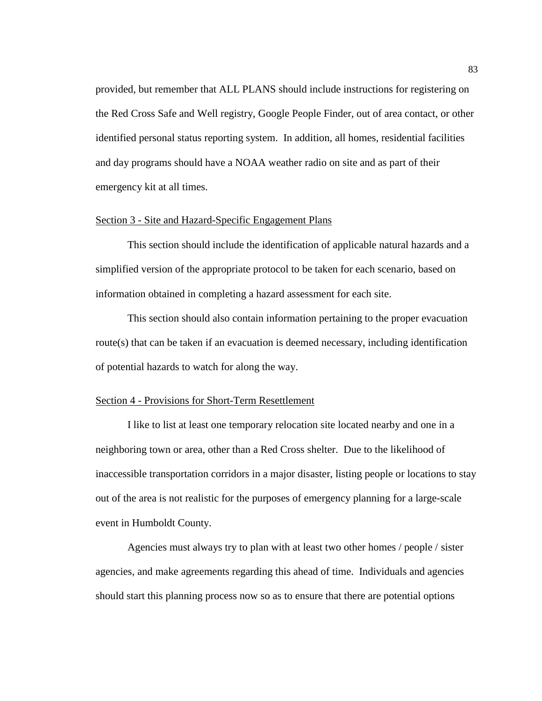provided, but remember that ALL PLANS should include instructions for registering on the Red Cross Safe and Well registry, Google People Finder, out of area contact, or other identified personal status reporting system. In addition, all homes, residential facilities and day programs should have a NOAA weather radio on site and as part of their emergency kit at all times.

#### Section 3 - Site and Hazard-Specific Engagement Plans

This section should include the identification of applicable natural hazards and a simplified version of the appropriate protocol to be taken for each scenario, based on information obtained in completing a hazard assessment for each site.

This section should also contain information pertaining to the proper evacuation route(s) that can be taken if an evacuation is deemed necessary, including identification of potential hazards to watch for along the way.

### Section 4 - Provisions for Short-Term Resettlement

I like to list at least one temporary relocation site located nearby and one in a neighboring town or area, other than a Red Cross shelter. Due to the likelihood of inaccessible transportation corridors in a major disaster, listing people or locations to stay out of the area is not realistic for the purposes of emergency planning for a large-scale event in Humboldt County.

Agencies must always try to plan with at least two other homes / people / sister agencies, and make agreements regarding this ahead of time. Individuals and agencies should start this planning process now so as to ensure that there are potential options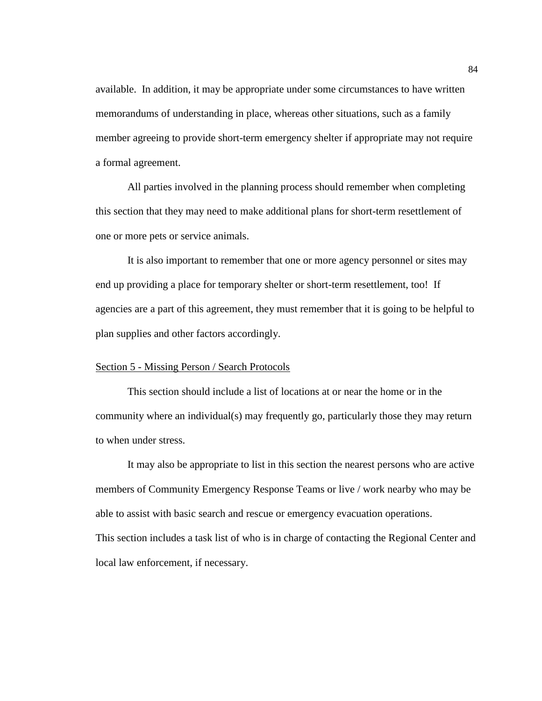available. In addition, it may be appropriate under some circumstances to have written memorandums of understanding in place, whereas other situations, such as a family member agreeing to provide short-term emergency shelter if appropriate may not require a formal agreement.

All parties involved in the planning process should remember when completing this section that they may need to make additional plans for short-term resettlement of one or more pets or service animals.

It is also important to remember that one or more agency personnel or sites may end up providing a place for temporary shelter or short-term resettlement, too! If agencies are a part of this agreement, they must remember that it is going to be helpful to plan supplies and other factors accordingly.

#### Section 5 - Missing Person / Search Protocols

This section should include a list of locations at or near the home or in the community where an individual(s) may frequently go, particularly those they may return to when under stress.

It may also be appropriate to list in this section the nearest persons who are active members of Community Emergency Response Teams or live / work nearby who may be able to assist with basic search and rescue or emergency evacuation operations. This section includes a task list of who is in charge of contacting the Regional Center and local law enforcement, if necessary.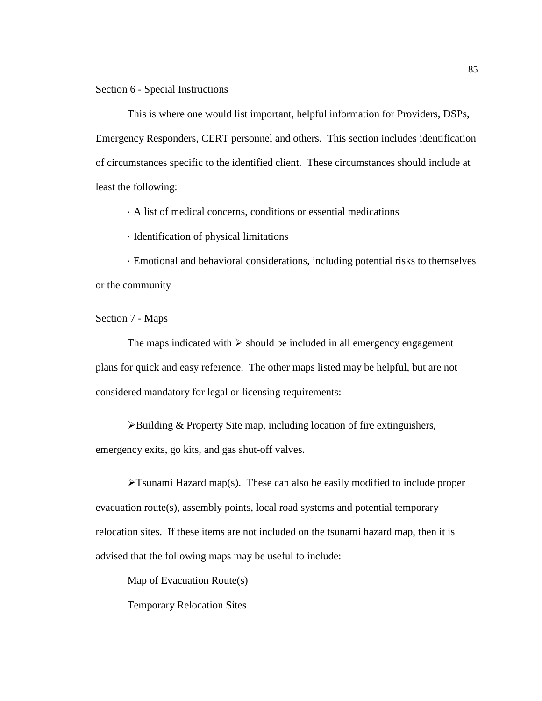### Section 6 - Special Instructions

This is where one would list important, helpful information for Providers, DSPs, Emergency Responders, CERT personnel and others. This section includes identification of circumstances specific to the identified client. These circumstances should include at least the following:

· A list of medical concerns, conditions or essential medications

· Identification of physical limitations

· Emotional and behavioral considerations, including potential risks to themselves or the community

# Section 7 - Maps

The maps indicated with  $\triangleright$  should be included in all emergency engagement plans for quick and easy reference. The other maps listed may be helpful, but are not considered mandatory for legal or licensing requirements:

➢Building & Property Site map, including location of fire extinguishers, emergency exits, go kits, and gas shut-off valves.

 $\blacktriangleright$ Tsunami Hazard map(s). These can also be easily modified to include proper evacuation route(s), assembly points, local road systems and potential temporary relocation sites. If these items are not included on the tsunami hazard map, then it is advised that the following maps may be useful to include:

Map of Evacuation Route(s)

Temporary Relocation Sites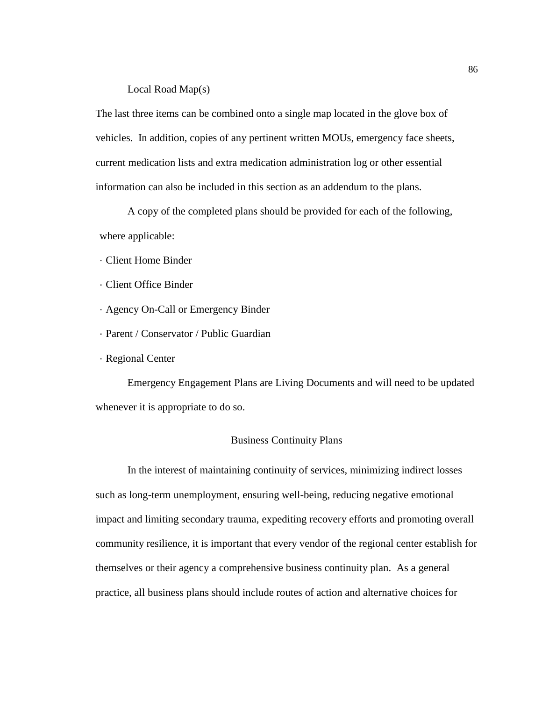# Local Road Map(s)

The last three items can be combined onto a single map located in the glove box of vehicles. In addition, copies of any pertinent written MOUs, emergency face sheets, current medication lists and extra medication administration log or other essential information can also be included in this section as an addendum to the plans.

A copy of the completed plans should be provided for each of the following, where applicable:

- · Client Home Binder
- · Client Office Binder
- · Agency On-Call or Emergency Binder
- · Parent / Conservator / Public Guardian
- · Regional Center

Emergency Engagement Plans are Living Documents and will need to be updated whenever it is appropriate to do so.

# Business Continuity Plans

In the interest of maintaining continuity of services, minimizing indirect losses such as long-term unemployment, ensuring well-being, reducing negative emotional impact and limiting secondary trauma, expediting recovery efforts and promoting overall community resilience, it is important that every vendor of the regional center establish for themselves or their agency a comprehensive business continuity plan. As a general practice, all business plans should include routes of action and alternative choices for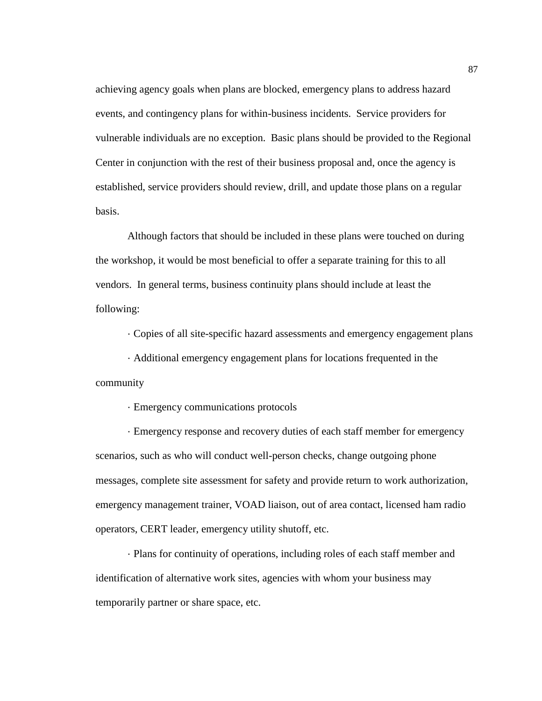achieving agency goals when plans are blocked, emergency plans to address hazard events, and contingency plans for within-business incidents. Service providers for vulnerable individuals are no exception. Basic plans should be provided to the Regional Center in conjunction with the rest of their business proposal and, once the agency is established, service providers should review, drill, and update those plans on a regular basis.

Although factors that should be included in these plans were touched on during the workshop, it would be most beneficial to offer a separate training for this to all vendors. In general terms, business continuity plans should include at least the following:

· Copies of all site-specific hazard assessments and emergency engagement plans

· Additional emergency engagement plans for locations frequented in the community

· Emergency communications protocols

· Emergency response and recovery duties of each staff member for emergency scenarios, such as who will conduct well-person checks, change outgoing phone messages, complete site assessment for safety and provide return to work authorization, emergency management trainer, VOAD liaison, out of area contact, licensed ham radio operators, CERT leader, emergency utility shutoff, etc.

· Plans for continuity of operations, including roles of each staff member and identification of alternative work sites, agencies with whom your business may temporarily partner or share space, etc.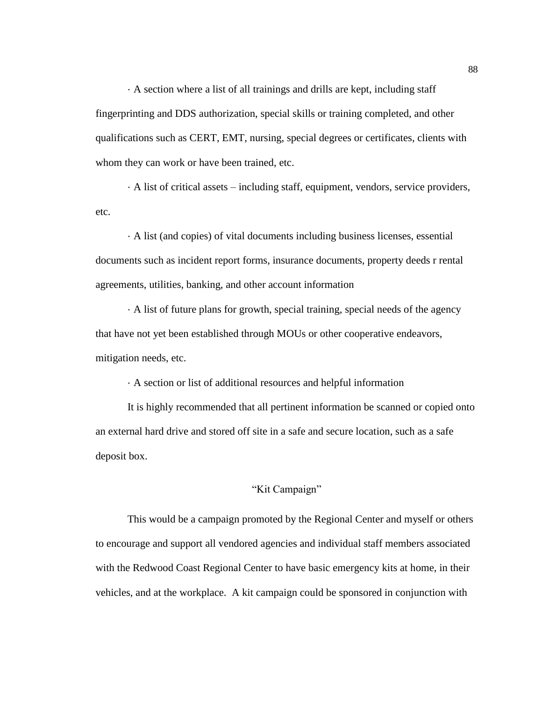· A section where a list of all trainings and drills are kept, including staff fingerprinting and DDS authorization, special skills or training completed, and other qualifications such as CERT, EMT, nursing, special degrees or certificates, clients with whom they can work or have been trained, etc.

· A list of critical assets – including staff, equipment, vendors, service providers, etc.

· A list (and copies) of vital documents including business licenses, essential documents such as incident report forms, insurance documents, property deeds r rental agreements, utilities, banking, and other account information

· A list of future plans for growth, special training, special needs of the agency that have not yet been established through MOUs or other cooperative endeavors, mitigation needs, etc.

· A section or list of additional resources and helpful information

It is highly recommended that all pertinent information be scanned or copied onto an external hard drive and stored off site in a safe and secure location, such as a safe deposit box.

# "Kit Campaign"

This would be a campaign promoted by the Regional Center and myself or others to encourage and support all vendored agencies and individual staff members associated with the Redwood Coast Regional Center to have basic emergency kits at home, in their vehicles, and at the workplace. A kit campaign could be sponsored in conjunction with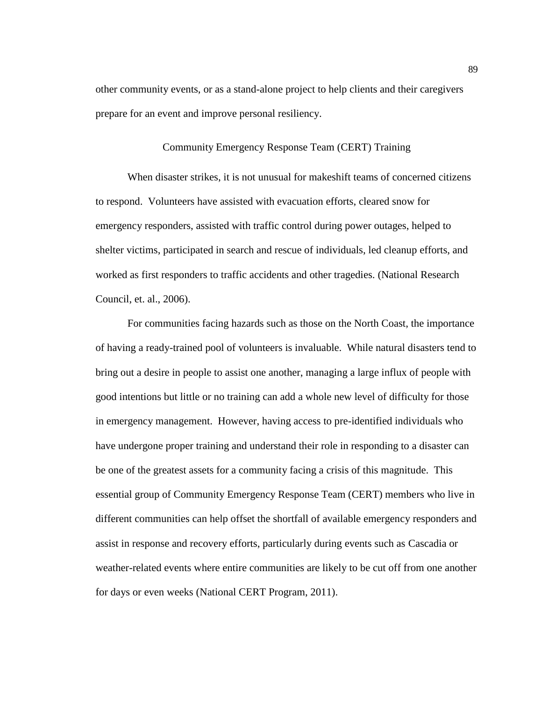other community events, or as a stand-alone project to help clients and their caregivers prepare for an event and improve personal resiliency.

# Community Emergency Response Team (CERT) Training

When disaster strikes, it is not unusual for makeshift teams of concerned citizens to respond. Volunteers have assisted with evacuation efforts, cleared snow for emergency responders, assisted with traffic control during power outages, helped to shelter victims, participated in search and rescue of individuals, led cleanup efforts, and worked as first responders to traffic accidents and other tragedies. (National Research Council, et. al., 2006).

For communities facing hazards such as those on the North Coast, the importance of having a ready-trained pool of volunteers is invaluable. While natural disasters tend to bring out a desire in people to assist one another, managing a large influx of people with good intentions but little or no training can add a whole new level of difficulty for those in emergency management. However, having access to pre-identified individuals who have undergone proper training and understand their role in responding to a disaster can be one of the greatest assets for a community facing a crisis of this magnitude. This essential group of Community Emergency Response Team (CERT) members who live in different communities can help offset the shortfall of available emergency responders and assist in response and recovery efforts, particularly during events such as Cascadia or weather-related events where entire communities are likely to be cut off from one another for days or even weeks (National CERT Program, 2011).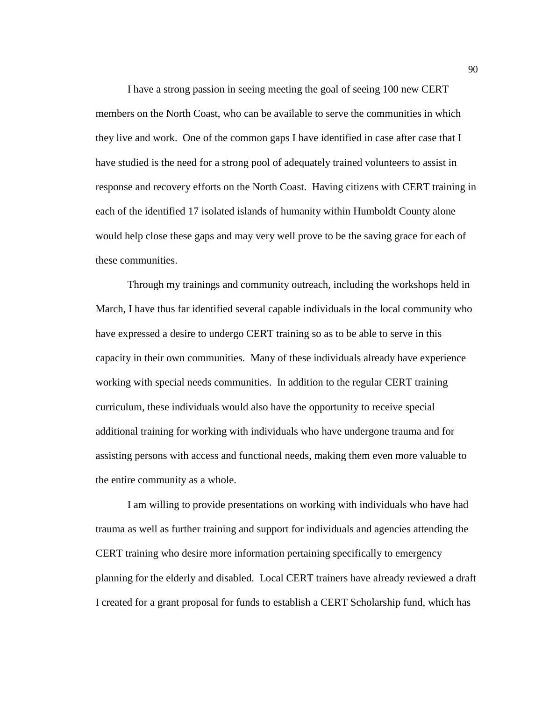I have a strong passion in seeing meeting the goal of seeing 100 new CERT members on the North Coast, who can be available to serve the communities in which they live and work. One of the common gaps I have identified in case after case that I have studied is the need for a strong pool of adequately trained volunteers to assist in response and recovery efforts on the North Coast. Having citizens with CERT training in each of the identified 17 isolated islands of humanity within Humboldt County alone would help close these gaps and may very well prove to be the saving grace for each of these communities.

Through my trainings and community outreach, including the workshops held in March, I have thus far identified several capable individuals in the local community who have expressed a desire to undergo CERT training so as to be able to serve in this capacity in their own communities. Many of these individuals already have experience working with special needs communities. In addition to the regular CERT training curriculum, these individuals would also have the opportunity to receive special additional training for working with individuals who have undergone trauma and for assisting persons with access and functional needs, making them even more valuable to the entire community as a whole.

I am willing to provide presentations on working with individuals who have had trauma as well as further training and support for individuals and agencies attending the CERT training who desire more information pertaining specifically to emergency planning for the elderly and disabled. Local CERT trainers have already reviewed a draft I created for a grant proposal for funds to establish a CERT Scholarship fund, which has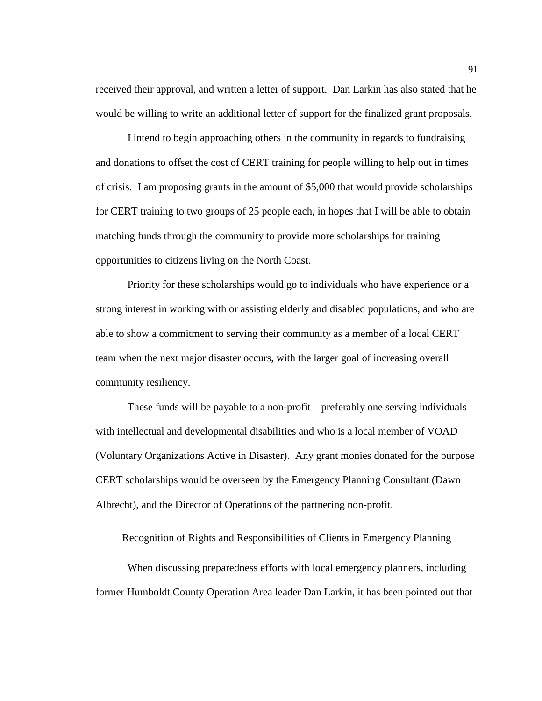received their approval, and written a letter of support. Dan Larkin has also stated that he would be willing to write an additional letter of support for the finalized grant proposals.

I intend to begin approaching others in the community in regards to fundraising and donations to offset the cost of CERT training for people willing to help out in times of crisis. I am proposing grants in the amount of \$5,000 that would provide scholarships for CERT training to two groups of 25 people each, in hopes that I will be able to obtain matching funds through the community to provide more scholarships for training opportunities to citizens living on the North Coast.

Priority for these scholarships would go to individuals who have experience or a strong interest in working with or assisting elderly and disabled populations, and who are able to show a commitment to serving their community as a member of a local CERT team when the next major disaster occurs, with the larger goal of increasing overall community resiliency.

These funds will be payable to a non-profit – preferably one serving individuals with intellectual and developmental disabilities and who is a local member of VOAD (Voluntary Organizations Active in Disaster). Any grant monies donated for the purpose CERT scholarships would be overseen by the Emergency Planning Consultant (Dawn Albrecht), and the Director of Operations of the partnering non-profit.

Recognition of Rights and Responsibilities of Clients in Emergency Planning

When discussing preparedness efforts with local emergency planners, including former Humboldt County Operation Area leader Dan Larkin, it has been pointed out that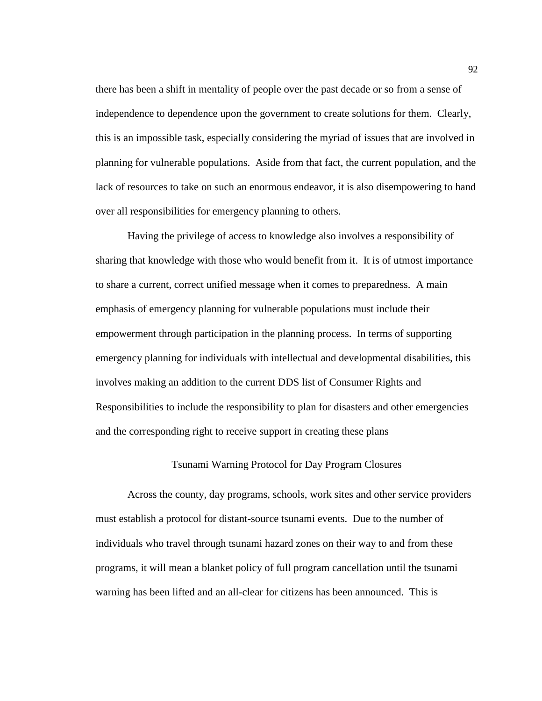there has been a shift in mentality of people over the past decade or so from a sense of independence to dependence upon the government to create solutions for them. Clearly, this is an impossible task, especially considering the myriad of issues that are involved in planning for vulnerable populations. Aside from that fact, the current population, and the lack of resources to take on such an enormous endeavor, it is also disempowering to hand over all responsibilities for emergency planning to others.

Having the privilege of access to knowledge also involves a responsibility of sharing that knowledge with those who would benefit from it. It is of utmost importance to share a current, correct unified message when it comes to preparedness. A main emphasis of emergency planning for vulnerable populations must include their empowerment through participation in the planning process. In terms of supporting emergency planning for individuals with intellectual and developmental disabilities, this involves making an addition to the current DDS list of Consumer Rights and Responsibilities to include the responsibility to plan for disasters and other emergencies and the corresponding right to receive support in creating these plans

# Tsunami Warning Protocol for Day Program Closures

Across the county, day programs, schools, work sites and other service providers must establish a protocol for distant-source tsunami events. Due to the number of individuals who travel through tsunami hazard zones on their way to and from these programs, it will mean a blanket policy of full program cancellation until the tsunami warning has been lifted and an all-clear for citizens has been announced. This is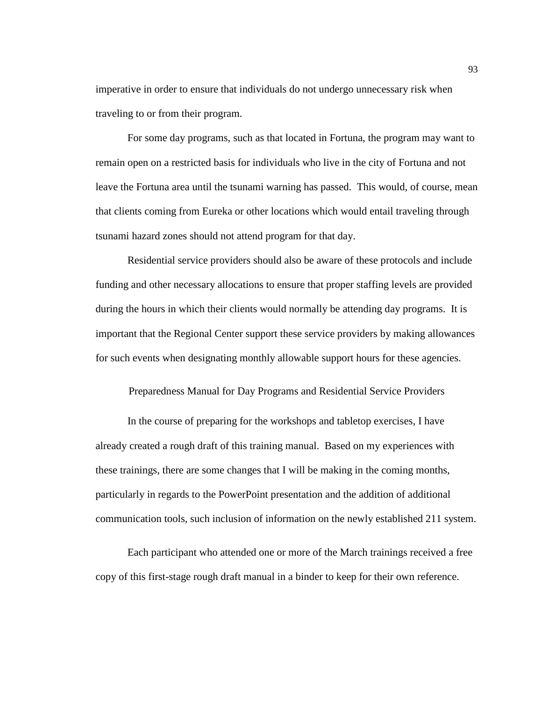imperative in order to ensure that individuals do not undergo unnecessary risk when traveling to or from their program.

For some day programs, such as that located in Fortuna, the program may want to remain open on a restricted basis for individuals who live in the city of Fortuna and not leave the Fortuna area until the tsunami warning has passed. This would, of course, mean that clients coming from Eureka or other locations which would entail traveling through tsunami hazard zones should not attend program for that day.

Residential service providers should also be aware of these protocols and include funding and other necessary allocations to ensure that proper staffing levels are provided during the hours in which their clients would normally be attending day programs. It is important that the Regional Center support these service providers by making allowances for such events when designating monthly allowable support hours for these agencies.

Preparedness Manual for Day Programs and Residential Service Providers

In the course of preparing for the workshops and tabletop exercises, I have already created a rough draft of this training manual. Based on my experiences with these trainings, there are some changes that I will be making in the coming months, particularly in regards to the PowerPoint presentation and the addition of additional communication tools, such inclusion of information on the newly established 211 system.

Each participant who attended one or more of the March trainings received a free copy of this first-stage rough draft manual in a binder to keep for their own reference.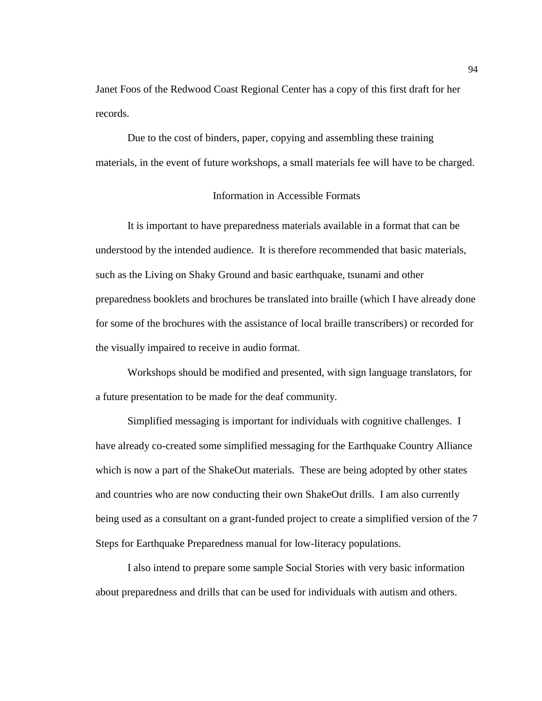Janet Foos of the Redwood Coast Regional Center has a copy of this first draft for her records.

Due to the cost of binders, paper, copying and assembling these training materials, in the event of future workshops, a small materials fee will have to be charged.

# Information in Accessible Formats

It is important to have preparedness materials available in a format that can be understood by the intended audience. It is therefore recommended that basic materials, such as the Living on Shaky Ground and basic earthquake, tsunami and other preparedness booklets and brochures be translated into braille (which I have already done for some of the brochures with the assistance of local braille transcribers) or recorded for the visually impaired to receive in audio format.

Workshops should be modified and presented, with sign language translators, for a future presentation to be made for the deaf community.

Simplified messaging is important for individuals with cognitive challenges. I have already co-created some simplified messaging for the Earthquake Country Alliance which is now a part of the ShakeOut materials. These are being adopted by other states and countries who are now conducting their own ShakeOut drills. I am also currently being used as a consultant on a grant-funded project to create a simplified version of the 7 Steps for Earthquake Preparedness manual for low-literacy populations.

I also intend to prepare some sample Social Stories with very basic information about preparedness and drills that can be used for individuals with autism and others.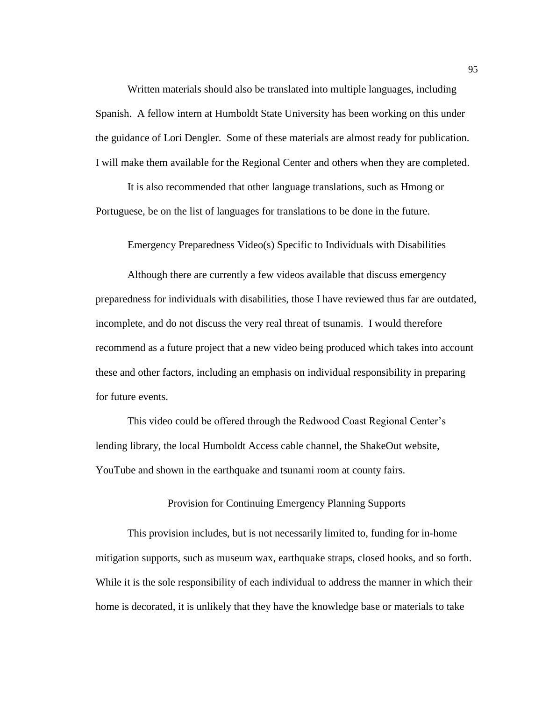Written materials should also be translated into multiple languages, including Spanish. A fellow intern at Humboldt State University has been working on this under the guidance of Lori Dengler. Some of these materials are almost ready for publication. I will make them available for the Regional Center and others when they are completed.

It is also recommended that other language translations, such as Hmong or Portuguese, be on the list of languages for translations to be done in the future.

Emergency Preparedness Video(s) Specific to Individuals with Disabilities

Although there are currently a few videos available that discuss emergency preparedness for individuals with disabilities, those I have reviewed thus far are outdated, incomplete, and do not discuss the very real threat of tsunamis. I would therefore recommend as a future project that a new video being produced which takes into account these and other factors, including an emphasis on individual responsibility in preparing for future events.

This video could be offered through the Redwood Coast Regional Center's lending library, the local Humboldt Access cable channel, the ShakeOut website, YouTube and shown in the earthquake and tsunami room at county fairs.

# Provision for Continuing Emergency Planning Supports

This provision includes, but is not necessarily limited to, funding for in-home mitigation supports, such as museum wax, earthquake straps, closed hooks, and so forth. While it is the sole responsibility of each individual to address the manner in which their home is decorated, it is unlikely that they have the knowledge base or materials to take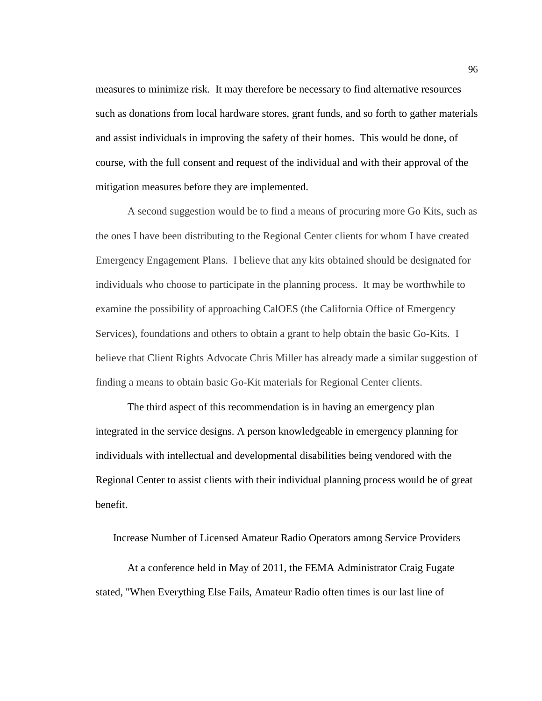measures to minimize risk. It may therefore be necessary to find alternative resources such as donations from local hardware stores, grant funds, and so forth to gather materials and assist individuals in improving the safety of their homes. This would be done, of course, with the full consent and request of the individual and with their approval of the mitigation measures before they are implemented.

A second suggestion would be to find a means of procuring more Go Kits, such as the ones I have been distributing to the Regional Center clients for whom I have created Emergency Engagement Plans. I believe that any kits obtained should be designated for individuals who choose to participate in the planning process. It may be worthwhile to examine the possibility of approaching CalOES (the California Office of Emergency Services), foundations and others to obtain a grant to help obtain the basic Go-Kits. I believe that Client Rights Advocate Chris Miller has already made a similar suggestion of finding a means to obtain basic Go-Kit materials for Regional Center clients.

The third aspect of this recommendation is in having an emergency plan integrated in the service designs. A person knowledgeable in emergency planning for individuals with intellectual and developmental disabilities being vendored with the Regional Center to assist clients with their individual planning process would be of great benefit.

Increase Number of Licensed Amateur Radio Operators among Service Providers

At a conference held in May of 2011, the FEMA Administrator Craig Fugate stated, "When Everything Else Fails, Amateur Radio often times is our last line of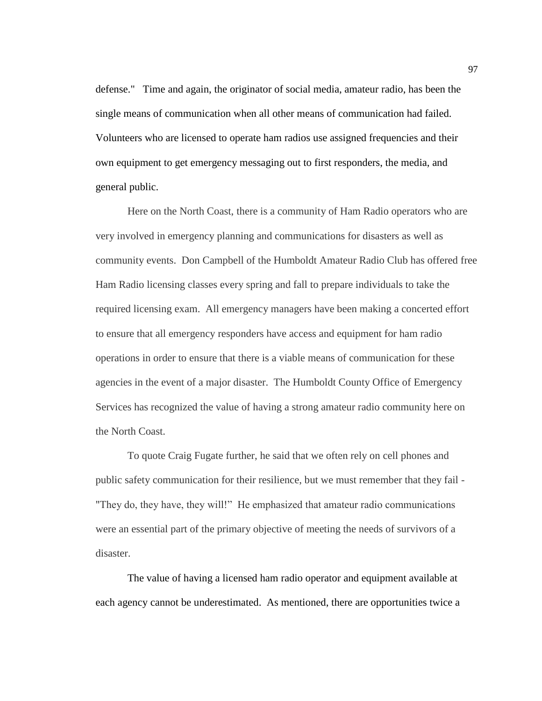defense." Time and again, the originator of social media, amateur radio, has been the single means of communication when all other means of communication had failed. Volunteers who are licensed to operate ham radios use assigned frequencies and their own equipment to get emergency messaging out to first responders, the media, and general public.

Here on the North Coast, there is a community of Ham Radio operators who are very involved in emergency planning and communications for disasters as well as community events. Don Campbell of the Humboldt Amateur Radio Club has offered free Ham Radio licensing classes every spring and fall to prepare individuals to take the required licensing exam. All emergency managers have been making a concerted effort to ensure that all emergency responders have access and equipment for ham radio operations in order to ensure that there is a viable means of communication for these agencies in the event of a major disaster. The Humboldt County Office of Emergency Services has recognized the value of having a strong amateur radio community here on the North Coast.

To quote Craig Fugate further, he said that we often rely on cell phones and public safety communication for their resilience, but we must remember that they fail - "They do, they have, they will!" He emphasized that amateur radio communications were an essential part of the primary objective of meeting the needs of survivors of a disaster.

The value of having a licensed ham radio operator and equipment available at each agency cannot be underestimated. As mentioned, there are opportunities twice a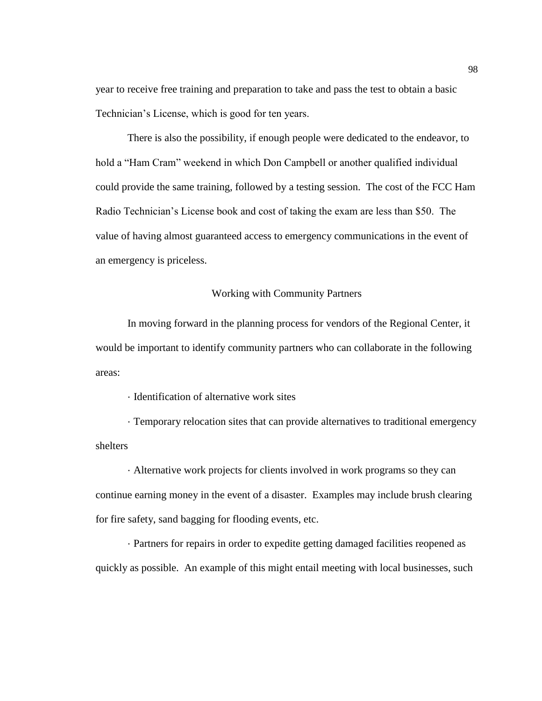year to receive free training and preparation to take and pass the test to obtain a basic Technician's License, which is good for ten years.

There is also the possibility, if enough people were dedicated to the endeavor, to hold a "Ham Cram" weekend in which Don Campbell or another qualified individual could provide the same training, followed by a testing session. The cost of the FCC Ham Radio Technician's License book and cost of taking the exam are less than \$50. The value of having almost guaranteed access to emergency communications in the event of an emergency is priceless.

### Working with Community Partners

In moving forward in the planning process for vendors of the Regional Center, it would be important to identify community partners who can collaborate in the following areas:

· Identification of alternative work sites

· Temporary relocation sites that can provide alternatives to traditional emergency shelters

· Alternative work projects for clients involved in work programs so they can continue earning money in the event of a disaster. Examples may include brush clearing for fire safety, sand bagging for flooding events, etc.

· Partners for repairs in order to expedite getting damaged facilities reopened as quickly as possible. An example of this might entail meeting with local businesses, such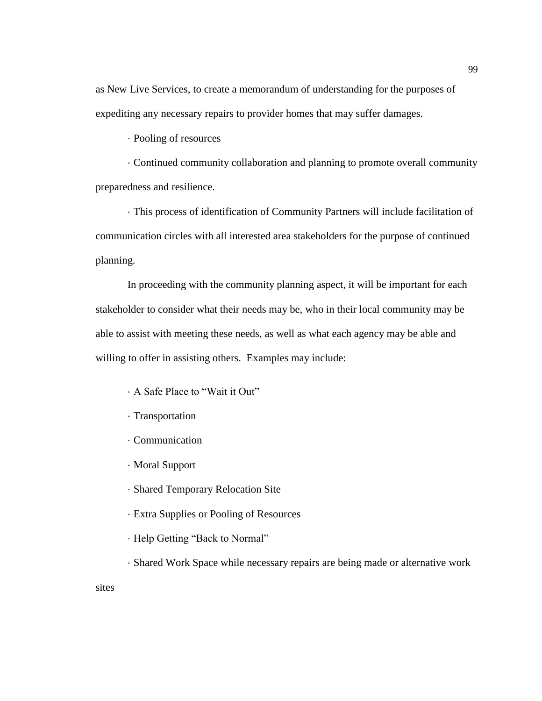as New Live Services, to create a memorandum of understanding for the purposes of expediting any necessary repairs to provider homes that may suffer damages.

· Pooling of resources

· Continued community collaboration and planning to promote overall community preparedness and resilience.

· This process of identification of Community Partners will include facilitation of communication circles with all interested area stakeholders for the purpose of continued planning.

In proceeding with the community planning aspect, it will be important for each stakeholder to consider what their needs may be, who in their local community may be able to assist with meeting these needs, as well as what each agency may be able and willing to offer in assisting others. Examples may include:

- · A Safe Place to "Wait it Out"
- · Transportation
- · Communication
- · Moral Support
- · Shared Temporary Relocation Site
- · Extra Supplies or Pooling of Resources
- · Help Getting "Back to Normal"
- · Shared Work Space while necessary repairs are being made or alternative work

sites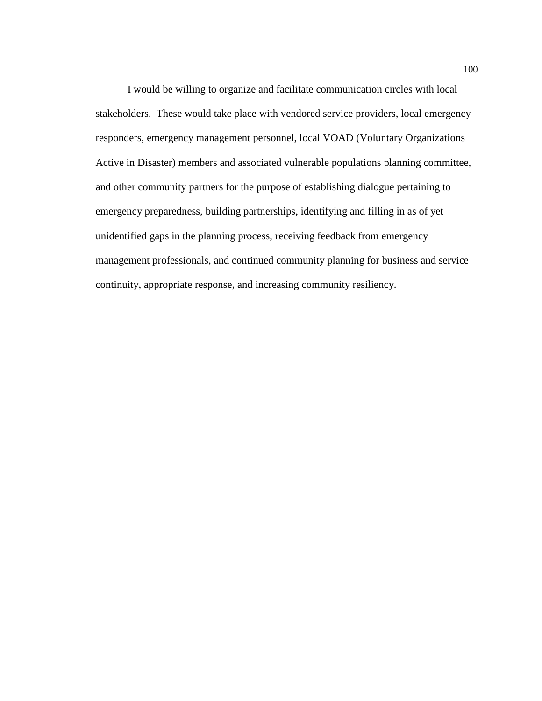I would be willing to organize and facilitate communication circles with local stakeholders. These would take place with vendored service providers, local emergency responders, emergency management personnel, local VOAD (Voluntary Organizations Active in Disaster) members and associated vulnerable populations planning committee, and other community partners for the purpose of establishing dialogue pertaining to emergency preparedness, building partnerships, identifying and filling in as of yet unidentified gaps in the planning process, receiving feedback from emergency management professionals, and continued community planning for business and service continuity, appropriate response, and increasing community resiliency.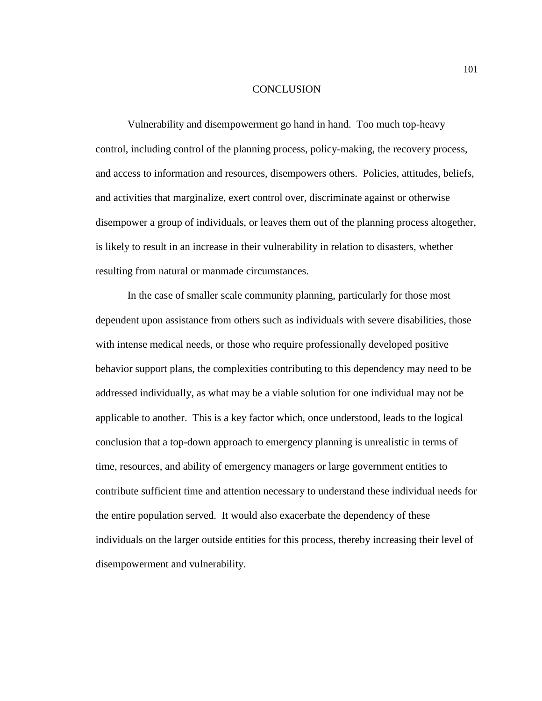#### **CONCLUSION**

Vulnerability and disempowerment go hand in hand. Too much top-heavy control, including control of the planning process, policy-making, the recovery process, and access to information and resources, disempowers others. Policies, attitudes, beliefs, and activities that marginalize, exert control over, discriminate against or otherwise disempower a group of individuals, or leaves them out of the planning process altogether, is likely to result in an increase in their vulnerability in relation to disasters, whether resulting from natural or manmade circumstances.

In the case of smaller scale community planning, particularly for those most dependent upon assistance from others such as individuals with severe disabilities, those with intense medical needs, or those who require professionally developed positive behavior support plans, the complexities contributing to this dependency may need to be addressed individually, as what may be a viable solution for one individual may not be applicable to another. This is a key factor which, once understood, leads to the logical conclusion that a top-down approach to emergency planning is unrealistic in terms of time, resources, and ability of emergency managers or large government entities to contribute sufficient time and attention necessary to understand these individual needs for the entire population served. It would also exacerbate the dependency of these individuals on the larger outside entities for this process, thereby increasing their level of disempowerment and vulnerability.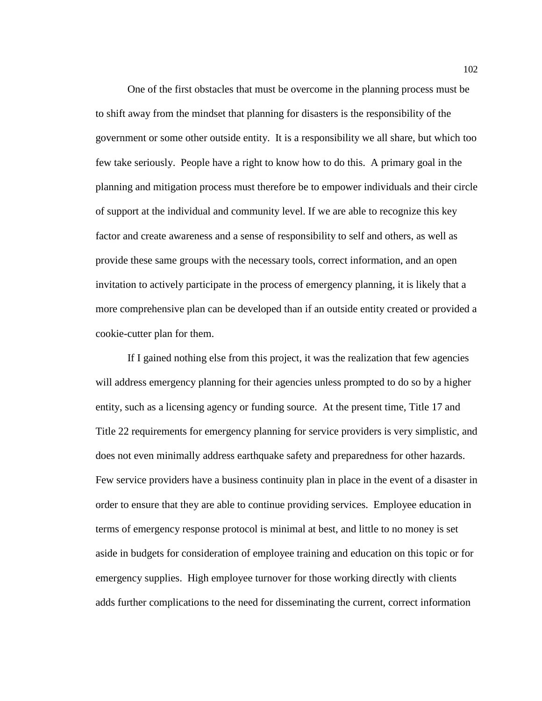One of the first obstacles that must be overcome in the planning process must be to shift away from the mindset that planning for disasters is the responsibility of the government or some other outside entity. It is a responsibility we all share, but which too few take seriously. People have a right to know how to do this. A primary goal in the planning and mitigation process must therefore be to empower individuals and their circle of support at the individual and community level. If we are able to recognize this key factor and create awareness and a sense of responsibility to self and others, as well as provide these same groups with the necessary tools, correct information, and an open invitation to actively participate in the process of emergency planning, it is likely that a more comprehensive plan can be developed than if an outside entity created or provided a cookie-cutter plan for them.

If I gained nothing else from this project, it was the realization that few agencies will address emergency planning for their agencies unless prompted to do so by a higher entity, such as a licensing agency or funding source. At the present time, Title 17 and Title 22 requirements for emergency planning for service providers is very simplistic, and does not even minimally address earthquake safety and preparedness for other hazards. Few service providers have a business continuity plan in place in the event of a disaster in order to ensure that they are able to continue providing services. Employee education in terms of emergency response protocol is minimal at best, and little to no money is set aside in budgets for consideration of employee training and education on this topic or for emergency supplies. High employee turnover for those working directly with clients adds further complications to the need for disseminating the current, correct information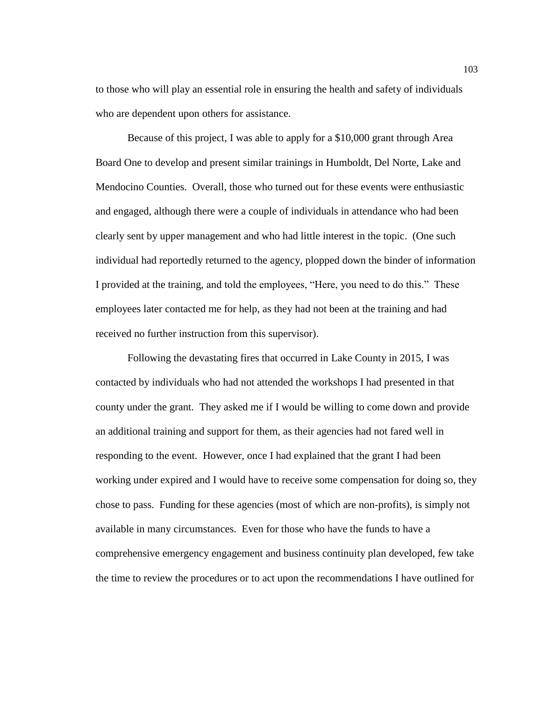to those who will play an essential role in ensuring the health and safety of individuals who are dependent upon others for assistance.

Because of this project, I was able to apply for a \$10,000 grant through Area Board One to develop and present similar trainings in Humboldt, Del Norte, Lake and Mendocino Counties. Overall, those who turned out for these events were enthusiastic and engaged, although there were a couple of individuals in attendance who had been clearly sent by upper management and who had little interest in the topic. (One such individual had reportedly returned to the agency, plopped down the binder of information I provided at the training, and told the employees, "Here, you need to do this." These employees later contacted me for help, as they had not been at the training and had received no further instruction from this supervisor).

Following the devastating fires that occurred in Lake County in 2015, I was contacted by individuals who had not attended the workshops I had presented in that county under the grant. They asked me if I would be willing to come down and provide an additional training and support for them, as their agencies had not fared well in responding to the event. However, once I had explained that the grant I had been working under expired and I would have to receive some compensation for doing so, they chose to pass. Funding for these agencies (most of which are non-profits), is simply not available in many circumstances. Even for those who have the funds to have a comprehensive emergency engagement and business continuity plan developed, few take the time to review the procedures or to act upon the recommendations I have outlined for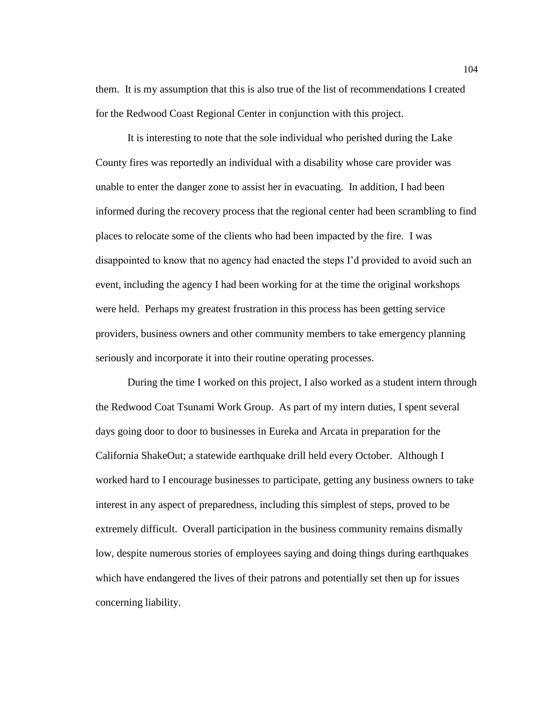them. It is my assumption that this is also true of the list of recommendations I created for the Redwood Coast Regional Center in conjunction with this project.

It is interesting to note that the sole individual who perished during the Lake County fires was reportedly an individual with a disability whose care provider was unable to enter the danger zone to assist her in evacuating. In addition, I had been informed during the recovery process that the regional center had been scrambling to find places to relocate some of the clients who had been impacted by the fire. I was disappointed to know that no agency had enacted the steps I'd provided to avoid such an event, including the agency I had been working for at the time the original workshops were held. Perhaps my greatest frustration in this process has been getting service providers, business owners and other community members to take emergency planning seriously and incorporate it into their routine operating processes.

During the time I worked on this project, I also worked as a student intern through the Redwood Coat Tsunami Work Group. As part of my intern duties, I spent several days going door to door to businesses in Eureka and Arcata in preparation for the California ShakeOut; a statewide earthquake drill held every October. Although I worked hard to I encourage businesses to participate, getting any business owners to take interest in any aspect of preparedness, including this simplest of steps, proved to be extremely difficult. Overall participation in the business community remains dismally low, despite numerous stories of employees saying and doing things during earthquakes which have endangered the lives of their patrons and potentially set then up for issues concerning liability.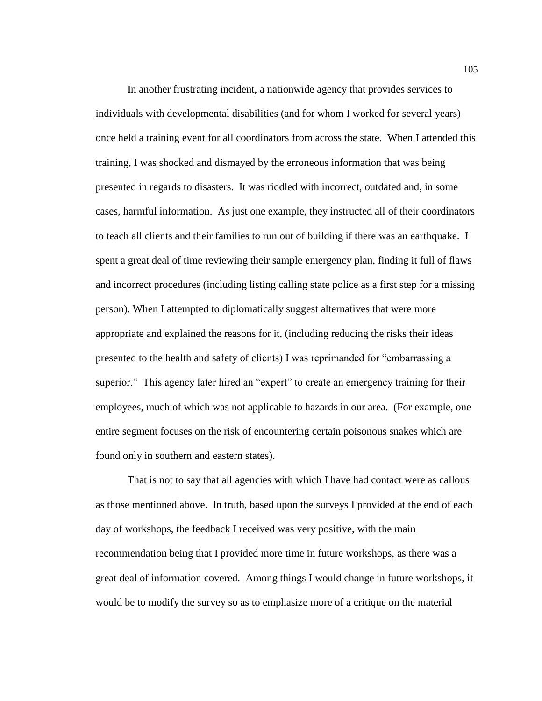In another frustrating incident, a nationwide agency that provides services to individuals with developmental disabilities (and for whom I worked for several years) once held a training event for all coordinators from across the state. When I attended this training, I was shocked and dismayed by the erroneous information that was being presented in regards to disasters. It was riddled with incorrect, outdated and, in some cases, harmful information. As just one example, they instructed all of their coordinators to teach all clients and their families to run out of building if there was an earthquake. I spent a great deal of time reviewing their sample emergency plan, finding it full of flaws and incorrect procedures (including listing calling state police as a first step for a missing person). When I attempted to diplomatically suggest alternatives that were more appropriate and explained the reasons for it, (including reducing the risks their ideas presented to the health and safety of clients) I was reprimanded for "embarrassing a superior." This agency later hired an "expert" to create an emergency training for their employees, much of which was not applicable to hazards in our area. (For example, one entire segment focuses on the risk of encountering certain poisonous snakes which are found only in southern and eastern states).

That is not to say that all agencies with which I have had contact were as callous as those mentioned above. In truth, based upon the surveys I provided at the end of each day of workshops, the feedback I received was very positive, with the main recommendation being that I provided more time in future workshops, as there was a great deal of information covered. Among things I would change in future workshops, it would be to modify the survey so as to emphasize more of a critique on the material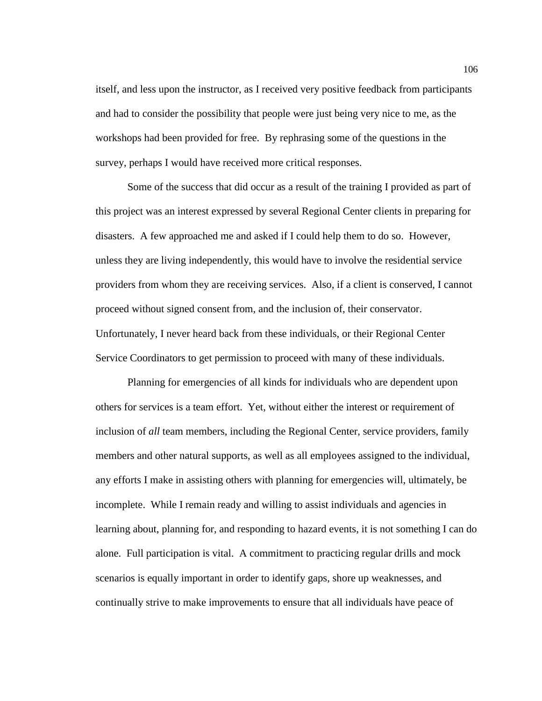itself, and less upon the instructor, as I received very positive feedback from participants and had to consider the possibility that people were just being very nice to me, as the workshops had been provided for free. By rephrasing some of the questions in the survey, perhaps I would have received more critical responses.

Some of the success that did occur as a result of the training I provided as part of this project was an interest expressed by several Regional Center clients in preparing for disasters. A few approached me and asked if I could help them to do so. However, unless they are living independently, this would have to involve the residential service providers from whom they are receiving services. Also, if a client is conserved, I cannot proceed without signed consent from, and the inclusion of, their conservator. Unfortunately, I never heard back from these individuals, or their Regional Center Service Coordinators to get permission to proceed with many of these individuals.

Planning for emergencies of all kinds for individuals who are dependent upon others for services is a team effort. Yet, without either the interest or requirement of inclusion of *all* team members, including the Regional Center, service providers, family members and other natural supports, as well as all employees assigned to the individual, any efforts I make in assisting others with planning for emergencies will, ultimately, be incomplete. While I remain ready and willing to assist individuals and agencies in learning about, planning for, and responding to hazard events, it is not something I can do alone. Full participation is vital. A commitment to practicing regular drills and mock scenarios is equally important in order to identify gaps, shore up weaknesses, and continually strive to make improvements to ensure that all individuals have peace of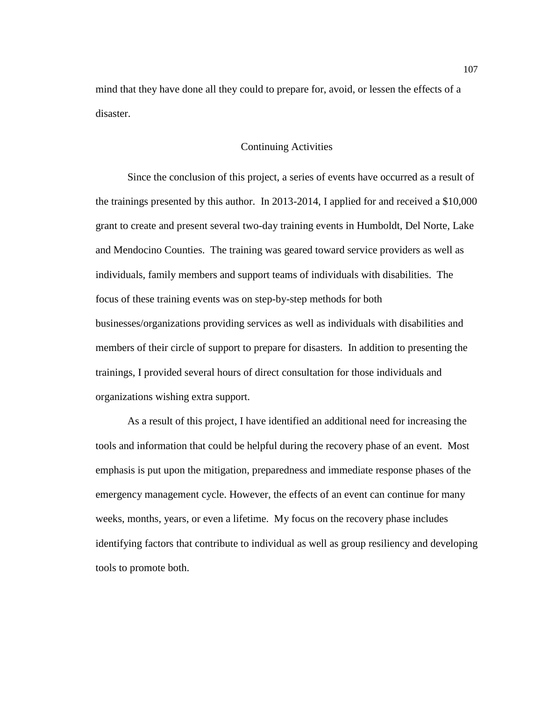mind that they have done all they could to prepare for, avoid, or lessen the effects of a disaster.

# Continuing Activities

Since the conclusion of this project, a series of events have occurred as a result of the trainings presented by this author. In 2013-2014, I applied for and received a \$10,000 grant to create and present several two-day training events in Humboldt, Del Norte, Lake and Mendocino Counties. The training was geared toward service providers as well as individuals, family members and support teams of individuals with disabilities. The focus of these training events was on step-by-step methods for both businesses/organizations providing services as well as individuals with disabilities and members of their circle of support to prepare for disasters. In addition to presenting the trainings, I provided several hours of direct consultation for those individuals and organizations wishing extra support.

As a result of this project, I have identified an additional need for increasing the tools and information that could be helpful during the recovery phase of an event. Most emphasis is put upon the mitigation, preparedness and immediate response phases of the emergency management cycle. However, the effects of an event can continue for many weeks, months, years, or even a lifetime. My focus on the recovery phase includes identifying factors that contribute to individual as well as group resiliency and developing tools to promote both.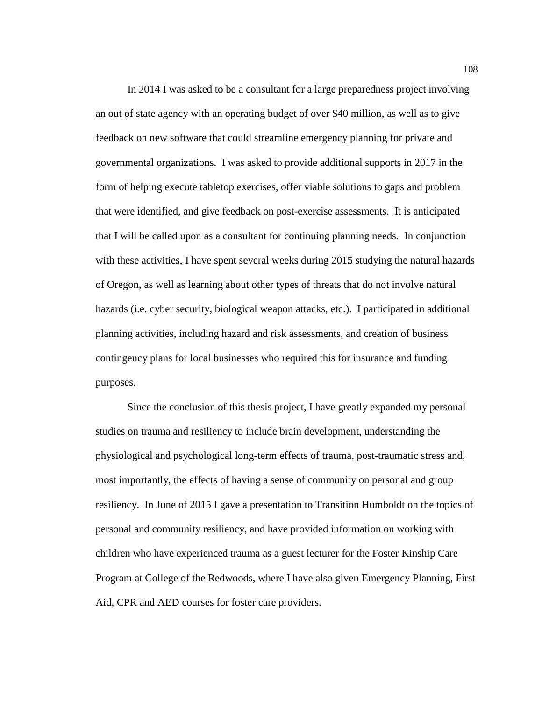In 2014 I was asked to be a consultant for a large preparedness project involving an out of state agency with an operating budget of over \$40 million, as well as to give feedback on new software that could streamline emergency planning for private and governmental organizations. I was asked to provide additional supports in 2017 in the form of helping execute tabletop exercises, offer viable solutions to gaps and problem that were identified, and give feedback on post-exercise assessments. It is anticipated that I will be called upon as a consultant for continuing planning needs. In conjunction with these activities, I have spent several weeks during 2015 studying the natural hazards of Oregon, as well as learning about other types of threats that do not involve natural hazards (i.e. cyber security, biological weapon attacks, etc.). I participated in additional planning activities, including hazard and risk assessments, and creation of business contingency plans for local businesses who required this for insurance and funding purposes.

Since the conclusion of this thesis project, I have greatly expanded my personal studies on trauma and resiliency to include brain development, understanding the physiological and psychological long-term effects of trauma, post-traumatic stress and, most importantly, the effects of having a sense of community on personal and group resiliency. In June of 2015 I gave a presentation to Transition Humboldt on the topics of personal and community resiliency, and have provided information on working with children who have experienced trauma as a guest lecturer for the Foster Kinship Care Program at College of the Redwoods, where I have also given Emergency Planning, First Aid, CPR and AED courses for foster care providers.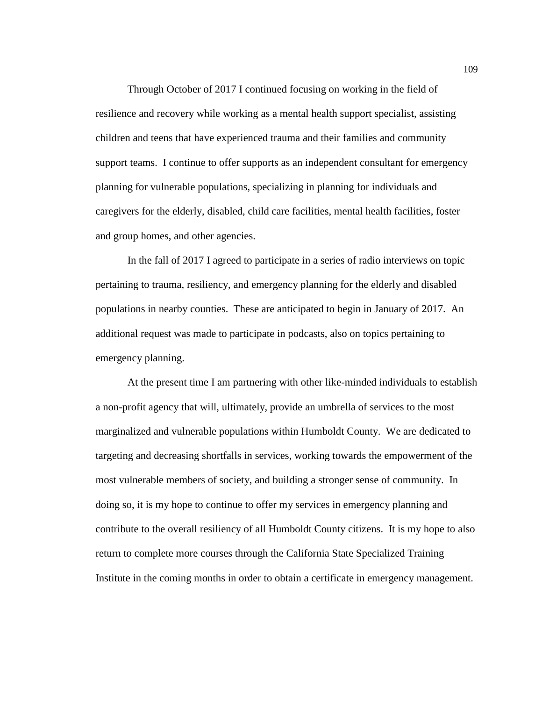Through October of 2017 I continued focusing on working in the field of resilience and recovery while working as a mental health support specialist, assisting children and teens that have experienced trauma and their families and community support teams. I continue to offer supports as an independent consultant for emergency planning for vulnerable populations, specializing in planning for individuals and caregivers for the elderly, disabled, child care facilities, mental health facilities, foster and group homes, and other agencies.

In the fall of 2017 I agreed to participate in a series of radio interviews on topic pertaining to trauma, resiliency, and emergency planning for the elderly and disabled populations in nearby counties. These are anticipated to begin in January of 2017. An additional request was made to participate in podcasts, also on topics pertaining to emergency planning.

At the present time I am partnering with other like-minded individuals to establish a non-profit agency that will, ultimately, provide an umbrella of services to the most marginalized and vulnerable populations within Humboldt County. We are dedicated to targeting and decreasing shortfalls in services, working towards the empowerment of the most vulnerable members of society, and building a stronger sense of community. In doing so, it is my hope to continue to offer my services in emergency planning and contribute to the overall resiliency of all Humboldt County citizens. It is my hope to also return to complete more courses through the California State Specialized Training Institute in the coming months in order to obtain a certificate in emergency management.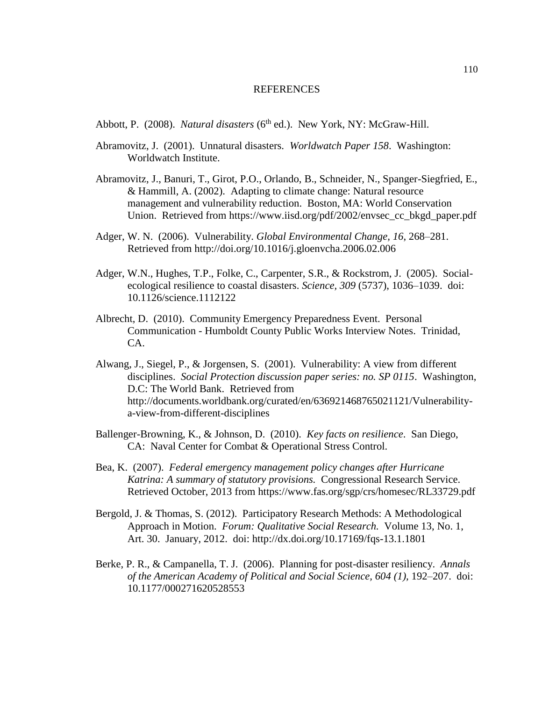#### REFERENCES

Abbott, P. (2008). *Natural disasters* (6<sup>th</sup> ed.). New York, NY: McGraw-Hill.

- Abramovitz, J. (2001). Unnatural disasters. *Worldwatch Paper 158*. Washington: Worldwatch Institute.
- Abramovitz, J., Banuri, T., Girot, P.O., Orlando, B., Schneider, N., Spanger-Siegfried, E., & Hammill, A. (2002). Adapting to climate change: Natural resource management and vulnerability reduction. Boston, MA: World Conservation Union. Retrieved from https://www.iisd.org/pdf/2002/envsec\_cc\_bkgd\_paper.pdf
- Adger, W. N. (2006). Vulnerability. *Global Environmental Change, 16*, 268–281. Retrieved from<http://doi.org/10.1016/j.gloenvcha.2006.02.006>
- Adger, W.N., Hughes, T.P., Folke, C., Carpenter, S.R., & Rockstrom, J. (2005). Socialecological resilience to coastal disasters. *Science, 309* (5737), 1036–1039. doi: [10.1126/science.1112122](https://doi.org/10.1126/science.1112122)
- Albrecht, D. (2010). Community Emergency Preparedness Event. Personal Communication - Humboldt County Public Works Interview Notes. Trinidad, CA.
- Alwang, J., Siegel, P., & Jorgensen, S. (2001). Vulnerability: A view from different disciplines. *Social Protection discussion paper series: no. SP 0115*. Washington, D.C: The World Bank. Retrieved from [http://documents.worldbank.org/curated/en/636921468765021121/Vulnerability](http://documents.worldbank.org/curated/en/636921468765021121/Vulnerability-a-view-from-different-disciplines)[a-view-from-different-disciplines](http://documents.worldbank.org/curated/en/636921468765021121/Vulnerability-a-view-from-different-disciplines)
- Ballenger-Browning, K., & Johnson, D. (2010). *Key facts on resilience*. San Diego, CA: Naval Center for Combat & Operational Stress Control.
- Bea, K. (2007). *Federal emergency management policy changes after Hurricane Katrina: A summary of statutory provisions.* Congressional Research Service. Retrieved October, 2013 from<https://www.fas.org/sgp/crs/homesec/RL33729.pdf>
- Bergold, J. & Thomas, S. (2012). Participatory Research Methods: A Methodological Approach in Motion. *Forum: Qualitative Social Research.* Volume 13, No. 1, Art. 30. January, 2012. doi: <http://dx.doi.org/10.17169/fqs-13.1.1801>
- Berke, P. R., & Campanella, T. J. (2006). Planning for post-disaster resiliency. *Annals of the American Academy of Political and Social Science, 604 (1),* 192–207. doi: 10.1177/000271620528553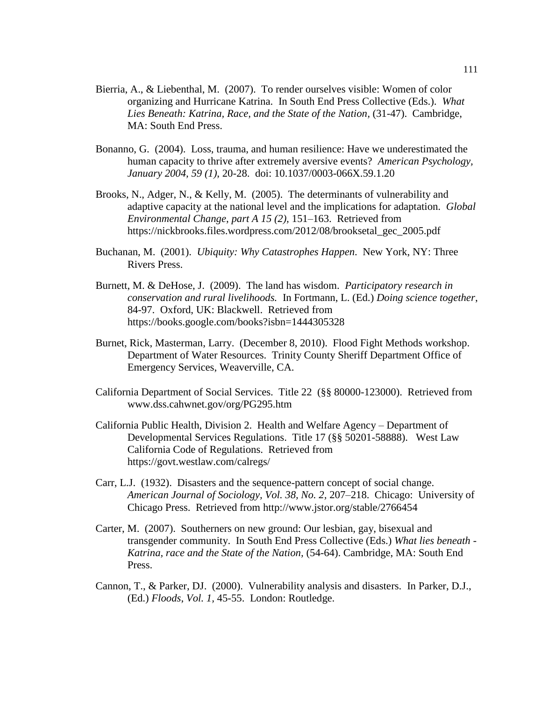- Bierria, A., & Liebenthal, M. (2007). To render ourselves visible: Women of color organizing and Hurricane Katrina. In South End Press Collective (Eds.). *What Lies Beneath: Katrina, Race, and the State of the Nation,* (31-47).Cambridge, MA: South End Press.
- Bonanno, G. (2004). Loss, trauma, and human resilience: Have we underestimated the human capacity to thrive after extremely aversive events? *American Psychology, January 2004, 59 (1)*, 20-28. doi: 10.1037/0003-066X.59.1.20
- Brooks, N., Adger, N., & Kelly, M. (2005). The determinants of vulnerability and adaptive capacity at the national level and the implications for adaptation. *Global Environmental Change*, *part A 15 (2),* 151–163. Retrieved from [https://nickbrooks.files.wordpress.com/2012/08/brooksetal\\_gec\\_2005.pdf](https://nickbrooks.files.wordpress.com/2012/08/brooksetal_gec_2005.pdf)
- Buchanan, M. (2001). *Ubiquity: Why Catastrophes Happen*. New York, NY: Three Rivers Press.
- Burnett, M. & DeHose, J. (2009). The land has wisdom. *Participatory research in conservation and rural livelihoods.* In Fortmann, L. (Ed.) *Doing science together*, 84-97. Oxford, UK: Blackwell. Retrieved from <https://books.google.com/books?isbn=1444305328>
- Burnet, Rick, Masterman, Larry. (December 8, 2010). Flood Fight Methods workshop. Department of Water Resources. Trinity County Sheriff Department Office of Emergency Services, Weaverville, CA.
- California Department of Social Services. Title 22 (§§ 80000-123000). Retrieved from [www.dss.cahwnet.gov/org/PG295.htm](http://www.dss.cahwnet.gov/org/PG295.htm)
- California Public Health, Division 2. Health and Welfare Agency Department of Developmental Services Regulations. Title 17 (§§ 50201-58888). West Law California Code of Regulations. Retrieved from <https://govt.westlaw.com/calregs/>
- Carr, L.J. (1932). Disasters and the sequence-pattern concept of social change. *American Journal of Sociology, Vol. 38, No. 2,* 207–218. Chicago: University of Chicago Press. Retrieved from<http://www.jstor.org/stable/2766454>
- Carter, M. (2007). Southerners on new ground: Our lesbian, gay, bisexual and transgender community. In South End Press Collective (Eds.) *What lies beneath - Katrina, race and the State of the Nation,* (54-64). Cambridge, MA: South End Press.
- Cannon, T., & Parker, DJ. (2000). Vulnerability analysis and disasters. In Parker, D.J., (Ed.) *Floods*, *Vol. 1,* 45-55. London: Routledge.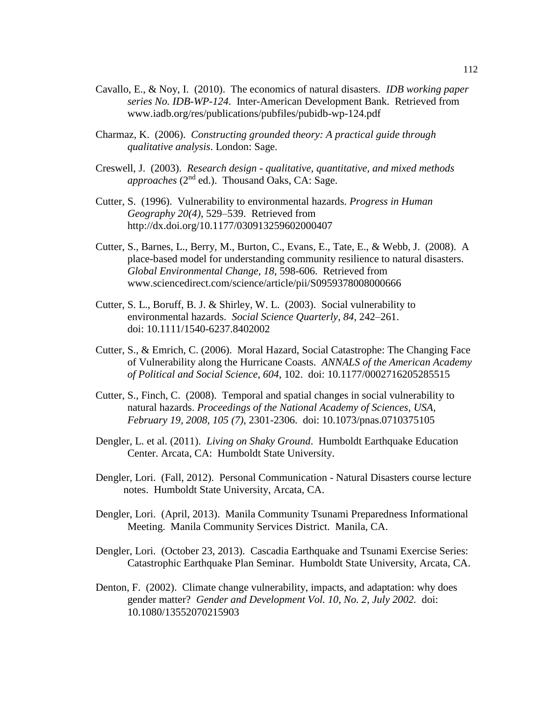- Cavallo, E., & Noy, I. (2010). The economics of natural disasters. *IDB working paper series No. IDB-WP-124*. Inter-American Development Bank. Retrieved from [www.iadb.org/res/publications/pubfiles/pubidb-wp-124.pdf](http://www.iadb.org/res/publications/pubfiles/pubidb-wp-124.pdf)
- Charmaz, K. (2006). *Constructing grounded theory: A practical guide through qualitative analysis*. London: Sage.
- Creswell, J. (2003). *Research design - qualitative, quantitative, and mixed methods approaches* (2nd ed.). Thousand Oaks, CA: Sage.
- Cutter, S. (1996). Vulnerability to environmental hazards. *Progress in Human Geography 20(4)*, 529–539. Retrieved from <http://dx.doi.org/10.1177/030913259602000407>
- Cutter, S., Barnes, L., Berry, M., Burton, C., Evans, E., Tate, E., & Webb, J. (2008). A place-based model for understanding community resilience to natural disasters. *Global Environmental Change, 18*, 598-606.Retrieved from [www.sciencedirect.com/science/article/pii/S0959378008000666](http://www.sciencedirect.com/science/article/pii/S0959378008000666)
- Cutter, S. L., Boruff, B. J. & Shirley, W. L. (2003). Social vulnerability to environmental hazards. *Social Science Quarterly, 84*, 242–261. doi: 10.1111/1540-6237.8402002
- Cutter, S., & Emrich, C. (2006). Moral Hazard, Social Catastrophe: The Changing Face of Vulnerability along the Hurricane Coasts. *ANNALS of the American Academy of Political and Social Science, 604*, 102. doi: 10.1177/0002716205285515
- Cutter, S., Finch, C. (2008). Temporal and spatial changes in social vulnerability to natural hazards. *Proceedings of the National Academy of Sciences, USA, February 19, 2008, 105 (7),* 2301-2306. doi: [10.1073/pnas.0710375105](http://dx.doi.org/10.1073%2Fpnas.0710375105)
- Dengler, L. et al. (2011). *Living on Shaky Ground*. Humboldt Earthquake Education Center. Arcata, CA: Humboldt State University.
- Dengler, Lori. (Fall, 2012). Personal Communication Natural Disasters course lecture notes. Humboldt State University, Arcata, CA.
- Dengler, Lori. (April, 2013). Manila Community Tsunami Preparedness Informational Meeting. Manila Community Services District. Manila, CA.
- Dengler, Lori. (October 23, 2013). Cascadia Earthquake and Tsunami Exercise Series: Catastrophic Earthquake Plan Seminar. Humboldt State University, Arcata, CA.
- Denton, F. (2002). Climate change vulnerability, impacts, and adaptation: why does gender matter? *Gender and Development Vol. 10, No. 2, July 2002.* doi: 10.1080/13552070215903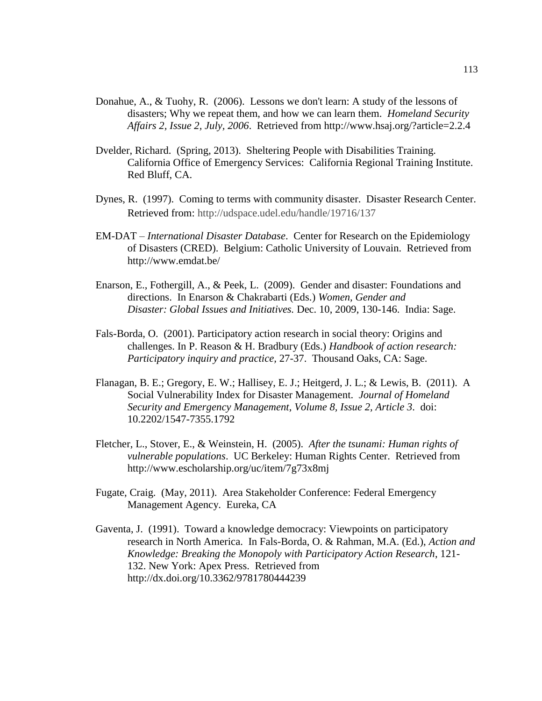- Donahue, A., & Tuohy, R. (2006). Lessons we don't learn: A study of the lessons of disasters; Why we repeat them, and how we can learn them. *Homeland Security Affairs 2, Issue 2, July, 2006*. Retrieved from<http://www.hsaj.org/?article=2.2.4>
- Dvelder, Richard. (Spring, 2013). Sheltering People with Disabilities Training. California Office of Emergency Services: California Regional Training Institute. Red Bluff, CA.
- Dynes, R. (1997). Coming to terms with community disaster. Disaster Research Center. Retrieved from: http://udspace.udel.edu/handle/19716/137
- EM-DAT *International Disaster Database*. Center for Research on the Epidemiology of Disasters (CRED). Belgium: Catholic University of Louvain. Retrieved from <http://www.emdat.be/>
- Enarson, E., Fothergill, A., & Peek, L. (2009). Gender and disaster: Foundations and directions. In Enarson & Chakrabarti (Eds.) *Women, Gender and Disaster: Global Issues and Initiatives.* Dec. 10, 2009, 130-146. India: Sage.
- Fals-Borda, O. (2001). Participatory action research in social theory: Origins and challenges. In P. Reason & H. Bradbury (Eds.) *Handbook of action research: Participatory inquiry and practice,* 27-37. Thousand Oaks, CA: Sage.
- Flanagan, B. E.; Gregory, E. W.; Hallisey, E. J.; Heitgerd, J. L.; & Lewis, B. (2011). A Social Vulnerability Index for Disaster Management. *Journal of Homeland Security and Emergency Management*, *Volume 8, Issue 2, Article 3*. doi: 10.2202/1547-7355.1792
- Fletcher, L., Stover, E., & Weinstein, H. (2005). *After the tsunami: Human rights of vulnerable populations*. UC Berkeley: Human Rights Center. Retrieved from <http://www.escholarship.org/uc/item/7g73x8mj>
- Fugate, Craig. (May, 2011). Area Stakeholder Conference: Federal Emergency Management Agency. Eureka, CA
- Gaventa, J. (1991). Toward a knowledge democracy: Viewpoints on participatory research in North America. In Fals-Borda, O. & Rahman, M.A. (Ed.), *Action and Knowledge: Breaking the Monopoly with Participatory Action Research*, 121- 132. New York: Apex Press. Retrieved from <http://dx.doi.org/10.3362/9781780444239>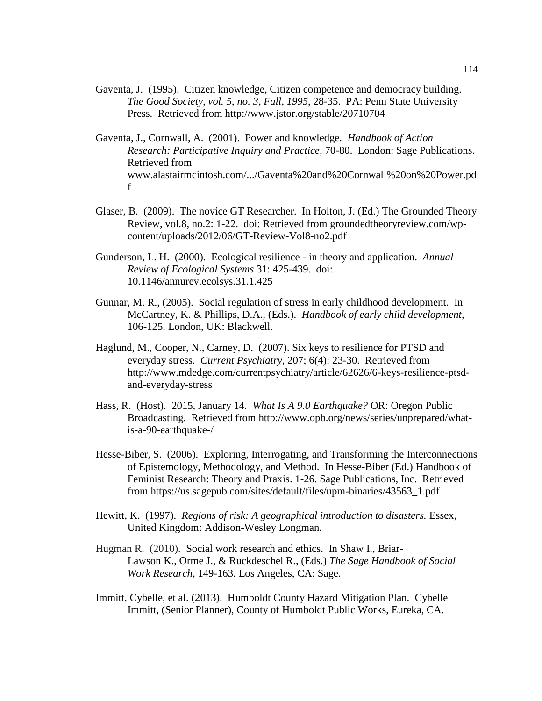- Gaventa, J. (1995). Citizen knowledge, Citizen competence and democracy building. *The Good Society, vol. 5, no. 3, Fall, 1995*, 28-35. PA: Penn State University Press. Retrieved from<http://www.jstor.org/stable/20710704>
- Gaventa, J., Cornwall, A. (2001). Power and knowledge. *Handbook of Action Research: Participative Inquiry and Practice,* 70-80. London: Sage Publications. Retrieved from [www.alastairmcintosh.com/.../Gaventa%20and%20Cornwall%20on%20Power.pd](http://www.alastairmcintosh.com/.../Gaventa%20and%20Cornwall%20on%20Power.pdf) [f](http://www.alastairmcintosh.com/.../Gaventa%20and%20Cornwall%20on%20Power.pdf)
- Glaser, B. (2009). The novice GT Researcher. In Holton, J. (Ed.) The Grounded Theory Review, vol.8, no.2: 1-22. doi: Retrieved from groundedtheoryreview.com/wpcontent/uploads/2012/06/GT-Review-Vol8-no2.pdf
- Gunderson, L. H. (2000). Ecological resilience in theory and application. *Annual Review of Ecological Systems* 31: 425-439. doi: 10.1146/annurev.ecolsys.31.1.425
- Gunnar, M. R., (2005). Social regulation of stress in early childhood development. In McCartney, K. & Phillips, D.A., (Eds.). *Handbook of early child development*, 106-125. London, UK: Blackwell.
- Haglund, M., Cooper, N., Carney, D. (2007). Six keys to resilience for PTSD and everyday stress. *Current Psychiatry*, 207; 6(4): 23-30. Retrieved from http://www.mdedge.com/currentpsychiatry/article/62626/6-keys-resilience-ptsdand-everyday-stress
- Hass, R. (Host). 2015, January 14. *What Is A 9.0 Earthquake?* OR: Oregon Public Broadcasting. Retrieved from [http://www.opb.org/news/series/unprepared/what](http://www.opb.org/news/series/unprepared/what-is-a-90-earthquake-/)[is-a-90-earthquake-/](http://www.opb.org/news/series/unprepared/what-is-a-90-earthquake-/)
- Hesse-Biber, S. (2006). Exploring, Interrogating, and Transforming the Interconnections of Epistemology, Methodology, and Method. In Hesse-Biber (Ed.) Handbook of Feminist Research: Theory and Praxis. 1-26. Sage Publications, Inc. Retrieved from https://us.sagepub.com/sites/default/files/upm-binaries/43563\_1.pdf
- Hewitt, K. (1997). *Regions of risk: A geographical introduction to disasters.* Essex, United Kingdom: Addison-Wesley Longman.
- Hugman R. (2010). Social work research and ethics. In Shaw I., Briar-Lawson K., Orme J., & Ruckdeschel R., (Eds.) *The Sage Handbook of Social Work Research*, 149-163. Los Angeles, CA: Sage.
- Immitt, Cybelle, et al. (2013). Humboldt County Hazard Mitigation Plan. Cybelle Immitt, (Senior Planner), County of Humboldt Public Works, Eureka, CA.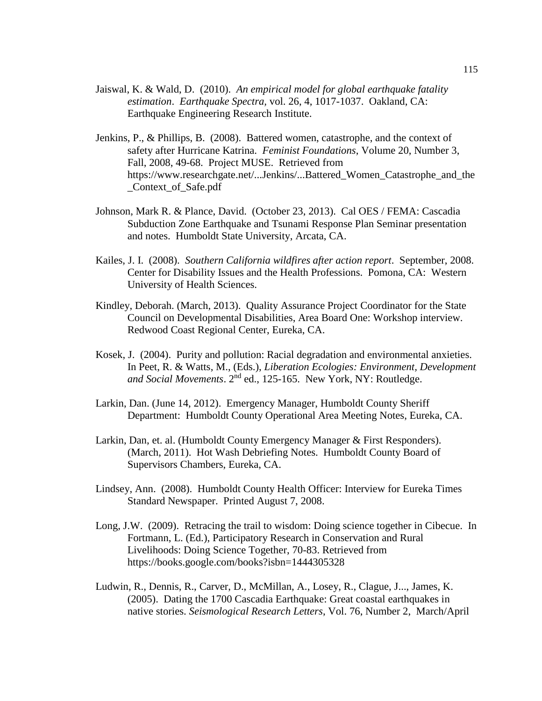- Jaiswal, K. & Wald, D. (2010). *An empirical model for global earthquake fatality estimation*. *Earthquake Spectra,* vol. 26, 4, 1017-1037. Oakland, CA: Earthquake Engineering Research Institute.
- Jenkins, P., & Phillips, B. (2008). Battered women, catastrophe, and the context of safety after Hurricane Katrina. *Feminist Foundations*, Volume 20, Number 3, Fall, 2008, 49-68. Project MUSE. Retrieved from [https://www.researchgate.net/...Jenkins/...Battered\\_Women\\_Catastrophe\\_and\\_the](https://www.researchgate.net/...Jenkins/...Battered_Women_Catastrophe_and_the_Context_of_Safe.pdf) [\\_Context\\_of\\_Safe.pdf](https://www.researchgate.net/...Jenkins/...Battered_Women_Catastrophe_and_the_Context_of_Safe.pdf)
- Johnson, Mark R. & Plance, David. (October 23, 2013). Cal OES / FEMA: Cascadia Subduction Zone Earthquake and Tsunami Response Plan Seminar presentation and notes. Humboldt State University, Arcata, CA.
- Kailes, J. I. (2008). *Southern California wildfires after action report*. September, 2008. Center for Disability Issues and the Health Professions. Pomona, CA: Western University of Health Sciences.
- Kindley, Deborah. (March, 2013). Quality Assurance Project Coordinator for the State Council on Developmental Disabilities, Area Board One: Workshop interview. Redwood Coast Regional Center, Eureka, CA.
- Kosek, J. (2004). Purity and pollution: Racial degradation and environmental anxieties. In Peet, R. & Watts, M., (Eds.), *Liberation Ecologies: Environment, Development and Social Movements*. 2nd ed., 125-165. New York, NY: Routledge.
- Larkin, Dan. (June 14, 2012). Emergency Manager, Humboldt County Sheriff Department: Humboldt County Operational Area Meeting Notes, Eureka, CA.
- Larkin, Dan, et. al. (Humboldt County Emergency Manager & First Responders). (March, 2011). Hot Wash Debriefing Notes. Humboldt County Board of Supervisors Chambers, Eureka, CA.
- Lindsey, Ann. (2008). Humboldt County Health Officer: Interview for Eureka Times Standard Newspaper. Printed August 7, 2008.
- Long, J.W. (2009). Retracing the trail to wisdom: Doing science together in Cibecue. In Fortmann, L. (Ed.), Participatory Research in Conservation and Rural Livelihoods: Doing Science Together, 70-83. Retrieved from https://books.google.com/books?isbn=1444305328
- Ludwin, R., Dennis, R., Carver, D., McMillan, A., Losey, R., Clague, J..., James, K. (2005). Dating the 1700 Cascadia Earthquake: Great coastal earthquakes in native stories. *Seismological Research Letters*, Vol. 76, Number 2, March/April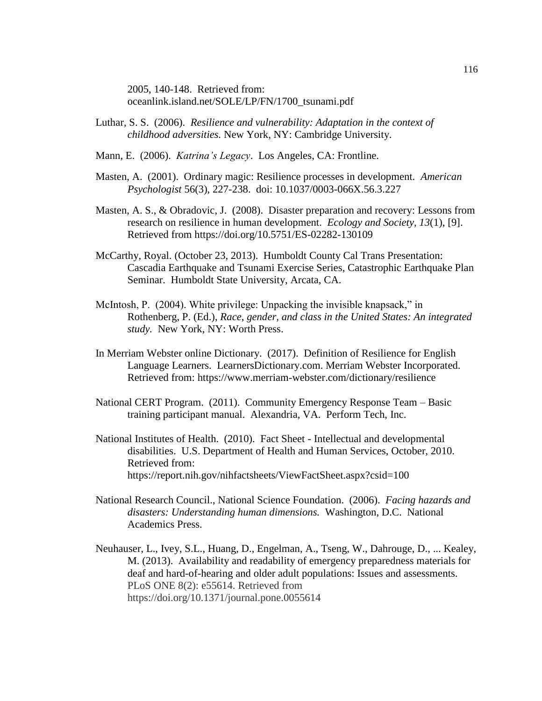2005, 140-148. Retrieved from: oceanlink.island.net/SOLE/LP/FN/1700\_tsunami.pdf

- Luthar, S. S. (2006). *Resilience and vulnerability: Adaptation in the context of childhood adversities.* New York, NY: Cambridge University.
- Mann, E. (2006). *Katrina's Legacy*. Los Angeles, CA: Frontline.
- Masten, A. (2001). Ordinary magic: Resilience processes in development. *American Psychologist* 56(3), 227-238. doi: 10.1037/0003-066X.56.3.227
- Masten, A. S., & Obradovic, J. (2008). Disaster preparation and recovery: Lessons from research on resilience in human development. *Ecology and Society*, *13*(1), [9]. Retrieved from<https://doi.org/10.5751/ES-02282-130109>
- McCarthy, Royal. (October 23, 2013). Humboldt County Cal Trans Presentation: Cascadia Earthquake and Tsunami Exercise Series, Catastrophic Earthquake Plan Seminar. Humboldt State University, Arcata, CA.
- McIntosh, P. (2004). White privilege: Unpacking the invisible knapsack," in Rothenberg, P. (Ed.), *Race, gender, and class in the United States: An integrated study.* New York, NY: Worth Press.
- In Merriam Webster online Dictionary. (2017). Definition of Resilience for English Language Learners. LearnersDictionary.com. Merriam Webster Incorporated. Retrieved from:<https://www.merriam-webster.com/dictionary/resilience>
- National CERT Program. (2011). Community Emergency Response Team Basic training participant manual. Alexandria, VA. Perform Tech, Inc.
- National Institutes of Health. (2010). Fact Sheet Intellectual and developmental disabilities. U.S. Department of Health and Human Services, October, 2010. Retrieved from: <https://report.nih.gov/nihfactsheets/ViewFactSheet.aspx?csid=100>
- National Research Council., National Science Foundation. (2006). *Facing hazards and disasters: Understanding human dimensions.* Washington, D.C. National Academics Press.
- Neuhauser, L., Ivey, S.L., Huang, D., Engelman, A., Tseng, W., Dahrouge, D., ... Kealey, M. (2013). Availability and readability of emergency preparedness materials for deaf and hard-of-hearing and older adult populations: Issues and assessments. PLoS ONE 8(2): e55614. Retrieved from https://doi.org/10.1371/journal.pone.0055614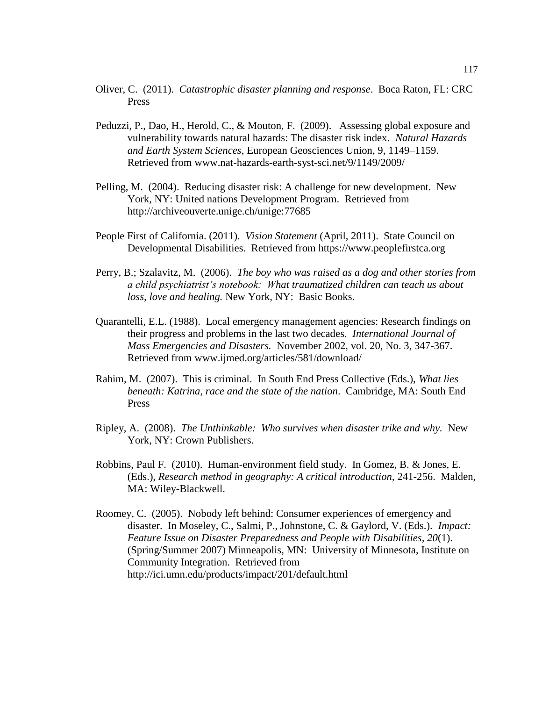- Oliver, C. (2011). *Catastrophic disaster planning and response*. Boca Raton, FL: CRC Press
- Peduzzi, P., Dao, H., Herold, C., & Mouton, F. (2009). Assessing global exposure and vulnerability towards natural hazards: The disaster risk index. *Natural Hazards and Earth System Sciences*, European Geosciences Union, 9, 1149–1159. Retrieved from [www.nat-hazards-earth-syst-sci.net/9/1149/2009/](http://www.nat-hazards-earth-syst-sci.net/9/1149/2009/)
- Pelling, M. (2004). Reducing disaster risk: A challenge for new development. New York, NY: United nations Development Program. Retrieved from http://archiveouverte.unige.ch/unige:77685
- People First of California. (2011). *Vision Statement* (April, 2011). State Council on Developmental Disabilities. Retrieved from https://www.peoplefirstca.org
- Perry, B.; Szalavitz, M. (2006). *The boy who was raised as a dog and other stories from a child psychiatrist's notebook: What traumatized children can teach us about loss, love and healing.* New York, NY: Basic Books.
- Quarantelli, E.L. (1988). Local emergency management agencies: Research findings on their progress and problems in the last two decades. *International Journal of Mass Emergencies and Disasters.* November 2002, vol. 20, No. 3, 347-367. Retrieved from www.ijmed.org/articles/581/download/
- Rahim, M. (2007). This is criminal. In South End Press Collective (Eds.), *What lies beneath: Katrina, race and the state of the nation*. Cambridge, MA: South End Press
- Ripley, A. (2008). *The Unthinkable: Who survives when disaster trike and why.* New York, NY: Crown Publishers.
- Robbins, Paul F. (2010). Human-environment field study. In Gomez, B. & Jones, E. (Eds.), *Research method in geography: A critical introduction*, 241-256. Malden, MA: Wiley-Blackwell.
- Roomey, C. (2005). Nobody left behind: Consumer experiences of emergency and disaster. In Moseley, C., Salmi, P., Johnstone, C. & Gaylord, V. (Eds.). *Impact: Feature Issue on Disaster Preparedness and People with Disabilities, 20*(1). (Spring/Summer 2007) Minneapolis, MN: University of Minnesota, Institute on Community Integration. Retrieved from <http://ici.umn.edu/products/impact/201/default.html>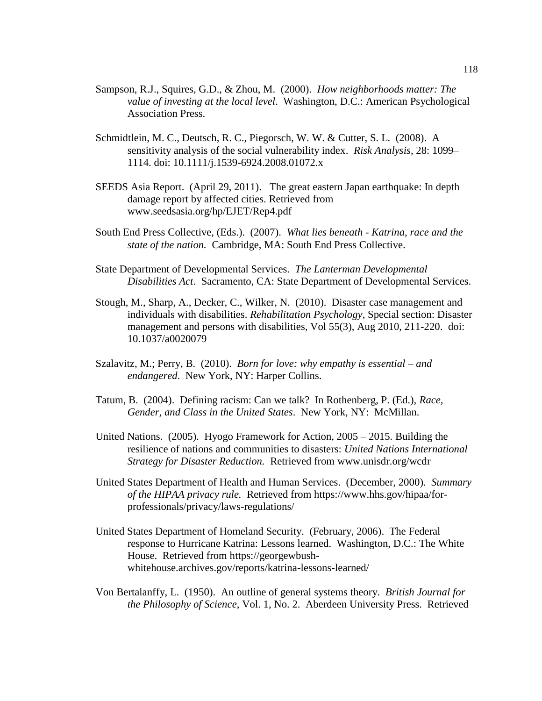- Sampson, R.J., Squires, G.D., & Zhou, M. (2000). *How neighborhoods matter: The value of investing at the local level*. Washington, D.C.: American Psychological Association Press.
- Schmidtlein, M. C., Deutsch, R. C., Piegorsch, W. W. & Cutter, S. L. (2008). A sensitivity analysis of the social vulnerability index. *Risk Analysis*, 28: 1099– 1114. doi: 10.1111/j.1539-6924.2008.01072.x
- SEEDS Asia Report. (April 29, 2011). The great eastern Japan earthquake: In depth damage report by affected cities. Retrieved from www.seedsasia.org/hp/EJET/Rep4.pdf
- South End Press Collective, (Eds.). (2007). *What lies beneath - Katrina, race and the state of the nation.* Cambridge, MA: South End Press Collective.
- State Department of Developmental Services. *The Lanterman Developmental Disabilities Act*. Sacramento, CA: State Department of Developmental Services.
- Stough, M., Sharp, A., Decker, C., Wilker, N. (2010). Disaster case management and individuals with disabilities. *Rehabilitation Psychology*, Special section: Disaster management and persons with disabilities, Vol 55(3), Aug 2010, 211-220. doi: 10.1037/a0020079
- Szalavitz, M.; Perry, B. (2010). *Born for love: why empathy is essential – and endangered*. New York, NY: Harper Collins.
- Tatum, B. (2004). Defining racism: Can we talk? In Rothenberg, P. (Ed.), *Race, Gender, and Class in the United States*. New York, NY: McMillan.
- United Nations. (2005). Hyogo Framework for Action, 2005 2015. Building the resilience of nations and communities to disasters: *United Nations International Strategy for Disaster Reduction.* Retrieved from [www.unisdr.org/](http://www.unisdr.org/)wcdr
- United States Department of Health and Human Services. (December, 2000). *Summary of the HIPAA privacy rule.* Retrieved from [https://www.hhs.gov/hipaa/for](https://www.hhs.gov/hipaa/for-professionals/privacy/laws-regulations/)[professionals/privacy/laws-regulations/](https://www.hhs.gov/hipaa/for-professionals/privacy/laws-regulations/)
- United States Department of Homeland Security. (February, 2006). The Federal response to Hurricane Katrina: Lessons learned. Washington, D.C.: The White House. Retrieved from https://georgewbushwhitehouse.archives.gov/reports/katrina-lessons-learned/
- Von Bertalanffy, L. (1950). An outline of general systems theory. *British Journal for the Philosophy of Science*, Vol. 1, No. 2. Aberdeen University Press. Retrieved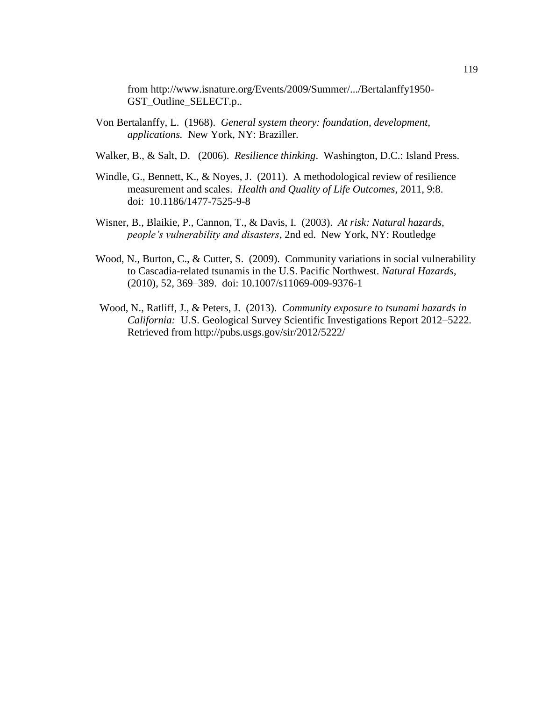from http://www.isnature.org/Events/2009/Summer/.../Bertalanffy1950- GST\_Outline\_SELECT.p..

- Von Bertalanffy, L. (1968). *General system theory: foundation, development, applications.* New York, NY: Braziller.
- Walker, B., & Salt, D. (2006). *Resilience thinking*. Washington, D.C.: Island Press.
- Windle, G., Bennett, K., & Noyes, J. (2011). A methodological review of resilience measurement and scales. *Health and Quality of Life Outcomes*, 2011, 9:8. doi: [10.1186/1477-7525-9-8](https://dx.doi.org/10.1186%2F1477-7525-9-8)
- Wisner, B., Blaikie, P., Cannon, T., & Davis, I. (2003). *At risk: Natural hazards, people's vulnerability and disasters*, 2nd ed. New York, NY: Routledge
- Wood, N., Burton, C., & Cutter, S. (2009). Community variations in social vulnerability to Cascadia-related tsunamis in the U.S. Pacific Northwest. *Natural Hazards*, (2010), 52, 369–389. doi: 10.1007/s11069-009-9376-1
- Wood, N., Ratliff, J., & Peters, J. (2013). *Community exposure to tsunami hazards in California:* U.S. Geological Survey Scientific Investigations Report 2012–5222*.*  Retrieved from<http://pubs.usgs.gov/sir/2012/5222/>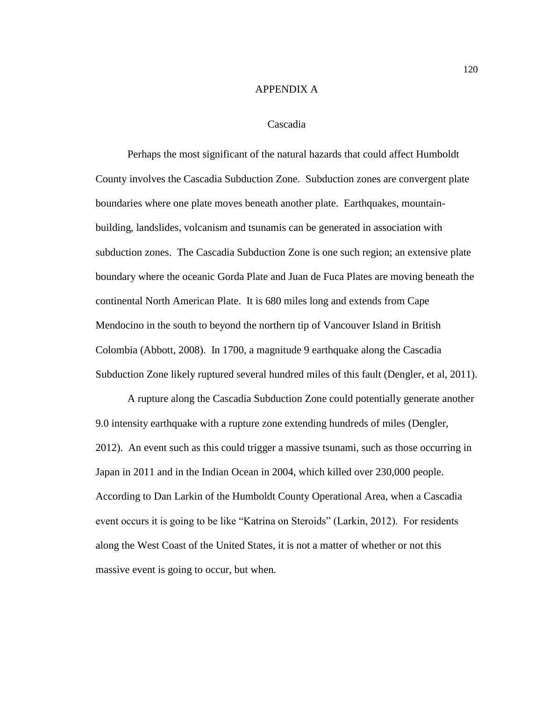## APPENDIX A

## Cascadia

Perhaps the most significant of the natural hazards that could affect Humboldt County involves the Cascadia Subduction Zone. Subduction zones are convergent plate boundaries where one plate moves beneath another plate. Earthquakes, mountainbuilding, landslides, volcanism and tsunamis can be generated in association with subduction zones. The Cascadia Subduction Zone is one such region; an extensive plate boundary where the oceanic Gorda Plate and Juan de Fuca Plates are moving beneath the continental North American Plate. It is 680 miles long and extends from Cape Mendocino in the south to beyond the northern tip of Vancouver Island in British Colombia (Abbott, 2008). In 1700, a magnitude 9 earthquake along the Cascadia Subduction Zone likely ruptured several hundred miles of this fault (Dengler, et al, 2011).

A rupture along the Cascadia Subduction Zone could potentially generate another 9.0 intensity earthquake with a rupture zone extending hundreds of miles (Dengler, 2012). An event such as this could trigger a massive tsunami, such as those occurring in Japan in 2011 and in the Indian Ocean in 2004, which killed over 230,000 people. According to Dan Larkin of the Humboldt County Operational Area, when a Cascadia event occurs it is going to be like "Katrina on Steroids" (Larkin, 2012). For residents along the West Coast of the United States, it is not a matter of whether or not this massive event is going to occur, but when.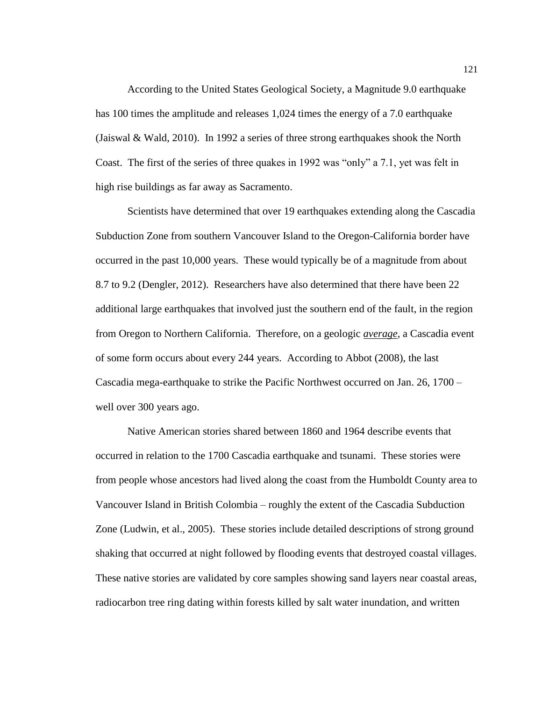According to the United States Geological Society, a Magnitude 9.0 earthquake has 100 times the amplitude and releases 1,024 times the energy of a 7.0 earthquake (Jaiswal & Wald, 2010). In 1992 a series of three strong earthquakes shook the North Coast. The first of the series of three quakes in 1992 was "only" a 7.1, yet was felt in high rise buildings as far away as Sacramento.

Scientists have determined that over 19 earthquakes extending along the Cascadia Subduction Zone from southern Vancouver Island to the Oregon-California border have occurred in the past 10,000 years. These would typically be of a magnitude from about 8.7 to 9.2 (Dengler, 2012). Researchers have also determined that there have been 22 additional large earthquakes that involved just the southern end of the fault, in the region from Oregon to Northern California. Therefore, on a geologic *average*, a Cascadia event of some form occurs about every 244 years. According to Abbot (2008), the last Cascadia mega-earthquake to strike the Pacific Northwest occurred on Jan. 26, 1700 – well over 300 years ago.

Native American stories shared between 1860 and 1964 describe events that occurred in relation to the 1700 Cascadia earthquake and tsunami. These stories were from people whose ancestors had lived along the coast from the Humboldt County area to Vancouver Island in British Colombia – roughly the extent of the Cascadia Subduction Zone (Ludwin, et al., 2005). These stories include detailed descriptions of strong ground shaking that occurred at night followed by flooding events that destroyed coastal villages. These native stories are validated by core samples showing sand layers near coastal areas, radiocarbon tree ring dating within forests killed by salt water inundation, and written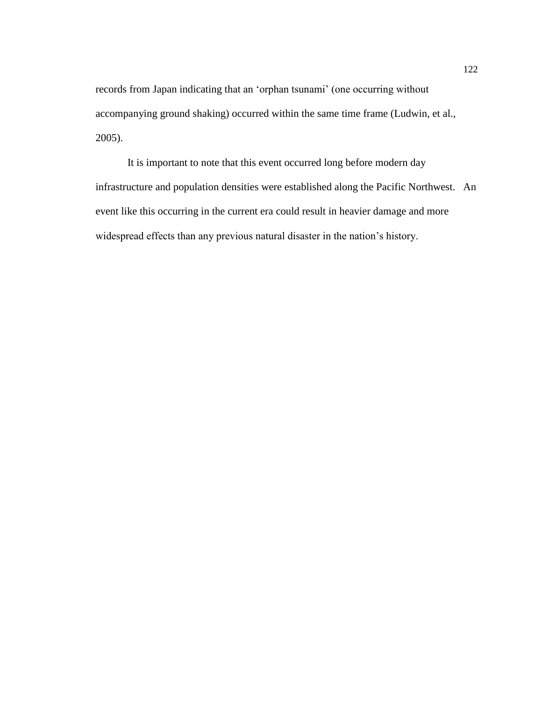records from Japan indicating that an 'orphan tsunami' (one occurring without accompanying ground shaking) occurred within the same time frame (Ludwin, et al., 2005).

It is important to note that this event occurred long before modern day infrastructure and population densities were established along the Pacific Northwest. An event like this occurring in the current era could result in heavier damage and more widespread effects than any previous natural disaster in the nation's history.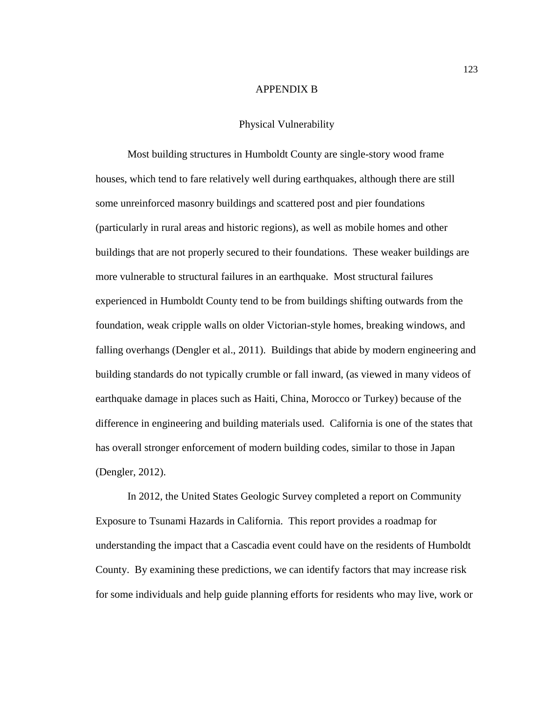## APPENDIX B

## Physical Vulnerability

Most building structures in Humboldt County are single-story wood frame houses, which tend to fare relatively well during earthquakes, although there are still some unreinforced masonry buildings and scattered post and pier foundations (particularly in rural areas and historic regions), as well as mobile homes and other buildings that are not properly secured to their foundations. These weaker buildings are more vulnerable to structural failures in an earthquake. Most structural failures experienced in Humboldt County tend to be from buildings shifting outwards from the foundation, weak cripple walls on older Victorian-style homes, breaking windows, and falling overhangs (Dengler et al., 2011). Buildings that abide by modern engineering and building standards do not typically crumble or fall inward, (as viewed in many videos of earthquake damage in places such as Haiti, China, Morocco or Turkey) because of the difference in engineering and building materials used. California is one of the states that has overall stronger enforcement of modern building codes, similar to those in Japan (Dengler, 2012).

In 2012, the United States Geologic Survey completed a report on Community Exposure to Tsunami Hazards in California. This report provides a roadmap for understanding the impact that a Cascadia event could have on the residents of Humboldt County. By examining these predictions, we can identify factors that may increase risk for some individuals and help guide planning efforts for residents who may live, work or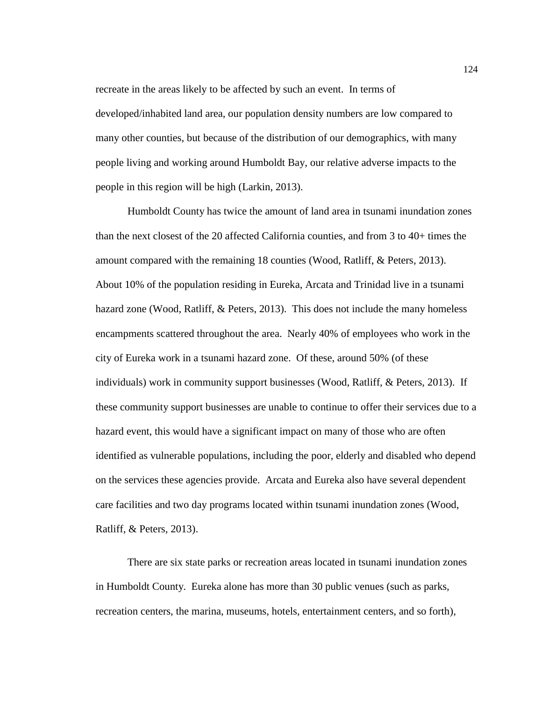recreate in the areas likely to be affected by such an event. In terms of developed/inhabited land area, our population density numbers are low compared to many other counties, but because of the distribution of our demographics, with many people living and working around Humboldt Bay, our relative adverse impacts to the people in this region will be high (Larkin, 2013).

Humboldt County has twice the amount of land area in tsunami inundation zones than the next closest of the 20 affected California counties, and from 3 to 40+ times the amount compared with the remaining 18 counties (Wood, Ratliff, & Peters, 2013). About 10% of the population residing in Eureka, Arcata and Trinidad live in a tsunami hazard zone (Wood, Ratliff, & Peters, 2013). This does not include the many homeless encampments scattered throughout the area. Nearly 40% of employees who work in the city of Eureka work in a tsunami hazard zone. Of these, around 50% (of these individuals) work in community support businesses (Wood, Ratliff, & Peters, 2013). If these community support businesses are unable to continue to offer their services due to a hazard event, this would have a significant impact on many of those who are often identified as vulnerable populations, including the poor, elderly and disabled who depend on the services these agencies provide. Arcata and Eureka also have several dependent care facilities and two day programs located within tsunami inundation zones (Wood, Ratliff, & Peters, 2013).

There are six state parks or recreation areas located in tsunami inundation zones in Humboldt County. Eureka alone has more than 30 public venues (such as parks, recreation centers, the marina, museums, hotels, entertainment centers, and so forth),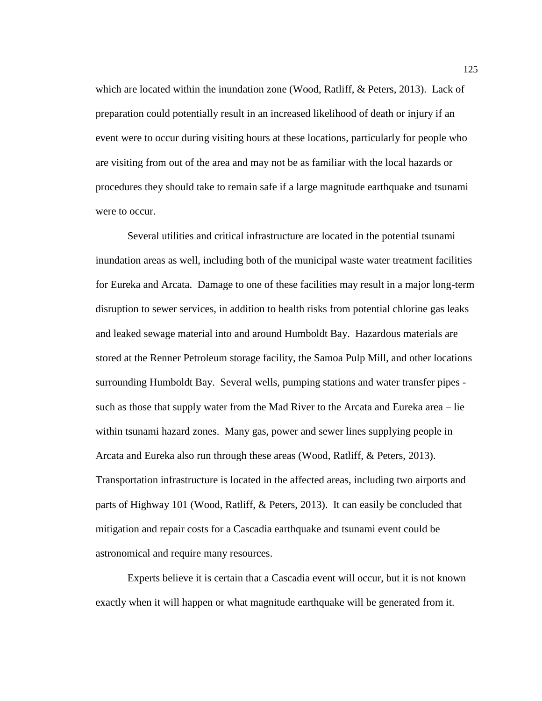which are located within the inundation zone (Wood, Ratliff, & Peters, 2013). Lack of preparation could potentially result in an increased likelihood of death or injury if an event were to occur during visiting hours at these locations, particularly for people who are visiting from out of the area and may not be as familiar with the local hazards or procedures they should take to remain safe if a large magnitude earthquake and tsunami were to occur.

Several utilities and critical infrastructure are located in the potential tsunami inundation areas as well, including both of the municipal waste water treatment facilities for Eureka and Arcata. Damage to one of these facilities may result in a major long-term disruption to sewer services, in addition to health risks from potential chlorine gas leaks and leaked sewage material into and around Humboldt Bay. Hazardous materials are stored at the Renner Petroleum storage facility, the Samoa Pulp Mill, and other locations surrounding Humboldt Bay. Several wells, pumping stations and water transfer pipes such as those that supply water from the Mad River to the Arcata and Eureka area – lie within tsunami hazard zones. Many gas, power and sewer lines supplying people in Arcata and Eureka also run through these areas (Wood, Ratliff, & Peters, 2013). Transportation infrastructure is located in the affected areas, including two airports and parts of Highway 101 (Wood, Ratliff, & Peters, 2013). It can easily be concluded that mitigation and repair costs for a Cascadia earthquake and tsunami event could be astronomical and require many resources.

Experts believe it is certain that a Cascadia event will occur, but it is not known exactly when it will happen or what magnitude earthquake will be generated from it.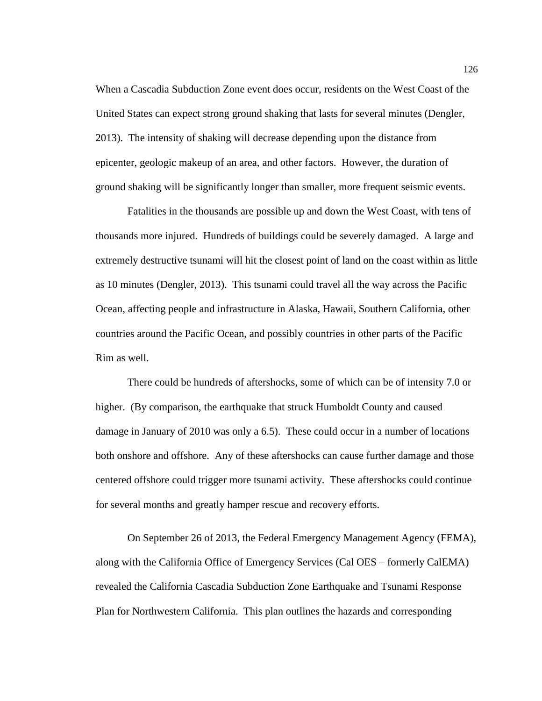When a Cascadia Subduction Zone event does occur, residents on the West Coast of the United States can expect strong ground shaking that lasts for several minutes (Dengler, 2013). The intensity of shaking will decrease depending upon the distance from epicenter, geologic makeup of an area, and other factors. However, the duration of ground shaking will be significantly longer than smaller, more frequent seismic events.

Fatalities in the thousands are possible up and down the West Coast, with tens of thousands more injured. Hundreds of buildings could be severely damaged. A large and extremely destructive tsunami will hit the closest point of land on the coast within as little as 10 minutes (Dengler, 2013). This tsunami could travel all the way across the Pacific Ocean, affecting people and infrastructure in Alaska, Hawaii, Southern California, other countries around the Pacific Ocean, and possibly countries in other parts of the Pacific Rim as well.

There could be hundreds of aftershocks, some of which can be of intensity 7.0 or higher. (By comparison, the earthquake that struck Humboldt County and caused damage in January of 2010 was only a 6.5). These could occur in a number of locations both onshore and offshore. Any of these aftershocks can cause further damage and those centered offshore could trigger more tsunami activity. These aftershocks could continue for several months and greatly hamper rescue and recovery efforts.

On September 26 of 2013, the Federal Emergency Management Agency (FEMA), along with the California Office of Emergency Services (Cal OES – formerly CalEMA) revealed the California Cascadia Subduction Zone Earthquake and Tsunami Response Plan for Northwestern California. This plan outlines the hazards and corresponding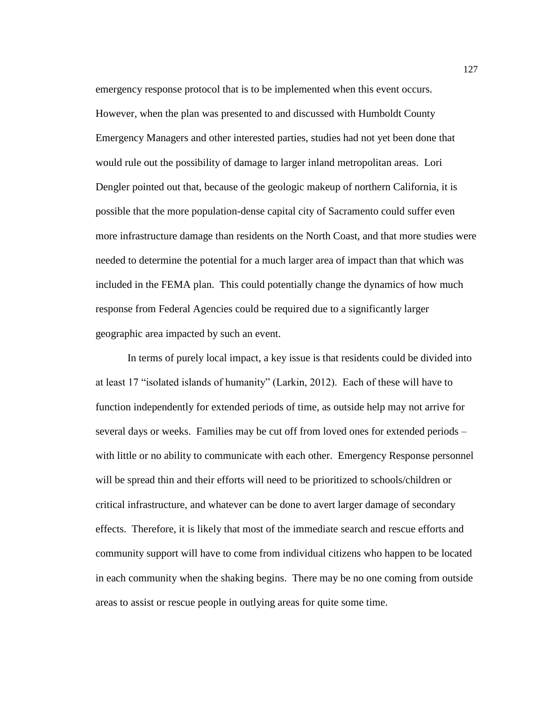emergency response protocol that is to be implemented when this event occurs. However, when the plan was presented to and discussed with Humboldt County Emergency Managers and other interested parties, studies had not yet been done that would rule out the possibility of damage to larger inland metropolitan areas. Lori Dengler pointed out that, because of the geologic makeup of northern California, it is possible that the more population-dense capital city of Sacramento could suffer even more infrastructure damage than residents on the North Coast, and that more studies were needed to determine the potential for a much larger area of impact than that which was included in the FEMA plan. This could potentially change the dynamics of how much response from Federal Agencies could be required due to a significantly larger geographic area impacted by such an event.

In terms of purely local impact, a key issue is that residents could be divided into at least 17 "isolated islands of humanity" (Larkin, 2012). Each of these will have to function independently for extended periods of time, as outside help may not arrive for several days or weeks. Families may be cut off from loved ones for extended periods – with little or no ability to communicate with each other. Emergency Response personnel will be spread thin and their efforts will need to be prioritized to schools/children or critical infrastructure, and whatever can be done to avert larger damage of secondary effects. Therefore, it is likely that most of the immediate search and rescue efforts and community support will have to come from individual citizens who happen to be located in each community when the shaking begins. There may be no one coming from outside areas to assist or rescue people in outlying areas for quite some time.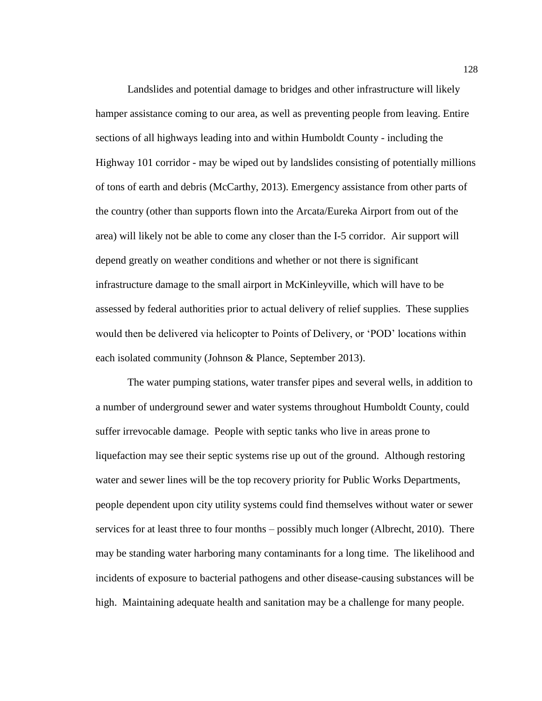Landslides and potential damage to bridges and other infrastructure will likely hamper assistance coming to our area, as well as preventing people from leaving. Entire sections of all highways leading into and within Humboldt County - including the Highway 101 corridor - may be wiped out by landslides consisting of potentially millions of tons of earth and debris (McCarthy, 2013). Emergency assistance from other parts of the country (other than supports flown into the Arcata/Eureka Airport from out of the area) will likely not be able to come any closer than the I-5 corridor. Air support will depend greatly on weather conditions and whether or not there is significant infrastructure damage to the small airport in McKinleyville, which will have to be assessed by federal authorities prior to actual delivery of relief supplies. These supplies would then be delivered via helicopter to Points of Delivery, or 'POD' locations within each isolated community (Johnson & Plance, September 2013).

The water pumping stations, water transfer pipes and several wells, in addition to a number of underground sewer and water systems throughout Humboldt County, could suffer irrevocable damage. People with septic tanks who live in areas prone to liquefaction may see their septic systems rise up out of the ground. Although restoring water and sewer lines will be the top recovery priority for Public Works Departments, people dependent upon city utility systems could find themselves without water or sewer services for at least three to four months – possibly much longer (Albrecht, 2010). There may be standing water harboring many contaminants for a long time. The likelihood and incidents of exposure to bacterial pathogens and other disease-causing substances will be high. Maintaining adequate health and sanitation may be a challenge for many people.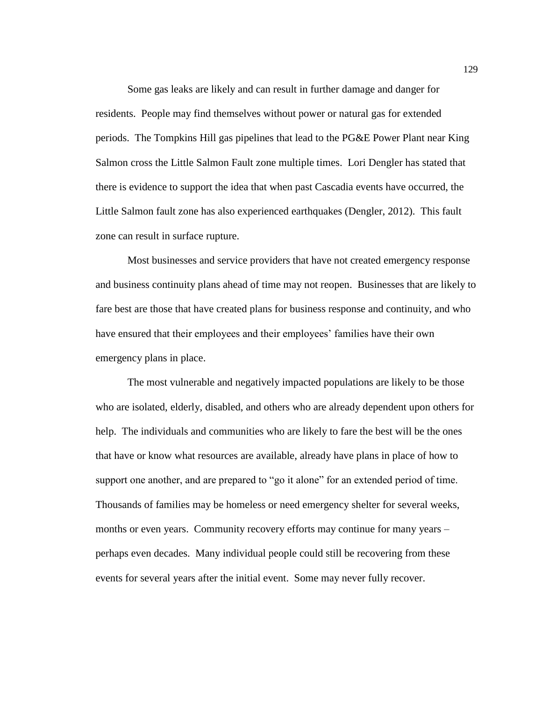Some gas leaks are likely and can result in further damage and danger for residents. People may find themselves without power or natural gas for extended periods. The Tompkins Hill gas pipelines that lead to the PG&E Power Plant near King Salmon cross the Little Salmon Fault zone multiple times. Lori Dengler has stated that there is evidence to support the idea that when past Cascadia events have occurred, the Little Salmon fault zone has also experienced earthquakes (Dengler, 2012). This fault zone can result in surface rupture.

Most businesses and service providers that have not created emergency response and business continuity plans ahead of time may not reopen. Businesses that are likely to fare best are those that have created plans for business response and continuity, and who have ensured that their employees and their employees' families have their own emergency plans in place.

The most vulnerable and negatively impacted populations are likely to be those who are isolated, elderly, disabled, and others who are already dependent upon others for help. The individuals and communities who are likely to fare the best will be the ones that have or know what resources are available, already have plans in place of how to support one another, and are prepared to "go it alone" for an extended period of time. Thousands of families may be homeless or need emergency shelter for several weeks, months or even years. Community recovery efforts may continue for many years – perhaps even decades. Many individual people could still be recovering from these events for several years after the initial event. Some may never fully recover.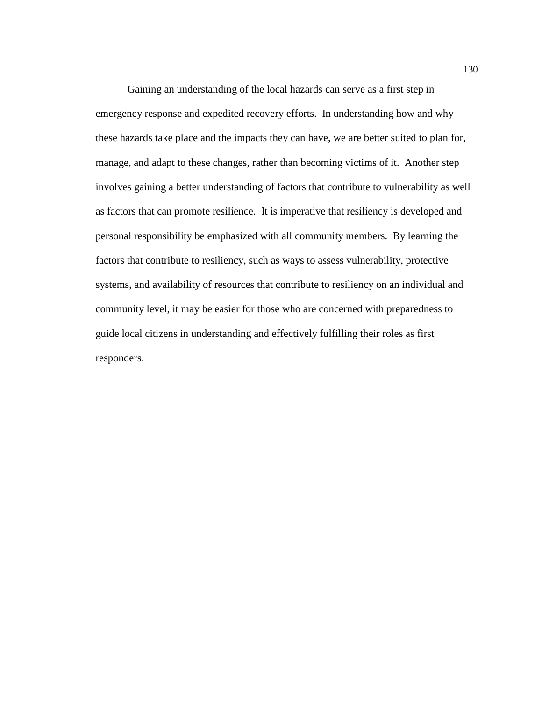Gaining an understanding of the local hazards can serve as a first step in emergency response and expedited recovery efforts. In understanding how and why these hazards take place and the impacts they can have, we are better suited to plan for, manage, and adapt to these changes, rather than becoming victims of it. Another step involves gaining a better understanding of factors that contribute to vulnerability as well as factors that can promote resilience. It is imperative that resiliency is developed and personal responsibility be emphasized with all community members. By learning the factors that contribute to resiliency, such as ways to assess vulnerability, protective systems, and availability of resources that contribute to resiliency on an individual and community level, it may be easier for those who are concerned with preparedness to guide local citizens in understanding and effectively fulfilling their roles as first responders.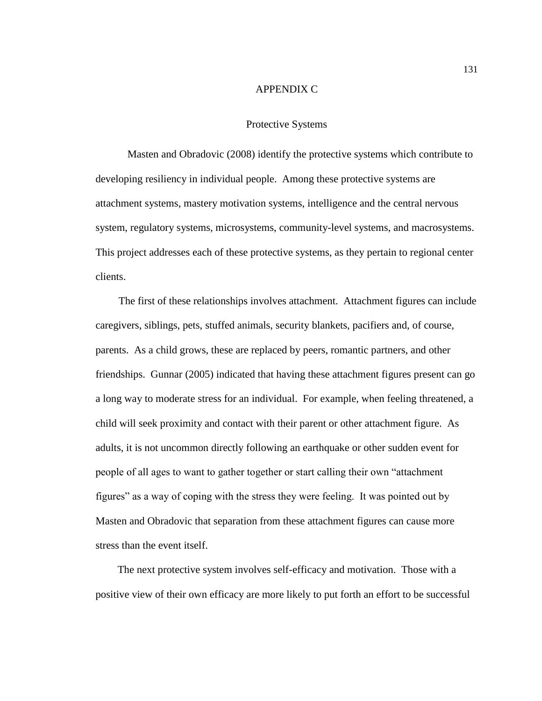## APPENDIX C

## Protective Systems

Masten and Obradovic (2008) identify the protective systems which contribute to developing resiliency in individual people. Among these protective systems are attachment systems, mastery motivation systems, intelligence and the central nervous system, regulatory systems, microsystems, community-level systems, and macrosystems. This project addresses each of these protective systems, as they pertain to regional center clients.

 The first of these relationships involves attachment. Attachment figures can include caregivers, siblings, pets, stuffed animals, security blankets, pacifiers and, of course, parents. As a child grows, these are replaced by peers, romantic partners, and other friendships. Gunnar (2005) indicated that having these attachment figures present can go a long way to moderate stress for an individual. For example, when feeling threatened, a child will seek proximity and contact with their parent or other attachment figure. As adults, it is not uncommon directly following an earthquake or other sudden event for people of all ages to want to gather together or start calling their own "attachment figures" as a way of coping with the stress they were feeling. It was pointed out by Masten and Obradovic that separation from these attachment figures can cause more stress than the event itself.

 The next protective system involves self-efficacy and motivation. Those with a positive view of their own efficacy are more likely to put forth an effort to be successful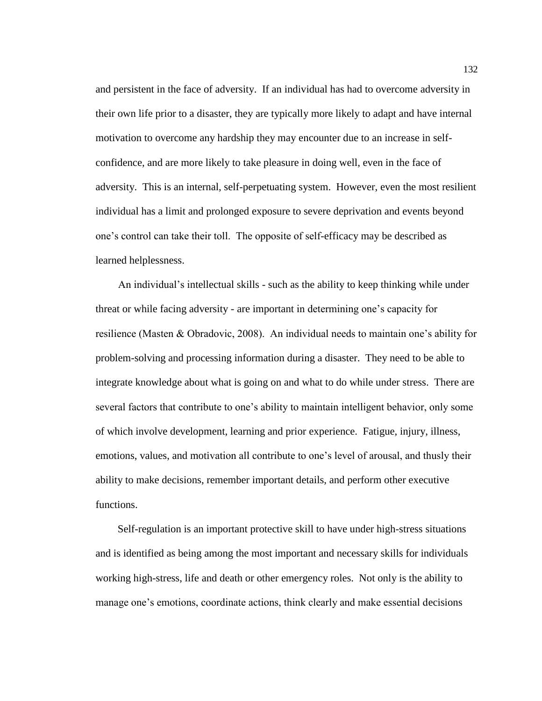and persistent in the face of adversity. If an individual has had to overcome adversity in their own life prior to a disaster, they are typically more likely to adapt and have internal motivation to overcome any hardship they may encounter due to an increase in selfconfidence, and are more likely to take pleasure in doing well, even in the face of adversity. This is an internal, self-perpetuating system. However, even the most resilient individual has a limit and prolonged exposure to severe deprivation and events beyond one's control can take their toll. The opposite of self-efficacy may be described as learned helplessness.

 An individual's intellectual skills - such as the ability to keep thinking while under threat or while facing adversity - are important in determining one's capacity for resilience (Masten & Obradovic, 2008). An individual needs to maintain one's ability for problem-solving and processing information during a disaster. They need to be able to integrate knowledge about what is going on and what to do while under stress. There are several factors that contribute to one's ability to maintain intelligent behavior, only some of which involve development, learning and prior experience. Fatigue, injury, illness, emotions, values, and motivation all contribute to one's level of arousal, and thusly their ability to make decisions, remember important details, and perform other executive functions.

 Self-regulation is an important protective skill to have under high-stress situations and is identified as being among the most important and necessary skills for individuals working high-stress, life and death or other emergency roles. Not only is the ability to manage one's emotions, coordinate actions, think clearly and make essential decisions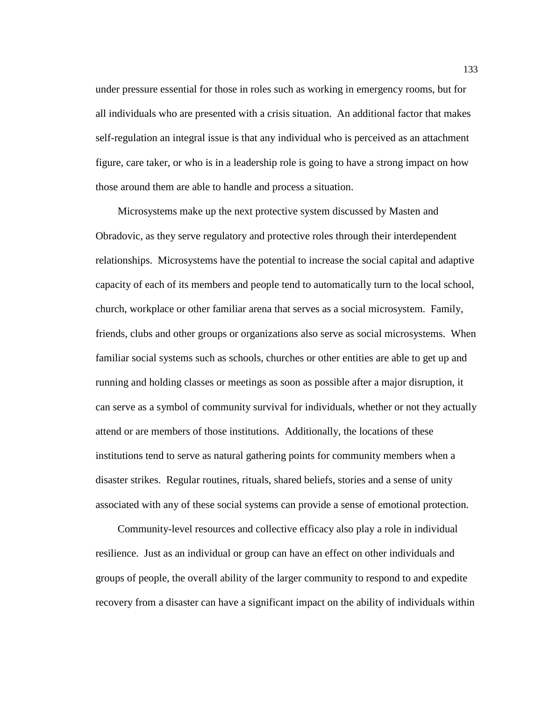under pressure essential for those in roles such as working in emergency rooms, but for all individuals who are presented with a crisis situation. An additional factor that makes self-regulation an integral issue is that any individual who is perceived as an attachment figure, care taker, or who is in a leadership role is going to have a strong impact on how those around them are able to handle and process a situation.

 Microsystems make up the next protective system discussed by Masten and Obradovic, as they serve regulatory and protective roles through their interdependent relationships. Microsystems have the potential to increase the social capital and adaptive capacity of each of its members and people tend to automatically turn to the local school, church, workplace or other familiar arena that serves as a social microsystem. Family, friends, clubs and other groups or organizations also serve as social microsystems. When familiar social systems such as schools, churches or other entities are able to get up and running and holding classes or meetings as soon as possible after a major disruption, it can serve as a symbol of community survival for individuals, whether or not they actually attend or are members of those institutions. Additionally, the locations of these institutions tend to serve as natural gathering points for community members when a disaster strikes. Regular routines, rituals, shared beliefs, stories and a sense of unity associated with any of these social systems can provide a sense of emotional protection.

 Community-level resources and collective efficacy also play a role in individual resilience. Just as an individual or group can have an effect on other individuals and groups of people, the overall ability of the larger community to respond to and expedite recovery from a disaster can have a significant impact on the ability of individuals within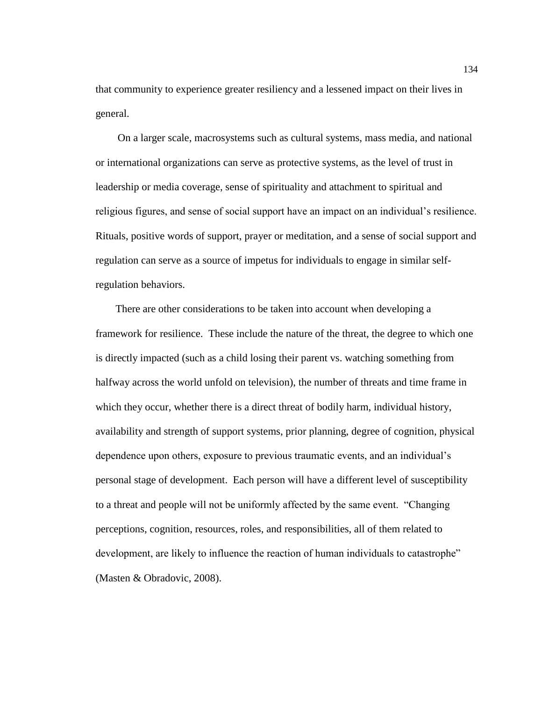that community to experience greater resiliency and a lessened impact on their lives in general.

 On a larger scale, macrosystems such as cultural systems, mass media, and national or international organizations can serve as protective systems, as the level of trust in leadership or media coverage, sense of spirituality and attachment to spiritual and religious figures, and sense of social support have an impact on an individual's resilience. Rituals, positive words of support, prayer or meditation, and a sense of social support and regulation can serve as a source of impetus for individuals to engage in similar selfregulation behaviors.

 There are other considerations to be taken into account when developing a framework for resilience. These include the nature of the threat, the degree to which one is directly impacted (such as a child losing their parent vs. watching something from halfway across the world unfold on television), the number of threats and time frame in which they occur, whether there is a direct threat of bodily harm, individual history, availability and strength of support systems, prior planning, degree of cognition, physical dependence upon others, exposure to previous traumatic events, and an individual's personal stage of development. Each person will have a different level of susceptibility to a threat and people will not be uniformly affected by the same event. "Changing perceptions, cognition, resources, roles, and responsibilities, all of them related to development, are likely to influence the reaction of human individuals to catastrophe" (Masten & Obradovic, 2008).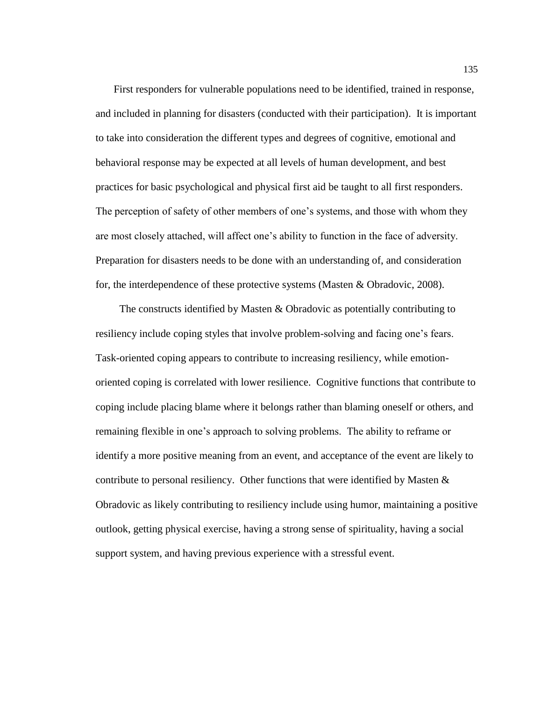First responders for vulnerable populations need to be identified, trained in response, and included in planning for disasters (conducted with their participation). It is important to take into consideration the different types and degrees of cognitive, emotional and behavioral response may be expected at all levels of human development, and best practices for basic psychological and physical first aid be taught to all first responders. The perception of safety of other members of one's systems, and those with whom they are most closely attached, will affect one's ability to function in the face of adversity. Preparation for disasters needs to be done with an understanding of, and consideration for, the interdependence of these protective systems (Masten & Obradovic, 2008).

 The constructs identified by Masten & Obradovic as potentially contributing to resiliency include coping styles that involve problem-solving and facing one's fears. Task-oriented coping appears to contribute to increasing resiliency, while emotionoriented coping is correlated with lower resilience. Cognitive functions that contribute to coping include placing blame where it belongs rather than blaming oneself or others, and remaining flexible in one's approach to solving problems. The ability to reframe or identify a more positive meaning from an event, and acceptance of the event are likely to contribute to personal resiliency. Other functions that were identified by Masten  $\&$ Obradovic as likely contributing to resiliency include using humor, maintaining a positive outlook, getting physical exercise, having a strong sense of spirituality, having a social support system, and having previous experience with a stressful event.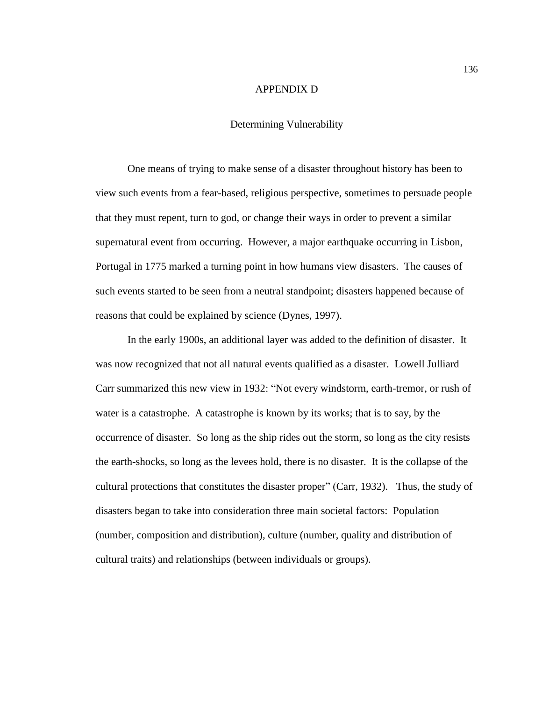#### APPENDIX D

### Determining Vulnerability

One means of trying to make sense of a disaster throughout history has been to view such events from a fear-based, religious perspective, sometimes to persuade people that they must repent, turn to god, or change their ways in order to prevent a similar supernatural event from occurring. However, a major earthquake occurring in Lisbon, Portugal in 1775 marked a turning point in how humans view disasters. The causes of such events started to be seen from a neutral standpoint; disasters happened because of reasons that could be explained by science (Dynes, 1997).

In the early 1900s, an additional layer was added to the definition of disaster. It was now recognized that not all natural events qualified as a disaster. Lowell Julliard Carr summarized this new view in 1932: "Not every windstorm, earth-tremor, or rush of water is a catastrophe. A catastrophe is known by its works; that is to say, by the occurrence of disaster. So long as the ship rides out the storm, so long as the city resists the earth-shocks, so long as the levees hold, there is no disaster. It is the collapse of the cultural protections that constitutes the disaster proper" (Carr, 1932). Thus, the study of disasters began to take into consideration three main societal factors: Population (number, composition and distribution), culture (number, quality and distribution of cultural traits) and relationships (between individuals or groups).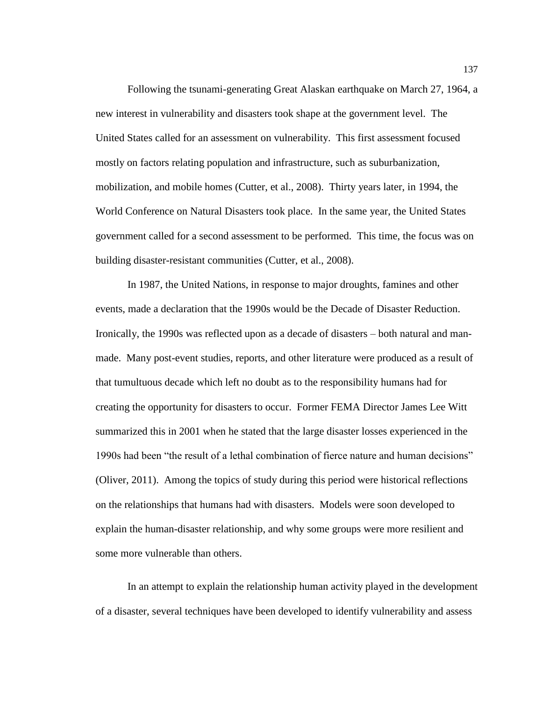Following the tsunami-generating Great Alaskan earthquake on March 27, 1964, a new interest in vulnerability and disasters took shape at the government level. The United States called for an assessment on vulnerability. This first assessment focused mostly on factors relating population and infrastructure, such as suburbanization, mobilization, and mobile homes (Cutter, et al., 2008). Thirty years later, in 1994, the World Conference on Natural Disasters took place. In the same year, the United States government called for a second assessment to be performed. This time, the focus was on building disaster-resistant communities (Cutter, et al., 2008).

In 1987, the United Nations, in response to major droughts, famines and other events, made a declaration that the 1990s would be the Decade of Disaster Reduction. Ironically, the 1990s was reflected upon as a decade of disasters – both natural and manmade. Many post-event studies, reports, and other literature were produced as a result of that tumultuous decade which left no doubt as to the responsibility humans had for creating the opportunity for disasters to occur. Former FEMA Director James Lee Witt summarized this in 2001 when he stated that the large disaster losses experienced in the 1990s had been "the result of a lethal combination of fierce nature and human decisions" (Oliver, 2011). Among the topics of study during this period were historical reflections on the relationships that humans had with disasters. Models were soon developed to explain the human-disaster relationship, and why some groups were more resilient and some more vulnerable than others.

In an attempt to explain the relationship human activity played in the development of a disaster, several techniques have been developed to identify vulnerability and assess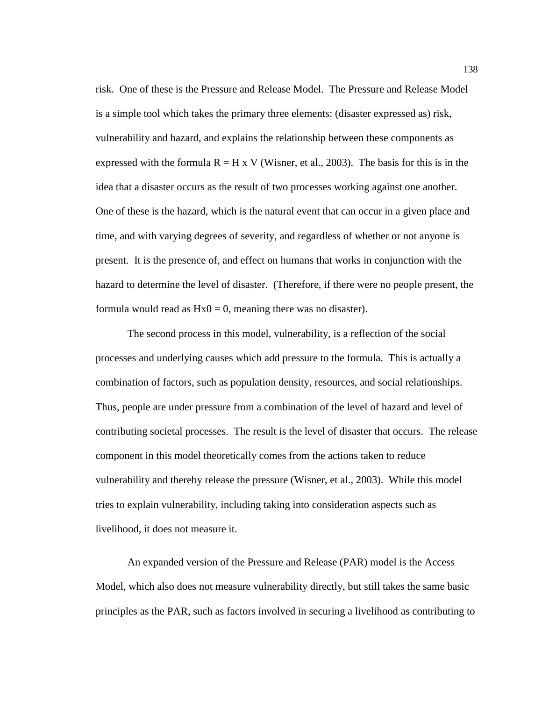risk. One of these is the Pressure and Release Model. The Pressure and Release Model is a simple tool which takes the primary three elements: (disaster expressed as) risk, vulnerability and hazard, and explains the relationship between these components as expressed with the formula  $R = H x V$  (Wisner, et al., 2003). The basis for this is in the idea that a disaster occurs as the result of two processes working against one another. One of these is the hazard, which is the natural event that can occur in a given place and time, and with varying degrees of severity, and regardless of whether or not anyone is present. It is the presence of, and effect on humans that works in conjunction with the hazard to determine the level of disaster. (Therefore, if there were no people present, the formula would read as  $Hx0 = 0$ , meaning there was no disaster).

The second process in this model, vulnerability, is a reflection of the social processes and underlying causes which add pressure to the formula. This is actually a combination of factors, such as population density, resources, and social relationships. Thus, people are under pressure from a combination of the level of hazard and level of contributing societal processes. The result is the level of disaster that occurs. The release component in this model theoretically comes from the actions taken to reduce vulnerability and thereby release the pressure (Wisner, et al., 2003). While this model tries to explain vulnerability, including taking into consideration aspects such as livelihood, it does not measure it.

An expanded version of the Pressure and Release (PAR) model is the Access Model, which also does not measure vulnerability directly, but still takes the same basic principles as the PAR, such as factors involved in securing a livelihood as contributing to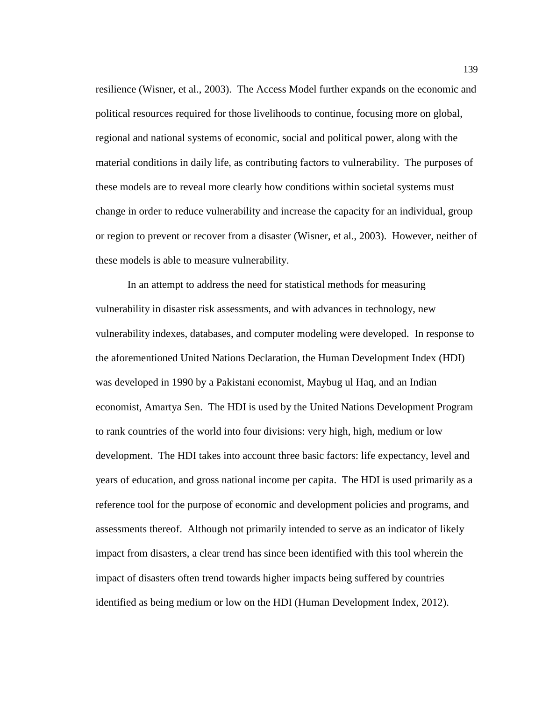resilience (Wisner, et al., 2003). The Access Model further expands on the economic and political resources required for those livelihoods to continue, focusing more on global, regional and national systems of economic, social and political power, along with the material conditions in daily life, as contributing factors to vulnerability. The purposes of these models are to reveal more clearly how conditions within societal systems must change in order to reduce vulnerability and increase the capacity for an individual, group or region to prevent or recover from a disaster (Wisner, et al., 2003). However, neither of these models is able to measure vulnerability.

In an attempt to address the need for statistical methods for measuring vulnerability in disaster risk assessments, and with advances in technology, new vulnerability indexes, databases, and computer modeling were developed. In response to the aforementioned United Nations Declaration, the Human Development Index (HDI) was developed in 1990 by a Pakistani economist, Maybug ul Haq, and an Indian economist, Amartya Sen. The HDI is used by the United Nations Development Program to rank countries of the world into four divisions: very high, high, medium or low development. The HDI takes into account three basic factors: life expectancy, level and years of education, and gross national income per capita. The HDI is used primarily as a reference tool for the purpose of economic and development policies and programs, and assessments thereof. Although not primarily intended to serve as an indicator of likely impact from disasters, a clear trend has since been identified with this tool wherein the impact of disasters often trend towards higher impacts being suffered by countries identified as being medium or low on the HDI (Human Development Index, 2012).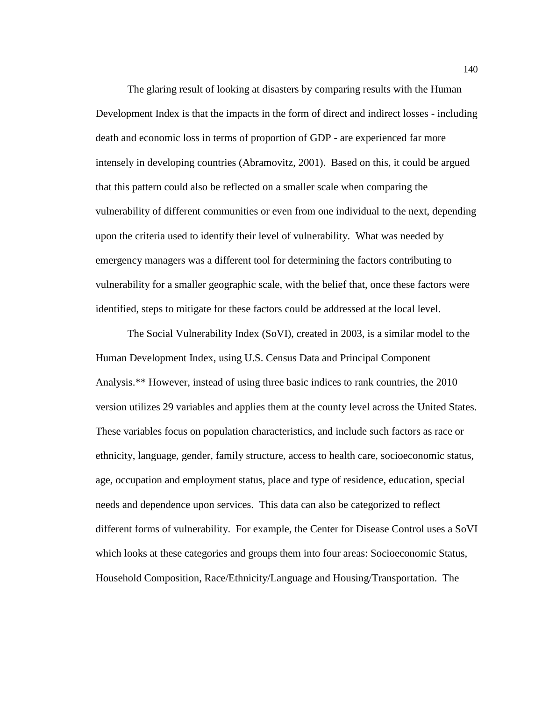The glaring result of looking at disasters by comparing results with the Human Development Index is that the impacts in the form of direct and indirect losses - including death and economic loss in terms of proportion of GDP - are experienced far more intensely in developing countries (Abramovitz, 2001). Based on this, it could be argued that this pattern could also be reflected on a smaller scale when comparing the vulnerability of different communities or even from one individual to the next, depending upon the criteria used to identify their level of vulnerability. What was needed by emergency managers was a different tool for determining the factors contributing to vulnerability for a smaller geographic scale, with the belief that, once these factors were identified, steps to mitigate for these factors could be addressed at the local level.

The Social Vulnerability Index (SoVI), created in 2003, is a similar model to the Human Development Index, using U.S. Census Data and Principal Component Analysis.\*\* However, instead of using three basic indices to rank countries, the 2010 version utilizes 29 variables and applies them at the county level across the United States. These variables focus on population characteristics, and include such factors as race or ethnicity, language, gender, family structure, access to health care, socioeconomic status, age, occupation and employment status, place and type of residence, education, special needs and dependence upon services. This data can also be categorized to reflect different forms of vulnerability. For example, the Center for Disease Control uses a SoVI which looks at these categories and groups them into four areas: Socioeconomic Status, Household Composition, Race/Ethnicity/Language and Housing/Transportation. The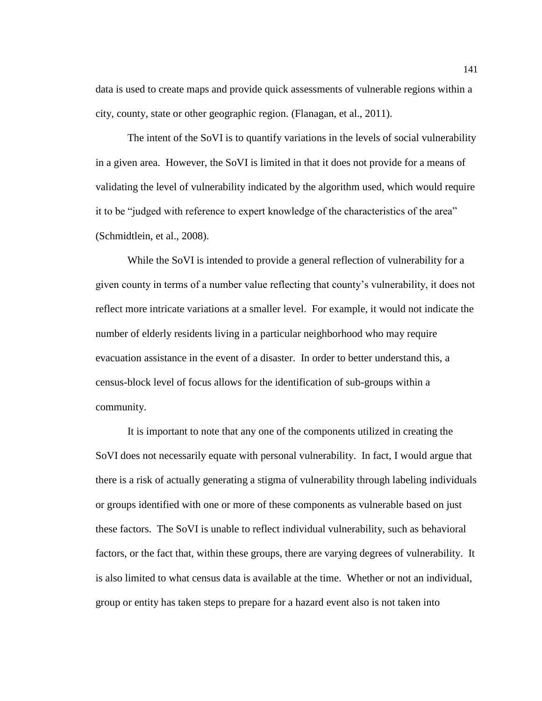data is used to create maps and provide quick assessments of vulnerable regions within a city, county, state or other geographic region. (Flanagan, et al., 2011).

The intent of the SoVI is to quantify variations in the levels of social vulnerability in a given area. However, the SoVI is limited in that it does not provide for a means of validating the level of vulnerability indicated by the algorithm used, which would require it to be "judged with reference to expert knowledge of the characteristics of the area" (Schmidtlein, et al., 2008).

While the SoVI is intended to provide a general reflection of vulnerability for a given county in terms of a number value reflecting that county's vulnerability, it does not reflect more intricate variations at a smaller level. For example, it would not indicate the number of elderly residents living in a particular neighborhood who may require evacuation assistance in the event of a disaster. In order to better understand this, a census-block level of focus allows for the identification of sub-groups within a community.

It is important to note that any one of the components utilized in creating the SoVI does not necessarily equate with personal vulnerability. In fact, I would argue that there is a risk of actually generating a stigma of vulnerability through labeling individuals or groups identified with one or more of these components as vulnerable based on just these factors. The SoVI is unable to reflect individual vulnerability, such as behavioral factors, or the fact that, within these groups, there are varying degrees of vulnerability. It is also limited to what census data is available at the time. Whether or not an individual, group or entity has taken steps to prepare for a hazard event also is not taken into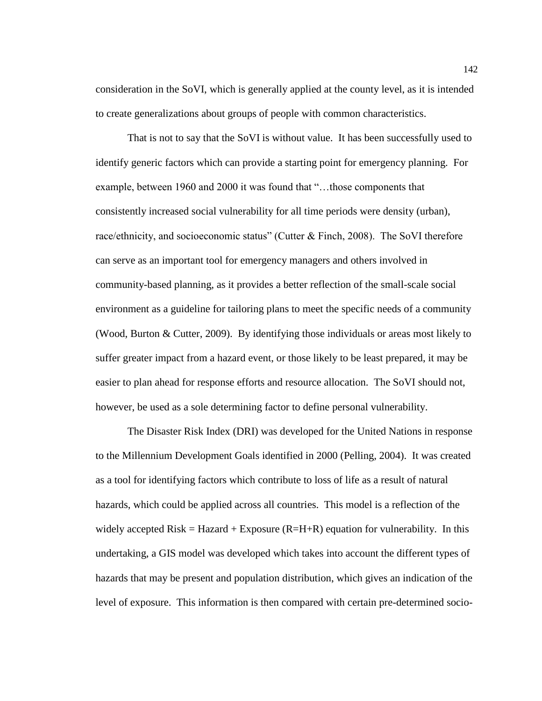consideration in the SoVI, which is generally applied at the county level, as it is intended to create generalizations about groups of people with common characteristics.

That is not to say that the SoVI is without value. It has been successfully used to identify generic factors which can provide a starting point for emergency planning. For example, between 1960 and 2000 it was found that "…those components that consistently increased social vulnerability for all time periods were density (urban), race/ethnicity, and socioeconomic status" (Cutter & Finch, 2008). The SoVI therefore can serve as an important tool for emergency managers and others involved in community-based planning, as it provides a better reflection of the small-scale social environment as a guideline for tailoring plans to meet the specific needs of a community (Wood, Burton  $&$  Cutter, 2009). By identifying those individuals or areas most likely to suffer greater impact from a hazard event, or those likely to be least prepared, it may be easier to plan ahead for response efforts and resource allocation. The SoVI should not, however, be used as a sole determining factor to define personal vulnerability.

The Disaster Risk Index (DRI) was developed for the United Nations in response to the Millennium Development Goals identified in 2000 (Pelling, 2004). It was created as a tool for identifying factors which contribute to loss of life as a result of natural hazards, which could be applied across all countries. This model is a reflection of the widely accepted Risk = Hazard + Exposure  $(R=H+R)$  equation for vulnerability. In this undertaking, a GIS model was developed which takes into account the different types of hazards that may be present and population distribution, which gives an indication of the level of exposure. This information is then compared with certain pre-determined socio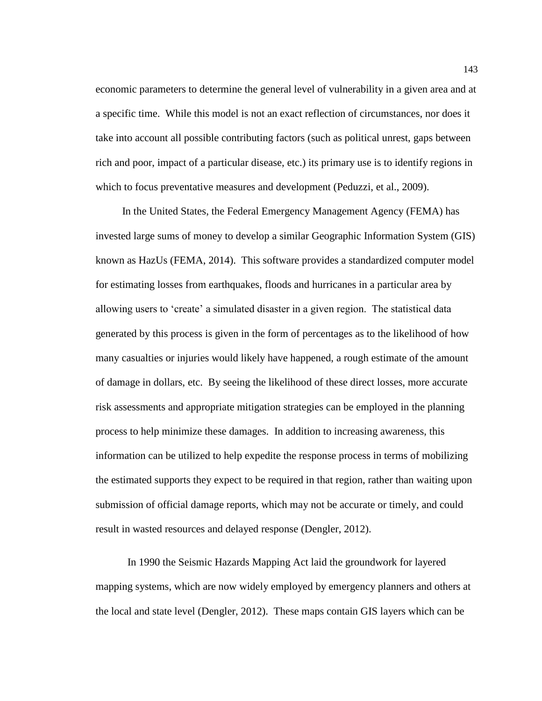economic parameters to determine the general level of vulnerability in a given area and at a specific time. While this model is not an exact reflection of circumstances, nor does it take into account all possible contributing factors (such as political unrest, gaps between rich and poor, impact of a particular disease, etc.) its primary use is to identify regions in which to focus preventative measures and development (Peduzzi, et al., 2009).

 In the United States, the Federal Emergency Management Agency (FEMA) has invested large sums of money to develop a similar Geographic Information System (GIS) known as HazUs (FEMA, 2014). This software provides a standardized computer model for estimating losses from earthquakes, floods and hurricanes in a particular area by allowing users to 'create' a simulated disaster in a given region. The statistical data generated by this process is given in the form of percentages as to the likelihood of how many casualties or injuries would likely have happened, a rough estimate of the amount of damage in dollars, etc. By seeing the likelihood of these direct losses, more accurate risk assessments and appropriate mitigation strategies can be employed in the planning process to help minimize these damages. In addition to increasing awareness, this information can be utilized to help expedite the response process in terms of mobilizing the estimated supports they expect to be required in that region, rather than waiting upon submission of official damage reports, which may not be accurate or timely, and could result in wasted resources and delayed response (Dengler, 2012).

In 1990 the Seismic Hazards Mapping Act laid the groundwork for layered mapping systems, which are now widely employed by emergency planners and others at the local and state level (Dengler, 2012). These maps contain GIS layers which can be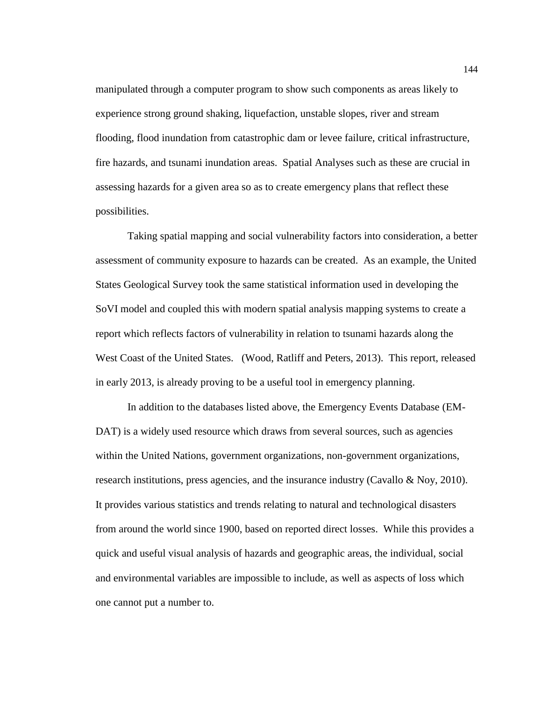manipulated through a computer program to show such components as areas likely to experience strong ground shaking, liquefaction, unstable slopes, river and stream flooding, flood inundation from catastrophic dam or levee failure, critical infrastructure, fire hazards, and tsunami inundation areas. Spatial Analyses such as these are crucial in assessing hazards for a given area so as to create emergency plans that reflect these possibilities.

Taking spatial mapping and social vulnerability factors into consideration, a better assessment of community exposure to hazards can be created. As an example, the United States Geological Survey took the same statistical information used in developing the SoVI model and coupled this with modern spatial analysis mapping systems to create a report which reflects factors of vulnerability in relation to tsunami hazards along the West Coast of the United States. (Wood, Ratliff and Peters, 2013). This report, released in early 2013, is already proving to be a useful tool in emergency planning.

In addition to the databases listed above, the Emergency Events Database (EM-DAT) is a widely used resource which draws from several sources, such as agencies within the United Nations, government organizations, non-government organizations, research institutions, press agencies, and the insurance industry (Cavallo & Noy, 2010). It provides various statistics and trends relating to natural and technological disasters from around the world since 1900, based on reported direct losses. While this provides a quick and useful visual analysis of hazards and geographic areas, the individual, social and environmental variables are impossible to include, as well as aspects of loss which one cannot put a number to.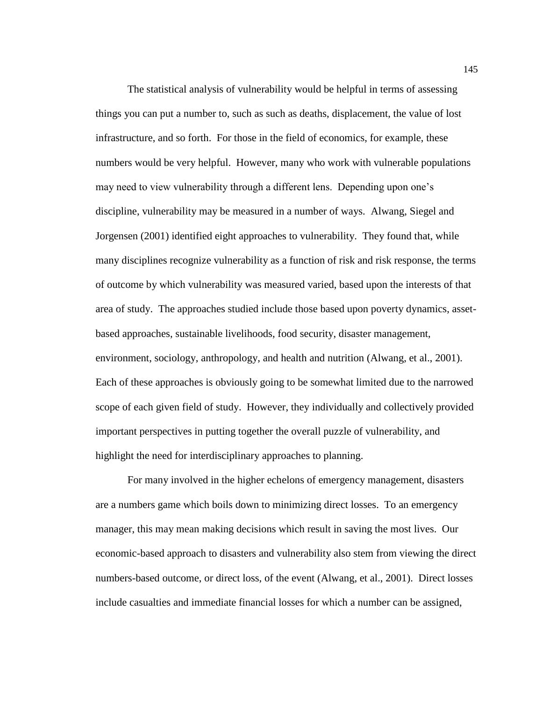The statistical analysis of vulnerability would be helpful in terms of assessing things you can put a number to, such as such as deaths, displacement, the value of lost infrastructure, and so forth. For those in the field of economics, for example, these numbers would be very helpful. However, many who work with vulnerable populations may need to view vulnerability through a different lens. Depending upon one's discipline, vulnerability may be measured in a number of ways. Alwang, Siegel and Jorgensen (2001) identified eight approaches to vulnerability. They found that, while many disciplines recognize vulnerability as a function of risk and risk response, the terms of outcome by which vulnerability was measured varied, based upon the interests of that area of study. The approaches studied include those based upon poverty dynamics, assetbased approaches, sustainable livelihoods, food security, disaster management, environment, sociology, anthropology, and health and nutrition (Alwang, et al., 2001). Each of these approaches is obviously going to be somewhat limited due to the narrowed scope of each given field of study. However, they individually and collectively provided important perspectives in putting together the overall puzzle of vulnerability, and highlight the need for interdisciplinary approaches to planning.

For many involved in the higher echelons of emergency management, disasters are a numbers game which boils down to minimizing direct losses. To an emergency manager, this may mean making decisions which result in saving the most lives. Our economic-based approach to disasters and vulnerability also stem from viewing the direct numbers-based outcome, or direct loss, of the event (Alwang, et al., 2001). Direct losses include casualties and immediate financial losses for which a number can be assigned,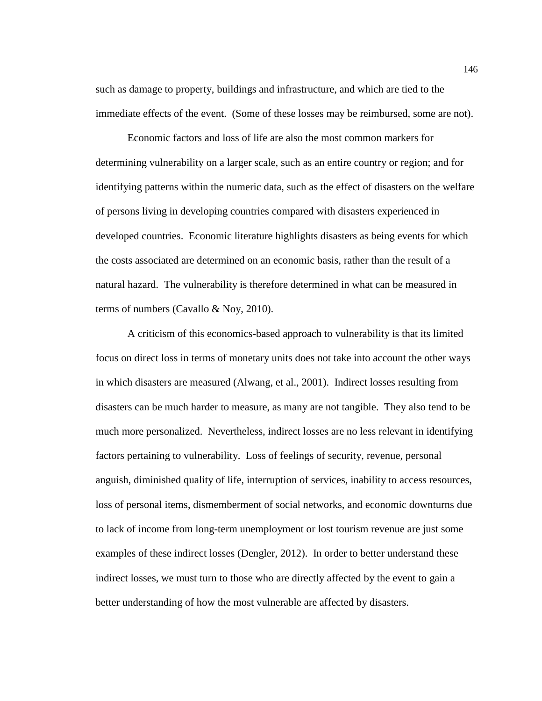such as damage to property, buildings and infrastructure, and which are tied to the immediate effects of the event. (Some of these losses may be reimbursed, some are not).

Economic factors and loss of life are also the most common markers for determining vulnerability on a larger scale, such as an entire country or region; and for identifying patterns within the numeric data, such as the effect of disasters on the welfare of persons living in developing countries compared with disasters experienced in developed countries. Economic literature highlights disasters as being events for which the costs associated are determined on an economic basis, rather than the result of a natural hazard. The vulnerability is therefore determined in what can be measured in terms of numbers (Cavallo & Noy, 2010).

A criticism of this economics-based approach to vulnerability is that its limited focus on direct loss in terms of monetary units does not take into account the other ways in which disasters are measured (Alwang, et al., 2001). Indirect losses resulting from disasters can be much harder to measure, as many are not tangible. They also tend to be much more personalized. Nevertheless, indirect losses are no less relevant in identifying factors pertaining to vulnerability. Loss of feelings of security, revenue, personal anguish, diminished quality of life, interruption of services, inability to access resources, loss of personal items, dismemberment of social networks, and economic downturns due to lack of income from long-term unemployment or lost tourism revenue are just some examples of these indirect losses (Dengler, 2012). In order to better understand these indirect losses, we must turn to those who are directly affected by the event to gain a better understanding of how the most vulnerable are affected by disasters.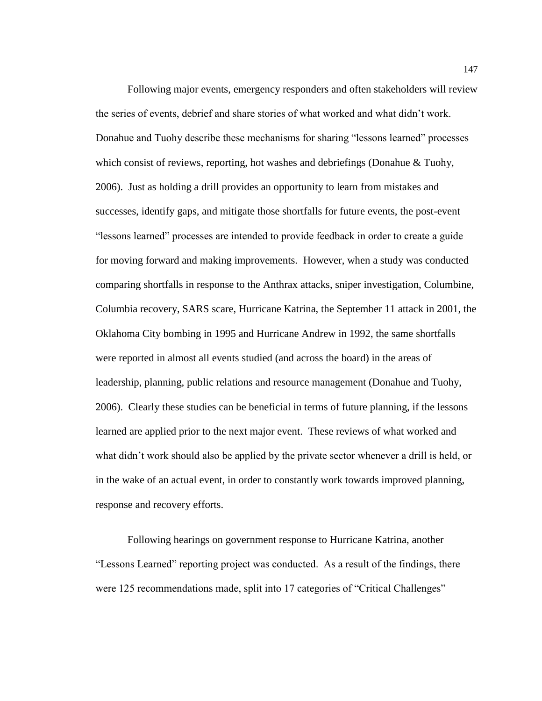Following major events, emergency responders and often stakeholders will review the series of events, debrief and share stories of what worked and what didn't work. Donahue and Tuohy describe these mechanisms for sharing "lessons learned" processes which consist of reviews, reporting, hot washes and debriefings (Donahue & Tuohy, 2006). Just as holding a drill provides an opportunity to learn from mistakes and successes, identify gaps, and mitigate those shortfalls for future events, the post-event "lessons learned" processes are intended to provide feedback in order to create a guide for moving forward and making improvements. However, when a study was conducted comparing shortfalls in response to the Anthrax attacks, sniper investigation, Columbine, Columbia recovery, SARS scare, Hurricane Katrina, the September 11 attack in 2001, the Oklahoma City bombing in 1995 and Hurricane Andrew in 1992, the same shortfalls were reported in almost all events studied (and across the board) in the areas of leadership, planning, public relations and resource management (Donahue and Tuohy, 2006). Clearly these studies can be beneficial in terms of future planning, if the lessons learned are applied prior to the next major event. These reviews of what worked and what didn't work should also be applied by the private sector whenever a drill is held, or in the wake of an actual event, in order to constantly work towards improved planning, response and recovery efforts.

Following hearings on government response to Hurricane Katrina, another "Lessons Learned" reporting project was conducted. As a result of the findings, there were 125 recommendations made, split into 17 categories of "Critical Challenges"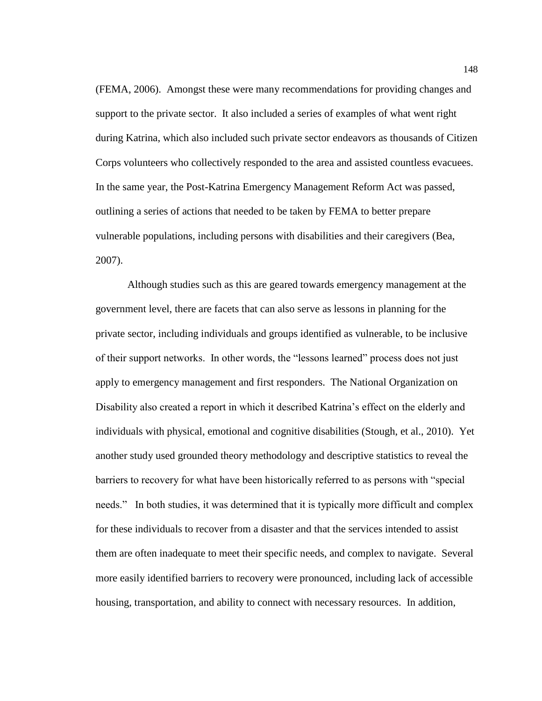(FEMA, 2006). Amongst these were many recommendations for providing changes and support to the private sector. It also included a series of examples of what went right during Katrina, which also included such private sector endeavors as thousands of Citizen Corps volunteers who collectively responded to the area and assisted countless evacuees. In the same year, the Post-Katrina Emergency Management Reform Act was passed, outlining a series of actions that needed to be taken by FEMA to better prepare vulnerable populations, including persons with disabilities and their caregivers (Bea, 2007).

Although studies such as this are geared towards emergency management at the government level, there are facets that can also serve as lessons in planning for the private sector, including individuals and groups identified as vulnerable, to be inclusive of their support networks. In other words, the "lessons learned" process does not just apply to emergency management and first responders. The National Organization on Disability also created a report in which it described Katrina's effect on the elderly and individuals with physical, emotional and cognitive disabilities (Stough, et al., 2010). Yet another study used grounded theory methodology and descriptive statistics to reveal the barriers to recovery for what have been historically referred to as persons with "special needs." In both studies, it was determined that it is typically more difficult and complex for these individuals to recover from a disaster and that the services intended to assist them are often inadequate to meet their specific needs, and complex to navigate. Several more easily identified barriers to recovery were pronounced, including lack of accessible housing, transportation, and ability to connect with necessary resources. In addition,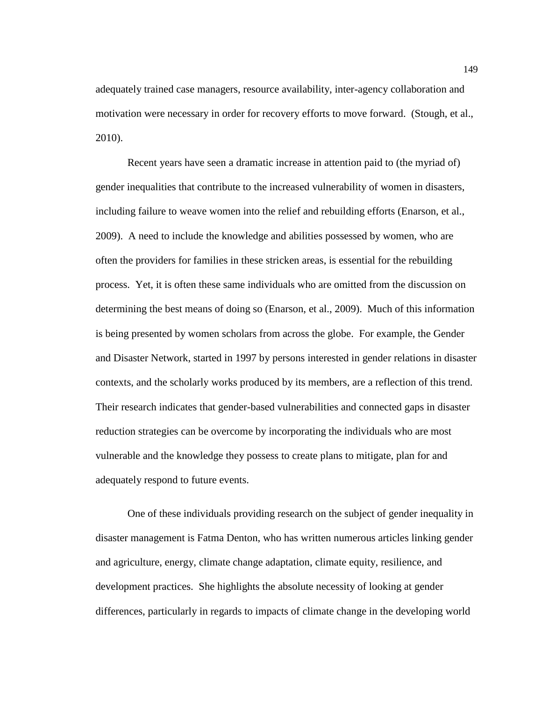adequately trained case managers, resource availability, inter-agency collaboration and motivation were necessary in order for recovery efforts to move forward. (Stough, et al., 2010).

Recent years have seen a dramatic increase in attention paid to (the myriad of) gender inequalities that contribute to the increased vulnerability of women in disasters, including failure to weave women into the relief and rebuilding efforts (Enarson, et al., 2009). A need to include the knowledge and abilities possessed by women, who are often the providers for families in these stricken areas, is essential for the rebuilding process. Yet, it is often these same individuals who are omitted from the discussion on determining the best means of doing so (Enarson, et al., 2009).Much of this information is being presented by women scholars from across the globe. For example, the Gender and Disaster Network, started in 1997 by persons interested in gender relations in disaster contexts, and the scholarly works produced by its members, are a reflection of this trend. Their research indicates that gender-based vulnerabilities and connected gaps in disaster reduction strategies can be overcome by incorporating the individuals who are most vulnerable and the knowledge they possess to create plans to mitigate, plan for and adequately respond to future events.

One of these individuals providing research on the subject of gender inequality in disaster management is Fatma Denton, who has written numerous articles linking gender and agriculture, energy, climate change adaptation, climate equity, resilience, and development practices. She highlights the absolute necessity of looking at gender differences, particularly in regards to impacts of climate change in the developing world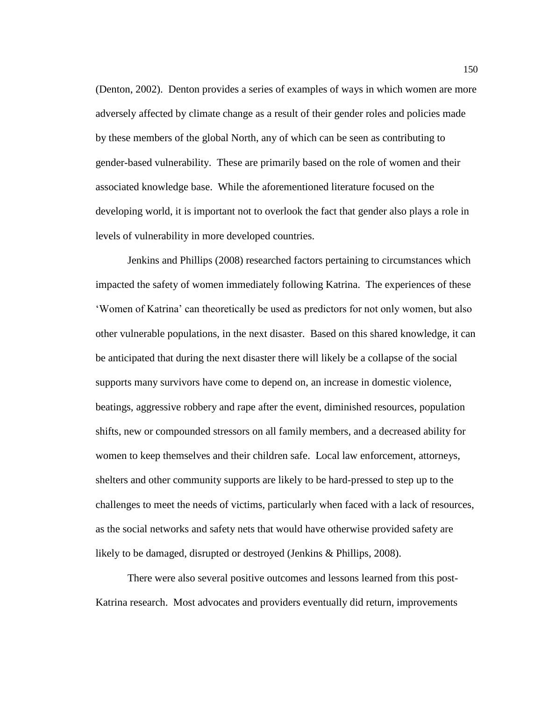(Denton, 2002). Denton provides a series of examples of ways in which women are more adversely affected by climate change as a result of their gender roles and policies made by these members of the global North, any of which can be seen as contributing to gender-based vulnerability. These are primarily based on the role of women and their associated knowledge base. While the aforementioned literature focused on the developing world, it is important not to overlook the fact that gender also plays a role in levels of vulnerability in more developed countries.

Jenkins and Phillips (2008) researched factors pertaining to circumstances which impacted the safety of women immediately following Katrina. The experiences of these 'Women of Katrina' can theoretically be used as predictors for not only women, but also other vulnerable populations, in the next disaster. Based on this shared knowledge, it can be anticipated that during the next disaster there will likely be a collapse of the social supports many survivors have come to depend on, an increase in domestic violence, beatings, aggressive robbery and rape after the event, diminished resources, population shifts, new or compounded stressors on all family members, and a decreased ability for women to keep themselves and their children safe. Local law enforcement, attorneys, shelters and other community supports are likely to be hard-pressed to step up to the challenges to meet the needs of victims, particularly when faced with a lack of resources, as the social networks and safety nets that would have otherwise provided safety are likely to be damaged, disrupted or destroyed (Jenkins & Phillips, 2008).

There were also several positive outcomes and lessons learned from this post-Katrina research. Most advocates and providers eventually did return, improvements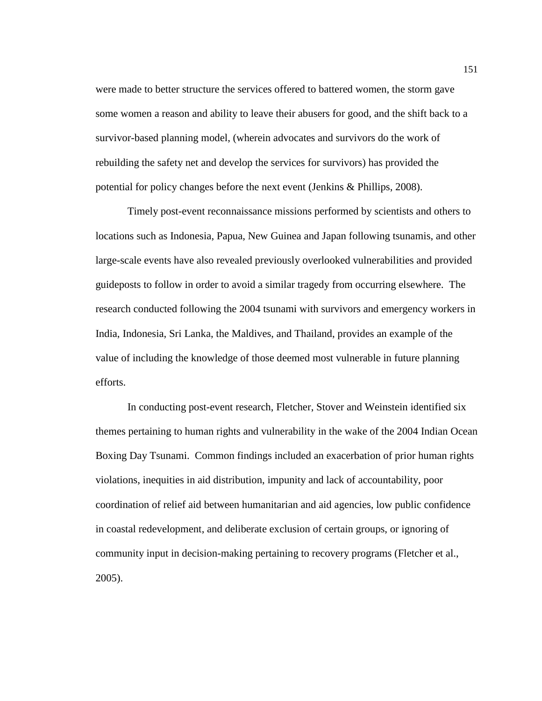were made to better structure the services offered to battered women, the storm gave some women a reason and ability to leave their abusers for good, and the shift back to a survivor-based planning model, (wherein advocates and survivors do the work of rebuilding the safety net and develop the services for survivors) has provided the potential for policy changes before the next event (Jenkins & Phillips, 2008).

Timely post-event reconnaissance missions performed by scientists and others to locations such as Indonesia, Papua, New Guinea and Japan following tsunamis, and other large-scale events have also revealed previously overlooked vulnerabilities and provided guideposts to follow in order to avoid a similar tragedy from occurring elsewhere. The research conducted following the 2004 tsunami with survivors and emergency workers in India, Indonesia, Sri Lanka, the Maldives, and Thailand, provides an example of the value of including the knowledge of those deemed most vulnerable in future planning efforts.

In conducting post-event research, Fletcher, Stover and Weinstein identified six themes pertaining to human rights and vulnerability in the wake of the 2004 Indian Ocean Boxing Day Tsunami. Common findings included an exacerbation of prior human rights violations, inequities in aid distribution, impunity and lack of accountability, poor coordination of relief aid between humanitarian and aid agencies, low public confidence in coastal redevelopment, and deliberate exclusion of certain groups, or ignoring of community input in decision-making pertaining to recovery programs (Fletcher et al., 2005).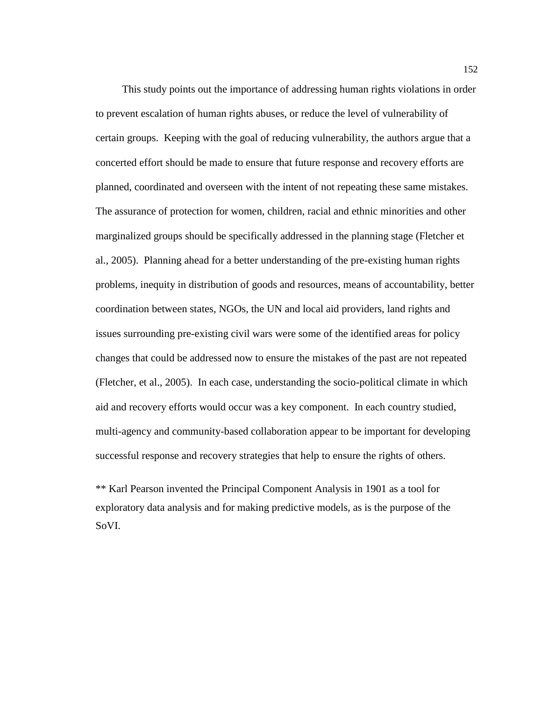This study points out the importance of addressing human rights violations in order to prevent escalation of human rights abuses, or reduce the level of vulnerability of certain groups. Keeping with the goal of reducing vulnerability, the authors argue that a concerted effort should be made to ensure that future response and recovery efforts are planned, coordinated and overseen with the intent of not repeating these same mistakes. The assurance of protection for women, children, racial and ethnic minorities and other marginalized groups should be specifically addressed in the planning stage (Fletcher et al., 2005). Planning ahead for a better understanding of the pre-existing human rights problems, inequity in distribution of goods and resources, means of accountability, better coordination between states, NGOs, the UN and local aid providers, land rights and issues surrounding pre-existing civil wars were some of the identified areas for policy changes that could be addressed now to ensure the mistakes of the past are not repeated (Fletcher, et al., 2005). In each case, understanding the socio-political climate in which aid and recovery efforts would occur was a key component. In each country studied, multi-agency and community-based collaboration appear to be important for developing successful response and recovery strategies that help to ensure the rights of others.

\*\* Karl Pearson invented the Principal Component Analysis in 1901 as a tool for exploratory data analysis and for making predictive models, as is the purpose of the SoVI.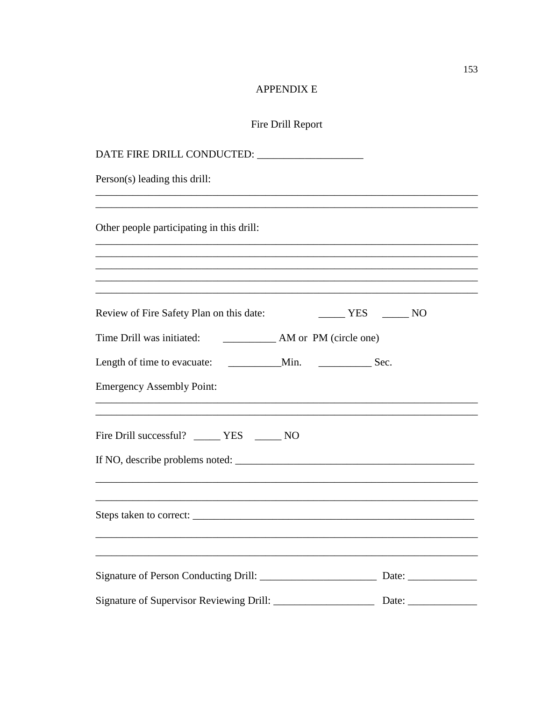# APPENDIX E

# Fire Drill Report

| Person(s) leading this drill:                 |                                                                                                                  |
|-----------------------------------------------|------------------------------------------------------------------------------------------------------------------|
|                                               |                                                                                                                  |
| Other people participating in this drill:     |                                                                                                                  |
|                                               |                                                                                                                  |
|                                               |                                                                                                                  |
| Review of Fire Safety Plan on this date:      | $\frac{1}{1}$ YES $\frac{1}{1}$ NO                                                                               |
|                                               |                                                                                                                  |
|                                               |                                                                                                                  |
| <b>Emergency Assembly Point:</b>              |                                                                                                                  |
| Fire Drill successful? _______ YES _______ NO |                                                                                                                  |
|                                               |                                                                                                                  |
|                                               |                                                                                                                  |
|                                               | and the control of the control of the control of the control of the control of the control of the control of the |
|                                               |                                                                                                                  |
|                                               |                                                                                                                  |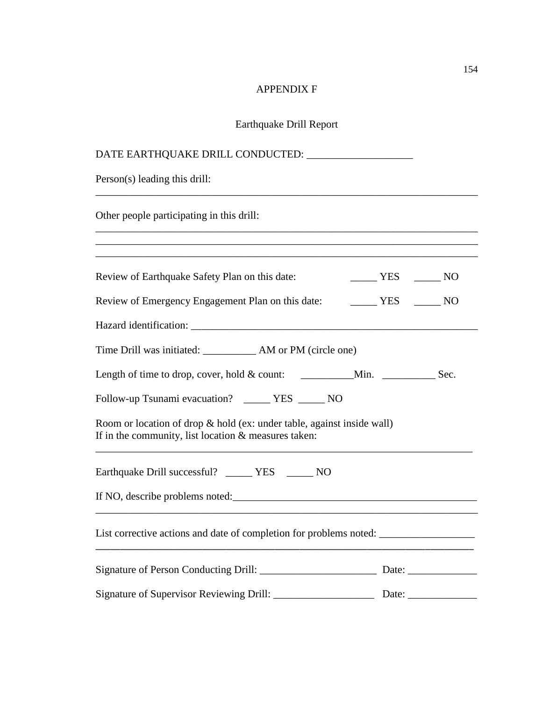# APPENDIX F

# Earthquake Drill Report

| Person(s) leading this drill:                                                                                                       |                                    |
|-------------------------------------------------------------------------------------------------------------------------------------|------------------------------------|
| Other people participating in this drill:                                                                                           |                                    |
| ,我们也不会有什么。""我们的人,我们也不会有什么?""我们的人,我们也不会有什么?""我们的人,我们的人,我们也不会有什么?""我们的人,我们的人,我们的人,我                                                   |                                    |
| Review of Earthquake Safety Plan on this date:                                                                                      | $\frac{1}{1}$ YES $\frac{1}{1}$ NO |
| Review of Emergency Engagement Plan on this date: THES TES NO                                                                       |                                    |
|                                                                                                                                     |                                    |
|                                                                                                                                     |                                    |
|                                                                                                                                     |                                    |
| Follow-up Tsunami evacuation? _____ YES _____ NO                                                                                    |                                    |
| Room or location of drop $\&$ hold (ex: under table, against inside wall)<br>If in the community, list location $&$ measures taken: |                                    |
| Earthquake Drill successful? _______ YES _______ NO                                                                                 |                                    |
| If NO, describe problems noted:                                                                                                     |                                    |
| List corrective actions and date of completion for problems noted: ______________                                                   |                                    |
|                                                                                                                                     |                                    |
|                                                                                                                                     |                                    |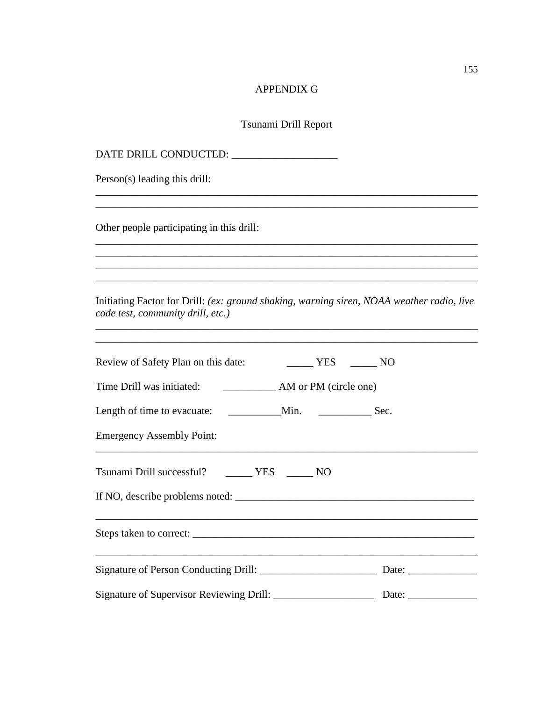## APPENDIX G

## Tsunami Drill Report

DATE DRILL CONDUCTED: \_\_\_\_\_\_\_\_\_\_\_\_\_\_\_\_\_\_\_\_ Person(s) leading this drill: \_\_\_\_\_\_\_\_\_\_\_\_\_\_\_\_\_\_\_\_\_\_\_\_\_\_\_\_\_\_\_\_\_\_\_\_\_\_\_\_\_\_\_\_\_\_\_\_\_\_\_\_\_\_\_\_\_\_\_\_\_\_\_\_\_\_\_\_\_\_\_\_ \_\_\_\_\_\_\_\_\_\_\_\_\_\_\_\_\_\_\_\_\_\_\_\_\_\_\_\_\_\_\_\_\_\_\_\_\_\_\_\_\_\_\_\_\_\_\_\_\_\_\_\_\_\_\_\_\_\_\_\_\_\_\_\_\_\_\_\_\_\_\_\_ Other people participating in this drill: \_\_\_\_\_\_\_\_\_\_\_\_\_\_\_\_\_\_\_\_\_\_\_\_\_\_\_\_\_\_\_\_\_\_\_\_\_\_\_\_\_\_\_\_\_\_\_\_\_\_\_\_\_\_\_\_\_\_\_\_\_\_\_\_\_\_\_\_\_\_\_\_ \_\_\_\_\_\_\_\_\_\_\_\_\_\_\_\_\_\_\_\_\_\_\_\_\_\_\_\_\_\_\_\_\_\_\_\_\_\_\_\_\_\_\_\_\_\_\_\_\_\_\_\_\_\_\_\_\_\_\_\_\_\_\_\_\_\_\_\_\_\_\_\_ \_\_\_\_\_\_\_\_\_\_\_\_\_\_\_\_\_\_\_\_\_\_\_\_\_\_\_\_\_\_\_\_\_\_\_\_\_\_\_\_\_\_\_\_\_\_\_\_\_\_\_\_\_\_\_\_\_\_\_\_\_\_\_\_\_\_\_\_\_\_\_\_ \_\_\_\_\_\_\_\_\_\_\_\_\_\_\_\_\_\_\_\_\_\_\_\_\_\_\_\_\_\_\_\_\_\_\_\_\_\_\_\_\_\_\_\_\_\_\_\_\_\_\_\_\_\_\_\_\_\_\_\_\_\_\_\_\_\_\_\_\_\_\_\_ Initiating Factor for Drill: *(ex: ground shaking, warning siren, NOAA weather radio, live code test, community drill, etc.)* \_\_\_\_\_\_\_\_\_\_\_\_\_\_\_\_\_\_\_\_\_\_\_\_\_\_\_\_\_\_\_\_\_\_\_\_\_\_\_\_\_\_\_\_\_\_\_\_\_\_\_\_\_\_\_\_\_\_\_\_\_\_\_\_\_\_\_\_\_\_\_\_ \_\_\_\_\_\_\_\_\_\_\_\_\_\_\_\_\_\_\_\_\_\_\_\_\_\_\_\_\_\_\_\_\_\_\_\_\_\_\_\_\_\_\_\_\_\_\_\_\_\_\_\_\_\_\_\_\_\_\_\_\_\_\_\_\_\_\_\_\_\_\_\_ Review of Safety Plan on this date: <br>NO \_\_\_\_\_\_ YES \_\_\_\_\_\_ NO Time Drill was initiated: \_\_\_\_\_\_\_\_\_\_ AM or PM (circle one) Length of time to evacuate: \_\_\_\_\_\_\_\_\_\_Min. \_\_\_\_\_\_\_\_\_\_\_\_\_\_\_\_\_\_\_Sec. Emergency Assembly Point: \_\_\_\_\_\_\_\_\_\_\_\_\_\_\_\_\_\_\_\_\_\_\_\_\_\_\_\_\_\_\_\_\_\_\_\_\_\_\_\_\_\_\_\_\_\_\_\_\_\_\_\_\_\_\_\_\_\_\_\_\_\_\_\_\_\_\_\_\_\_\_\_ Tsunami Drill successful? \_\_\_\_\_ YES \_\_\_\_\_ NO If NO, describe problems noted: \_\_\_\_\_\_\_\_\_\_\_\_\_\_\_\_\_\_\_\_\_\_\_\_\_\_\_\_\_\_\_\_\_\_\_\_\_\_\_\_\_\_\_\_\_ Steps taken to correct: \_\_\_\_\_\_\_\_\_\_\_\_\_\_\_\_\_\_\_\_\_\_\_\_\_\_\_\_\_\_\_\_\_\_\_\_\_\_\_\_\_\_\_\_\_\_\_\_\_\_\_\_\_ \_\_\_\_\_\_\_\_\_\_\_\_\_\_\_\_\_\_\_\_\_\_\_\_\_\_\_\_\_\_\_\_\_\_\_\_\_\_\_\_\_\_\_\_\_\_\_\_\_\_\_\_\_\_\_\_\_\_\_\_\_\_\_\_\_\_\_\_\_\_\_\_ Signature of Person Conducting Drill: \_\_\_\_\_\_\_\_\_\_\_\_\_\_\_\_\_\_\_\_\_\_ Date: \_\_\_\_\_\_\_\_\_\_\_\_\_ Signature of Supervisor Reviewing Drill: \_\_\_\_\_\_\_\_\_\_\_\_\_\_\_\_\_\_\_ Date: \_\_\_\_\_\_\_\_\_\_\_\_\_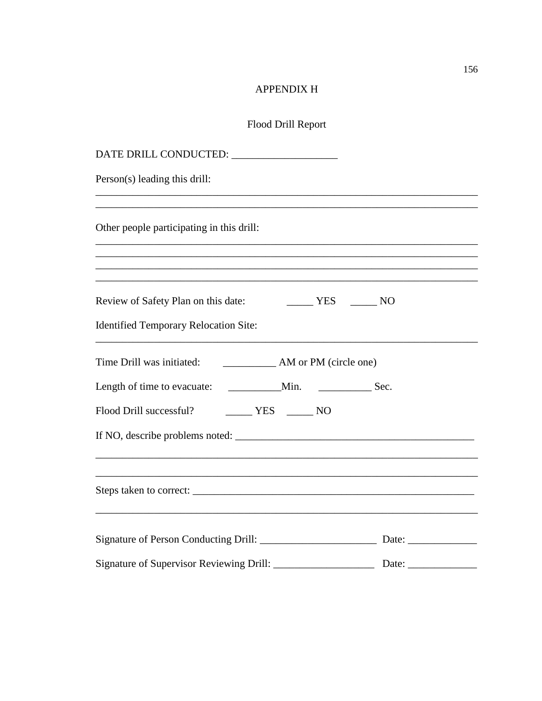# **APPENDIX H**

# Flood Drill Report

| DATE DRILL CONDUCTED:                                                                           |  |
|-------------------------------------------------------------------------------------------------|--|
| Person(s) leading this drill:                                                                   |  |
| Other people participating in this drill:                                                       |  |
| Review of Safety Plan on this date:<br>$YES$ NO<br><b>Identified Temporary Relocation Site:</b> |  |
| Time Drill was initiated:<br>AM or PM (circle one)                                              |  |
| Sec.                                                                                            |  |
| Flood Drill successful? MES MO                                                                  |  |
|                                                                                                 |  |
|                                                                                                 |  |
|                                                                                                 |  |
|                                                                                                 |  |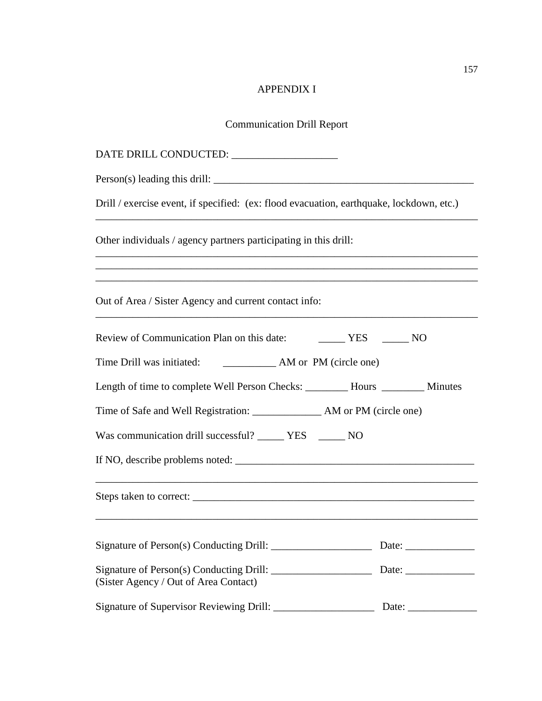# APPENDIX I

# Communication Drill Report

| Drill / exercise event, if specified: (ex: flood evacuation, earthquake, lockdown, etc.) |                                                        |  |  |
|------------------------------------------------------------------------------------------|--------------------------------------------------------|--|--|
| Other individuals / agency partners participating in this drill:                         |                                                        |  |  |
| Out of Area / Sister Agency and current contact info:                                    |                                                        |  |  |
| Review of Communication Plan on this date: VES _______ NO                                |                                                        |  |  |
| AM or PM (circle one)<br>Time Drill was initiated:                                       |                                                        |  |  |
| Length of time to complete Well Person Checks: ________ Hours ________ Minutes           |                                                        |  |  |
| Time of Safe and Well Registration: ______________ AM or PM (circle one)                 |                                                        |  |  |
| Was communication drill successful? _______ YES _______ NO                               |                                                        |  |  |
|                                                                                          |                                                        |  |  |
|                                                                                          |                                                        |  |  |
|                                                                                          | Date: $\frac{1}{\sqrt{1-\frac{1}{2}}\cdot\frac{1}{2}}$ |  |  |
| (Sister Agency / Out of Area Contact)                                                    |                                                        |  |  |
|                                                                                          |                                                        |  |  |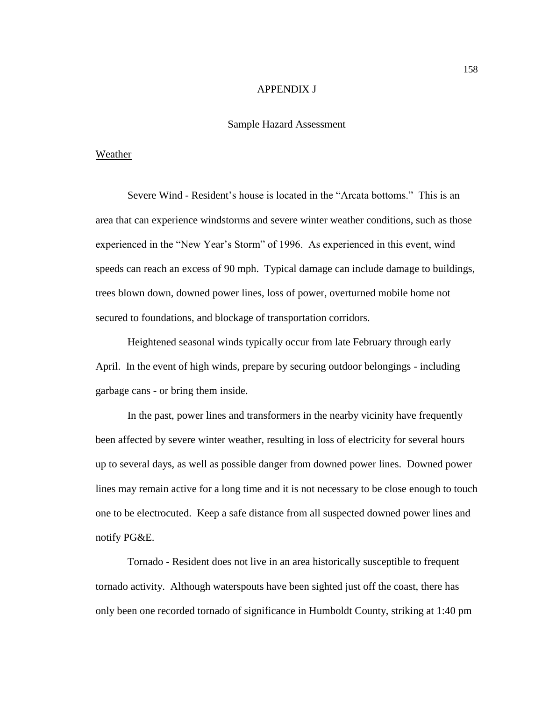#### APPENDIX J

## Sample Hazard Assessment

#### Weather

Severe Wind - Resident's house is located in the "Arcata bottoms." This is an area that can experience windstorms and severe winter weather conditions, such as those experienced in the "New Year's Storm" of 1996. As experienced in this event, wind speeds can reach an excess of 90 mph. Typical damage can include damage to buildings, trees blown down, downed power lines, loss of power, overturned mobile home not secured to foundations, and blockage of transportation corridors.

Heightened seasonal winds typically occur from late February through early April. In the event of high winds, prepare by securing outdoor belongings - including garbage cans - or bring them inside.

In the past, power lines and transformers in the nearby vicinity have frequently been affected by severe winter weather, resulting in loss of electricity for several hours up to several days, as well as possible danger from downed power lines. Downed power lines may remain active for a long time and it is not necessary to be close enough to touch one to be electrocuted. Keep a safe distance from all suspected downed power lines and notify PG&E.

Tornado - Resident does not live in an area historically susceptible to frequent tornado activity. Although waterspouts have been sighted just off the coast, there has only been one recorded tornado of significance in Humboldt County, striking at 1:40 pm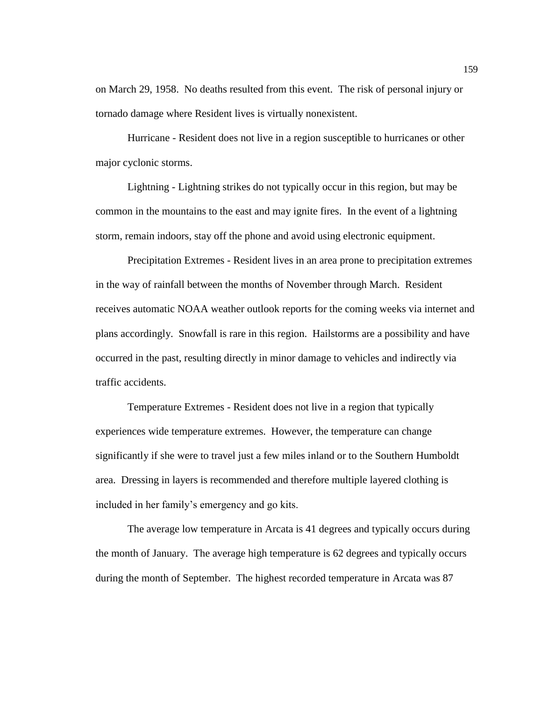on March 29, 1958. No deaths resulted from this event. The risk of personal injury or tornado damage where Resident lives is virtually nonexistent.

Hurricane - Resident does not live in a region susceptible to hurricanes or other major cyclonic storms.

Lightning - Lightning strikes do not typically occur in this region, but may be common in the mountains to the east and may ignite fires. In the event of a lightning storm, remain indoors, stay off the phone and avoid using electronic equipment.

Precipitation Extremes - Resident lives in an area prone to precipitation extremes in the way of rainfall between the months of November through March. Resident receives automatic NOAA weather outlook reports for the coming weeks via internet and plans accordingly. Snowfall is rare in this region. Hailstorms are a possibility and have occurred in the past, resulting directly in minor damage to vehicles and indirectly via traffic accidents.

Temperature Extremes - Resident does not live in a region that typically experiences wide temperature extremes. However, the temperature can change significantly if she were to travel just a few miles inland or to the Southern Humboldt area. Dressing in layers is recommended and therefore multiple layered clothing is included in her family's emergency and go kits.

The average low temperature in Arcata is 41 degrees and typically occurs during the month of January. The average high temperature is 62 degrees and typically occurs during the month of September. The highest recorded temperature in Arcata was 87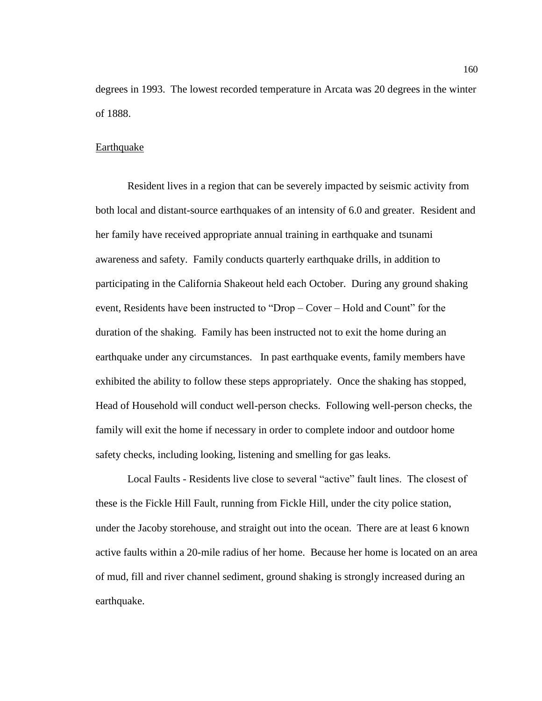degrees in 1993. The lowest recorded temperature in Arcata was 20 degrees in the winter of 1888.

#### Earthquake

Resident lives in a region that can be severely impacted by seismic activity from both local and distant-source earthquakes of an intensity of 6.0 and greater. Resident and her family have received appropriate annual training in earthquake and tsunami awareness and safety. Family conducts quarterly earthquake drills, in addition to participating in the California Shakeout held each October. During any ground shaking event, Residents have been instructed to "Drop – Cover – Hold and Count" for the duration of the shaking. Family has been instructed not to exit the home during an earthquake under any circumstances. In past earthquake events, family members have exhibited the ability to follow these steps appropriately. Once the shaking has stopped, Head of Household will conduct well-person checks. Following well-person checks, the family will exit the home if necessary in order to complete indoor and outdoor home safety checks, including looking, listening and smelling for gas leaks.

Local Faults - Residents live close to several "active" fault lines. The closest of these is the Fickle Hill Fault, running from Fickle Hill, under the city police station, under the Jacoby storehouse, and straight out into the ocean. There are at least 6 known active faults within a 20-mile radius of her home. Because her home is located on an area of mud, fill and river channel sediment, ground shaking is strongly increased during an earthquake.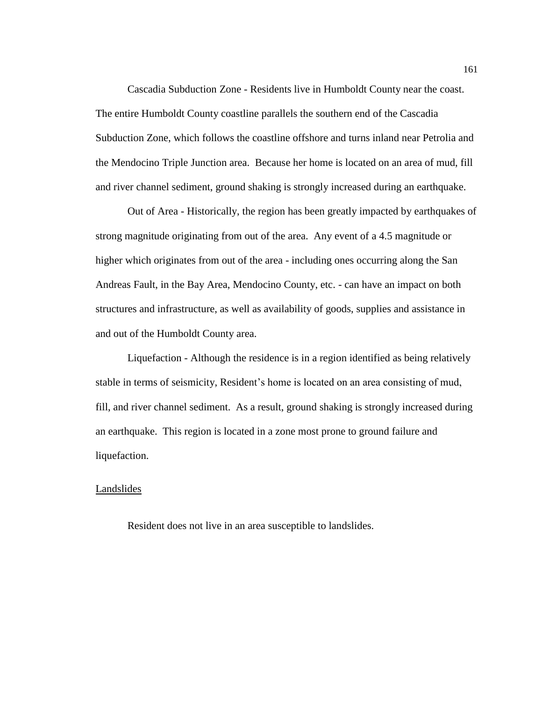Cascadia Subduction Zone - Residents live in Humboldt County near the coast. The entire Humboldt County coastline parallels the southern end of the Cascadia Subduction Zone, which follows the coastline offshore and turns inland near Petrolia and the Mendocino Triple Junction area. Because her home is located on an area of mud, fill and river channel sediment, ground shaking is strongly increased during an earthquake.

Out of Area - Historically, the region has been greatly impacted by earthquakes of strong magnitude originating from out of the area. Any event of a 4.5 magnitude or higher which originates from out of the area - including ones occurring along the San Andreas Fault, in the Bay Area, Mendocino County, etc. - can have an impact on both structures and infrastructure, as well as availability of goods, supplies and assistance in and out of the Humboldt County area.

Liquefaction - Although the residence is in a region identified as being relatively stable in terms of seismicity, Resident's home is located on an area consisting of mud, fill, and river channel sediment. As a result, ground shaking is strongly increased during an earthquake. This region is located in a zone most prone to ground failure and liquefaction.

### **Landslides**

Resident does not live in an area susceptible to landslides.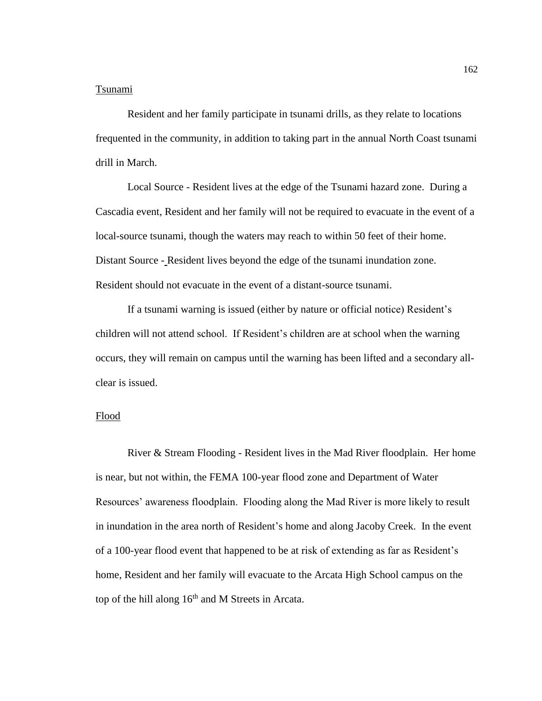#### Tsunami

Resident and her family participate in tsunami drills, as they relate to locations frequented in the community, in addition to taking part in the annual North Coast tsunami drill in March.

Local Source - Resident lives at the edge of the Tsunami hazard zone. During a Cascadia event, Resident and her family will not be required to evacuate in the event of a local-source tsunami, though the waters may reach to within 50 feet of their home. Distant Source - Resident lives beyond the edge of the tsunami inundation zone. Resident should not evacuate in the event of a distant-source tsunami.

If a tsunami warning is issued (either by nature or official notice) Resident's children will not attend school. If Resident's children are at school when the warning occurs, they will remain on campus until the warning has been lifted and a secondary allclear is issued.

#### Flood

River & Stream Flooding - Resident lives in the Mad River floodplain. Her home is near, but not within, the FEMA 100-year flood zone and Department of Water Resources' awareness floodplain. Flooding along the Mad River is more likely to result in inundation in the area north of Resident's home and along Jacoby Creek. In the event of a 100-year flood event that happened to be at risk of extending as far as Resident's home, Resident and her family will evacuate to the Arcata High School campus on the top of the hill along  $16<sup>th</sup>$  and M Streets in Arcata.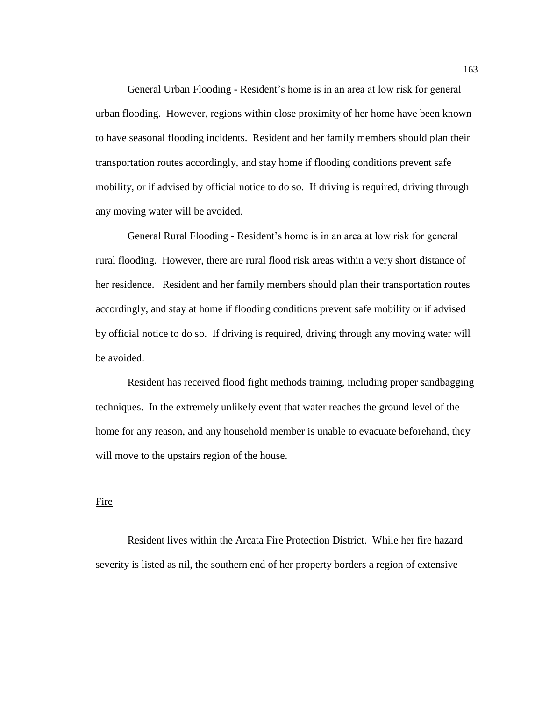General Urban Flooding **-** Resident's home is in an area at low risk for general urban flooding. However, regions within close proximity of her home have been known to have seasonal flooding incidents. Resident and her family members should plan their transportation routes accordingly, and stay home if flooding conditions prevent safe mobility, or if advised by official notice to do so. If driving is required, driving through any moving water will be avoided.

General Rural Flooding - Resident's home is in an area at low risk for general rural flooding. However, there are rural flood risk areas within a very short distance of her residence. Resident and her family members should plan their transportation routes accordingly, and stay at home if flooding conditions prevent safe mobility or if advised by official notice to do so. If driving is required, driving through any moving water will be avoided.

Resident has received flood fight methods training, including proper sandbagging techniques. In the extremely unlikely event that water reaches the ground level of the home for any reason, and any household member is unable to evacuate beforehand, they will move to the upstairs region of the house.

### Fire

Resident lives within the Arcata Fire Protection District. While her fire hazard severity is listed as nil, the southern end of her property borders a region of extensive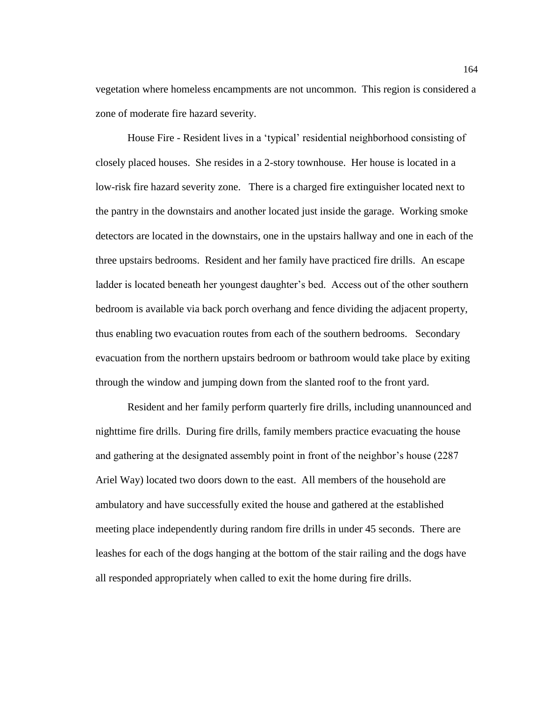vegetation where homeless encampments are not uncommon. This region is considered a zone of moderate fire hazard severity.

House Fire - Resident lives in a 'typical' residential neighborhood consisting of closely placed houses. She resides in a 2-story townhouse. Her house is located in a low-risk fire hazard severity zone. There is a charged fire extinguisher located next to the pantry in the downstairs and another located just inside the garage. Working smoke detectors are located in the downstairs, one in the upstairs hallway and one in each of the three upstairs bedrooms. Resident and her family have practiced fire drills. An escape ladder is located beneath her youngest daughter's bed. Access out of the other southern bedroom is available via back porch overhang and fence dividing the adjacent property, thus enabling two evacuation routes from each of the southern bedrooms. Secondary evacuation from the northern upstairs bedroom or bathroom would take place by exiting through the window and jumping down from the slanted roof to the front yard.

Resident and her family perform quarterly fire drills, including unannounced and nighttime fire drills. During fire drills, family members practice evacuating the house and gathering at the designated assembly point in front of the neighbor's house (2287 Ariel Way) located two doors down to the east. All members of the household are ambulatory and have successfully exited the house and gathered at the established meeting place independently during random fire drills in under 45 seconds. There are leashes for each of the dogs hanging at the bottom of the stair railing and the dogs have all responded appropriately when called to exit the home during fire drills.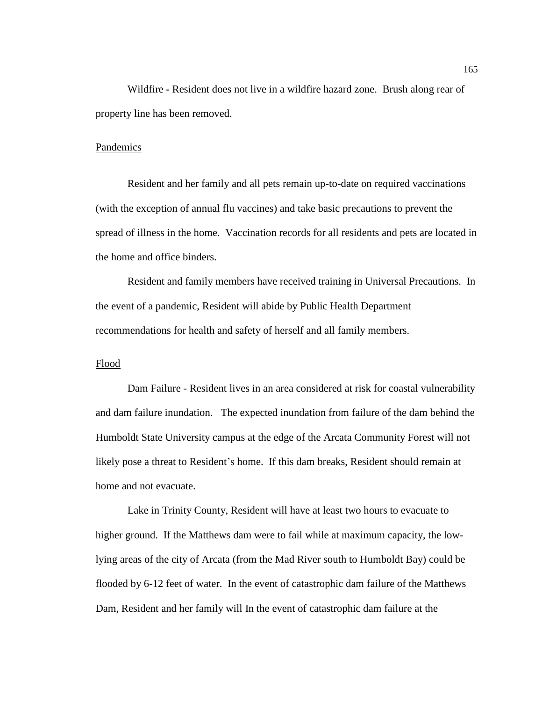Wildfire **-** Resident does not live in a wildfire hazard zone. Brush along rear of property line has been removed.

#### Pandemics

Resident and her family and all pets remain up-to-date on required vaccinations (with the exception of annual flu vaccines) and take basic precautions to prevent the spread of illness in the home. Vaccination records for all residents and pets are located in the home and office binders.

Resident and family members have received training in Universal Precautions. In the event of a pandemic, Resident will abide by Public Health Department recommendations for health and safety of herself and all family members.

#### Flood

Dam Failure - Resident lives in an area considered at risk for coastal vulnerability and dam failure inundation. The expected inundation from failure of the dam behind the Humboldt State University campus at the edge of the Arcata Community Forest will not likely pose a threat to Resident's home. If this dam breaks, Resident should remain at home and not evacuate.

Lake in Trinity County, Resident will have at least two hours to evacuate to higher ground. If the Matthews dam were to fail while at maximum capacity, the lowlying areas of the city of Arcata (from the Mad River south to Humboldt Bay) could be flooded by 6-12 feet of water. In the event of catastrophic dam failure of the Matthews Dam, Resident and her family will In the event of catastrophic dam failure at the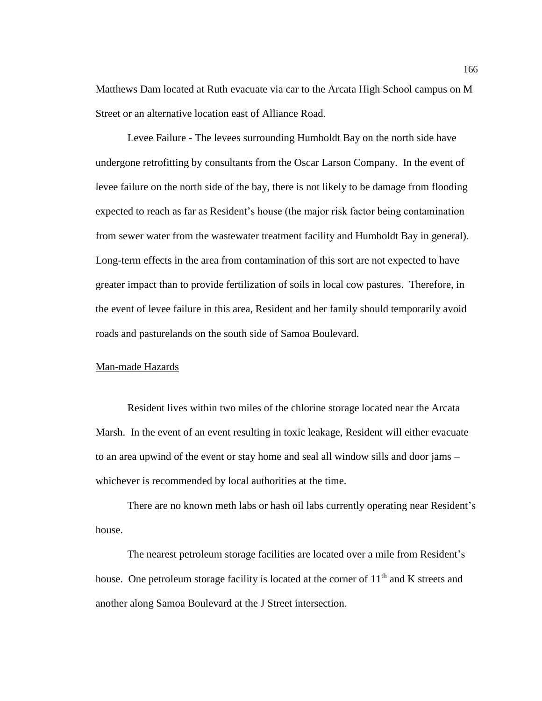Matthews Dam located at Ruth evacuate via car to the Arcata High School campus on M Street or an alternative location east of Alliance Road.

Levee Failure - The levees surrounding Humboldt Bay on the north side have undergone retrofitting by consultants from the Oscar Larson Company. In the event of levee failure on the north side of the bay, there is not likely to be damage from flooding expected to reach as far as Resident's house (the major risk factor being contamination from sewer water from the wastewater treatment facility and Humboldt Bay in general). Long-term effects in the area from contamination of this sort are not expected to have greater impact than to provide fertilization of soils in local cow pastures. Therefore, in the event of levee failure in this area, Resident and her family should temporarily avoid roads and pasturelands on the south side of Samoa Boulevard.

#### Man-made Hazards

Resident lives within two miles of the chlorine storage located near the Arcata Marsh. In the event of an event resulting in toxic leakage, Resident will either evacuate to an area upwind of the event or stay home and seal all window sills and door jams – whichever is recommended by local authorities at the time.

There are no known meth labs or hash oil labs currently operating near Resident's house.

The nearest petroleum storage facilities are located over a mile from Resident's house. One petroleum storage facility is located at the corner of  $11<sup>th</sup>$  and K streets and another along Samoa Boulevard at the J Street intersection.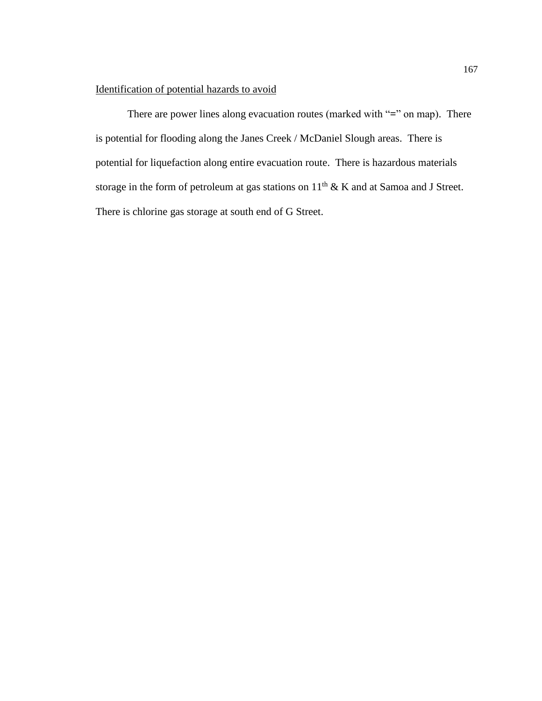## Identification of potential hazards to avoid

There are power lines along evacuation routes (marked with "**=**" on map). There is potential for flooding along the Janes Creek / McDaniel Slough areas. There is potential for liquefaction along entire evacuation route. There is hazardous materials storage in the form of petroleum at gas stations on  $11<sup>th</sup>$  & K and at Samoa and J Street. There is chlorine gas storage at south end of G Street.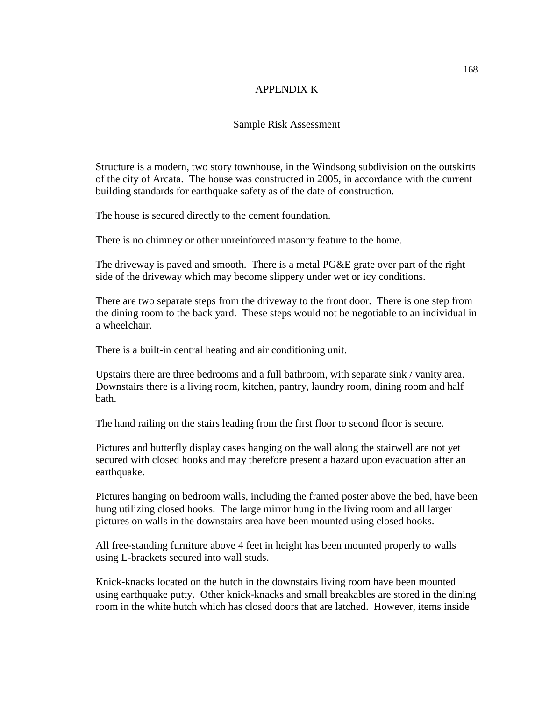### APPENDIX K

## Sample Risk Assessment

Structure is a modern, two story townhouse, in the Windsong subdivision on the outskirts of the city of Arcata. The house was constructed in 2005, in accordance with the current building standards for earthquake safety as of the date of construction.

The house is secured directly to the cement foundation.

There is no chimney or other unreinforced masonry feature to the home.

The driveway is paved and smooth. There is a metal PG&E grate over part of the right side of the driveway which may become slippery under wet or icy conditions.

There are two separate steps from the driveway to the front door. There is one step from the dining room to the back yard. These steps would not be negotiable to an individual in a wheelchair.

There is a built-in central heating and air conditioning unit.

Upstairs there are three bedrooms and a full bathroom, with separate sink / vanity area. Downstairs there is a living room, kitchen, pantry, laundry room, dining room and half bath.

The hand railing on the stairs leading from the first floor to second floor is secure.

Pictures and butterfly display cases hanging on the wall along the stairwell are not yet secured with closed hooks and may therefore present a hazard upon evacuation after an earthquake.

Pictures hanging on bedroom walls, including the framed poster above the bed, have been hung utilizing closed hooks. The large mirror hung in the living room and all larger pictures on walls in the downstairs area have been mounted using closed hooks.

All free-standing furniture above 4 feet in height has been mounted properly to walls using L-brackets secured into wall studs.

Knick-knacks located on the hutch in the downstairs living room have been mounted using earthquake putty. Other knick-knacks and small breakables are stored in the dining room in the white hutch which has closed doors that are latched. However, items inside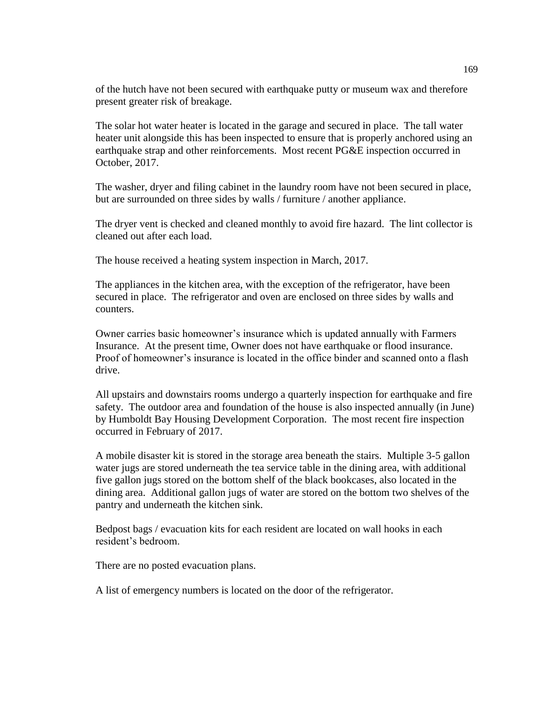of the hutch have not been secured with earthquake putty or museum wax and therefore present greater risk of breakage.

The solar hot water heater is located in the garage and secured in place. The tall water heater unit alongside this has been inspected to ensure that is properly anchored using an earthquake strap and other reinforcements. Most recent PG&E inspection occurred in October, 2017.

The washer, dryer and filing cabinet in the laundry room have not been secured in place, but are surrounded on three sides by walls / furniture / another appliance.

The dryer vent is checked and cleaned monthly to avoid fire hazard. The lint collector is cleaned out after each load.

The house received a heating system inspection in March, 2017.

The appliances in the kitchen area, with the exception of the refrigerator, have been secured in place. The refrigerator and oven are enclosed on three sides by walls and counters.

Owner carries basic homeowner's insurance which is updated annually with Farmers Insurance. At the present time, Owner does not have earthquake or flood insurance. Proof of homeowner's insurance is located in the office binder and scanned onto a flash drive.

All upstairs and downstairs rooms undergo a quarterly inspection for earthquake and fire safety. The outdoor area and foundation of the house is also inspected annually (in June) by Humboldt Bay Housing Development Corporation. The most recent fire inspection occurred in February of 2017.

A mobile disaster kit is stored in the storage area beneath the stairs. Multiple 3-5 gallon water jugs are stored underneath the tea service table in the dining area, with additional five gallon jugs stored on the bottom shelf of the black bookcases, also located in the dining area. Additional gallon jugs of water are stored on the bottom two shelves of the pantry and underneath the kitchen sink.

Bedpost bags / evacuation kits for each resident are located on wall hooks in each resident's bedroom.

There are no posted evacuation plans.

A list of emergency numbers is located on the door of the refrigerator.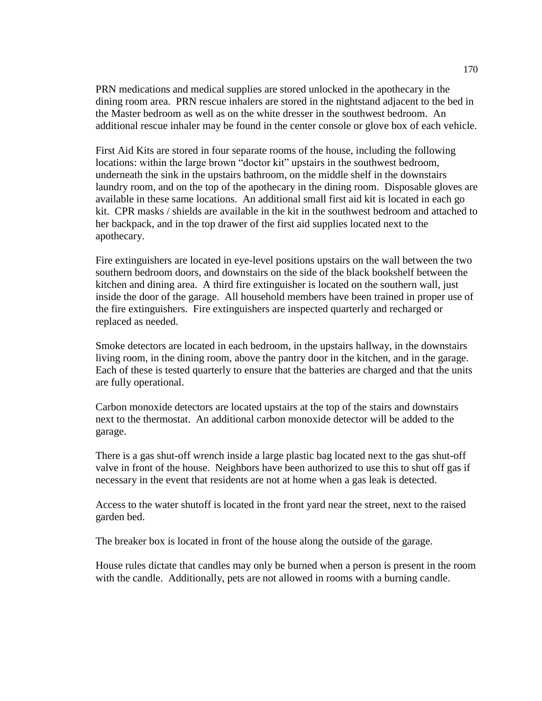PRN medications and medical supplies are stored unlocked in the apothecary in the dining room area. PRN rescue inhalers are stored in the nightstand adjacent to the bed in the Master bedroom as well as on the white dresser in the southwest bedroom. An additional rescue inhaler may be found in the center console or glove box of each vehicle.

First Aid Kits are stored in four separate rooms of the house, including the following locations: within the large brown "doctor kit" upstairs in the southwest bedroom, underneath the sink in the upstairs bathroom, on the middle shelf in the downstairs laundry room, and on the top of the apothecary in the dining room. Disposable gloves are available in these same locations. An additional small first aid kit is located in each go kit. CPR masks / shields are available in the kit in the southwest bedroom and attached to her backpack, and in the top drawer of the first aid supplies located next to the apothecary.

Fire extinguishers are located in eye-level positions upstairs on the wall between the two southern bedroom doors, and downstairs on the side of the black bookshelf between the kitchen and dining area. A third fire extinguisher is located on the southern wall, just inside the door of the garage. All household members have been trained in proper use of the fire extinguishers. Fire extinguishers are inspected quarterly and recharged or replaced as needed.

Smoke detectors are located in each bedroom, in the upstairs hallway, in the downstairs living room, in the dining room, above the pantry door in the kitchen, and in the garage. Each of these is tested quarterly to ensure that the batteries are charged and that the units are fully operational.

Carbon monoxide detectors are located upstairs at the top of the stairs and downstairs next to the thermostat. An additional carbon monoxide detector will be added to the garage.

There is a gas shut-off wrench inside a large plastic bag located next to the gas shut-off valve in front of the house. Neighbors have been authorized to use this to shut off gas if necessary in the event that residents are not at home when a gas leak is detected.

Access to the water shutoff is located in the front yard near the street, next to the raised garden bed.

The breaker box is located in front of the house along the outside of the garage.

House rules dictate that candles may only be burned when a person is present in the room with the candle. Additionally, pets are not allowed in rooms with a burning candle.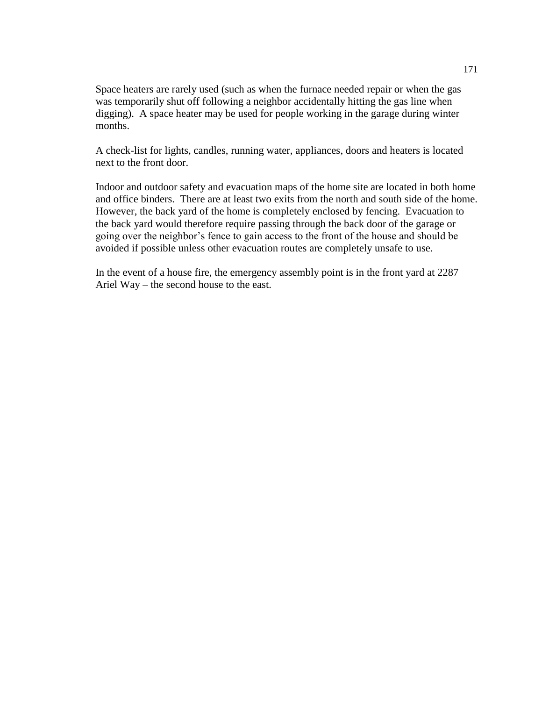Space heaters are rarely used (such as when the furnace needed repair or when the gas was temporarily shut off following a neighbor accidentally hitting the gas line when digging). A space heater may be used for people working in the garage during winter months.

A check-list for lights, candles, running water, appliances, doors and heaters is located next to the front door.

Indoor and outdoor safety and evacuation maps of the home site are located in both home and office binders. There are at least two exits from the north and south side of the home. However, the back yard of the home is completely enclosed by fencing. Evacuation to the back yard would therefore require passing through the back door of the garage or going over the neighbor's fence to gain access to the front of the house and should be avoided if possible unless other evacuation routes are completely unsafe to use.

In the event of a house fire, the emergency assembly point is in the front yard at 2287 Ariel Way – the second house to the east.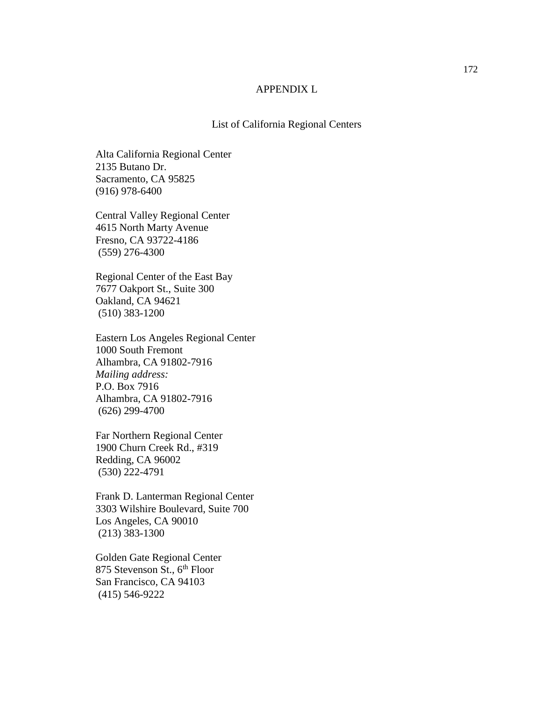## APPENDIX L

## List of California Regional Centers

Alta California Regional Center 2135 Butano Dr. Sacramento, CA 95825 (916) 978-6400

Central Valley Regional Center 4615 North Marty Avenue Fresno, CA 93722-4186 (559) 276-4300

Regional Center of the East Bay 7677 Oakport St., Suite 300 Oakland, CA 94621 (510) 383-1200

Eastern Los Angeles Regional Center 1000 South Fremont Alhambra, CA 91802-7916 *Mailing address:* P.O. Box 7916 Alhambra, CA 91802-7916 (626) 299-4700

Far Northern Regional Center 1900 Churn Creek Rd., #319 Redding, CA 96002 (530) 222-4791

Frank D. Lanterman Regional Center 3303 Wilshire Boulevard, Suite 700 Los Angeles, CA 90010 (213) 383-1300

Golden Gate Regional Center 875 Stevenson St., 6<sup>th</sup> Floor San Francisco, CA 94103 (415) 546-9222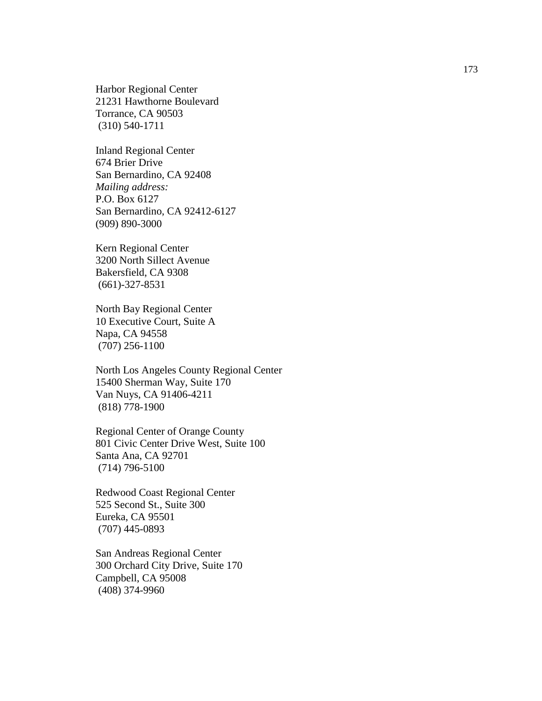Harbor Regional Center 21231 Hawthorne Boulevard Torrance, CA 90503 (310) 540 -1711

Inland Regional Center 674 Brier Drive San Bernardino, CA 92408 *Mailing address:* P.O. Box 6127 San Bernardino, CA 92412 -6127 (909) 890 -3000

Kern Regional Center 3200 North Sillect Avenue Bakersfield, CA 9308 (661) -327 -8531

North Bay Regional Center 10 Executive Court, Suite A Napa, CA 94558 (707) 256 -1100

North Los Angeles County Regional Center 15400 Sherman Way, Suite 170 Van Nuys, CA 91406 -4211 (818) 778 -1900

Regional Center of Orange County 801 Civic Center Drive West, Suite 100 Santa Ana, CA 92701 (714) 796 -5100

Redwood Coast Regional Center 525 Second St., Suite 300 Eureka, CA 95501 (707) 445 -0893

San Andreas Regional Center 300 Orchard City Drive, Suite 170 Campbell, CA 95008 (408) 374 -9960